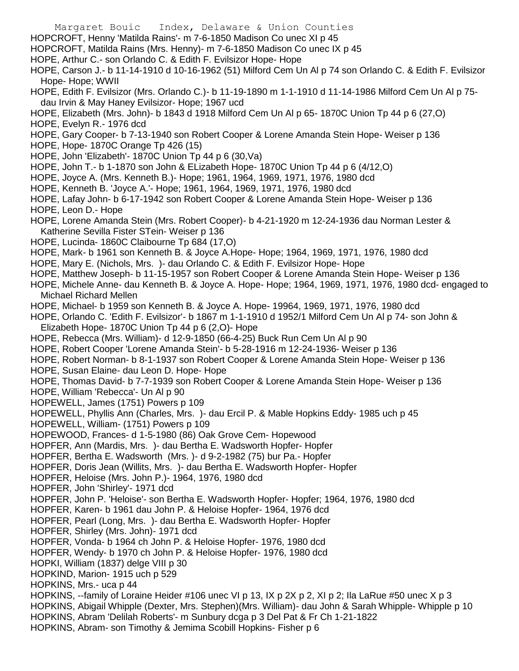- Margaret Bouic Index, Delaware & Union Counties HOPCROFT, Henny 'Matilda Rains'- m 7-6-1850 Madison Co unec XI p 45 HOPCROFT, Matilda Rains (Mrs. Henny)- m 7-6-1850 Madison Co unec IX p 45 HOPE, Arthur C.- son Orlando C. & Edith F. Evilsizor Hope- Hope
- HOPE, Carson J.- b 11-14-1910 d 10-16-1962 (51) Milford Cem Un Al p 74 son Orlando C. & Edith F. Evilsizor Hope- Hope; WWII
- HOPE, Edith F. Evilsizor (Mrs. Orlando C.)- b 11-19-1890 m 1-1-1910 d 11-14-1986 Milford Cem Un Al p 75 dau Irvin & May Haney Evilsizor- Hope; 1967 ucd
- HOPE, Elizabeth (Mrs. John)- b 1843 d 1918 Milford Cem Un Al p 65- 1870C Union Tp 44 p 6 (27,O) HOPE, Evelyn R.- 1976 dcd
- HOPE, Gary Cooper- b 7-13-1940 son Robert Cooper & Lorene Amanda Stein Hope- Weiser p 136
- HOPE, Hope- 1870C Orange Tp 426 (15)
- HOPE, John 'Elizabeth'- 1870C Union Tp 44 p 6 (30,Va)
- HOPE, John T.- b 1-1870 son John & ELizabeth Hope- 1870C Union Tp 44 p 6 (4/12,O)
- HOPE, Joyce A. (Mrs. Kenneth B.)- Hope; 1961, 1964, 1969, 1971, 1976, 1980 dcd
- HOPE, Kenneth B. 'Joyce A.'- Hope; 1961, 1964, 1969, 1971, 1976, 1980 dcd
- HOPE, Lafay John- b 6-17-1942 son Robert Cooper & Lorene Amanda Stein Hope- Weiser p 136 HOPE, Leon D.- Hope
- HOPE, Lorene Amanda Stein (Mrs. Robert Cooper)- b 4-21-1920 m 12-24-1936 dau Norman Lester & Katherine Sevilla Fister STein- Weiser p 136
- HOPE, Lucinda- 1860C Claibourne Tp 684 (17,O)
- HOPE, Mark- b 1961 son Kenneth B. & Joyce A.Hope- Hope; 1964, 1969, 1971, 1976, 1980 dcd
- HOPE, Mary E. (Nichols, Mrs. )- dau Orlando C. & Edith F. Evilsizor Hope- Hope
- HOPE, Matthew Joseph- b 11-15-1957 son Robert Cooper & Lorene Amanda Stein Hope- Weiser p 136
- HOPE, Michele Anne- dau Kenneth B. & Joyce A. Hope- Hope; 1964, 1969, 1971, 1976, 1980 dcd- engaged to Michael Richard Mellen
- HOPE, Michael- b 1959 son Kenneth B. & Joyce A. Hope- 19964, 1969, 1971, 1976, 1980 dcd
- HOPE, Orlando C. 'Edith F. Evilsizor'- b 1867 m 1-1-1910 d 1952/1 Milford Cem Un Al p 74- son John & Elizabeth Hope- 1870C Union Tp 44 p 6 (2,O)- Hope
- HOPE, Rebecca (Mrs. William)- d 12-9-1850 (66-4-25) Buck Run Cem Un Al p 90
- HOPE, Robert Cooper 'Lorene Amanda Stein'- b 5-28-1916 m 12-24-1936- Weiser p 136
- HOPE, Robert Norman- b 8-1-1937 son Robert Cooper & Lorene Amanda Stein Hope- Weiser p 136
- HOPE, Susan Elaine- dau Leon D. Hope- Hope
- HOPE, Thomas David- b 7-7-1939 son Robert Cooper & Lorene Amanda Stein Hope- Weiser p 136
- HOPE, William 'Rebecca'- Un Al p 90
- HOPEWELL, James (1751) Powers p 109
- HOPEWELL, Phyllis Ann (Charles, Mrs. )- dau Ercil P. & Mable Hopkins Eddy- 1985 uch p 45
- HOPEWELL, William- (1751) Powers p 109
- HOPEWOOD, Frances- d 1-5-1980 (86) Oak Grove Cem- Hopewood
- HOPFER, Ann (Mardis, Mrs. )- dau Bertha E. Wadsworth Hopfer- Hopfer
- HOPFER, Bertha E. Wadsworth (Mrs. )- d 9-2-1982 (75) bur Pa.- Hopfer
- HOPFER, Doris Jean (Willits, Mrs. )- dau Bertha E. Wadsworth Hopfer- Hopfer
- HOPFER, Heloise (Mrs. John P.)- 1964, 1976, 1980 dcd
- HOPFER, John 'Shirley'- 1971 dcd
- HOPFER, John P. 'Heloise'- son Bertha E. Wadsworth Hopfer- Hopfer; 1964, 1976, 1980 dcd
- HOPFER, Karen- b 1961 dau John P. & Heloise Hopfer- 1964, 1976 dcd
- HOPFER, Pearl (Long, Mrs. )- dau Bertha E. Wadsworth Hopfer- Hopfer
- HOPFER, Shirley (Mrs. John)- 1971 dcd
- HOPFER, Vonda- b 1964 ch John P. & Heloise Hopfer- 1976, 1980 dcd
- HOPFER, Wendy- b 1970 ch John P. & Heloise Hopfer- 1976, 1980 dcd
- HOPKI, William (1837) delge VIII p 30
- HOPKIND, Marion- 1915 uch p 529
- HOPKINS, Mrs.- uca p 44
- HOPKINS, --family of Loraine Heider #106 unec VI p 13, IX p 2X p 2, XI p 2; Ila LaRue #50 unec X p 3
- HOPKINS, Abigail Whipple (Dexter, Mrs. Stephen)(Mrs. William)- dau John & Sarah Whipple- Whipple p 10
- HOPKINS, Abram 'Delilah Roberts'- m Sunbury dcga p 3 Del Pat & Fr Ch 1-21-1822
- HOPKINS, Abram- son Timothy & Jemima Scobill Hopkins- Fisher p 6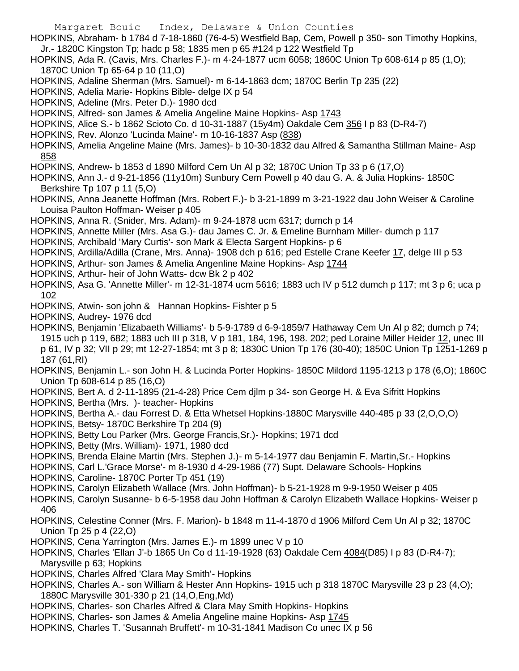- HOPKINS, Abraham- b 1784 d 7-18-1860 (76-4-5) Westfield Bap, Cem, Powell p 350- son Timothy Hopkins, Jr.- 1820C Kingston Tp; hadc p 58; 1835 men p 65 #124 p 122 Westfield Tp
- HOPKINS, Ada R. (Cavis, Mrs. Charles F.)- m 4-24-1877 ucm 6058; 1860C Union Tp 608-614 p 85 (1,O); 1870C Union Tp 65-64 p 10 (11,O)
- HOPKINS, Adaline Sherman (Mrs. Samuel)- m 6-14-1863 dcm; 1870C Berlin Tp 235 (22)
- HOPKINS, Adelia Marie- Hopkins Bible- delge IX p 54
- HOPKINS, Adeline (Mrs. Peter D.)- 1980 dcd
- HOPKINS, Alfred- son James & Amelia Angeline Maine Hopkins- Asp 1743
- HOPKINS, Alice S.- b 1862 Scioto Co. d 10-31-1887 (15y4m) Oakdale Cem 356 I p 83 (D-R4-7)
- HOPKINS, Rev. Alonzo 'Lucinda Maine'- m 10-16-1837 Asp (838)
- HOPKINS, Amelia Angeline Maine (Mrs. James)- b 10-30-1832 dau Alfred & Samantha Stillman Maine- Asp 858
- HOPKINS, Andrew- b 1853 d 1890 Milford Cem Un Al p 32; 1870C Union Tp 33 p 6 (17,O)
- HOPKINS, Ann J.- d 9-21-1856 (11y10m) Sunbury Cem Powell p 40 dau G. A. & Julia Hopkins- 1850C Berkshire Tp 107 p 11 (5,O)
- HOPKINS, Anna Jeanette Hoffman (Mrs. Robert F.)- b 3-21-1899 m 3-21-1922 dau John Weiser & Caroline Louisa Paulton Hoffman- Weiser p 405
- HOPKINS, Anna R. (Snider, Mrs. Adam)- m 9-24-1878 ucm 6317; dumch p 14
- HOPKINS, Annette Miller (Mrs. Asa G.)- dau James C. Jr. & Emeline Burnham Miller- dumch p 117
- HOPKINS, Archibald 'Mary Curtis'- son Mark & Electa Sargent Hopkins- p 6
- HOPKINS, Ardilla/Adilla (Crane, Mrs. Anna)- 1908 dch p 616; ped Estelle Crane Keefer 17, delge III p 53
- HOPKINS, Arthur- son James & Amelia Angenline Maine Hopkins- Asp 1744
- HOPKINS, Arthur- heir of John Watts- dcw Bk 2 p 402
- HOPKINS, Asa G. 'Annette Miller'- m 12-31-1874 ucm 5616; 1883 uch IV p 512 dumch p 117; mt 3 p 6; uca p 102
- HOPKINS, Atwin- son john & Hannan Hopkins- Fishter p 5
- HOPKINS, Audrey- 1976 dcd
- HOPKINS, Benjamin 'Elizabaeth Williams'- b 5-9-1789 d 6-9-1859/7 Hathaway Cem Un Al p 82; dumch p 74; 1915 uch p 119, 682; 1883 uch III p 318, V p 181, 184, 196, 198. 202; ped Loraine Miller Heider 12, unec III p 61, IV p 32; VII p 29; mt 12-27-1854; mt 3 p 8; 1830C Union Tp 176 (30-40); 1850C Union Tp 1251-1269 p 187 (61,RI)
- HOPKINS, Benjamin L.- son John H. & Lucinda Porter Hopkins- 1850C Mildord 1195-1213 p 178 (6,O); 1860C Union Tp 608-614 p 85 (16,O)
- HOPKINS, Bert A. d 2-11-1895 (21-4-28) Price Cem djlm p 34- son George H. & Eva Sifritt Hopkins
- HOPKINS, Bertha (Mrs. )- teacher- Hopkins
- HOPKINS, Bertha A.- dau Forrest D. & Etta Whetsel Hopkins-1880C Marysville 440-485 p 33 (2,O,O,O)
- HOPKINS, Betsy- 1870C Berkshire Tp 204 (9)
- HOPKINS, Betty Lou Parker (Mrs. George Francis,Sr.)- Hopkins; 1971 dcd
- HOPKINS, Betty (Mrs. William)- 1971, 1980 dcd
- HOPKINS, Brenda Elaine Martin (Mrs. Stephen J.)- m 5-14-1977 dau Benjamin F. Martin,Sr.- Hopkins
- HOPKINS, Carl L.'Grace Morse'- m 8-1930 d 4-29-1986 (77) Supt. Delaware Schools- Hopkins
- HOPKINS, Caroline- 1870C Porter Tp 451 (19)
- HOPKINS, Carolyn Elizabeth Wallace (Mrs. John Hoffman)- b 5-21-1928 m 9-9-1950 Weiser p 405
- HOPKINS, Carolyn Susanne- b 6-5-1958 dau John Hoffman & Carolyn Elizabeth Wallace Hopkins- Weiser p 406
- HOPKINS, Celestine Conner (Mrs. F. Marion)- b 1848 m 11-4-1870 d 1906 Milford Cem Un Al p 32; 1870C Union Tp 25 p 4 (22,O)
- HOPKINS, Cena Yarrington (Mrs. James E.)- m 1899 unec V p 10
- HOPKINS, Charles 'Ellan J'-b 1865 Un Co d 11-19-1928 (63) Oakdale Cem 4084(D85) I p 83 (D-R4-7); Marysville p 63; Hopkins
- HOPKINS, Charles Alfred 'Clara May Smith'- Hopkins
- HOPKINS, Charles A.- son William & Hester Ann Hopkins- 1915 uch p 318 1870C Marysville 23 p 23 (4,O); 1880C Marysville 301-330 p 21 (14,O,Eng,Md)
- HOPKINS, Charles- son Charles Alfred & Clara May Smith Hopkins- Hopkins
- HOPKINS, Charles- son James & Amelia Angeline maine Hopkins- Asp 1745
- HOPKINS, Charles T. 'Susannah Bruffett'- m 10-31-1841 Madison Co unec IX p 56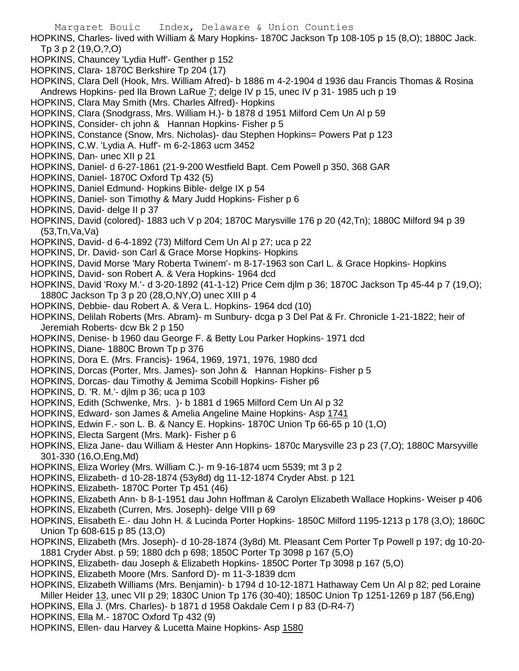Margaret Bouic Index, Delaware & Union Counties HOPKINS, Charles- lived with William & Mary Hopkins- 1870C Jackson Tp 108-105 p 15 (8,O); 1880C Jack. Tp 3 p 2 (19,O,?,O) HOPKINS, Chauncey 'Lydia Huff'- Genther p 152 HOPKINS, Clara- 1870C Berkshire Tp 204 (17) HOPKINS, Clara Dell (Hook, Mrs. William Afred)- b 1886 m 4-2-1904 d 1936 dau Francis Thomas & Rosina Andrews Hopkins- ped Ila Brown LaRue 7; delge IV p 15, unec IV p 31- 1985 uch p 19 HOPKINS, Clara May Smith (Mrs. Charles Alfred)- Hopkins HOPKINS, Clara (Snodgrass, Mrs. William H.)- b 1878 d 1951 Milford Cem Un Al p 59 HOPKINS, Consider- ch john & Hannan Hopkins- Fisher p 5 HOPKINS, Constance (Snow, Mrs. Nicholas)- dau Stephen Hopkins= Powers Pat p 123 HOPKINS, C.W. 'Lydia A. Huff'- m 6-2-1863 ucm 3452 HOPKINS, Dan- unec XII p 21 HOPKINS, Daniel- d 6-27-1861 (21-9-200 Westfield Bapt. Cem Powell p 350, 368 GAR HOPKINS, Daniel- 1870C Oxford Tp 432 (5) HOPKINS, Daniel Edmund- Hopkins Bible- delge IX p 54 HOPKINS, Daniel- son Timothy & Mary Judd Hopkins- Fisher p 6 HOPKINS, David- delge II p 37 HOPKINS, David (colored)- 1883 uch V p 204; 1870C Marysville 176 p 20 (42,Tn); 1880C Milford 94 p 39 (53,Tn,Va,Va) HOPKINS, David- d 6-4-1892 (73) Milford Cem Un Al p 27; uca p 22 HOPKINS, Dr. David- son Carl & Grace Morse Hopkins- Hopkins HOPKINS, David Morse 'Mary Roberta Twinem'- m 8-17-1963 son Carl L. & Grace Hopkins- Hopkins HOPKINS, David- son Robert A. & Vera Hopkins- 1964 dcd HOPKINS, David 'Roxy M.'- d 3-20-1892 (41-1-12) Price Cem djlm p 36; 1870C Jackson Tp 45-44 p 7 (19,O); 1880C Jackson Tp 3 p 20 (28,O,NY,O) unec XIII p 4 HOPKINS, Debbie- dau Robert A. & Vera L. Hopkins- 1964 dcd (10) HOPKINS, Delilah Roberts (Mrs. Abram)- m Sunbury- dcga p 3 Del Pat & Fr. Chronicle 1-21-1822; heir of Jeremiah Roberts- dcw Bk 2 p 150 HOPKINS, Denise- b 1960 dau George F. & Betty Lou Parker Hopkins- 1971 dcd HOPKINS, Diane- 1880C Brown Tp p 376 HOPKINS, Dora E. (Mrs. Francis)- 1964, 1969, 1971, 1976, 1980 dcd HOPKINS, Dorcas (Porter, Mrs. James)- son John & Hannan Hopkins- Fisher p 5 HOPKINS, Dorcas- dau Timothy & Jemima Scobill Hopkins- Fisher p6 HOPKINS, D. 'R. M.'- djlm p 36; uca p 103 HOPKINS, Edith (Schwenke, Mrs. )- b 1881 d 1965 Milford Cem Un Al p 32 HOPKINS, Edward- son James & Amelia Angeline Maine Hopkins- Asp 1741 HOPKINS, Edwin F.- son L. B. & Nancy E. Hopkins- 1870C Union Tp 66-65 p 10 (1,O) HOPKINS, Electa Sargent (Mrs. Mark)- Fisher p 6 HOPKINS, Eliza Jane- dau William & Hester Ann Hopkins- 1870c Marysville 23 p 23 (7,O); 1880C Marsyville 301-330 (16,O,Eng,Md) HOPKINS, Eliza Worley (Mrs. William C.)- m 9-16-1874 ucm 5539; mt 3 p 2 HOPKINS, Elizabeth- d 10-28-1874 (53y8d) dg 11-12-1874 Cryder Abst. p 121 HOPKINS, Elizabeth- 1870C Porter Tp 451 (46) HOPKINS, Elizabeth Ann- b 8-1-1951 dau John Hoffman & Carolyn Elizabeth Wallace Hopkins- Weiser p 406 HOPKINS, Elizabeth (Curren, Mrs. Joseph)- delge VIII p 69 HOPKINS, Elisabeth E.- dau John H. & Lucinda Porter Hopkins- 1850C Milford 1195-1213 p 178 (3,O); 1860C Union Tp 608-615 p 85 (13,O) HOPKINS, Elizabeth (Mrs. Joseph)- d 10-28-1874 (3y8d) Mt. Pleasant Cem Porter Tp Powell p 197; dg 10-20- 1881 Cryder Abst. p 59; 1880 dch p 698; 1850C Porter Tp 3098 p 167 (5,O) HOPKINS, Elizabeth- dau Joseph & Elizabeth Hopkins- 1850C Porter Tp 3098 p 167 (5,O) HOPKINS, Elizabeth Moore (Mrs. Sanford D)- m 11-3-1839 dcm HOPKINS, Elizabeth Williams (Mrs. Benjamin)- b 1794 d 10-12-1871 Hathaway Cem Un Al p 82; ped Loraine

Miller Heider 13, unec VII p 29; 1830C Union Tp 176 (30-40); 1850C Union Tp 1251-1269 p 187 (56,Eng)

HOPKINS, Ella J. (Mrs. Charles)- b 1871 d 1958 Oakdale Cem I p 83 (D-R4-7)

HOPKINS, Ella M.- 1870C Oxford Tp 432 (9)

HOPKINS, Ellen- dau Harvey & Lucetta Maine Hopkins- Asp 1580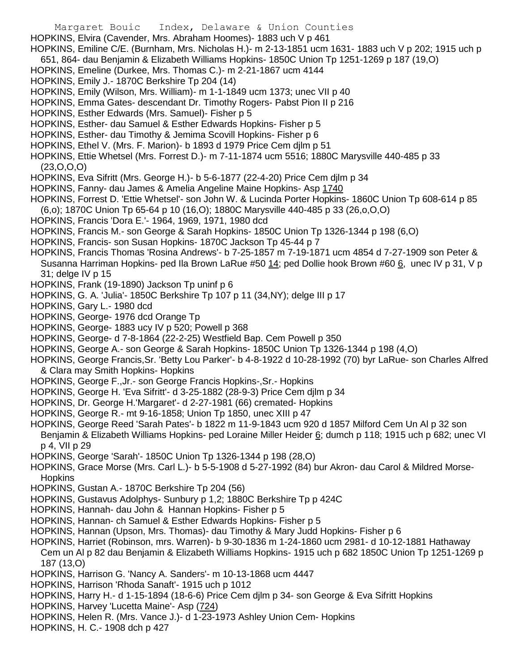- Margaret Bouic Index, Delaware & Union Counties HOPKINS, Elvira (Cavender, Mrs. Abraham Hoomes)- 1883 uch V p 461 HOPKINS, Emiline C/E. (Burnham, Mrs. Nicholas H.)- m 2-13-1851 ucm 1631- 1883 uch V p 202; 1915 uch p 651, 864- dau Benjamin & Elizabeth Williams Hopkins- 1850C Union Tp 1251-1269 p 187 (19,O) HOPKINS, Emeline (Durkee, Mrs. Thomas C.)- m 2-21-1867 ucm 4144 HOPKINS, Emily J.- 1870C Berkshire Tp 204 (14) HOPKINS, Emily (Wilson, Mrs. William)- m 1-1-1849 ucm 1373; unec VII p 40 HOPKINS, Emma Gates- descendant Dr. Timothy Rogers- Pabst Pion II p 216 HOPKINS, Esther Edwards (Mrs. Samuel)- Fisher p 5 HOPKINS, Esther- dau Samuel & Esther Edwards Hopkins- Fisher p 5 HOPKINS, Esther- dau Timothy & Jemima Scovill Hopkins- Fisher p 6 HOPKINS, Ethel V. (Mrs. F. Marion)- b 1893 d 1979 Price Cem djlm p 51 HOPKINS, Ettie Whetsel (Mrs. Forrest D.)- m 7-11-1874 ucm 5516; 1880C Marysville 440-485 p 33 (23,O,O,O) HOPKINS, Eva Sifritt (Mrs. George H.)- b 5-6-1877 (22-4-20) Price Cem djlm p 34 HOPKINS, Fanny- dau James & Amelia Angeline Maine Hopkins- Asp 1740 HOPKINS, Forrest D. 'Ettie Whetsel'- son John W. & Lucinda Porter Hopkins- 1860C Union Tp 608-614 p 85 (6,o); 1870C Union Tp 65-64 p 10 (16,O); 1880C Marysville 440-485 p 33 (26,o,O,O) HOPKINS, Francis 'Dora E.'- 1964, 1969, 1971, 1980 dcd HOPKINS, Francis M.- son George & Sarah Hopkins- 1850C Union Tp 1326-1344 p 198 (6,O) HOPKINS, Francis- son Susan Hopkins- 1870C Jackson Tp 45-44 p 7 HOPKINS, Francis Thomas 'Rosina Andrews'- b 7-25-1857 m 7-19-1871 ucm 4854 d 7-27-1909 son Peter & Susanna Harriman Hopkins- ped Ila Brown LaRue #50 14; ped Dollie hook Brown #60 6, unec IV p 31, V p 31; delge IV p 15 HOPKINS, Frank (19-1890) Jackson Tp uninf p 6 HOPKINS, G. A. 'Julia'- 1850C Berkshire Tp 107 p 11 (34,NY); delge III p 17 HOPKINS, Gary L.- 1980 dcd HOPKINS, George- 1976 dcd Orange Tp HOPKINS, George- 1883 ucy IV p 520; Powell p 368 HOPKINS, George- d 7-8-1864 (22-2-25) Westfield Bap. Cem Powell p 350 HOPKINS, George A.- son George & Sarah Hopkins- 1850C Union Tp 1326-1344 p 198 (4,O) HOPKINS, George Francis,Sr. 'Betty Lou Parker'- b 4-8-1922 d 10-28-1992 (70) byr LaRue- son Charles Alfred & Clara may Smith Hopkins- Hopkins HOPKINS, George F.,Jr.- son George Francis Hopkins-,Sr.- Hopkins HOPKINS, George H. 'Eva Sifritt'- d 3-25-1882 (28-9-3) Price Cem djlm p 34 HOPKINS, Dr. George H.'Margaret'- d 2-27-1981 (66) cremated- Hopkins HOPKINS, George R.- mt 9-16-1858; Union Tp 1850, unec XIII p 47 HOPKINS, George Reed 'Sarah Pates'- b 1822 m 11-9-1843 ucm 920 d 1857 Milford Cem Un Al p 32 son Benjamin & Elizabeth Williams Hopkins- ped Loraine Miller Heider 6; dumch p 118; 1915 uch p 682; unec VI p 4, VII p 29 HOPKINS, George 'Sarah'- 1850C Union Tp 1326-1344 p 198 (28,O) HOPKINS, Grace Morse (Mrs. Carl L.)- b 5-5-1908 d 5-27-1992 (84) bur Akron- dau Carol & Mildred Morse-Hopkins HOPKINS, Gustan A.- 1870C Berkshire Tp 204 (56) HOPKINS, Gustavus Adolphys- Sunbury p 1,2; 1880C Berkshire Tp p 424C HOPKINS, Hannah- dau John & Hannan Hopkins- Fisher p 5 HOPKINS, Hannan- ch Samuel & Esther Edwards Hopkins- Fisher p 5 HOPKINS, Hannan (Upson, Mrs. Thomas)- dau Timothy & Mary Judd Hopkins- Fisher p 6
- HOPKINS, Harriet (Robinson, mrs. Warren)- b 9-30-1836 m 1-24-1860 ucm 2981- d 10-12-1881 Hathaway Cem un Al p 82 dau Benjamin & Elizabeth Williams Hopkins- 1915 uch p 682 1850C Union Tp 1251-1269 p 187 (13,O)
- HOPKINS, Harrison G. 'Nancy A. Sanders'- m 10-13-1868 ucm 4447
- HOPKINS, Harrison 'Rhoda Sanaft'- 1915 uch p 1012
- HOPKINS, Harry H.- d 1-15-1894 (18-6-6) Price Cem djlm p 34- son George & Eva Sifritt Hopkins
- HOPKINS, Harvey 'Lucetta Maine'- Asp (724)
- HOPKINS, Helen R. (Mrs. Vance J.)- d 1-23-1973 Ashley Union Cem- Hopkins
- HOPKINS, H. C.- 1908 dch p 427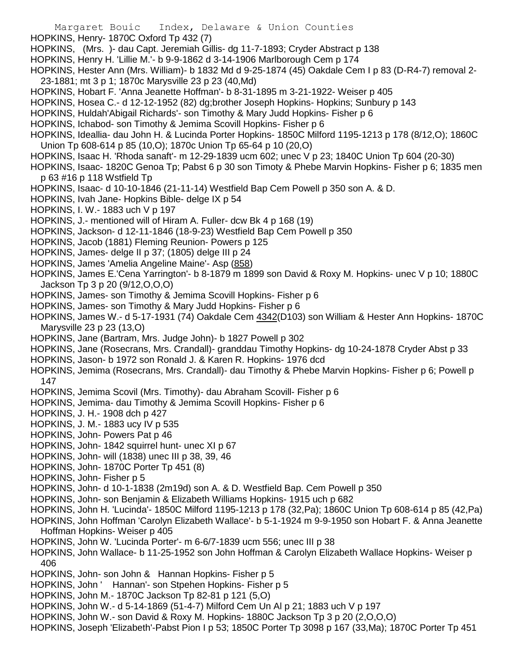- Margaret Bouic Index, Delaware & Union Counties
- HOPKINS, Henry- 1870C Oxford Tp 432 (7)
- HOPKINS, (Mrs. )- dau Capt. Jeremiah Gillis- dg 11-7-1893; Cryder Abstract p 138
- HOPKINS, Henry H. 'Lillie M.'- b 9-9-1862 d 3-14-1906 Marlborough Cem p 174
- HOPKINS, Hester Ann (Mrs. William)- b 1832 Md d 9-25-1874 (45) Oakdale Cem I p 83 (D-R4-7) removal 2- 23-1881; mt 3 p 1; 1870c Marysville 23 p 23 (40,Md)
- HOPKINS, Hobart F. 'Anna Jeanette Hoffman'- b 8-31-1895 m 3-21-1922- Weiser p 405
- HOPKINS, Hosea C.- d 12-12-1952 (82) dg;brother Joseph Hopkins- Hopkins; Sunbury p 143
- HOPKINS, Huldah'Abigail Richards'- son Timothy & Mary Judd Hopkins- Fisher p 6
- HOPKINS, Ichabod- son Timothy & Jemima Scovill Hopkins- Fisher p 6
- HOPKINS, Ideallia- dau John H. & Lucinda Porter Hopkins- 1850C Milford 1195-1213 p 178 (8/12,O); 1860C Union Tp 608-614 p 85 (10,O); 1870c Union Tp 65-64 p 10 (20,O)
- HOPKINS, Isaac H. 'Rhoda sanaft'- m 12-29-1839 ucm 602; unec V p 23; 1840C Union Tp 604 (20-30)
- HOPKINS, Isaac- 1820C Genoa Tp; Pabst 6 p 30 son Timoty & Phebe Marvin Hopkins- Fisher p 6; 1835 men p 63 #16 p 118 Wstfield Tp
- HOPKINS, Isaac- d 10-10-1846 (21-11-14) Westfield Bap Cem Powell p 350 son A. & D.
- HOPKINS, Ivah Jane- Hopkins Bible- delge IX p 54
- HOPKINS, I. W.- 1883 uch V p 197
- HOPKINS, J.- mentioned will of Hiram A. Fuller- dcw Bk 4 p 168 (19)
- HOPKINS, Jackson- d 12-11-1846 (18-9-23) Westfield Bap Cem Powell p 350
- HOPKINS, Jacob (1881) Fleming Reunion- Powers p 125
- HOPKINS, James- delge II p 37; (1805) delge III p 24
- HOPKINS, James 'Amelia Angeline Maine'- Asp (858)
- HOPKINS, James E.'Cena Yarrington'- b 8-1879 m 1899 son David & Roxy M. Hopkins- unec V p 10; 1880C Jackson Tp 3 p 20 (9/12,O,O,O)
- HOPKINS, James- son Timothy & Jemima Scovill Hopkins- Fisher p 6
- HOPKINS, James- son Timothy & Mary Judd Hopkins- Fisher p 6
- HOPKINS, James W.- d 5-17-1931 (74) Oakdale Cem 4342(D103) son William & Hester Ann Hopkins- 1870C Marysville 23 p 23 (13,O)
- HOPKINS, Jane (Bartram, Mrs. Judge John)- b 1827 Powell p 302
- HOPKINS, Jane (Rosecrans, Mrs. Crandall)- granddau Timothy Hopkins- dg 10-24-1878 Cryder Abst p 33
- HOPKINS, Jason- b 1972 son Ronald J. & Karen R. Hopkins- 1976 dcd
- HOPKINS, Jemima (Rosecrans, Mrs. Crandall)- dau Timothy & Phebe Marvin Hopkins- Fisher p 6; Powell p 147
- HOPKINS, Jemima Scovil (Mrs. Timothy)- dau Abraham Scovill- Fisher p 6
- HOPKINS, Jemima- dau Timothy & Jemima Scovill Hopkins- Fisher p 6
- HOPKINS, J. H.- 1908 dch p 427
- HOPKINS, J. M.- 1883 ucy IV p 535
- HOPKINS, John- Powers Pat p 46
- HOPKINS, John- 1842 squirrel hunt- unec XI p 67
- HOPKINS, John- will (1838) unec III p 38, 39, 46
- HOPKINS, John- 1870C Porter Tp 451 (8)
- HOPKINS, John- Fisher p 5
- HOPKINS, John- d 10-1-1838 (2m19d) son A. & D. Westfield Bap. Cem Powell p 350
- HOPKINS, John- son Benjamin & Elizabeth Williams Hopkins- 1915 uch p 682
- HOPKINS, John H. 'Lucinda'- 1850C Milford 1195-1213 p 178 (32,Pa); 1860C Union Tp 608-614 p 85 (42,Pa)
- HOPKINS, John Hoffman 'Carolyn Elizabeth Wallace'- b 5-1-1924 m 9-9-1950 son Hobart F. & Anna Jeanette Hoffman Hopkins- Weiser p 405
- HOPKINS, John W. 'Lucinda Porter'- m 6-6/7-1839 ucm 556; unec III p 38
- HOPKINS, John Wallace- b 11-25-1952 son John Hoffman & Carolyn Elizabeth Wallace Hopkins- Weiser p 406
- HOPKINS, John- son John & Hannan Hopkins- Fisher p 5
- HOPKINS, John ' Hannan'- son Stpehen Hopkins- Fisher p 5
- HOPKINS, John M.- 1870C Jackson Tp 82-81 p 121 (5,O)
- HOPKINS, John W.- d 5-14-1869 (51-4-7) Milford Cem Un Al p 21; 1883 uch V p 197
- HOPKINS, John W.- son David & Roxy M. Hopkins- 1880C Jackson Tp 3 p 20 (2,O,O,O)
- HOPKINS, Joseph 'Elizabeth'-Pabst Pion I p 53; 1850C Porter Tp 3098 p 167 (33,Ma); 1870C Porter Tp 451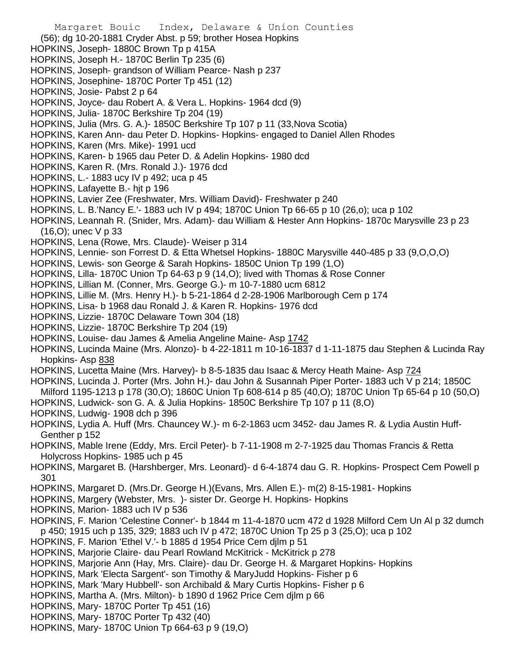Margaret Bouic Index, Delaware & Union Counties (56); dg 10-20-1881 Cryder Abst. p 59; brother Hosea Hopkins HOPKINS, Joseph- 1880C Brown Tp p 415A HOPKINS, Joseph H.- 1870C Berlin Tp 235 (6) HOPKINS, Joseph- grandson of William Pearce- Nash p 237 HOPKINS, Josephine- 1870C Porter Tp 451 (12) HOPKINS, Josie- Pabst 2 p 64 HOPKINS, Joyce- dau Robert A. & Vera L. Hopkins- 1964 dcd (9) HOPKINS, Julia- 1870C Berkshire Tp 204 (19) HOPKINS, Julia (Mrs. G. A.)- 1850C Berkshire Tp 107 p 11 (33,Nova Scotia) HOPKINS, Karen Ann- dau Peter D. Hopkins- Hopkins- engaged to Daniel Allen Rhodes HOPKINS, Karen (Mrs. Mike)- 1991 ucd HOPKINS, Karen- b 1965 dau Peter D. & Adelin Hopkins- 1980 dcd HOPKINS, Karen R. (Mrs. Ronald J.)- 1976 dcd HOPKINS, L.- 1883 ucy IV p 492; uca p 45 HOPKINS, Lafayette B.- hjt p 196 HOPKINS, Lavier Zee (Freshwater, Mrs. William David)- Freshwater p 240 HOPKINS, L. B.'Nancy E.'- 1883 uch IV p 494; 1870C Union Tp 66-65 p 10 (26,o); uca p 102 HOPKINS, Leannah R. (Snider, Mrs. Adam)- dau William & Hester Ann Hopkins- 1870c Marysville 23 p 23 (16,O); unec V p 33 HOPKINS, Lena (Rowe, Mrs. Claude)- Weiser p 314 HOPKINS, Lennie- son Forrest D. & Etta Whetsel Hopkins- 1880C Marysville 440-485 p 33 (9,O,O,O) HOPKINS, Lewis- son George & Sarah Hopkins- 1850C Union Tp 199 (1,O) HOPKINS, Lilla- 1870C Union Tp 64-63 p 9 (14,O); lived with Thomas & Rose Conner HOPKINS, Lillian M. (Conner, Mrs. George G.)- m 10-7-1880 ucm 6812 HOPKINS, Lillie M. (Mrs. Henry H.)- b 5-21-1864 d 2-28-1906 Marlborough Cem p 174 HOPKINS, Lisa- b 1968 dau Ronald J. & Karen R. Hopkins- 1976 dcd HOPKINS, Lizzie- 1870C Delaware Town 304 (18) HOPKINS, Lizzie- 1870C Berkshire Tp 204 (19) HOPKINS, Louise- dau James & Amelia Angeline Maine- Asp 1742 HOPKINS, Lucinda Maine (Mrs. Alonzo)- b 4-22-1811 m 10-16-1837 d 1-11-1875 dau Stephen & Lucinda Ray Hopkins- Asp 838 HOPKINS, Lucetta Maine (Mrs. Harvey)- b 8-5-1835 dau Isaac & Mercy Heath Maine- Asp 724 HOPKINS, Lucinda J. Porter (Mrs. John H.)- dau John & Susannah Piper Porter- 1883 uch V p 214; 1850C Milford 1195-1213 p 178 (30,O); 1860C Union Tp 608-614 p 85 (40,O); 1870C Union Tp 65-64 p 10 (50,O) HOPKINS, Ludwick- son G. A. & Julia Hopkins- 1850C Berkshire Tp 107 p 11 (8,O) HOPKINS, Ludwig- 1908 dch p 396 HOPKINS, Lydia A. Huff (Mrs. Chauncey W.)- m 6-2-1863 ucm 3452- dau James R. & Lydia Austin Huff-Genther p 152 HOPKINS, Mable Irene (Eddy, Mrs. Ercil Peter)- b 7-11-1908 m 2-7-1925 dau Thomas Francis & Retta Holycross Hopkins- 1985 uch p 45 HOPKINS, Margaret B. (Harshberger, Mrs. Leonard)- d 6-4-1874 dau G. R. Hopkins- Prospect Cem Powell p 301 HOPKINS, Margaret D. (Mrs.Dr. George H.)(Evans, Mrs. Allen E.)- m(2) 8-15-1981- Hopkins HOPKINS, Margery (Webster, Mrs. )- sister Dr. George H. Hopkins- Hopkins HOPKINS, Marion- 1883 uch IV p 536 HOPKINS, F. Marion 'Celestine Conner'- b 1844 m 11-4-1870 ucm 472 d 1928 Milford Cem Un Al p 32 dumch p 450; 1915 uch p 135, 329; 1883 uch IV p 472; 1870C Union Tp 25 p 3 (25,O); uca p 102 HOPKINS, F. Marion 'Ethel V.'- b 1885 d 1954 Price Cem djlm p 51 HOPKINS, Marjorie Claire- dau Pearl Rowland McKitrick - McKitrick p 278 HOPKINS, Marjorie Ann (Hay, Mrs. Claire)- dau Dr. George H. & Margaret Hopkins- Hopkins HOPKINS, Mark 'Electa Sargent'- son Timothy & MaryJudd Hopkins- Fisher p 6 HOPKINS, Mark 'Mary Hubbell'- son Archibald & Mary Curtis Hopkins- Fisher p 6 HOPKINS, Martha A. (Mrs. Milton)- b 1890 d 1962 Price Cem djlm p 66 HOPKINS, Mary- 1870C Porter Tp 451 (16) HOPKINS, Mary- 1870C Porter Tp 432 (40) HOPKINS, Mary- 1870C Union Tp 664-63 p 9 (19,O)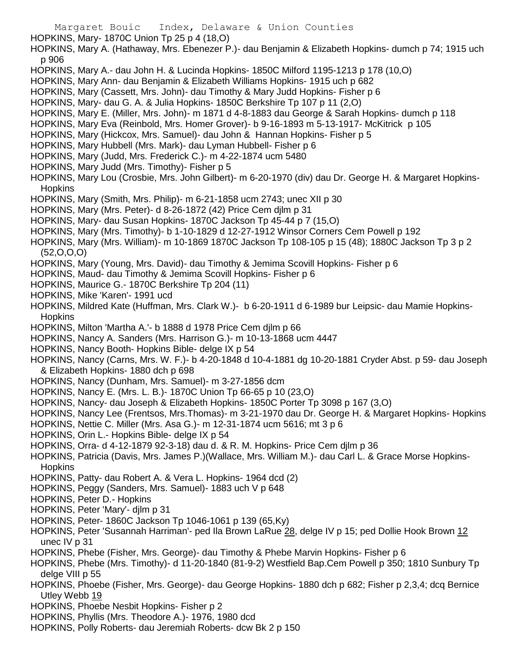- HOPKINS, Mary- 1870C Union Tp 25 p 4 (18,O)
- HOPKINS, Mary A. (Hathaway, Mrs. Ebenezer P.)- dau Benjamin & Elizabeth Hopkins- dumch p 74; 1915 uch p 906
- HOPKINS, Mary A.- dau John H. & Lucinda Hopkins- 1850C Milford 1195-1213 p 178 (10,O)
- HOPKINS, Mary Ann- dau Benjamin & Elizabeth Williams Hopkins- 1915 uch p 682
- HOPKINS, Mary (Cassett, Mrs. John)- dau Timothy & Mary Judd Hopkins- Fisher p 6
- HOPKINS, Mary- dau G. A. & Julia Hopkins- 1850C Berkshire Tp 107 p 11 (2,O)
- HOPKINS, Mary E. (Miller, Mrs. John)- m 1871 d 4-8-1883 dau George & Sarah Hopkins- dumch p 118
- HOPKINS, Mary Eva (Reinbold, Mrs. Homer Grover)- b 9-16-1893 m 5-13-1917- McKitrick p 105
- HOPKINS, Mary (Hickcox, Mrs. Samuel)- dau John & Hannan Hopkins- Fisher p 5
- HOPKINS, Mary Hubbell (Mrs. Mark)- dau Lyman Hubbell- Fisher p 6
- HOPKINS, Mary (Judd, Mrs. Frederick C.)- m 4-22-1874 ucm 5480
- HOPKINS, Mary Judd (Mrs. Timothy)- Fisher p 5
- HOPKINS, Mary Lou (Crosbie, Mrs. John Gilbert)- m 6-20-1970 (div) dau Dr. George H. & Margaret Hopkins-**Hopkins**
- HOPKINS, Mary (Smith, Mrs. Philip)- m 6-21-1858 ucm 2743; unec XII p 30
- HOPKINS, Mary (Mrs. Peter)- d 8-26-1872 (42) Price Cem djlm p 31
- HOPKINS, Mary- dau Susan Hopkins- 1870C Jackson Tp 45-44 p 7 (15,O)
- HOPKINS, Mary (Mrs. Timothy)- b 1-10-1829 d 12-27-1912 Winsor Corners Cem Powell p 192
- HOPKINS, Mary (Mrs. William)- m 10-1869 1870C Jackson Tp 108-105 p 15 (48); 1880C Jackson Tp 3 p 2 (52,O,O,O)
- HOPKINS, Mary (Young, Mrs. David)- dau Timothy & Jemima Scovill Hopkins- Fisher p 6
- HOPKINS, Maud- dau Timothy & Jemima Scovill Hopkins- Fisher p 6
- HOPKINS, Maurice G.- 1870C Berkshire Tp 204 (11)
- HOPKINS, Mike 'Karen'- 1991 ucd
- HOPKINS, Mildred Kate (Huffman, Mrs. Clark W.)- b 6-20-1911 d 6-1989 bur Leipsic- dau Mamie Hopkins-**Hopkins**
- HOPKINS, Milton 'Martha A.'- b 1888 d 1978 Price Cem djlm p 66
- HOPKINS, Nancy A. Sanders (Mrs. Harrison G.)- m 10-13-1868 ucm 4447
- HOPKINS, Nancy Booth- Hopkins Bible- delge IX p 54
- HOPKINS, Nancy (Carns, Mrs. W. F.)- b 4-20-1848 d 10-4-1881 dg 10-20-1881 Cryder Abst. p 59- dau Joseph & Elizabeth Hopkins- 1880 dch p 698
- HOPKINS, Nancy (Dunham, Mrs. Samuel)- m 3-27-1856 dcm
- HOPKINS, Nancy E. (Mrs. L. B.)- 1870C Union Tp 66-65 p 10 (23,O)
- HOPKINS, Nancy- dau Joseph & Elizabeth Hopkins- 1850C Porter Tp 3098 p 167 (3,O)
- HOPKINS, Nancy Lee (Frentsos, Mrs.Thomas)- m 3-21-1970 dau Dr. George H. & Margaret Hopkins- Hopkins
- HOPKINS, Nettie C. Miller (Mrs. Asa G.)- m 12-31-1874 ucm 5616; mt 3 p 6
- HOPKINS, Orin L.- Hopkins Bible- delge IX p 54
- HOPKINS, Orra- d 4-12-1879 92-3-18) dau d. & R. M. Hopkins- Price Cem djlm p 36
- HOPKINS, Patricia (Davis, Mrs. James P.)(Wallace, Mrs. William M.)- dau Carl L. & Grace Morse Hopkins-**Hopkins**
- HOPKINS, Patty- dau Robert A. & Vera L. Hopkins- 1964 dcd (2)
- HOPKINS, Peggy (Sanders, Mrs. Samuel)- 1883 uch V p 648
- HOPKINS, Peter D.- Hopkins
- HOPKINS, Peter 'Mary'- djlm p 31
- HOPKINS, Peter- 1860C Jackson Tp 1046-1061 p 139 (65,Ky)
- HOPKINS, Peter 'Susannah Harriman'- ped Ila Brown LaRue 28, delge IV p 15; ped Dollie Hook Brown 12 unec IV p 31
- HOPKINS, Phebe (Fisher, Mrs. George)- dau Timothy & Phebe Marvin Hopkins- Fisher p 6
- HOPKINS, Phebe (Mrs. Timothy)- d 11-20-1840 (81-9-2) Westfield Bap.Cem Powell p 350; 1810 Sunbury Tp delge VIII p 55
- HOPKINS, Phoebe (Fisher, Mrs. George)- dau George Hopkins- 1880 dch p 682; Fisher p 2,3,4; dcq Bernice Utley Webb 19
- HOPKINS, Phoebe Nesbit Hopkins- Fisher p 2
- HOPKINS, Phyllis (Mrs. Theodore A.)- 1976, 1980 dcd
- HOPKINS, Polly Roberts- dau Jeremiah Roberts- dcw Bk 2 p 150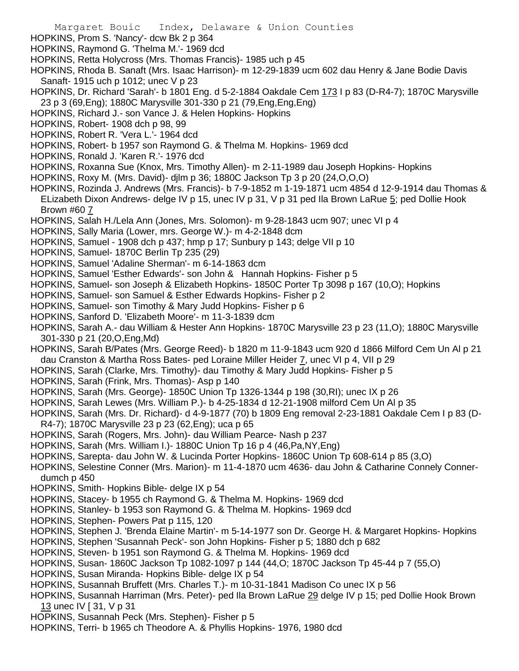- Margaret Bouic Index, Delaware & Union Counties
- HOPKINS, Prom S. 'Nancy'- dcw Bk 2 p 364
- HOPKINS, Raymond G. 'Thelma M.'- 1969 dcd
- HOPKINS, Retta Holycross (Mrs. Thomas Francis)- 1985 uch p 45
- HOPKINS, Rhoda B. Sanaft (Mrs. Isaac Harrison)- m 12-29-1839 ucm 602 dau Henry & Jane Bodie Davis Sanaft- 1915 uch p 1012; unec V p 23
- HOPKINS, Dr. Richard 'Sarah'- b 1801 Eng. d 5-2-1884 Oakdale Cem 173 I p 83 (D-R4-7); 1870C Marysville 23 p 3 (69,Eng); 1880C Marysville 301-330 p 21 (79,Eng,Eng,Eng)
- HOPKINS, Richard J.- son Vance J. & Helen Hopkins- Hopkins
- HOPKINS, Robert- 1908 dch p 98, 99
- HOPKINS, Robert R. 'Vera L.'- 1964 dcd
- HOPKINS, Robert- b 1957 son Raymond G. & Thelma M. Hopkins- 1969 dcd
- HOPKINS, Ronald J. 'Karen R.'- 1976 dcd
- HOPKINS, Roxanna Sue (Knox, Mrs. Timothy Allen)- m 2-11-1989 dau Joseph Hopkins- Hopkins
- HOPKINS, Roxy M. (Mrs. David)- djlm p 36; 1880C Jackson Tp 3 p 20 (24,O,O,O)
- HOPKINS, Rozinda J. Andrews (Mrs. Francis)- b 7-9-1852 m 1-19-1871 ucm 4854 d 12-9-1914 dau Thomas & ELizabeth Dixon Andrews- delge IV p 15, unec IV p 31, V p 31 ped Ila Brown LaRue 5; ped Dollie Hook Brown #60 7
- HOPKINS, Salah H./Lela Ann (Jones, Mrs. Solomon)- m 9-28-1843 ucm 907; unec VI p 4
- HOPKINS, Sally Maria (Lower, mrs. George W.)- m 4-2-1848 dcm
- HOPKINS, Samuel 1908 dch p 437; hmp p 17; Sunbury p 143; delge VII p 10
- HOPKINS, Samuel- 1870C Berlin Tp 235 (29)
- HOPKINS, Samuel 'Adaline Sherman'- m 6-14-1863 dcm
- HOPKINS, Samuel 'Esther Edwards'- son John & Hannah Hopkins- Fisher p 5
- HOPKINS, Samuel- son Joseph & Elizabeth Hopkins- 1850C Porter Tp 3098 p 167 (10,O); Hopkins
- HOPKINS, Samuel- son Samuel & Esther Edwards Hopkins- Fisher p 2
- HOPKINS, Samuel- son Timothy & Mary Judd Hopkins- Fisher p 6
- HOPKINS, Sanford D. 'Elizabeth Moore'- m 11-3-1839 dcm
- HOPKINS, Sarah A.- dau William & Hester Ann Hopkins- 1870C Marysville 23 p 23 (11,O); 1880C Marysville 301-330 p 21 (20,O,Eng,Md)
- HOPKINS, Sarah B/Pates (Mrs. George Reed)- b 1820 m 11-9-1843 ucm 920 d 1866 Milford Cem Un Al p 21 dau Cranston & Martha Ross Bates- ped Loraine Miller Heider 7, unec VI p 4, VII p 29
- HOPKINS, Sarah (Clarke, Mrs. Timothy)- dau Timothy & Mary Judd Hopkins- Fisher p 5
- HOPKINS, Sarah (Frink, Mrs. Thomas)- Asp p 140
- HOPKINS, Sarah (Mrs. George)- 1850C Union Tp 1326-1344 p 198 (30,RI); unec IX p 26
- HOPKINS, Sarah Lewes (Mrs. William P.)- b 4-25-1834 d 12-21-1908 milford Cem Un Al p 35
- HOPKINS, Sarah (Mrs. Dr. Richard)- d 4-9-1877 (70) b 1809 Eng removal 2-23-1881 Oakdale Cem I p 83 (D-R4-7); 1870C Marysville 23 p 23 (62,Eng); uca p 65
- HOPKINS, Sarah (Rogers, Mrs. John)- dau William Pearce- Nash p 237
- HOPKINS, Sarah (Mrs. William I.)- 1880C Union Tp 16 p 4 (46,Pa,NY,Eng)
- HOPKINS, Sarepta- dau John W. & Lucinda Porter Hopkins- 1860C Union Tp 608-614 p 85 (3,O)
- HOPKINS, Selestine Conner (Mrs. Marion)- m 11-4-1870 ucm 4636- dau John & Catharine Connely Connerdumch p 450
- HOPKINS, Smith- Hopkins Bible- delge IX p 54
- HOPKINS, Stacey- b 1955 ch Raymond G. & Thelma M. Hopkins- 1969 dcd
- HOPKINS, Stanley- b 1953 son Raymond G. & Thelma M. Hopkins- 1969 dcd
- HOPKINS, Stephen- Powers Pat p 115, 120
- HOPKINS, Stephen J. 'Brenda Elaine Martin'- m 5-14-1977 son Dr. George H. & Margaret Hopkins- Hopkins
- HOPKINS, Stephen 'Susannah Peck'- son John Hopkins- Fisher p 5; 1880 dch p 682
- HOPKINS, Steven- b 1951 son Raymond G. & Thelma M. Hopkins- 1969 dcd
- HOPKINS, Susan- 1860C Jackson Tp 1082-1097 p 144 (44,O; 1870C Jackson Tp 45-44 p 7 (55,O)
- HOPKINS, Susan Miranda- Hopkins Bible- delge IX p 54
- HOPKINS, Susannah Bruffett (Mrs. Charles T.)- m 10-31-1841 Madison Co unec IX p 56
- HOPKINS, Susannah Harriman (Mrs. Peter)- ped Ila Brown LaRue 29 delge IV p 15; ped Dollie Hook Brown 13 unec IV [ 31, V p 31
- HOPKINS, Susannah Peck (Mrs. Stephen)- Fisher p 5
- HOPKINS, Terri- b 1965 ch Theodore A. & Phyllis Hopkins- 1976, 1980 dcd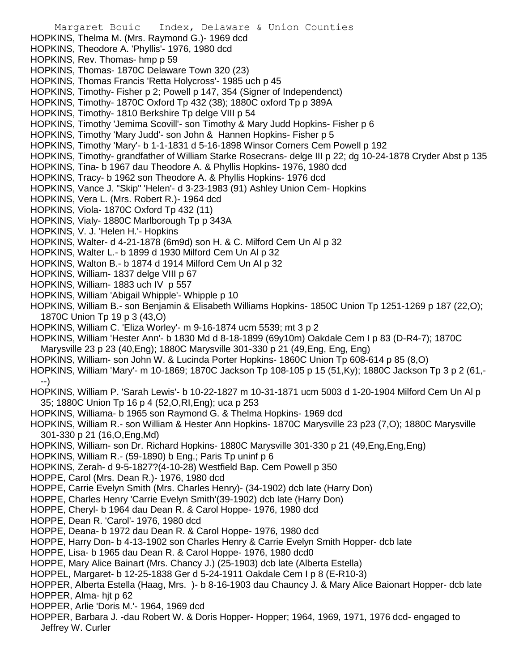Margaret Bouic Index, Delaware & Union Counties HOPKINS, Thelma M. (Mrs. Raymond G.)- 1969 dcd HOPKINS, Theodore A. 'Phyllis'- 1976, 1980 dcd HOPKINS, Rev. Thomas- hmp p 59 HOPKINS, Thomas- 1870C Delaware Town 320 (23) HOPKINS, Thomas Francis 'Retta Holycross'- 1985 uch p 45 HOPKINS, Timothy- Fisher p 2; Powell p 147, 354 (Signer of Independenct) HOPKINS, Timothy- 1870C Oxford Tp 432 (38); 1880C oxford Tp p 389A HOPKINS, Timothy- 1810 Berkshire Tp delge VIII p 54 HOPKINS, Timothy 'Jemima Scovill'- son Timothy & Mary Judd Hopkins- Fisher p 6 HOPKINS, Timothy 'Mary Judd'- son John & Hannen Hopkins- Fisher p 5 HOPKINS, Timothy 'Mary'- b 1-1-1831 d 5-16-1898 Winsor Corners Cem Powell p 192 HOPKINS, Timothy- grandfather of William Starke Rosecrans- delge III p 22; dg 10-24-1878 Cryder Abst p 135 HOPKINS, Tina- b 1967 dau Theodore A. & Phyllis Hopkins- 1976, 1980 dcd HOPKINS, Tracy- b 1962 son Theodore A. & Phyllis Hopkins- 1976 dcd HOPKINS, Vance J. "Skip" 'Helen'- d 3-23-1983 (91) Ashley Union Cem- Hopkins HOPKINS, Vera L. (Mrs. Robert R.)- 1964 dcd HOPKINS, Viola- 1870C Oxford Tp 432 (11) HOPKINS, Vialy- 1880C Marlborough Tp p 343A HOPKINS, V. J. 'Helen H.'- Hopkins HOPKINS, Walter- d 4-21-1878 (6m9d) son H. & C. Milford Cem Un Al p 32 HOPKINS, Walter L.- b 1899 d 1930 Milford Cem Un Al p 32 HOPKINS, Walton B.- b 1874 d 1914 Milford Cem Un Al p 32 HOPKINS, William- 1837 delge VIII p 67 HOPKINS, William- 1883 uch IV p 557 HOPKINS, William 'Abigail Whipple'- Whipple p 10 HOPKINS, William B.- son Benjamin & Elisabeth Williams Hopkins- 1850C Union Tp 1251-1269 p 187 (22,O); 1870C Union Tp 19 p 3 (43,O) HOPKINS, William C. 'Eliza Worley'- m 9-16-1874 ucm 5539; mt 3 p 2 HOPKINS, William 'Hester Ann'- b 1830 Md d 8-18-1899 (69y10m) Oakdale Cem I p 83 (D-R4-7); 1870C Marysville 23 p 23 (40,Eng); 1880C Marysville 301-330 p 21 (49,Eng, Eng, Eng) HOPKINS, William- son John W. & Lucinda Porter Hopkins- 1860C Union Tp 608-614 p 85 (8,O) HOPKINS, William 'Mary'- m 10-1869; 1870C Jackson Tp 108-105 p 15 (51,Ky); 1880C Jackson Tp 3 p 2 (61,- --) HOPKINS, William P. 'Sarah Lewis'- b 10-22-1827 m 10-31-1871 ucm 5003 d 1-20-1904 Milford Cem Un Al p 35; 1880C Union Tp 16 p 4 (52,O,RI,Eng); uca p 253 HOPKINS, Williama- b 1965 son Raymond G. & Thelma Hopkins- 1969 dcd HOPKINS, William R.- son William & Hester Ann Hopkins- 1870C Marysville 23 p23 (7,O); 1880C Marysville 301-330 p 21 (16,O,Eng,Md) HOPKINS, William- son Dr. Richard Hopkins- 1880C Marysville 301-330 p 21 (49,Eng,Eng,Eng) HOPKINS, William R.- (59-1890) b Eng.; Paris Tp uninf p 6 HOPKINS, Zerah- d 9-5-1827?(4-10-28) Westfield Bap. Cem Powell p 350 HOPPE, Carol (Mrs. Dean R.)- 1976, 1980 dcd HOPPE, Carrie Evelyn Smith (Mrs. Charles Henry)- (34-1902) dcb late (Harry Don) HOPPE, Charles Henry 'Carrie Evelyn Smith'(39-1902) dcb late (Harry Don) HOPPE, Cheryl- b 1964 dau Dean R. & Carol Hoppe- 1976, 1980 dcd HOPPE, Dean R. 'Carol'- 1976, 1980 dcd HOPPE, Deana- b 1972 dau Dean R. & Carol Hoppe- 1976, 1980 dcd HOPPE, Harry Don- b 4-13-1902 son Charles Henry & Carrie Evelyn Smith Hopper- dcb late HOPPE, Lisa- b 1965 dau Dean R. & Carol Hoppe- 1976, 1980 dcd0 HOPPE, Mary Alice Bainart (Mrs. Chancy J.) (25-1903) dcb late (Alberta Estella) HOPPEL, Margaret- b 12-25-1838 Ger d 5-24-1911 Oakdale Cem I p 8 (E-R10-3) HOPPER, Alberta Estella (Haag, Mrs. )- b 8-16-1903 dau Chauncy J. & Mary Alice Baionart Hopper- dcb late HOPPER, Alma- hit p 62 HOPPER, Arlie 'Doris M.'- 1964, 1969 dcd HOPPER, Barbara J. -dau Robert W. & Doris Hopper- Hopper; 1964, 1969, 1971, 1976 dcd- engaged to Jeffrey W. Curler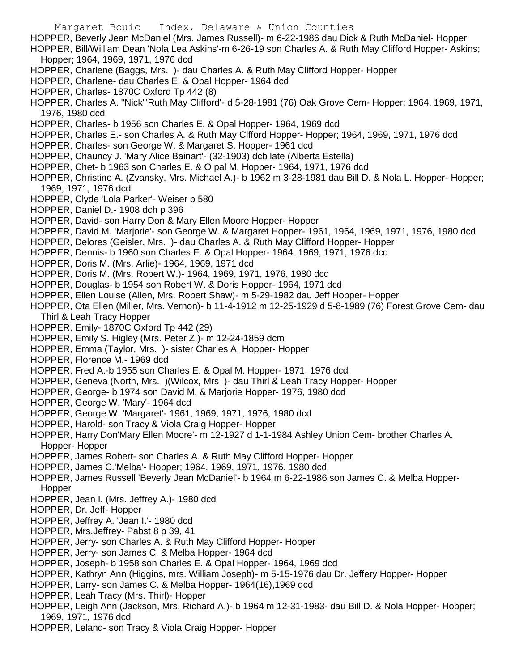- Margaret Bouic Index, Delaware & Union Counties
- HOPPER, Beverly Jean McDaniel (Mrs. James Russell)- m 6-22-1986 dau Dick & Ruth McDaniel- Hopper HOPPER, Bill/William Dean 'Nola Lea Askins'-m 6-26-19 son Charles A. & Ruth May Clifford Hopper- Askins;
- Hopper; 1964, 1969, 1971, 1976 dcd
- HOPPER, Charlene (Baggs, Mrs. )- dau Charles A. & Ruth May Clifford Hopper- Hopper
- HOPPER, Charlene- dau Charles E. & Opal Hopper- 1964 dcd
- HOPPER, Charles- 1870C Oxford Tp 442 (8)
- HOPPER, Charles A. "Nick"'Ruth May Clifford'- d 5-28-1981 (76) Oak Grove Cem- Hopper; 1964, 1969, 1971, 1976, 1980 dcd
- HOPPER, Charles- b 1956 son Charles E. & Opal Hopper- 1964, 1969 dcd
- HOPPER, Charles E.- son Charles A. & Ruth May Clfford Hopper- Hopper; 1964, 1969, 1971, 1976 dcd
- HOPPER, Charles- son George W. & Margaret S. Hopper- 1961 dcd
- HOPPER, Chauncy J. 'Mary Alice Bainart'- (32-1903) dcb late (Alberta Estella)
- HOPPER, Chet- b 1963 son Charles E. & O pal M. Hopper- 1964, 1971, 1976 dcd
- HOPPER, Christine A. (Zvansky, Mrs. Michael A.)- b 1962 m 3-28-1981 dau Bill D. & Nola L. Hopper- Hopper; 1969, 1971, 1976 dcd
- HOPPER, Clyde 'Lola Parker'- Weiser p 580
- HOPPER, Daniel D.- 1908 dch p 396
- HOPPER, David- son Harry Don & Mary Ellen Moore Hopper- Hopper
- HOPPER, David M. 'Marjorie'- son George W. & Margaret Hopper- 1961, 1964, 1969, 1971, 1976, 1980 dcd
- HOPPER, Delores (Geisler, Mrs. )- dau Charles A. & Ruth May Clifford Hopper- Hopper
- HOPPER, Dennis- b 1960 son Charles E. & Opal Hopper- 1964, 1969, 1971, 1976 dcd
- HOPPER, Doris M. (Mrs. Arlie)- 1964, 1969, 1971 dcd
- HOPPER, Doris M. (Mrs. Robert W.)- 1964, 1969, 1971, 1976, 1980 dcd
- HOPPER, Douglas- b 1954 son Robert W. & Doris Hopper- 1964, 1971 dcd
- HOPPER, Ellen Louise (Allen, Mrs. Robert Shaw)- m 5-29-1982 dau Jeff Hopper- Hopper
- HOPPER, Ota Ellen (Miller, Mrs. Vernon)- b 11-4-1912 m 12-25-1929 d 5-8-1989 (76) Forest Grove Cem- dau Thirl & Leah Tracy Hopper
- HOPPER, Emily- 1870C Oxford Tp 442 (29)
- HOPPER, Emily S. Higley (Mrs. Peter Z.)- m 12-24-1859 dcm
- HOPPER, Emma (Taylor, Mrs. )- sister Charles A. Hopper- Hopper
- HOPPER, Florence M.- 1969 dcd
- HOPPER, Fred A.-b 1955 son Charles E. & Opal M. Hopper- 1971, 1976 dcd
- HOPPER, Geneva (North, Mrs. )(Wilcox, Mrs )- dau Thirl & Leah Tracy Hopper- Hopper
- HOPPER, George- b 1974 son David M. & Marjorie Hopper- 1976, 1980 dcd
- HOPPER, George W. 'Mary'- 1964 dcd
- HOPPER, George W. 'Margaret'- 1961, 1969, 1971, 1976, 1980 dcd
- HOPPER, Harold- son Tracy & Viola Craig Hopper- Hopper
- HOPPER, Harry Don'Mary Ellen Moore'- m 12-1927 d 1-1-1984 Ashley Union Cem- brother Charles A. Hopper- Hopper
- HOPPER, James Robert- son Charles A. & Ruth May Clifford Hopper- Hopper
- HOPPER, James C.'Melba'- Hopper; 1964, 1969, 1971, 1976, 1980 dcd
- HOPPER, James Russell 'Beverly Jean McDaniel'- b 1964 m 6-22-1986 son James C. & Melba Hopper-Hopper
- HOPPER, Jean I. (Mrs. Jeffrey A.)- 1980 dcd
- HOPPER, Dr. Jeff- Hopper
- HOPPER, Jeffrey A. 'Jean I.'- 1980 dcd
- HOPPER, Mrs.Jeffrey- Pabst 8 p 39, 41
- HOPPER, Jerry- son Charles A. & Ruth May Clifford Hopper- Hopper
- HOPPER, Jerry- son James C. & Melba Hopper- 1964 dcd
- HOPPER, Joseph- b 1958 son Charles E. & Opal Hopper- 1964, 1969 dcd
- HOPPER, Kathryn Ann (Higgins, mrs. William Joseph)- m 5-15-1976 dau Dr. Jeffery Hopper- Hopper
- HOPPER, Larry- son James C. & Melba Hopper- 1964(16),1969 dcd
- HOPPER, Leah Tracy (Mrs. Thirl)- Hopper
- HOPPER, Leigh Ann (Jackson, Mrs. Richard A.)- b 1964 m 12-31-1983- dau Bill D. & Nola Hopper- Hopper; 1969, 1971, 1976 dcd
- HOPPER, Leland- son Tracy & Viola Craig Hopper- Hopper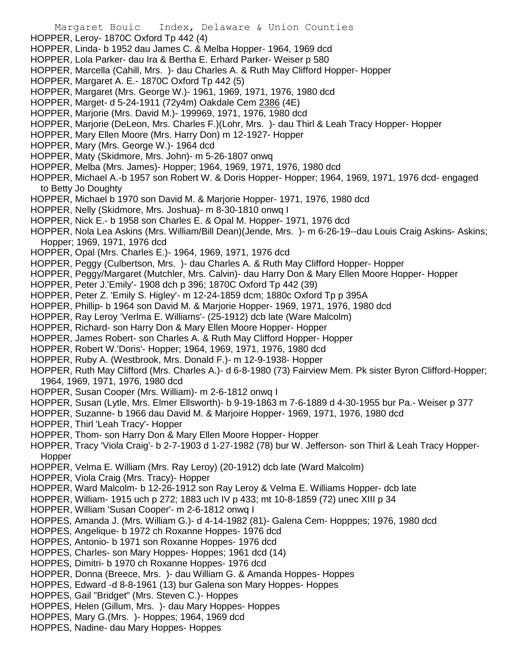- HOPPER, Leroy- 1870C Oxford Tp 442 (4)
- HOPPER, Linda- b 1952 dau James C. & Melba Hopper- 1964, 1969 dcd
- HOPPER, Lola Parker- dau Ira & Bertha E. Erhard Parker- Weiser p 580
- HOPPER, Marcella (Cahill, Mrs. )- dau Charles A. & Ruth May Clifford Hopper- Hopper
- HOPPER, Margaret A. E.- 1870C Oxford Tp 442 (5)
- HOPPER, Margaret (Mrs. George W.)- 1961, 1969, 1971, 1976, 1980 dcd
- HOPPER, Marget- d 5-24-1911 (72y4m) Oakdale Cem 2386 (4E)
- HOPPER, Marjorie (Mrs. David M.)- 199969, 1971, 1976, 1980 dcd
- HOPPER, Marjorie (DeLeon, Mrs. Charles F.)(Lohr, Mrs. )- dau Thirl & Leah Tracy Hopper- Hopper
- HOPPER, Mary Ellen Moore (Mrs. Harry Don) m 12-1927- Hopper
- HOPPER, Mary (Mrs. George W.)- 1964 dcd
- HOPPER, Maty (Skidmore, Mrs. John)- m 5-26-1807 onwq
- HOPPER, Melba (Mrs. James)- Hopper; 1964, 1969, 1971, 1976, 1980 dcd
- HOPPER, Michael A.-b 1957 son Robert W. & Doris Hopper- Hopper; 1964, 1969, 1971, 1976 dcd- engaged to Betty Jo Doughty
- HOPPER, Michael b 1970 son David M. & Marjorie Hopper- 1971, 1976, 1980 dcd
- HOPPER, Nelly (Skidmore, Mrs. Joshua)- m 8-30-1810 onwq I
- HOPPER, Nick E.- b 1958 son Charles E. & Opal M. Hopper- 1971, 1976 dcd
- HOPPER, Nola Lea Askins (Mrs. William/Bill Dean)(Jende, Mrs. )- m 6-26-19--dau Louis Craig Askins- Askins; Hopper; 1969, 1971, 1976 dcd
- HOPPER, Opal (Mrs. Charles E.)- 1964, 1969, 1971, 1976 dcd
- HOPPER, Peggy (Culbertson, Mrs. )- dau Charles A. & Ruth May Clifford Hopper- Hopper
- HOPPER, Peggy/Margaret (Mutchler, Mrs. Calvin)- dau Harry Don & Mary Ellen Moore Hopper- Hopper
- HOPPER, Peter J.'Emily'- 1908 dch p 396; 1870C Oxford Tp 442 (39)
- HOPPER, Peter Z. 'Emily S. Higley'- m 12-24-1859 dcm; 1880c Oxford Tp p 395A
- HOPPER, Phillip- b 1964 son David M. & Marjorie Hopper- 1969, 1971, 1976, 1980 dcd
- HOPPER, Ray Leroy 'Verlma E. Williams'- (25-1912) dcb late (Ware Malcolm)
- HOPPER, Richard- son Harry Don & Mary Ellen Moore Hopper- Hopper
- HOPPER, James Robert- son Charles A. & Ruth May Clifford Hopper- Hopper
- HOPPER, Robert W.'Doris'- Hopper; 1964, 1969, 1971, 1976, 1980 dcd
- HOPPER, Ruby A. (Westbrook, Mrs. Donald F.)- m 12-9-1938- Hopper
- HOPPER, Ruth May Clifford (Mrs. Charles A.)- d 6-8-1980 (73) Fairview Mem. Pk sister Byron Clifford-Hopper; 1964, 1969, 1971, 1976, 1980 dcd
- HOPPER, Susan Cooper (Mrs. William)- m 2-6-1812 onwq I
- HOPPER, Susan (Lytle, Mrs. Elmer Ellsworth)- b 9-19-1863 m 7-6-1889 d 4-30-1955 bur Pa.- Weiser p 377
- HOPPER, Suzanne- b 1966 dau David M. & Marjoire Hopper- 1969, 1971, 1976, 1980 dcd
- HOPPER, Thirl 'Leah Tracy'- Hopper
- HOPPER, Thom- son Harry Don & Mary Ellen Moore Hopper- Hopper
- HOPPER, Tracy 'Viola Craig'- b 2-7-1903 d 1-27-1982 (78) bur W. Jefferson- son Thirl & Leah Tracy Hopper-Hopper
- HOPPER, Velma E. William (Mrs. Ray Leroy) (20-1912) dcb late (Ward Malcolm)
- HOPPER, Viola Craig (Mrs. Tracy)- Hopper
- HOPPER, Ward Malcolm- b 12-26-1912 son Ray Leroy & Velma E. Williams Hopper- dcb late
- HOPPER, William- 1915 uch p 272; 1883 uch IV p 433; mt 10-8-1859 (72) unec XIII p 34
- HOPPER, William 'Susan Cooper'- m 2-6-1812 onwq I
- HOPPES, Amanda J. (Mrs. William G.)- d 4-14-1982 (81)- Galena Cem- Hopppes; 1976, 1980 dcd
- HOPPES, Angelique- b 1972 ch Roxanne Hoppes- 1976 dcd
- HOPPES, Antonio- b 1971 son Roxanne Hoppes- 1976 dcd
- HOPPES, Charles- son Mary Hoppes- Hoppes; 1961 dcd (14)
- HOPPES, Dimitri- b 1970 ch Roxanne Hoppes- 1976 dcd
- HOPPER, Donna (Breece, Mrs. )- dau William G. & Amanda Hoppes- Hoppes
- HOPPES, Edward -d 8-8-1961 (13) bur Galena son Mary Hoppes- Hoppes
- HOPPES, Gail "Bridget" (Mrs. Steven C.)- Hoppes
- HOPPES, Helen (Gillum, Mrs. )- dau Mary Hoppes- Hoppes
- HOPPES, Mary G.(Mrs. )- Hoppes; 1964, 1969 dcd
- HOPPES, Nadine- dau Mary Hoppes- Hoppes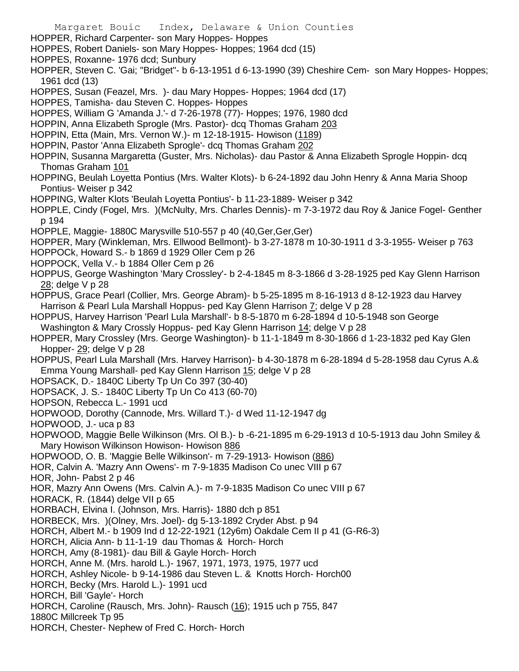Margaret Bouic Index, Delaware & Union Counties HOPPER, Richard Carpenter- son Mary Hoppes- Hoppes HOPPES, Robert Daniels- son Mary Hoppes- Hoppes; 1964 dcd (15) HOPPES, Roxanne- 1976 dcd; Sunbury HOPPER, Steven C. 'Gai; "Bridget"- b 6-13-1951 d 6-13-1990 (39) Cheshire Cem- son Mary Hoppes- Hoppes; 1961 dcd (13) HOPPES, Susan (Feazel, Mrs. )- dau Mary Hoppes- Hoppes; 1964 dcd (17) HOPPES, Tamisha- dau Steven C. Hoppes- Hoppes HOPPES, William G 'Amanda J.'- d 7-26-1978 (77)- Hoppes; 1976, 1980 dcd HOPPIN, Anna Elizabeth Sprogle (Mrs. Pastor)- dcq Thomas Graham 203 HOPPIN, Etta (Main, Mrs. Vernon W.)- m 12-18-1915- Howison (1189) HOPPIN, Pastor 'Anna Elizabeth Sprogle'- dcq Thomas Graham 202 HOPPIN, Susanna Margaretta (Guster, Mrs. Nicholas)- dau Pastor & Anna Elizabeth Sprogle Hoppin- dcq Thomas Graham 101 HOPPING, Beulah Loyetta Pontius (Mrs. Walter Klots)- b 6-24-1892 dau John Henry & Anna Maria Shoop Pontius- Weiser p 342 HOPPING, Walter Klots 'Beulah Loyetta Pontius'- b 11-23-1889- Weiser p 342 HOPPLE, Cindy (Fogel, Mrs. )(McNulty, Mrs. Charles Dennis)- m 7-3-1972 dau Roy & Janice Fogel- Genther p 194 HOPPLE, Maggie- 1880C Marysville 510-557 p 40 (40,Ger,Ger,Ger) HOPPER, Mary (Winkleman, Mrs. Ellwood Bellmont)- b 3-27-1878 m 10-30-1911 d 3-3-1955- Weiser p 763 HOPPOCk, Howard S.- b 1869 d 1929 Oller Cem p 26 HOPPOCK, Vella V.- b 1884 Oller Cem p 26 HOPPUS, George Washington 'Mary Crossley'- b 2-4-1845 m 8-3-1866 d 3-28-1925 ped Kay Glenn Harrison 28; delge V p 28 HOPPUS, Grace Pearl (Collier, Mrs. George Abram)- b 5-25-1895 m 8-16-1913 d 8-12-1923 dau Harvey Harrison & Pearl Lula Marshall Hoppus- ped Kay Glenn Harrison 7; delge V p 28 HOPPUS, Harvey Harrison 'Pearl Lula Marshall'- b 8-5-1870 m 6-28-1894 d 10-5-1948 son George Washington & Mary Crossly Hoppus- ped Kay Glenn Harrison 14; delge V p 28 HOPPER, Mary Crossley (Mrs. George Washington)- b 11-1-1849 m 8-30-1866 d 1-23-1832 ped Kay Glen Hopper- 29; delge V p 28 HOPPUS, Pearl Lula Marshall (Mrs. Harvey Harrison)- b 4-30-1878 m 6-28-1894 d 5-28-1958 dau Cyrus A.& Emma Young Marshall- ped Kay Glenn Harrison 15; delge V p 28 HOPSACK, D.- 1840C Liberty Tp Un Co 397 (30-40) HOPSACK, J. S.- 1840C Liberty Tp Un Co 413 (60-70) HOPSON, Rebecca L.- 1991 ucd HOPWOOD, Dorothy (Cannode, Mrs. Willard T.)- d Wed 11-12-1947 dg HOPWOOD, J.- uca p 83 HOPWOOD, Maggie Belle Wilkinson (Mrs. Ol B.)- b -6-21-1895 m 6-29-1913 d 10-5-1913 dau John Smiley & Mary Howison Wilkinson Howison- Howison 886 HOPWOOD, O. B. 'Maggie Belle Wilkinson'- m 7-29-1913- Howison (886) HOR, Calvin A. 'Mazry Ann Owens'- m 7-9-1835 Madison Co unec VIII p 67 HOR, John- Pabst 2 p 46 HOR, Mazry Ann Owens (Mrs. Calvin A.)- m 7-9-1835 Madison Co unec VIII p 67 HORACK, R. (1844) delge VII p 65 HORBACH, Elvina I. (Johnson, Mrs. Harris)- 1880 dch p 851 HORBECK, Mrs. )(Olney, Mrs. Joel)- dg 5-13-1892 Cryder Abst. p 94 HORCH, Albert M.- b 1909 Ind d 12-22-1921 (12y6m) Oakdale Cem II p 41 (G-R6-3) HORCH, Alicia Ann- b 11-1-19 dau Thomas & Horch- Horch HORCH, Amy (8-1981)- dau Bill & Gayle Horch- Horch HORCH, Anne M. (Mrs. harold L.)- 1967, 1971, 1973, 1975, 1977 ucd HORCH, Ashley Nicole- b 9-14-1986 dau Steven L. & Knotts Horch- Horch00 HORCH, Becky (Mrs. Harold L.)- 1991 ucd HORCH, Bill 'Gayle'- Horch HORCH, Caroline (Rausch, Mrs. John)- Rausch (16); 1915 uch p 755, 847 1880C Millcreek Tp 95 HORCH, Chester- Nephew of Fred C. Horch- Horch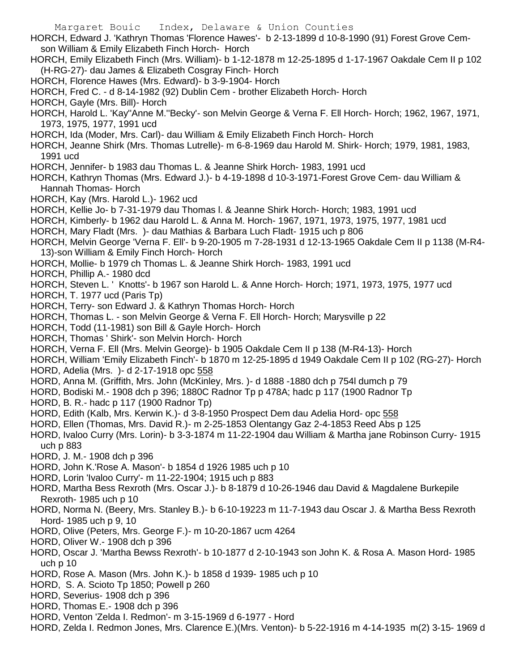- Margaret Bouic Index, Delaware & Union Counties HORCH, Edward J. 'Kathryn Thomas 'Florence Hawes'- b 2-13-1899 d 10-8-1990 (91) Forest Grove Cemson William & Emily Elizabeth Finch Horch- Horch HORCH, Emily Elizabeth Finch (Mrs. William)- b 1-12-1878 m 12-25-1895 d 1-17-1967 Oakdale Cem II p 102 (H-RG-27)- dau James & Elizabeth Cosgray Finch- Horch HORCH, Florence Hawes (Mrs. Edward)- b 3-9-1904- Horch HORCH, Fred C. - d 8-14-1982 (92) Dublin Cem - brother Elizabeth Horch- Horch HORCH, Gayle (Mrs. Bill)- Horch HORCH, Harold L. 'Kay''Anne M.''Becky'- son Melvin George & Verna F. Ell Horch- Horch; 1962, 1967, 1971, 1973, 1975, 1977, 1991 ucd HORCH, Ida (Moder, Mrs. Carl)- dau William & Emily Elizabeth Finch Horch- Horch HORCH, Jeanne Shirk (Mrs. Thomas Lutrelle)- m 6-8-1969 dau Harold M. Shirk- Horch; 1979, 1981, 1983, 1991 ucd HORCH, Jennifer- b 1983 dau Thomas L. & Jeanne Shirk Horch- 1983, 1991 ucd HORCH, Kathryn Thomas (Mrs. Edward J.)- b 4-19-1898 d 10-3-1971-Forest Grove Cem- dau William & Hannah Thomas- Horch HORCH, Kay (Mrs. Harold L.)- 1962 ucd HORCH, Kellie Jo- b 7-31-1979 dau Thomas l. & Jeanne Shirk Horch- Horch; 1983, 1991 ucd HORCH, Kimberly- b 1962 dau Harold L. & Anna M. Horch- 1967, 1971, 1973, 1975, 1977, 1981 ucd HORCH, Mary Fladt (Mrs. )- dau Mathias & Barbara Luch Fladt- 1915 uch p 806 HORCH, Melvin George 'Verna F. Ell'- b 9-20-1905 m 7-28-1931 d 12-13-1965 Oakdale Cem II p 1138 (M-R4- 13)-son William & Emily Finch Horch- Horch HORCH, Mollie- b 1979 ch Thomas L. & Jeanne Shirk Horch- 1983, 1991 ucd HORCH, Phillip A.- 1980 dcd HORCH, Steven L. ' Knotts'- b 1967 son Harold L. & Anne Horch- Horch; 1971, 1973, 1975, 1977 ucd HORCH, T. 1977 ucd (Paris Tp) HORCH, Terry- son Edward J. & Kathryn Thomas Horch- Horch HORCH, Thomas L. - son Melvin George & Verna F. Ell Horch- Horch; Marysville p 22 HORCH, Todd (11-1981) son Bill & Gayle Horch- Horch HORCH, Thomas ' Shirk'- son Melvin Horch- Horch HORCH, Verna F. Ell (Mrs. Melvin George)- b 1905 Oakdale Cem II p 138 (M-R4-13)- Horch HORCH, William 'Emily Elizabeth Finch'- b 1870 m 12-25-1895 d 1949 Oakdale Cem II p 102 (RG-27)- Horch HORD, Adelia (Mrs. )- d 2-17-1918 opc 558 HORD, Anna M. (Griffith, Mrs. John (McKinley, Mrs. )- d 1888 -1880 dch p 754l dumch p 79 HORD, Bodiski M.- 1908 dch p 396; 1880C Radnor Tp p 478A; hadc p 117 (1900 Radnor Tp HORD, B. R.- hadc p 117 (1900 Radnor Tp) HORD, Edith (Kalb, Mrs. Kerwin K.)- d 3-8-1950 Prospect Dem dau Adelia Hord- opc 558 HORD, Ellen (Thomas, Mrs. David R.)- m 2-25-1853 Olentangy Gaz 2-4-1853 Reed Abs p 125 HORD, Ivaloo Curry (Mrs. Lorin)- b 3-3-1874 m 11-22-1904 dau William & Martha jane Robinson Curry- 1915 uch p 883 HORD, J. M.- 1908 dch p 396 HORD, John K.'Rose A. Mason'- b 1854 d 1926 1985 uch p 10 HORD, Lorin 'Ivaloo Curry'- m 11-22-1904; 1915 uch p 883 HORD, Martha Bess Rexroth (Mrs. Oscar J.)- b 8-1879 d 10-26-1946 dau David & Magdalene Burkepile Rexroth- 1985 uch p 10 HORD, Norma N. (Beery, Mrs. Stanley B.)- b 6-10-19223 m 11-7-1943 dau Oscar J. & Martha Bess Rexroth Hord- 1985 uch p 9, 10 HORD, Olive (Peters, Mrs. George F.)- m 10-20-1867 ucm 4264 HORD, Oliver W.- 1908 dch p 396 HORD, Oscar J. 'Martha Bewss Rexroth'- b 10-1877 d 2-10-1943 son John K. & Rosa A. Mason Hord- 1985 uch p 10
	- HORD, Rose A. Mason (Mrs. John K.)- b 1858 d 1939- 1985 uch p 10
	- HORD, S. A. Scioto Tp 1850; Powell p 260
	- HORD, Severius- 1908 dch p 396
	- HORD, Thomas E.- 1908 dch p 396
	- HORD, Venton 'Zelda I. Redmon'- m 3-15-1969 d 6-1977 Hord
	- HORD, Zelda I. Redmon Jones, Mrs. Clarence E.)(Mrs. Venton)- b 5-22-1916 m 4-14-1935 m(2) 3-15- 1969 d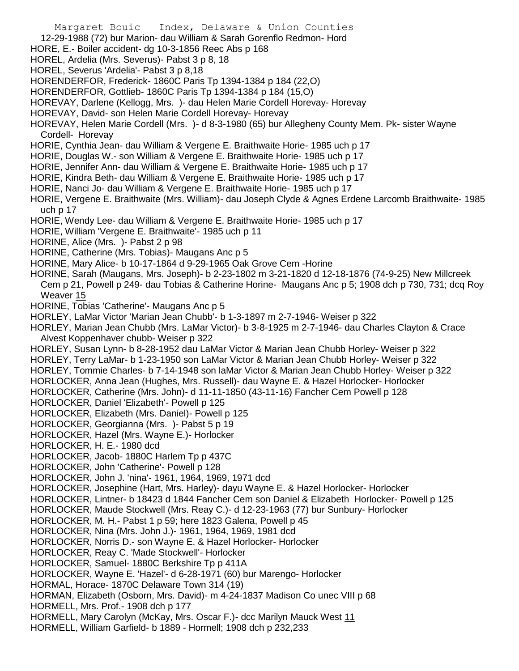- Margaret Bouic Index, Delaware & Union Counties
- 12-29-1988 (72) bur Marion- dau William & Sarah Gorenflo Redmon- Hord
- HORE, E.- Boiler accident- dg 10-3-1856 Reec Abs p 168
- HOREL, Ardelia (Mrs. Severus)- Pabst 3 p 8, 18
- HOREL, Severus 'Ardelia'- Pabst 3 p 8,18
- HORENDERFOR, Frederick- 1860C Paris Tp 1394-1384 p 184 (22,O)
- HORENDERFOR, Gottlieb- 1860C Paris Tp 1394-1384 p 184 (15,O)
- HOREVAY, Darlene (Kellogg, Mrs. )- dau Helen Marie Cordell Horevay- Horevay
- HOREVAY, David- son Helen Marie Cordell Horevay- Horevay
- HOREVAY, Helen Marie Cordell (Mrs. )- d 8-3-1980 (65) bur Allegheny County Mem. Pk- sister Wayne Cordell- Horevay
- HORIE, Cynthia Jean- dau William & Vergene E. Braithwaite Horie- 1985 uch p 17
- HORIE, Douglas W.- son William & Vergene E. Braithwaite Horie- 1985 uch p 17
- HORIE, Jennifer Ann- dau William & Vergene E. Braithwaite Horie- 1985 uch p 17
- HORIE, Kindra Beth- dau William & Vergene E. Braithwaite Horie- 1985 uch p 17
- HORIE, Nanci Jo- dau William & Vergene E. Braithwaite Horie- 1985 uch p 17
- HORIE, Vergene E. Braithwaite (Mrs. William)- dau Joseph Clyde & Agnes Erdene Larcomb Braithwaite- 1985 uch p 17
- HORIE, Wendy Lee- dau William & Vergene E. Braithwaite Horie- 1985 uch p 17
- HORIE, William 'Vergene E. Braithwaite'- 1985 uch p 11
- HORINE, Alice (Mrs. )- Pabst 2 p 98
- HORINE, Catherine (Mrs. Tobias)- Maugans Anc p 5
- HORINE, Mary Alice- b 10-17-1864 d 9-29-1965 Oak Grove Cem -Horine
- HORINE, Sarah (Maugans, Mrs. Joseph)- b 2-23-1802 m 3-21-1820 d 12-18-1876 (74-9-25) New Millcreek Cem p 21, Powell p 249- dau Tobias & Catherine Horine- Maugans Anc p 5; 1908 dch p 730, 731; dcq Roy Weaver 15
- HORINE, Tobias 'Catherine'- Maugans Anc p 5
- HORLEY, LaMar Victor 'Marian Jean Chubb'- b 1-3-1897 m 2-7-1946- Weiser p 322
- HORLEY, Marian Jean Chubb (Mrs. LaMar Victor)- b 3-8-1925 m 2-7-1946- dau Charles Clayton & Crace Alvest Koppenhaver chubb- Weiser p 322
- HORLEY, Susan Lynn- b 8-28-1952 dau LaMar Victor & Marian Jean Chubb Horley- Weiser p 322
- HORLEY, Terry LaMar- b 1-23-1950 son LaMar Victor & Marian Jean Chubb Horley- Weiser p 322
- HORLEY, Tommie Charles- b 7-14-1948 son laMar Victor & Marian Jean Chubb Horley- Weiser p 322
- HORLOCKER, Anna Jean (Hughes, Mrs. Russell)- dau Wayne E. & Hazel Horlocker- Horlocker
- HORLOCKER, Catherine (Mrs. John)- d 11-11-1850 (43-11-16) Fancher Cem Powell p 128
- HORLOCKER, Daniel 'Elizabeth'- Powell p 125
- HORLOCKER, Elizabeth (Mrs. Daniel)- Powell p 125
- HORLOCKER, Georgianna (Mrs. )- Pabst 5 p 19
- HORLOCKER, Hazel (Mrs. Wayne E.)- Horlocker
- HORLOCKER, H. E.- 1980 dcd
- HORLOCKER, Jacob- 1880C Harlem Tp p 437C
- HORLOCKER, John 'Catherine'- Powell p 128
- HORLOCKER, John J. 'nina'- 1961, 1964, 1969, 1971 dcd
- HORLOCKER, Josephine (Hart, Mrs. Harley)- dayu Wayne E. & Hazel Horlocker- Horlocker
- HORLOCKER, Lintner- b 18423 d 1844 Fancher Cem son Daniel & Elizabeth Horlocker- Powell p 125
- HORLOCKER, Maude Stockwell (Mrs. Reay C.)- d 12-23-1963 (77) bur Sunbury- Horlocker
- HORLOCKER, M. H.- Pabst 1 p 59; here 1823 Galena, Powell p 45
- HORLOCKER, Nina (Mrs. John J.)- 1961, 1964, 1969, 1981 dcd
- HORLOCKER, Norris D.- son Wayne E. & Hazel Horlocker- Horlocker
- HORLOCKER, Reay C. 'Made Stockwell'- Horlocker
- HORLOCKER, Samuel- 1880C Berkshire Tp p 411A
- HORLOCKER, Wayne E. 'Hazel'- d 6-28-1971 (60) bur Marengo- Horlocker
- HORMAL, Horace- 1870C Delaware Town 314 (19)
- HORMAN, Elizabeth (Osborn, Mrs. David)- m 4-24-1837 Madison Co unec VIII p 68
- HORMELL, Mrs. Prof.- 1908 dch p 177
- HORMELL, Mary Carolyn (McKay, Mrs. Oscar F.)- dcc Marilyn Mauck West 11
- HORMELL, William Garfield- b 1889 Hormell; 1908 dch p 232,233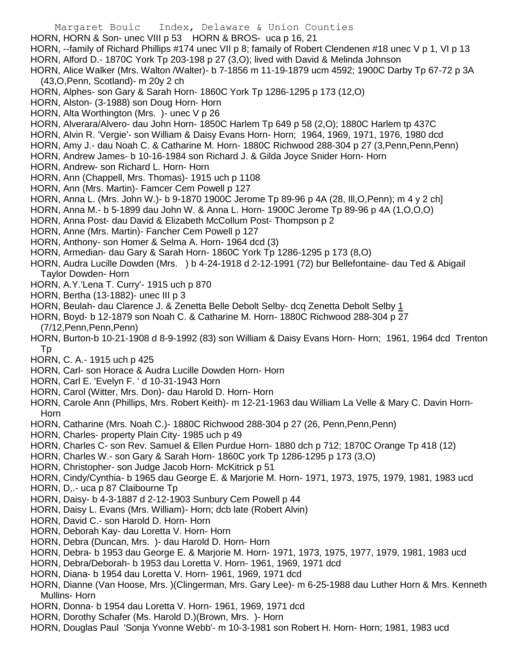- Margaret Bouic Index, Delaware & Union Counties HORN, HORN & Son- unec VIII p 53 HORN & BROS- uca p 16, 21 HORN, --family of Richard Phillips #174 unec VII p 8; famaily of Robert Clendenen #18 unec V p 1, VI p 13 HORN, Alford D.- 1870C York Tp 203-198 p 27 (3,O); lived with David & Melinda Johnson HORN, Alice Walker (Mrs. Walton /Walter)- b 7-1856 m 11-19-1879 ucm 4592; 1900C Darby Tp 67-72 p 3A (43,O,Penn, Scotland)- m 20y 2 ch HORN, Alphes- son Gary & Sarah Horn- 1860C York Tp 1286-1295 p 173 (12,O) HORN, Alston- (3-1988) son Doug Horn- Horn HORN, Alta Worthington (Mrs. )- unec V p 26 HORN, Alverara/Alvero- dau John Horn- 1850C Harlem Tp 649 p 58 (2,O); 1880C Harlem tp 437C HORN, Alvin R. 'Vergie'- son William & Daisy Evans Horn- Horn; 1964, 1969, 1971, 1976, 1980 dcd HORN, Amy J.- dau Noah C. & Catharine M. Horn- 1880C Richwood 288-304 p 27 (3,Penn,Penn,Penn) HORN, Andrew James- b 10-16-1984 son Richard J. & Gilda Joyce Snider Horn- Horn HORN, Andrew- son Richard L. Horn- Horn HORN, Ann (Chappell, Mrs. Thomas)- 1915 uch p 1108 HORN, Ann (Mrs. Martin)- Famcer Cem Powell p 127 HORN, Anna L. (Mrs. John W.)- b 9-1870 1900C Jerome Tp 89-96 p 4A (28, Ill,O,Penn); m 4 y 2 ch] HORN, Anna M.- b 5-1899 dau John W. & Anna L. Horn- 1900C Jerome Tp 89-96 p 4A (1,O,O,O) HORN, Anna Post- dau David & Elizabeth McCollum Post- Thompson p 2 HORN, Anne (Mrs. Martin)- Fancher Cem Powell p 127 HORN, Anthony- son Homer & Selma A. Horn- 1964 dcd (3) HORN, Armedian- dau Gary & Sarah Horn- 1860C York Tp 1286-1295 p 173 (8,O) HORN, Audra Lucille Dowden (Mrs. ) b 4-24-1918 d 2-12-1991 (72) bur Bellefontaine- dau Ted & Abigail Taylor Dowden- Horn HORN, A.Y.'Lena T. Curry'- 1915 uch p 870 HORN, Bertha (13-1882)- unec III p 3 HORN, Beulah- dau Clarence J. & Zenetta Belle Debolt Selby- dcq Zenetta Debolt Selby 1 HORN, Boyd- b 12-1879 son Noah C. & Catharine M. Horn- 1880C Richwood 288-304 p 27 (7/12,Penn,Penn,Penn) HORN, Burton-b 10-21-1908 d 8-9-1992 (83) son William & Daisy Evans Horn- Horn; 1961, 1964 dcd Trenton Tp HORN, C. A.- 1915 uch p 425 HORN, Carl- son Horace & Audra Lucille Dowden Horn- Horn HORN, Carl E. 'Evelyn F. ' d 10-31-1943 Horn HORN, Carol (Witter, Mrs. Don)- dau Harold D. Horn- Horn HORN, Carole Ann (Phillips, Mrs. Robert Keith)- m 12-21-1963 dau William La Velle & Mary C. Davin Horn-Horn HORN, Catharine (Mrs. Noah C.)- 1880C Richwood 288-304 p 27 (26, Penn,Penn,Penn) HORN, Charles- property Plain City- 1985 uch p 49 HORN, Charles C- son Rev. Samuel & Ellen Purdue Horn- 1880 dch p 712; 1870C Orange Tp 418 (12) HORN, Charles W.- son Gary & Sarah Horn- 1860C york Tp 1286-1295 p 173 (3,O)
- HORN, Christopher- son Judge Jacob Horn- McKitrick p 51
- HORN, Cindy/Cynthia- b 1965 dau George E. & Marjorie M. Horn- 1971, 1973, 1975, 1979, 1981, 1983 ucd
- HORN, D,.- uca p 87 Claibourne Tp
- HORN, Daisy- b 4-3-1887 d 2-12-1903 Sunbury Cem Powell p 44
- HORN, Daisy L. Evans (Mrs. William)- Horn; dcb late (Robert Alvin)
- HORN, David C.- son Harold D. Horn- Horn
- HORN, Deborah Kay- dau Loretta V. Horn- Horn
- HORN, Debra (Duncan, Mrs. )- dau Harold D. Horn- Horn
- HORN, Debra- b 1953 dau George E. & Marjorie M. Horn- 1971, 1973, 1975, 1977, 1979, 1981, 1983 ucd
- HORN, Debra/Deborah- b 1953 dau Loretta V. Horn- 1961, 1969, 1971 dcd
- HORN, Diana- b 1954 dau Loretta V. Horn- 1961, 1969, 1971 dcd
- HORN, Dianne (Van Hoose, Mrs. )(Clingerman, Mrs. Gary Lee)- m 6-25-1988 dau Luther Horn & Mrs. Kenneth Mullins- Horn
- HORN, Donna- b 1954 dau Loretta V. Horn- 1961, 1969, 1971 dcd
- HORN, Dorothy Schafer (Ms. Harold D.)(Brown, Mrs. )- Horn
- HORN, Douglas Paul 'Sonja Yvonne Webb'- m 10-3-1981 son Robert H. Horn- Horn; 1981, 1983 ucd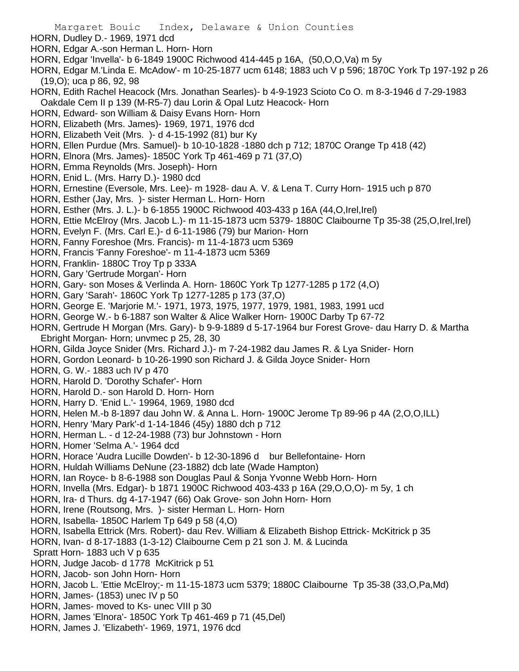Margaret Bouic Index, Delaware & Union Counties HORN, Dudley D.- 1969, 1971 dcd HORN, Edgar A.-son Herman L. Horn- Horn HORN, Edgar 'Invella'- b 6-1849 1900C Richwood 414-445 p 16A, (50,O,O,Va) m 5y HORN, Edgar M.'Linda E. McAdow'- m 10-25-1877 ucm 6148; 1883 uch V p 596; 1870C York Tp 197-192 p 26 (19,O); uca p 86, 92, 98 HORN, Edith Rachel Heacock (Mrs. Jonathan Searles)- b 4-9-1923 Scioto Co O. m 8-3-1946 d 7-29-1983 Oakdale Cem II p 139 (M-R5-7) dau Lorin & Opal Lutz Heacock- Horn HORN, Edward- son William & Daisy Evans Horn- Horn HORN, Elizabeth (Mrs. James)- 1969, 1971, 1976 dcd HORN, Elizabeth Veit (Mrs. )- d 4-15-1992 (81) bur Ky HORN, Ellen Purdue (Mrs. Samuel)- b 10-10-1828 -1880 dch p 712; 1870C Orange Tp 418 (42) HORN, Elnora (Mrs. James)- 1850C York Tp 461-469 p 71 (37,O) HORN, Emma Reynolds (Mrs. Joseph)- Horn HORN, Enid L. (Mrs. Harry D.)- 1980 dcd HORN, Ernestine (Eversole, Mrs. Lee)- m 1928- dau A. V. & Lena T. Curry Horn- 1915 uch p 870 HORN, Esther (Jay, Mrs. )- sister Herman L. Horn- Horn HORN, Esther (Mrs. J. L.)- b 6-1855 1900C Richwood 403-433 p 16A (44,O,Irel,Irel) HORN, Ettie McElroy (Mrs. Jacob L.)- m 11-15-1873 ucm 5379- 1880C Claibourne Tp 35-38 (25,O,Irel,Irel) HORN, Evelyn F. (Mrs. Carl E.)- d 6-11-1986 (79) bur Marion- Horn HORN, Fanny Foreshoe (Mrs. Francis)- m 11-4-1873 ucm 5369 HORN, Francis 'Fanny Foreshoe'- m 11-4-1873 ucm 5369 HORN, Franklin- 1880C Troy Tp p 333A HORN, Gary 'Gertrude Morgan'- Horn HORN, Gary- son Moses & Verlinda A. Horn- 1860C York Tp 1277-1285 p 172 (4,O) HORN, Gary 'Sarah'- 1860C York Tp 1277-1285 p 173 (37,O) HORN, George E. 'Marjorie M.'- 1971, 1973, 1975, 1977, 1979, 1981, 1983, 1991 ucd HORN, George W.- b 6-1887 son Walter & Alice Walker Horn- 1900C Darby Tp 67-72 HORN, Gertrude H Morgan (Mrs. Gary)- b 9-9-1889 d 5-17-1964 bur Forest Grove- dau Harry D. & Martha Ebright Morgan- Horn; unvmec p 25, 28, 30 HORN, Gilda Joyce Snider (Mrs. Richard J.)- m 7-24-1982 dau James R. & Lya Snider- Horn HORN, Gordon Leonard- b 10-26-1990 son Richard J. & Gilda Joyce Snider- Horn HORN, G. W.- 1883 uch IV p 470 HORN, Harold D. 'Dorothy Schafer'- Horn HORN, Harold D.- son Harold D. Horn- Horn HORN, Harry D. 'Enid L.'- 19964, 1969, 1980 dcd HORN, Helen M.-b 8-1897 dau John W. & Anna L. Horn- 1900C Jerome Tp 89-96 p 4A (2,O,O,ILL) HORN, Henry 'Mary Park'-d 1-14-1846 (45y) 1880 dch p 712 HORN, Herman L. - d 12-24-1988 (73) bur Johnstown - Horn HORN, Homer 'Selma A.'- 1964 dcd HORN, Horace 'Audra Lucille Dowden'- b 12-30-1896 d bur Bellefontaine- Horn HORN, Huldah Williams DeNune (23-1882) dcb late (Wade Hampton) HORN, Ian Royce- b 8-6-1988 son Douglas Paul & Sonja Yvonne Webb Horn- Horn HORN, Invella (Mrs. Edgar)- b 1871 1900C Richwood 403-433 p 16A (29,O,O,O)- m 5y, 1 ch HORN, Ira- d Thurs. dg 4-17-1947 (66) Oak Grove- son John Horn- Horn HORN, Irene (Routsong, Mrs. )- sister Herman L. Horn- Horn HORN, Isabella- 1850C Harlem Tp 649 p 58 (4,O) HORN, Isabella Ettrick (Mrs. Robert)- dau Rev. William & Elizabeth Bishop Ettrick- McKitrick p 35 HORN, Ivan- d 8-17-1883 (1-3-12) Claibourne Cem p 21 son J. M. & Lucinda Spratt Horn- 1883 uch V p 635 HORN, Judge Jacob- d 1778 McKitrick p 51 HORN, Jacob- son John Horn- Horn HORN, Jacob L. 'Ettie McElroy;- m 11-15-1873 ucm 5379; 1880C Claibourne Tp 35-38 (33,O,Pa,Md) HORN, James- (1853) unec IV p 50 HORN, James- moved to Ks- unec VIII p 30 HORN, James 'Elnora'- 1850C York Tp 461-469 p 71 (45,Del) HORN, James J. 'Elizabeth'- 1969, 1971, 1976 dcd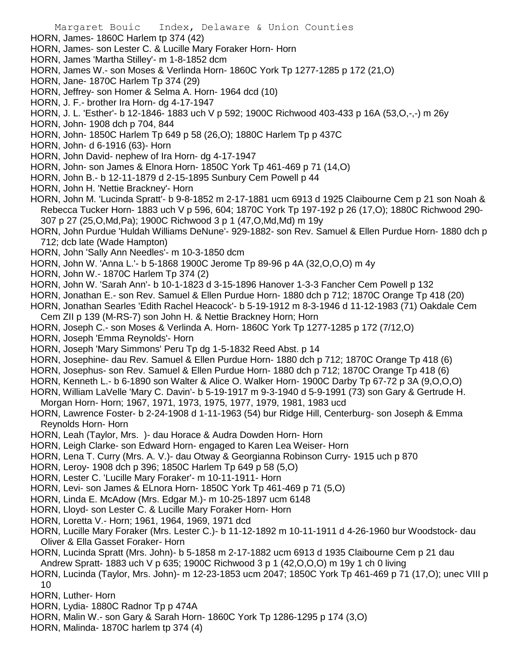- HORN, James- 1860C Harlem tp 374 (42)
- HORN, James- son Lester C. & Lucille Mary Foraker Horn- Horn
- HORN, James 'Martha Stilley'- m 1-8-1852 dcm
- HORN, James W.- son Moses & Verlinda Horn- 1860C York Tp 1277-1285 p 172 (21,O)
- HORN, Jane- 1870C Harlem Tp 374 (29)
- HORN, Jeffrey- son Homer & Selma A. Horn- 1964 dcd (10)
- HORN, J. F.- brother Ira Horn- dg 4-17-1947
- HORN, J. L. 'Esther'- b 12-1846- 1883 uch V p 592; 1900C Richwood 403-433 p 16A (53,O,-,-) m 26y
- HORN, John- 1908 dch p 704, 844
- HORN, John- 1850C Harlem Tp 649 p 58 (26,O); 1880C Harlem Tp p 437C
- HORN, John- d 6-1916 (63)- Horn
- HORN, John David- nephew of Ira Horn- dg 4-17-1947
- HORN, John- son James & Elnora Horn- 1850C York Tp 461-469 p 71 (14,O)
- HORN, John B.- b 12-11-1879 d 2-15-1895 Sunbury Cem Powell p 44
- HORN, John H. 'Nettie Brackney'- Horn
- HORN, John M. 'Lucinda Spratt'- b 9-8-1852 m 2-17-1881 ucm 6913 d 1925 Claibourne Cem p 21 son Noah & Rebecca Tucker Horn- 1883 uch V p 596, 604; 1870C York Tp 197-192 p 26 (17,O); 1880C Richwood 290- 307 p 27 (25,O,Md,Pa); 1900C Richwood 3 p 1 (47,O,Md,Md) m 19y
- HORN, John Purdue 'Huldah Williams DeNune'- 929-1882- son Rev. Samuel & Ellen Purdue Horn- 1880 dch p 712; dcb late (Wade Hampton)
- HORN, John 'Sally Ann Needles'- m 10-3-1850 dcm
- HORN, John W. 'Anna L.'- b 5-1868 1900C Jerome Tp 89-96 p 4A (32,O,O,O) m 4y
- HORN, John W.- 1870C Harlem Tp 374 (2)
- HORN, John W. 'Sarah Ann'- b 10-1-1823 d 3-15-1896 Hanover 1-3-3 Fancher Cem Powell p 132
- HORN, Jonathan E.- son Rev. Samuel & Ellen Purdue Horn- 1880 dch p 712; 1870C Orange Tp 418 (20)
- HORN, Jonathan Searles 'Edith Rachel Heacock'- b 5-19-1912 m 8-3-1946 d 11-12-1983 (71) Oakdale Cem Cem ZII p 139 (M-RS-7) son John H. & Nettie Brackney Horn; Horn
- HORN, Joseph C.- son Moses & Verlinda A. Horn- 1860C York Tp 1277-1285 p 172 (7/12,O)
- HORN, Joseph 'Emma Reynolds'- Horn
- HORN, Joseph 'Mary Simmons' Peru Tp dg 1-5-1832 Reed Abst. p 14
- HORN, Josephine- dau Rev. Samuel & Ellen Purdue Horn- 1880 dch p 712; 1870C Orange Tp 418 (6)
- HORN, Josephus- son Rev. Samuel & Ellen Purdue Horn- 1880 dch p 712; 1870C Orange Tp 418 (6)
- HORN, Kenneth L.- b 6-1890 son Walter & Alice O. Walker Horn- 1900C Darby Tp 67-72 p 3A (9,O,O,O)
- HORN, William LaVelle 'Mary C. Davin'- b 5-19-1917 m 9-3-1940 d 5-9-1991 (73) son Gary & Gertrude H.
- Morgan Horn- Horn; 1967, 1971, 1973, 1975, 1977, 1979, 1981, 1983 ucd
- HORN, Lawrence Foster- b 2-24-1908 d 1-11-1963 (54) bur Ridge Hill, Centerburg- son Joseph & Emma Reynolds Horn- Horn
- HORN, Leah (Taylor, Mrs. )- dau Horace & Audra Dowden Horn- Horn
- HORN, Leigh Clarke- son Edward Horn- engaged to Karen Lea Weiser- Horn
- HORN, Lena T. Curry (Mrs. A. V.)- dau Otway & Georgianna Robinson Curry- 1915 uch p 870
- HORN, Leroy- 1908 dch p 396; 1850C Harlem Tp 649 p 58 (5,O)
- HORN, Lester C. 'Lucille Mary Foraker'- m 10-11-1911- Horn
- HORN, Levi- son James & ELnora Horn- 1850C York Tp 461-469 p 71 (5,O)
- HORN, Linda E. McAdow (Mrs. Edgar M.)- m 10-25-1897 ucm 6148
- HORN, Lloyd- son Lester C. & Lucille Mary Foraker Horn- Horn
- HORN, Loretta V.- Horn; 1961, 1964, 1969, 1971 dcd
- HORN, Lucille Mary Foraker (Mrs. Lester C.)- b 11-12-1892 m 10-11-1911 d 4-26-1960 bur Woodstock- dau Oliver & Ella Gasset Foraker- Horn
- HORN, Lucinda Spratt (Mrs. John)- b 5-1858 m 2-17-1882 ucm 6913 d 1935 Claibourne Cem p 21 dau Andrew Spratt- 1883 uch V p 635; 1900C Richwood 3 p 1 (42,O,O,O) m 19y 1 ch 0 living
- HORN, Lucinda (Taylor, Mrs. John)- m 12-23-1853 ucm 2047; 1850C York Tp 461-469 p 71 (17,O); unec VIII p 10
- HORN, Luther- Horn
- HORN, Lydia- 1880C Radnor Tp p 474A
- HORN, Malin W.- son Gary & Sarah Horn- 1860C York Tp 1286-1295 p 174 (3,O)
- HORN, Malinda- 1870C harlem tp 374 (4)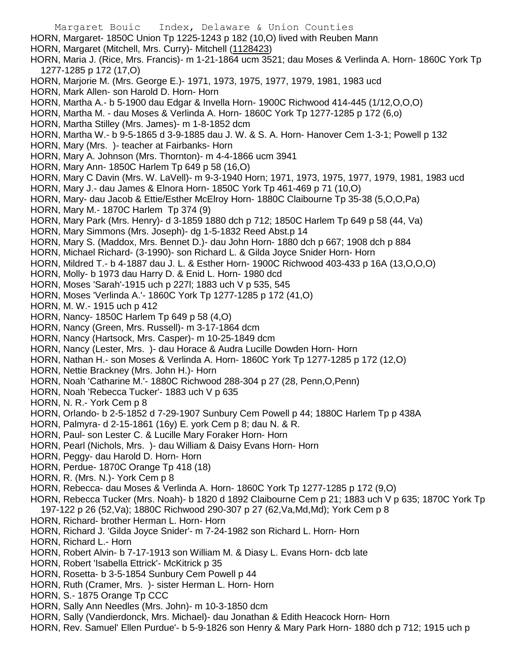Margaret Bouic Index, Delaware & Union Counties HORN, Margaret- 1850C Union Tp 1225-1243 p 182 (10,O) lived with Reuben Mann HORN, Margaret (Mitchell, Mrs. Curry)- Mitchell (1128423) HORN, Maria J. (Rice, Mrs. Francis)- m 1-21-1864 ucm 3521; dau Moses & Verlinda A. Horn- 1860C York Tp 1277-1285 p 172 (17,O) HORN, Marjorie M. (Mrs. George E.)- 1971, 1973, 1975, 1977, 1979, 1981, 1983 ucd HORN, Mark Allen- son Harold D. Horn- Horn HORN, Martha A.- b 5-1900 dau Edgar & Invella Horn- 1900C Richwood 414-445 (1/12,O,O,O) HORN, Martha M. - dau Moses & Verlinda A. Horn- 1860C York Tp 1277-1285 p 172 (6,o) HORN, Martha Stilley (Mrs. James)- m 1-8-1852 dcm HORN, Martha W.- b 9-5-1865 d 3-9-1885 dau J. W. & S. A. Horn- Hanover Cem 1-3-1; Powell p 132 HORN, Mary (Mrs. )- teacher at Fairbanks- Horn HORN, Mary A. Johnson (Mrs. Thornton)- m 4-4-1866 ucm 3941 HORN, Mary Ann- 1850C Harlem Tp 649 p 58 (16,O) HORN, Mary C Davin (Mrs. W. LaVell)- m 9-3-1940 Horn; 1971, 1973, 1975, 1977, 1979, 1981, 1983 ucd HORN, Mary J.- dau James & Elnora Horn- 1850C York Tp 461-469 p 71 (10,O) HORN, Mary- dau Jacob & Ettie/Esther McElroy Horn- 1880C Claibourne Tp 35-38 (5,O,O,Pa) HORN, Mary M.- 1870C Harlem Tp 374 (9) HORN, Mary Park (Mrs. Henry)- d 3-1859 1880 dch p 712; 1850C Harlem Tp 649 p 58 (44, Va) HORN, Mary Simmons (Mrs. Joseph)- dg 1-5-1832 Reed Abst.p 14 HORN, Mary S. (Maddox, Mrs. Bennet D.)- dau John Horn- 1880 dch p 667; 1908 dch p 884 HORN, Michael Richard- (3-1990)- son Richard L. & Gilda Joyce Snider Horn- Horn HORN, Mildred T.- b 4-1887 dau J. L. & Esther Horn- 1900C Richwood 403-433 p 16A (13,O,O,O) HORN, Molly- b 1973 dau Harry D. & Enid L. Horn- 1980 dcd HORN, Moses 'Sarah'-1915 uch p 227l; 1883 uch V p 535, 545 HORN, Moses 'Verlinda A.'- 1860C York Tp 1277-1285 p 172 (41,O) HORN, M. W.- 1915 uch p 412 HORN, Nancy- 1850C Harlem Tp 649 p 58 (4,O) HORN, Nancy (Green, Mrs. Russell)- m 3-17-1864 dcm HORN, Nancy (Hartsock, Mrs. Casper)- m 10-25-1849 dcm HORN, Nancy (Lester, Mrs. )- dau Horace & Audra Lucille Dowden Horn- Horn HORN, Nathan H.- son Moses & Verlinda A. Horn- 1860C York Tp 1277-1285 p 172 (12,O) HORN, Nettie Brackney (Mrs. John H.)- Horn HORN, Noah 'Catharine M.'- 1880C Richwood 288-304 p 27 (28, Penn,O,Penn) HORN, Noah 'Rebecca Tucker'- 1883 uch V p 635 HORN, N. R.- York Cem p 8 HORN, Orlando- b 2-5-1852 d 7-29-1907 Sunbury Cem Powell p 44; 1880C Harlem Tp p 438A HORN, Palmyra- d 2-15-1861 (16y) E. york Cem p 8; dau N. & R. HORN, Paul- son Lester C. & Lucille Mary Foraker Horn- Horn HORN, Pearl (Nichols, Mrs. )- dau William & Daisy Evans Horn- Horn HORN, Peggy- dau Harold D. Horn- Horn HORN, Perdue- 1870C Orange Tp 418 (18) HORN, R. (Mrs. N.)- York Cem p 8 HORN, Rebecca- dau Moses & Verlinda A. Horn- 1860C York Tp 1277-1285 p 172 (9,O) HORN, Rebecca Tucker (Mrs. Noah)- b 1820 d 1892 Claibourne Cem p 21; 1883 uch V p 635; 1870C York Tp 197-122 p 26 (52,Va); 1880C Richwood 290-307 p 27 (62,Va,Md,Md); York Cem p 8 HORN, Richard- brother Herman L. Horn- Horn HORN, Richard J. 'Gilda Joyce Snider'- m 7-24-1982 son Richard L. Horn- Horn HORN, Richard L.- Horn HORN, Robert Alvin- b 7-17-1913 son William M. & Diasy L. Evans Horn- dcb late HORN, Robert 'Isabella Ettrick'- McKitrick p 35 HORN, Rosetta- b 3-5-1854 Sunbury Cem Powell p 44 HORN, Ruth (Cramer, Mrs. )- sister Herman L. Horn- Horn HORN, S.- 1875 Orange Tp CCC

- HORN, Sally Ann Needles (Mrs. John)- m 10-3-1850 dcm
- HORN, Sally (Vandierdonck, Mrs. Michael)- dau Jonathan & Edith Heacock Horn- Horn
- HORN, Rev. Samuel' Ellen Purdue'- b 5-9-1826 son Henry & Mary Park Horn- 1880 dch p 712; 1915 uch p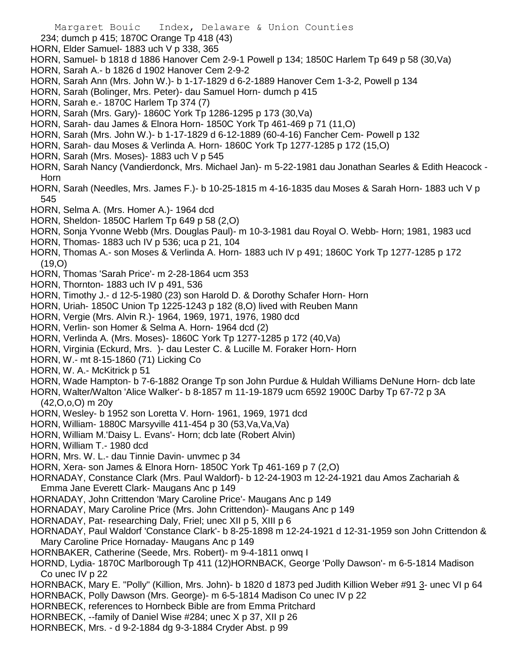- 234; dumch p 415; 1870C Orange Tp 418 (43)
- HORN, Elder Samuel- 1883 uch V p 338, 365
- HORN, Samuel- b 1818 d 1886 Hanover Cem 2-9-1 Powell p 134; 1850C Harlem Tp 649 p 58 (30,Va)
- HORN, Sarah A.- b 1826 d 1902 Hanover Cem 2-9-2
- HORN, Sarah Ann (Mrs. John W.)- b 1-17-1829 d 6-2-1889 Hanover Cem 1-3-2, Powell p 134
- HORN, Sarah (Bolinger, Mrs. Peter)- dau Samuel Horn- dumch p 415
- HORN, Sarah e.- 1870C Harlem Tp 374 (7)
- HORN, Sarah (Mrs. Gary)- 1860C York Tp 1286-1295 p 173 (30,Va)
- HORN, Sarah- dau James & Elnora Horn- 1850C York Tp 461-469 p 71 (11,O)
- HORN, Sarah (Mrs. John W.)- b 1-17-1829 d 6-12-1889 (60-4-16) Fancher Cem- Powell p 132
- HORN, Sarah- dau Moses & Verlinda A. Horn- 1860C York Tp 1277-1285 p 172 (15,O)
- HORN, Sarah (Mrs. Moses)- 1883 uch V p 545
- HORN, Sarah Nancy (Vandierdonck, Mrs. Michael Jan)- m 5-22-1981 dau Jonathan Searles & Edith Heacock Horn
- HORN, Sarah (Needles, Mrs. James F.)- b 10-25-1815 m 4-16-1835 dau Moses & Sarah Horn- 1883 uch V p 545
- HORN, Selma A. (Mrs. Homer A.)- 1964 dcd
- HORN, Sheldon- 1850C Harlem Tp 649 p 58 (2,O)
- HORN, Sonja Yvonne Webb (Mrs. Douglas Paul)- m 10-3-1981 dau Royal O. Webb- Horn; 1981, 1983 ucd
- HORN, Thomas- 1883 uch IV p 536; uca p 21, 104
- HORN, Thomas A.- son Moses & Verlinda A. Horn- 1883 uch IV p 491; 1860C York Tp 1277-1285 p 172 (19,O)
- HORN, Thomas 'Sarah Price'- m 2-28-1864 ucm 353
- HORN, Thornton- 1883 uch IV p 491, 536
- HORN, Timothy J.- d 12-5-1980 (23) son Harold D. & Dorothy Schafer Horn- Horn
- HORN, Uriah- 1850C Union Tp 1225-1243 p 182 (8,O) lived with Reuben Mann
- HORN, Vergie (Mrs. Alvin R.)- 1964, 1969, 1971, 1976, 1980 dcd
- HORN, Verlin- son Homer & Selma A. Horn- 1964 dcd (2)
- HORN, Verlinda A. (Mrs. Moses)- 1860C York Tp 1277-1285 p 172 (40,Va)
- HORN, Virginia (Eckurd, Mrs. )- dau Lester C. & Lucille M. Foraker Horn- Horn
- HORN, W.- mt 8-15-1860 (71) Licking Co
- HORN, W. A.- McKitrick p 51
- HORN, Wade Hampton- b 7-6-1882 Orange Tp son John Purdue & Huldah Williams DeNune Horn- dcb late
- HORN, Walter/Walton 'Alice Walker'- b 8-1857 m 11-19-1879 ucm 6592 1900C Darby Tp 67-72 p 3A
- (42,O,o,O) m 20y
- HORN, Wesley- b 1952 son Loretta V. Horn- 1961, 1969, 1971 dcd
- HORN, William- 1880C Marsyville 411-454 p 30 (53,Va,Va,Va)
- HORN, William M.'Daisy L. Evans'- Horn; dcb late (Robert Alvin)
- HORN, William T.- 1980 dcd
- HORN, Mrs. W. L.- dau Tinnie Davin- unvmec p 34
- HORN, Xera- son James & Elnora Horn- 1850C York Tp 461-169 p 7 (2,O)
- HORNADAY, Constance Clark (Mrs. Paul Waldorf)- b 12-24-1903 m 12-24-1921 dau Amos Zachariah & Emma Jane Everett Clark- Maugans Anc p 149
- HORNADAY, John Crittendon 'Mary Caroline Price'- Maugans Anc p 149
- HORNADAY, Mary Caroline Price (Mrs. John Crittendon)- Maugans Anc p 149
- HORNADAY, Pat- researching Daly, Friel; unec XII p 5, XIII p 6
- HORNADAY, Paul Waldorf 'Constance Clark'- b 8-25-1898 m 12-24-1921 d 12-31-1959 son John Crittendon & Mary Caroline Price Hornaday- Maugans Anc p 149
- HORNBAKER, Catherine (Seede, Mrs. Robert)- m 9-4-1811 onwq I
- HORND, Lydia- 1870C Marlborough Tp 411 (12)HORNBACK, George 'Polly Dawson'- m 6-5-1814 Madison Co unec IV p 22
- HORNBACK, Mary E. "Polly" (Killion, Mrs. John)- b 1820 d 1873 ped Judith Killion Weber #91 3- unec VI p 64 HORNBACK, Polly Dawson (Mrs. George)- m 6-5-1814 Madison Co unec IV p 22
- HORNBECK, references to Hornbeck Bible are from Emma Pritchard
- HORNBECK, --family of Daniel Wise #284; unec X p 37, XII p 26
- HORNBECK, Mrs. d 9-2-1884 dg 9-3-1884 Cryder Abst. p 99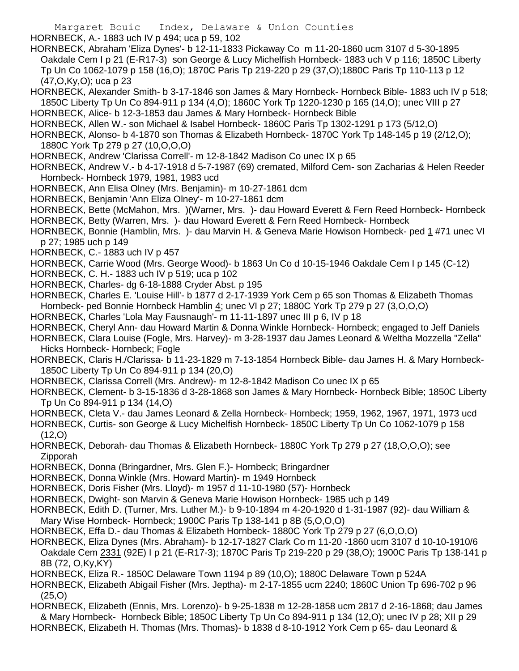Margaret Bouic Index, Delaware & Union Counties HORNBECK, A.- 1883 uch IV p 494; uca p 59, 102 HORNBECK, Abraham 'Eliza Dynes'- b 12-11-1833 Pickaway Co m 11-20-1860 ucm 3107 d 5-30-1895 Oakdale Cem I p 21 (E-R17-3) son George & Lucy Michelfish Hornbeck- 1883 uch V p 116; 1850C Liberty Tp Un Co 1062-1079 p 158 (16,O); 1870C Paris Tp 219-220 p 29 (37,O);1880C Paris Tp 110-113 p 12 (47,O,Ky,O); uca p 23 HORNBECK, Alexander Smith- b 3-17-1846 son James & Mary Hornbeck- Hornbeck Bible- 1883 uch IV p 518; 1850C Liberty Tp Un Co 894-911 p 134 (4,O); 1860C York Tp 1220-1230 p 165 (14,O); unec VIII p 27 HORNBECK, Alice- b 12-3-1853 dau James & Mary Hornbeck- Hornbeck Bible HORNBECK, Allen W.- son Michael & Isabel Hornbeck- 1860C Paris Tp 1302-1291 p 173 (5/12,O) HORNBECK, Alonso- b 4-1870 son Thomas & Elizabeth Hornbeck- 1870C York Tp 148-145 p 19 (2/12,O); 1880C York Tp 279 p 27 (10,O,O,O) HORNBECK, Andrew 'Clarissa Correll'- m 12-8-1842 Madison Co unec IX p 65 HORNBECK, Andrew V.- b 4-17-1918 d 5-7-1987 (69) cremated, Milford Cem- son Zacharias & Helen Reeder Hornbeck- Hornbeck 1979, 1981, 1983 ucd HORNBECK, Ann Elisa Olney (Mrs. Benjamin)- m 10-27-1861 dcm HORNBECK, Benjamin 'Ann Eliza Olney'- m 10-27-1861 dcm HORNBECK, Bette (McMahon, Mrs. )(Warner, Mrs. )- dau Howard Everett & Fern Reed Hornbeck- Hornbeck HORNBECK, Betty (Warren, Mrs. )- dau Howard Everett & Fern Reed Hornbeck- Hornbeck HORNBECK, Bonnie (Hamblin, Mrs. )- dau Marvin H. & Geneva Marie Howison Hornbeck- ped 1 #71 unec VI p 27; 1985 uch p 149 HORNBECK, C.- 1883 uch IV p 457 HORNBECK, Carrie Wood (Mrs. George Wood)- b 1863 Un Co d 10-15-1946 Oakdale Cem I p 145 (C-12) HORNBECK, C. H.- 1883 uch IV p 519; uca p 102 HORNBECK, Charles- dg 6-18-1888 Cryder Abst. p 195 HORNBECK, Charles E. 'Louise Hill'- b 1877 d 2-17-1939 York Cem p 65 son Thomas & Elizabeth Thomas Hornbeck- ped Bonnie Hornbeck Hamblin 4; unec VI p 27; 1880C York Tp 279 p 27 (3,0,0,0) HORNBECK, Charles 'Lola May Fausnaugh'- m 11-11-1897 unec III p 6, IV p 18 HORNBECK, Cheryl Ann- dau Howard Martin & Donna Winkle Hornbeck- Hornbeck; engaged to Jeff Daniels HORNBECK, Clara Louise (Fogle, Mrs. Harvey)- m 3-28-1937 dau James Leonard & Weltha Mozzella "Zella" Hicks Hornbeck- Hornbeck; Fogle HORNBECK, Claris H./Clarissa- b 11-23-1829 m 7-13-1854 Hornbeck Bible- dau James H. & Mary Hornbeck-1850C Liberty Tp Un Co 894-911 p 134 (20,O) HORNBECK, Clarissa Correll (Mrs. Andrew)- m 12-8-1842 Madison Co unec IX p 65 HORNBECK, Clement- b 3-15-1836 d 3-28-1868 son James & Mary Hornbeck- Hornbeck Bible; 1850C Liberty Tp Un Co 894-911 p 134 (14,O) HORNBECK, Cleta V.- dau James Leonard & Zella Hornbeck- Hornbeck; 1959, 1962, 1967, 1971, 1973 ucd HORNBECK, Curtis- son George & Lucy Michelfish Hornbeck- 1850C Liberty Tp Un Co 1062-1079 p 158  $(12,0)$ HORNBECK, Deborah- dau Thomas & Elizabeth Hornbeck- 1880C York Tp 279 p 27 (18,O,O,O); see Zipporah HORNBECK, Donna (Bringardner, Mrs. Glen F.)- Hornbeck; Bringardner HORNBECK, Donna Winkle (Mrs. Howard Martin)- m 1949 Hornbeck HORNBECK, Doris Fisher (Mrs. Lloyd)- m 1957 d 11-10-1980 (57)- Hornbeck HORNBECK, Dwight- son Marvin & Geneva Marie Howison Hornbeck- 1985 uch p 149 HORNBECK, Edith D. (Turner, Mrs. Luther M.)- b 9-10-1894 m 4-20-1920 d 1-31-1987 (92)- dau William & Mary Wise Hornbeck- Hornbeck; 1900C Paris Tp 138-141 p 8B (5,O,O,O) HORNBECK, Effa D.- dau Thomas & Elizabeth Hornbeck- 1880C York Tp 279 p 27 (6,O,O,O) HORNBECK, Eliza Dynes (Mrs. Abraham)- b 12-17-1827 Clark Co m 11-20 -1860 ucm 3107 d 10-10-1910/6 Oakdale Cem 2331 (92E) I p 21 (E-R17-3); 1870C Paris Tp 219-220 p 29 (38,O); 1900C Paris Tp 138-141 p 8B (72, O,Ky,KY) HORNBECK, Eliza R.- 1850C Delaware Town 1194 p 89 (10,O); 1880C Delaware Town p 524A HORNBECK, Elizabeth Abigail Fisher (Mrs. Jeptha)- m 2-17-1855 ucm 2240; 1860C Union Tp 696-702 p 96 (25,O) HORNBECK, Elizabeth (Ennis, Mrs. Lorenzo)- b 9-25-1838 m 12-28-1858 ucm 2817 d 2-16-1868; dau James & Mary Hornbeck- Hornbeck Bible; 1850C Liberty Tp Un Co 894-911 p 134 (12,O); unec IV p 28; XII p 29 HORNBECK, Elizabeth H. Thomas (Mrs. Thomas)- b 1838 d 8-10-1912 York Cem p 65- dau Leonard &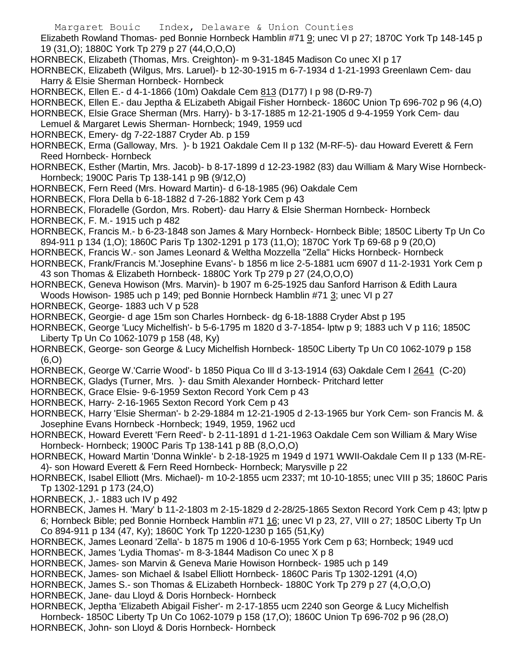Elizabeth Rowland Thomas- ped Bonnie Hornbeck Hamblin #71 9; unec VI p 27; 1870C York Tp 148-145 p 19 (31,O); 1880C York Tp 279 p 27 (44,O,O,O)

- HORNBECK, Elizabeth (Thomas, Mrs. Creighton)- m 9-31-1845 Madison Co unec XI p 17
- HORNBECK, Elizabeth (Wilgus, Mrs. Laruel)- b 12-30-1915 m 6-7-1934 d 1-21-1993 Greenlawn Cem- dau Harry & Elsie Sherman Hornbeck- Hornbeck

HORNBECK, Ellen E.- d 4-1-1866 (10m) Oakdale Cem 813 (D177) I p 98 (D-R9-7)

HORNBECK, Ellen E.- dau Jeptha & ELizabeth Abigail Fisher Hornbeck- 1860C Union Tp 696-702 p 96 (4,O)

HORNBECK, Elsie Grace Sherman (Mrs. Harry)- b 3-17-1885 m 12-21-1905 d 9-4-1959 York Cem- dau

- Lemuel & Margaret Lewis Sherman- Hornbeck; 1949, 1959 ucd
- HORNBECK, Emery- dg 7-22-1887 Cryder Ab. p 159
- HORNBECK, Erma (Galloway, Mrs. )- b 1921 Oakdale Cem II p 132 (M-RF-5)- dau Howard Everett & Fern Reed Hornbeck- Hornbeck
- HORNBECK, Esther (Martin, Mrs. Jacob)- b 8-17-1899 d 12-23-1982 (83) dau William & Mary Wise Hornbeck-Hornbeck; 1900C Paris Tp 138-141 p 9B (9/12,O)
- HORNBECK, Fern Reed (Mrs. Howard Martin)- d 6-18-1985 (96) Oakdale Cem
- HORNBECK, Flora Della b 6-18-1882 d 7-26-1882 York Cem p 43
- HORNBECK, Floradelle (Gordon, Mrs. Robert)- dau Harry & Elsie Sherman Hornbeck- Hornbeck
- HORNBECK, F. M.- 1915 uch p 482
- HORNBECK, Francis M.- b 6-23-1848 son James & Mary Hornbeck- Hornbeck Bible; 1850C Liberty Tp Un Co 894-911 p 134 (1,O); 1860C Paris Tp 1302-1291 p 173 (11,O); 1870C York Tp 69-68 p 9 (20,O)
- HORNBECK, Francis W.- son James Leonard & Weltha Mozzella "Zella" Hicks Hornbeck- Hornbeck
- HORNBECK, Frank/Francis M.'Josephine Evans'- b 1856 m lice 2-5-1881 ucm 6907 d 11-2-1931 York Cem p 43 son Thomas & Elizabeth Hornbeck- 1880C York Tp 279 p 27 (24,O,O,O)
- HORNBECK, Geneva Howison (Mrs. Marvin)- b 1907 m 6-25-1925 dau Sanford Harrison & Edith Laura Woods Howison- 1985 uch p 149; ped Bonnie Hornbeck Hamblin #71 3; unec VI p 27
- HORNBECK, George- 1883 uch V p 528
- HORNBECK, Georgie- d age 15m son Charles Hornbeck- dg 6-18-1888 Cryder Abst p 195
- HORNBECK, George 'Lucy Michelfish'- b 5-6-1795 m 1820 d 3-7-1854- lptw p 9; 1883 uch V p 116; 1850C Liberty Tp Un Co 1062-1079 p 158 (48, Ky)
- HORNBECK, George- son George & Lucy Michelfish Hornbeck- 1850C Liberty Tp Un C0 1062-1079 p 158 (6,O)
- HORNBECK, George W.'Carrie Wood'- b 1850 Piqua Co Ill d 3-13-1914 (63) Oakdale Cem I 2641 (C-20)
- HORNBECK, Gladys (Turner, Mrs. )- dau Smith Alexander Hornbeck- Pritchard letter
- HORNBECK, Grace Elsie- 9-6-1959 Sexton Record York Cem p 43
- HORNBECK, Harry- 2-16-1965 Sexton Record York Cem p 43
- HORNBECK, Harry 'Elsie Sherman'- b 2-29-1884 m 12-21-1905 d 2-13-1965 bur York Cem- son Francis M. & Josephine Evans Hornbeck -Hornbeck; 1949, 1959, 1962 ucd
- HORNBECK, Howard Everett 'Fern Reed'- b 2-11-1891 d 1-21-1963 Oakdale Cem son William & Mary Wise Hornbeck- Hornbeck; 1900C Paris Tp 138-141 p 8B (8,O,O,O)
- HORNBECK, Howard Martin 'Donna Winkle'- b 2-18-1925 m 1949 d 1971 WWII-Oakdale Cem II p 133 (M-RE-4)- son Howard Everett & Fern Reed Hornbeck- Hornbeck; Marysville p 22
- HORNBECK, Isabel Elliott (Mrs. Michael)- m 10-2-1855 ucm 2337; mt 10-10-1855; unec VIII p 35; 1860C Paris Tp 1302-1291 p 173 (24,O)
- HORNBECK, J.- 1883 uch IV p 492
- HORNBECK, James H. 'Mary' b 11-2-1803 m 2-15-1829 d 2-28/25-1865 Sexton Record York Cem p 43; lptw p 6; Hornbeck Bible; ped Bonnie Hornbeck Hamblin #71 16; unec VI p 23, 27, VIII o 27; 1850C Liberty Tp Un Co 894-911 p 134 (47, Ky); 1860C York Tp 1220-1230 p 165 (51,Ky)
- HORNBECK, James Leonard 'Zella'- b 1875 m 1906 d 10-6-1955 York Cem p 63; Hornbeck; 1949 ucd HORNBECK, James 'Lydia Thomas'- m 8-3-1844 Madison Co unec X p 8
- HORNBECK, James- son Marvin & Geneva Marie Howison Hornbeck- 1985 uch p 149
- HORNBECK, James- son Michael & Isabel Elliott Hornbeck- 1860C Paris Tp 1302-1291 (4,O)
- HORNBECK, James S.- son Thomas & ELizabeth Hornbeck- 1880C York Tp 279 p 27 (4,O,O,O)
- HORNBECK, Jane- dau Lloyd & Doris Hornbeck- Hornbeck
- HORNBECK, Jeptha 'Elizabeth Abigail Fisher'- m 2-17-1855 ucm 2240 son George & Lucy Michelfish Hornbeck- 1850C Liberty Tp Un Co 1062-1079 p 158 (17,O); 1860C Union Tp 696-702 p 96 (28,O) HORNBECK, John- son Lloyd & Doris Hornbeck- Hornbeck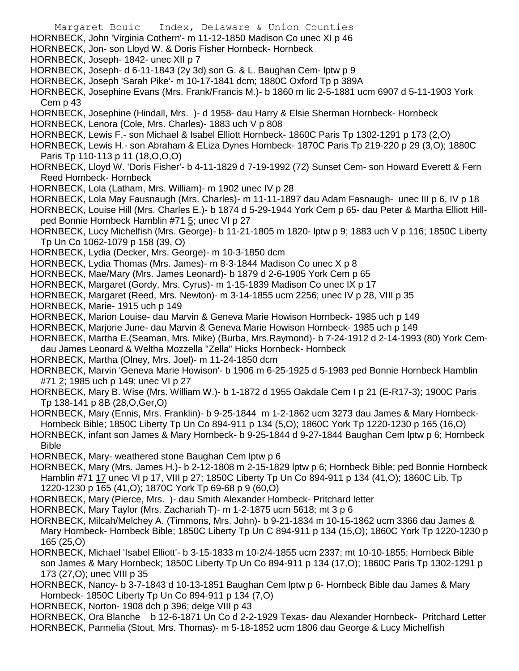- Margaret Bouic Index, Delaware & Union Counties HORNBECK, John 'Virginia Cothern'- m 11-12-1850 Madison Co unec XI p 46 HORNBECK, Jon- son Lloyd W. & Doris Fisher Hornbeck- Hornbeck HORNBECK, Joseph- 1842- unec XII p 7 HORNBECK, Joseph- d 6-11-1843 (2y 3d) son G. & L. Baughan Cem- lptw p 9 HORNBECK, Joseph 'Sarah Pike'- m 10-17-1841 dcm; 1880C Oxford Tp p 389A HORNBECK, Josephine Evans (Mrs. Frank/Francis M.)- b 1860 m lic 2-5-1881 ucm 6907 d 5-11-1903 York Cem p 43 HORNBECK, Josephine (Hindall, Mrs. )- d 1958- dau Harry & Elsie Sherman Hornbeck- Hornbeck HORNBECK, Lenora (Cole, Mrs. Charles)- 1883 uch V p 808 HORNBECK, Lewis F.- son Michael & Isabel Elliott Hornbeck- 1860C Paris Tp 1302-1291 p 173 (2,O) HORNBECK, Lewis H.- son Abraham & ELiza Dynes Hornbeck- 1870C Paris Tp 219-220 p 29 (3,O); 1880C Paris Tp 110-113 p 11 (18,O,O,O) HORNBECK, Lloyd W. 'Doris Fisher'- b 4-11-1829 d 7-19-1992 (72) Sunset Cem- son Howard Everett & Fern Reed Hornbeck- Hornbeck HORNBECK, Lola (Latham, Mrs. William)- m 1902 unec IV p 28 HORNBECK, Lola May Fausnaugh (Mrs. Charles)- m 11-11-1897 dau Adam Fasnaugh- unec III p 6, IV p 18 HORNBECK, Louise Hill (Mrs. Charles E.)- b 1874 d 5-29-1944 York Cem p 65- dau Peter & Martha Elliott Hillped Bonnie Hornbeck Hamblin #71 5; unec VI p 27 HORNBECK, Lucy Michelfish (Mrs. George)- b 11-21-1805 m 1820- lptw p 9; 1883 uch V p 116; 1850C Liberty Tp Un Co 1062-1079 p 158 (39, O) HORNBECK, Lydia (Decker, Mrs. George)- m 10-3-1850 dcm HORNBECK, Lydia Thomas (Mrs. James)- m 8-3-1844 Madison Co unec X p 8 HORNBECK, Mae/Mary (Mrs. James Leonard)- b 1879 d 2-6-1905 York Cem p 65 HORNBECK, Margaret (Gordy, Mrs. Cyrus)- m 1-15-1839 Madison Co unec IX p 17 HORNBECK, Margaret (Reed, Mrs. Newton)- m 3-14-1855 ucm 2256; unec IV p 28, VIII p 35 HORNBECK, Marie- 1915 uch p 149 HORNBECK, Marion Louise- dau Marvin & Geneva Marie Howison Hornbeck- 1985 uch p 149 HORNBECK, Marjorie June- dau Marvin & Geneva Marie Howison Hornbeck- 1985 uch p 149 HORNBECK, Martha E.(Seaman, Mrs. Mike) (Burba, Mrs.Raymond)- b 7-24-1912 d 2-14-1993 (80) York Cemdau James Leonard & Weltha Mozzella "Zella" Hicks Hornbeck- Hornbeck HORNBECK, Martha (Olney, Mrs. Joel)- m 11-24-1850 dcm HORNBECK, Marvin 'Geneva Marie Howison'- b 1906 m 6-25-1925 d 5-1983 ped Bonnie Hornbeck Hamblin #71 2; 1985 uch p 149; unec VI p 27 HORNBECK, Mary B. Wise (Mrs. William W.)- b 1-1872 d 1955 Oakdale Cem I p 21 (E-R17-3); 1900C Paris Tp 138-141 p 8B (28,O,Ger,O) HORNBECK, Mary (Ennis, Mrs. Franklin)- b 9-25-1844 m 1-2-1862 ucm 3273 dau James & Mary Hornbeck-Hornbeck Bible; 1850C Liberty Tp Un Co 894-911 p 134 (5,O); 1860C York Tp 1220-1230 p 165 (16,O) HORNBECK, infant son James & Mary Hornbeck- b 9-25-1844 d 9-27-1844 Baughan Cem lptw p 6; Hornbeck Bible HORNBECK, Mary- weathered stone Baughan Cem lptw p 6 HORNBECK, Mary (Mrs. James H.)- b 2-12-1808 m 2-15-1829 lptw p 6; Hornbeck Bible; ped Bonnie Hornbeck Hamblin #71 17 unec VI p 17, VIII p 27; 1850C Liberty Tp Un Co 894-911 p 134 (41,O); 1860C Lib. Tp 1220-1230 p 165 (41,O); 1870C York Tp 69-68 p 9 (60,O) HORNBECK, Mary (Pierce, Mrs. )- dau Smith Alexander Hornbeck- Pritchard letter HORNBECK, Mary Taylor (Mrs. Zachariah T)- m 1-2-1875 ucm 5618; mt 3 p 6 HORNBECK, Milcah/Melchey A. (Timmons, Mrs. John)- b 9-21-1834 m 10-15-1862 ucm 3366 dau James & Mary Hornbeck- Hornbeck Bible; 1850C Liberty Tp Un C 894-911 p 134 (15,O); 1860C York Tp 1220-1230 p 165 (25,O) HORNBECK, Michael 'Isabel Elliott'- b 3-15-1833 m 10-2/4-1855 ucm 2337; mt 10-10-1855; Hornbeck Bible son James & Mary Hornbeck; 1850C Liberty Tp Un Co 894-911 p 134 (17,O); 1860C Paris Tp 1302-1291 p
	- 173 (27,O); unec VIII p 35
- HORNBECK, Nancy- b 3-7-1843 d 10-13-1851 Baughan Cem lptw p 6- Hornbeck Bible dau James & Mary Hornbeck- 1850C Liberty Tp Un Co 894-911 p 134 (7,O)
- HORNBECK, Norton- 1908 dch p 396; delge VIII p 43

HORNBECK, Ora Blanche b 12-6-1871 Un Co d 2-2-1929 Texas- dau Alexander Hornbeck- Pritchard Letter HORNBECK, Parmelia (Stout, Mrs. Thomas)- m 5-18-1852 ucm 1806 dau George & Lucy Michelfish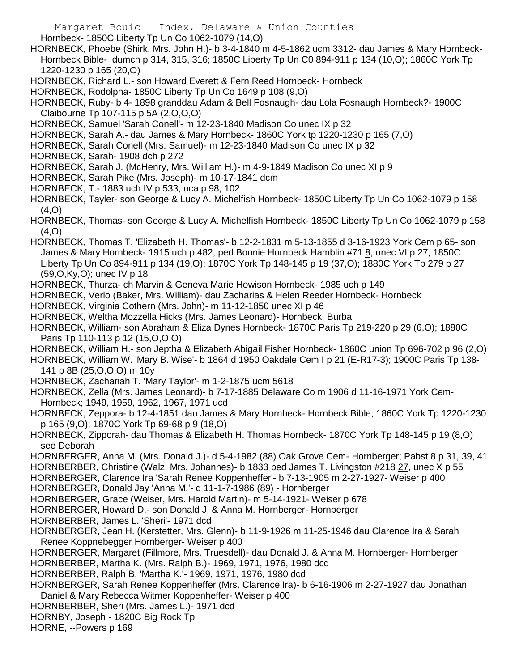Hornbeck- 1850C Liberty Tp Un Co 1062-1079 (14,O)

HORNBECK, Phoebe (Shirk, Mrs. John H.)- b 3-4-1840 m 4-5-1862 ucm 3312- dau James & Mary Hornbeck-Hornbeck Bible- dumch p 314, 315, 316; 1850C Liberty Tp Un C0 894-911 p 134 (10,O); 1860C York Tp 1220-1230 p 165 (20,O)

HORNBECK, Richard L.- son Howard Everett & Fern Reed Hornbeck- Hornbeck

HORNBECK, Rodolpha- 1850C Liberty Tp Un Co 1649 p 108 (9,O)

HORNBECK, Ruby- b 4- 1898 granddau Adam & Bell Fosnaugh- dau Lola Fosnaugh Hornbeck?- 1900C Claibourne Tp 107-115 p 5A (2,O,O,O)

HORNBECK, Samuel 'Sarah Conell'- m 12-23-1840 Madison Co unec IX p 32

HORNBECK, Sarah A.- dau James & Mary Hornbeck- 1860C York tp 1220-1230 p 165 (7,O)

HORNBECK, Sarah Conell (Mrs. Samuel)- m 12-23-1840 Madison Co unec IX p 32

HORNBECK, Sarah- 1908 dch p 272

HORNBECK, Sarah J. (McHenry, Mrs. William H.)- m 4-9-1849 Madison Co unec XI p 9

HORNBECK, Sarah Pike (Mrs. Joseph)- m 10-17-1841 dcm

HORNBECK, T.- 1883 uch IV p 533; uca p 98, 102

HORNBECK, Tayler- son George & Lucy A. Michelfish Hornbeck- 1850C Liberty Tp Un Co 1062-1079 p 158 (4,O)

HORNBECK, Thomas- son George & Lucy A. Michelfish Hornbeck- 1850C Liberty Tp Un Co 1062-1079 p 158 (4,O)

HORNBECK, Thomas T. 'Elizabeth H. Thomas'- b 12-2-1831 m 5-13-1855 d 3-16-1923 York Cem p 65- son James & Mary Hornbeck- 1915 uch p 482; ped Bonnie Hornbeck Hamblin #71 8, unec VI p 27; 1850C Liberty Tp Un Co 894-911 p 134 (19,O); 1870C York Tp 148-145 p 19 (37,O); 1880C York Tp 279 p 27 (59,O,Ky,O); unec IV p 18

HORNBECK, Thurza- ch Marvin & Geneva Marie Howison Hornbeck- 1985 uch p 149

HORNBECK, Verlo (Baker, Mrs. William)- dau Zacharias & Helen Reeder Hornbeck- Hornbeck

HORNBECK, Virginia Cothern (Mrs. John)- m 11-12-1850 unec XI p 46

HORNBECK, Weltha Mozzella Hicks (Mrs. James Leonard)- Hornbeck; Burba

HORNBECK, William- son Abraham & Eliza Dynes Hornbeck- 1870C Paris Tp 219-220 p 29 (6,O); 1880C Paris Tp 110-113 p 12 (15,O,O,O)

HORNBECK, William H.- son Jeptha & Elizabeth Abigail Fisher Hornbeck- 1860C union Tp 696-702 p 96 (2,O)

HORNBECK, William W. 'Mary B. Wise'- b 1864 d 1950 Oakdale Cem I p 21 (E-R17-3); 1900C Paris Tp 138- 141 p 8B (25,O,O,O) m 10y

HORNBECK, Zachariah T. 'Mary Taylor'- m 1-2-1875 ucm 5618

HORNBECK, Zella (Mrs. James Leonard)- b 7-17-1885 Delaware Co m 1906 d 11-16-1971 York Cem-Hornbeck; 1949, 1959, 1962, 1967, 1971 ucd

HORNBECK, Zeppora- b 12-4-1851 dau James & Mary Hornbeck- Hornbeck Bible; 1860C York Tp 1220-1230 p 165 (9,O); 1870C York Tp 69-68 p 9 (18,O)

HORNBECK, Zipporah- dau Thomas & Elizabeth H. Thomas Hornbeck- 1870C York Tp 148-145 p 19 (8,O) see Deborah

HORNBERGER, Anna M. (Mrs. Donald J.)- d 5-4-1982 (88) Oak Grove Cem- Hornberger; Pabst 8 p 31, 39, 41

HORNBERBER, Christine (Walz, Mrs. Johannes)- b 1833 ped James T. Livingston #218 27, unec X p 55

HORNBERGER, Clarence Ira 'Sarah Renee Koppenheffer'- b 7-13-1905 m 2-27-1927- Weiser p 400

HORNBERGER, Donald Jay 'Anna M.'- d 11-1-7-1986 (89) - Hornberger

HORNBERGER, Grace (Weiser, Mrs. Harold Martin)- m 5-14-1921- Weiser p 678

HORNBERGER, Howard D.- son Donald J. & Anna M. Hornberger- Hornberger

HORNBERBER, James L. 'Sheri'- 1971 dcd

HORNBERGER, Jean H. (Kerstetter, Mrs. Glenn)- b 11-9-1926 m 11-25-1946 dau Clarence Ira & Sarah Renee Koppnebegger Hornberger- Weiser p 400

HORNBERGER, Margaret (Fillmore, Mrs. Truesdell)- dau Donald J. & Anna M. Hornberger- Hornberger HORNBERBER, Martha K. (Mrs. Ralph B.)- 1969, 1971, 1976, 1980 dcd

HORNBERBER, Ralph B. 'Martha K.'- 1969, 1971, 1976, 1980 dcd

HORNBERGER, Sarah Renee Koppenheffer (Mrs. Clarence Ira)- b 6-16-1906 m 2-27-1927 dau Jonathan Daniel & Mary Rebecca Witmer Koppenheffer- Weiser p 400

HORNBERBER, Sheri (Mrs. James L.)- 1971 dcd

HORNBY, Joseph - 1820C Big Rock Tp

HORNE, --Powers p 169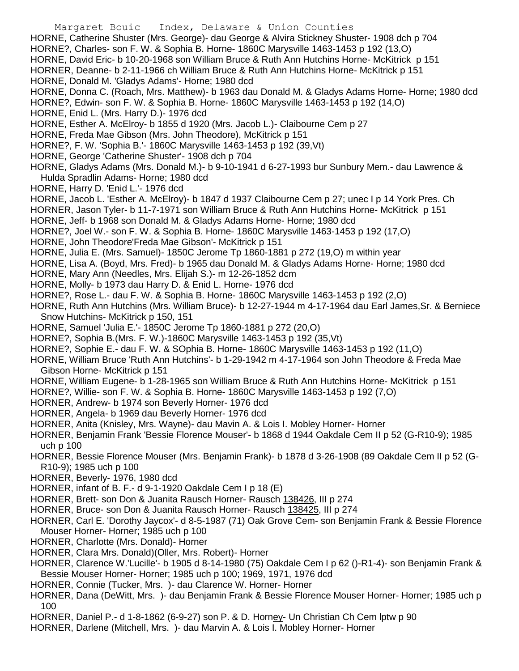- Margaret Bouic Index, Delaware & Union Counties HORNE, Catherine Shuster (Mrs. George)- dau George & Alvira Stickney Shuster- 1908 dch p 704 HORNE?, Charles- son F. W. & Sophia B. Horne- 1860C Marysville 1463-1453 p 192 (13,O) HORNE, David Eric- b 10-20-1968 son William Bruce & Ruth Ann Hutchins Horne- McKitrick p 151 HORNER, Deanne- b 2-11-1966 ch William Bruce & Ruth Ann Hutchins Horne- McKitrick p 151 HORNE, Donald M. 'Gladys Adams'- Horne; 1980 dcd HORNE, Donna C. (Roach, Mrs. Matthew)- b 1963 dau Donald M. & Gladys Adams Horne- Horne; 1980 dcd HORNE?, Edwin- son F. W. & Sophia B. Horne- 1860C Marysville 1463-1453 p 192 (14,O) HORNE, Enid L. (Mrs. Harry D.)- 1976 dcd HORNE, Esther A. McElroy- b 1855 d 1920 (Mrs. Jacob L.)- Claibourne Cem p 27 HORNE, Freda Mae Gibson (Mrs. John Theodore), McKitrick p 151 HORNE?, F. W. 'Sophia B.'- 1860C Marysville 1463-1453 p 192 (39,Vt) HORNE, George 'Catherine Shuster'- 1908 dch p 704 HORNE, Gladys Adams (Mrs. Donald M.)- b 9-10-1941 d 6-27-1993 bur Sunbury Mem.- dau Lawrence & Hulda Spradlin Adams- Horne; 1980 dcd HORNE, Harry D. 'Enid L.'- 1976 dcd HORNE, Jacob L. 'Esther A. McElroy)- b 1847 d 1937 Claibourne Cem p 27; unec I p 14 York Pres. Ch HORNER, Jason Tyler- b 11-7-1971 son William Bruce & Ruth Ann Hutchins Horne- McKitrick p 151 HORNE, Jeff- b 1968 son Donald M. & Gladys Adams Horne- Horne; 1980 dcd HORNE?, Joel W.- son F. W. & Sophia B. Horne- 1860C Marysville 1463-1453 p 192 (17,O) HORNE, John Theodore'Freda Mae Gibson'- McKitrick p 151
- HORNE, Julia E. (Mrs. Samuel)- 1850C Jerome Tp 1860-1881 p 272 (19,O) m within year
- HORNE, Lisa A. (Boyd, Mrs. Fred)- b 1965 dau Donald M. & Gladys Adams Horne- Horne; 1980 dcd
- HORNE, Mary Ann (Needles, Mrs. Elijah S.)- m 12-26-1852 dcm
- HORNE, Molly- b 1973 dau Harry D. & Enid L. Horne- 1976 dcd
- HORNE?, Rose L.- dau F. W. & Sophia B. Horne- 1860C Marysville 1463-1453 p 192 (2,O)
- HORNE, Ruth Ann Hutchins (Mrs. William Bruce)- b 12-27-1944 m 4-17-1964 dau Earl James,Sr. & Berniece Snow Hutchins- McKitrick p 150, 151
- HORNE, Samuel 'Julia E.'- 1850C Jerome Tp 1860-1881 p 272 (20,O)
- HORNE?, Sophia B.(Mrs. F. W.)-1860C Marysville 1463-1453 p 192 (35,Vt)
- HORNE?, Sophie E.- dau F. W. & SOphia B. Horne- 1860C Marysville 1463-1453 p 192 (11,O)
- HORNE, William Bruce 'Ruth Ann Hutchins'- b 1-29-1942 m 4-17-1964 son John Theodore & Freda Mae Gibson Horne- McKitrick p 151
- HORNE, William Eugene- b 1-28-1965 son William Bruce & Ruth Ann Hutchins Horne- McKitrick p 151
- HORNE?, Willie- son F. W. & Sophia B. Horne- 1860C Marysville 1463-1453 p 192 (7,O)
- HORNER, Andrew- b 1974 son Beverly Horner- 1976 dcd
- HORNER, Angela- b 1969 dau Beverly Horner- 1976 dcd
- HORNER, Anita (Knisley, Mrs. Wayne)- dau Mavin A. & Lois I. Mobley Horner- Horner
- HORNER, Benjamin Frank 'Bessie Florence Mouser'- b 1868 d 1944 Oakdale Cem II p 52 (G-R10-9); 1985 uch p 100
- HORNER, Bessie Florence Mouser (Mrs. Benjamin Frank)- b 1878 d 3-26-1908 (89 Oakdale Cem II p 52 (G-R10-9); 1985 uch p 100
- HORNER, Beverly- 1976, 1980 dcd
- HORNER, infant of B. F.- d 9-1-1920 Oakdale Cem I p 18 (E)
- HORNER, Brett- son Don & Juanita Rausch Horner- Rausch 138426, III p 274
- HORNER, Bruce- son Don & Juanita Rausch Horner- Rausch 138425, III p 274
- HORNER, Carl E. 'Dorothy Jaycox'- d 8-5-1987 (71) Oak Grove Cem- son Benjamin Frank & Bessie Florence Mouser Horner- Horner; 1985 uch p 100
- HORNER, Charlotte (Mrs. Donald)- Horner
- HORNER, Clara Mrs. Donald)(Oller, Mrs. Robert)- Horner
- HORNER, Clarence W.'Lucille'- b 1905 d 8-14-1980 (75) Oakdale Cem I p 62 ()-R1-4)- son Benjamin Frank & Bessie Mouser Horner- Horner; 1985 uch p 100; 1969, 1971, 1976 dcd
- HORNER, Connie (Tucker, Mrs. )- dau Clarence W. Horner- Horner
- HORNER, Dana (DeWitt, Mrs. )- dau Benjamin Frank & Bessie Florence Mouser Horner- Horner; 1985 uch p 100
- HORNER, Daniel P.- d 1-8-1862 (6-9-27) son P. & D. Horney- Un Christian Ch Cem lptw p 90
- HORNER, Darlene (Mitchell, Mrs. )- dau Marvin A. & Lois I. Mobley Horner- Horner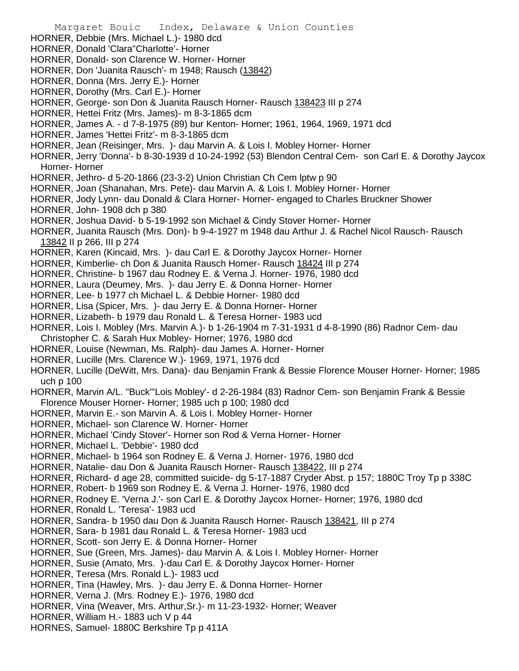Margaret Bouic Index, Delaware & Union Counties HORNER, Debbie (Mrs. Michael L.)- 1980 dcd HORNER, Donald 'Clara''Charlotte'- Horner HORNER, Donald- son Clarence W. Horner- Horner HORNER, Don 'Juanita Rausch'- m 1948; Rausch (13842) HORNER, Donna (Mrs. Jerry E.)- Horner HORNER, Dorothy (Mrs. Carl E.)- Horner HORNER, George- son Don & Juanita Rausch Horner- Rausch 138423 III p 274 HORNER, Hettei Fritz (Mrs. James)- m 8-3-1865 dcm HORNER, James A. - d 7-8-1975 (89) bur Kenton- Horner; 1961, 1964, 1969, 1971 dcd HORNER, James 'Hettei Fritz'- m 8-3-1865 dcm HORNER, Jean (Reisinger, Mrs. )- dau Marvin A. & Lois I. Mobley Horner- Horner HORNER, Jerry 'Donna'- b 8-30-1939 d 10-24-1992 (53) Blendon Central Cem- son Carl E. & Dorothy Jaycox Horner- Horner HORNER, Jethro- d 5-20-1866 (23-3-2) Union Christian Ch Cem lptw p 90 HORNER, Joan (Shanahan, Mrs. Pete)- dau Marvin A. & Lois I. Mobley Horner- Horner HORNER, Jody Lynn- dau Donald & Clara Horner- Horner- engaged to Charles Bruckner Shower HORNER, John- 1908 dch p 380 HORNER, Joshua David- b 5-19-1992 son Michael & Cindy Stover Horner- Horner HORNER, Juanita Rausch (Mrs. Don)- b 9-4-1927 m 1948 dau Arthur J. & Rachel Nicol Rausch- Rausch 13842 II p 266, III p 274 HORNER, Karen (Kincaid, Mrs. )- dau Carl E. & Dorothy Jaycox Horner- Horner HORNER, Kimberlie- ch Don & Juanita Rausch Horner- Rausch 18424 III p 274 HORNER, Christine- b 1967 dau Rodney E. & Verna J. Horner- 1976, 1980 dcd HORNER, Laura (Deumey, Mrs. )- dau Jerry E. & Donna Horner- Horner HORNER, Lee- b 1977 ch Michael L. & Debbie Horner- 1980 dcd HORNER, Lisa (Spicer, Mrs. )- dau Jerry E. & Donna Horner- Horner HORNER, Lizabeth- b 1979 dau Ronald L. & Teresa Horner- 1983 ucd HORNER, Lois I. Mobley (Mrs. Marvin A.)- b 1-26-1904 m 7-31-1931 d 4-8-1990 (86) Radnor Cem- dau Christopher C. & Sarah Hux Mobley- Horner; 1976, 1980 dcd HORNER, Louise (Newman, Ms. Ralph)- dau James A. Horner- Horner HORNER, Lucille (Mrs. Clarence W.)- 1969, 1971, 1976 dcd HORNER, Lucille (DeWitt, Mrs. Dana)- dau Benjamin Frank & Bessie Florence Mouser Horner- Horner; 1985 uch p 100 HORNER, Marvin A/L. "Buck"'Lois Mobley'- d 2-26-1984 (83) Radnor Cem- son Benjamin Frank & Bessie Florence Mouser Horner- Horner; 1985 uch p 100; 1980 dcd HORNER, Marvin E.- son Marvin A. & Lois I. Mobley Horner- Horner HORNER, Michael- son Clarence W. Horner- Horner HORNER, Michael 'Cindy Stover'- Horner son Rod & Verna Horner- Horner HORNER, Michael L. 'Debbie'- 1980 dcd HORNER, Michael- b 1964 son Rodney E. & Verna J. Horner- 1976, 1980 dcd HORNER, Natalie- dau Don & Juanita Rausch Horner- Rausch 138422, III p 274 HORNER, Richard- d age 28, committed suicide- dg 5-17-1887 Cryder Abst. p 157; 1880C Troy Tp p 338C HORNER, Robert- b 1969 son Rodney E. & Verna J. Horner- 1976, 1980 dcd HORNER, Rodney E. 'Verna J.'- son Carl E. & Dorothy Jaycox Horner- Horner; 1976, 1980 dcd HORNER, Ronald L. 'Teresa'- 1983 ucd HORNER, Sandra- b 1950 dau Don & Juanita Rausch Horner- Rausch 138421, III p 274 HORNER, Sara- b 1981 dau Ronald L. & Teresa Horner- 1983 ucd HORNER, Scott- son Jerry E. & Donna Horner- Horner HORNER, Sue (Green, Mrs. James)- dau Marvin A. & Lois I. Mobley Horner- Horner HORNER, Susie (Amato, Mrs. )-dau Carl E. & Dorothy Jaycox Horner- Horner HORNER, Teresa (Mrs. Ronald L.)- 1983 ucd HORNER, Tina (Hawley, Mrs. )- dau Jerry E. & Donna Horner- Horner HORNER, Verna J. (Mrs. Rodney E.)- 1976, 1980 dcd HORNER, Vina (Weaver, Mrs. Arthur,Sr.)- m 11-23-1932- Horner; Weaver HORNER, William H.- 1883 uch V p 44 HORNES, Samuel- 1880C Berkshire Tp p 411A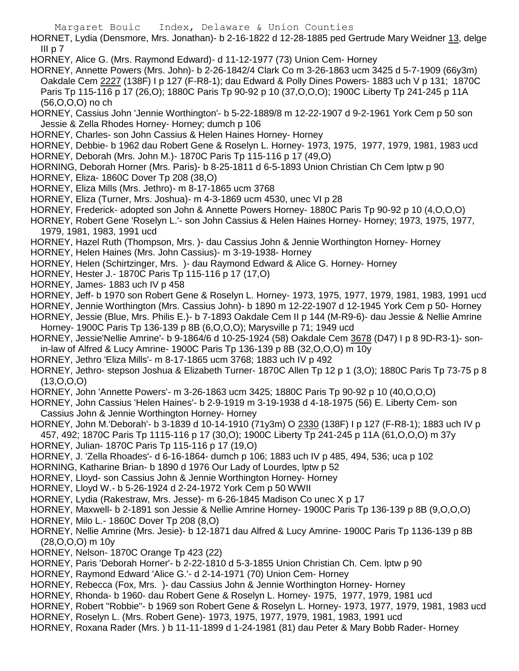- HORNET, Lydia (Densmore, Mrs. Jonathan)- b 2-16-1822 d 12-28-1885 ped Gertrude Mary Weidner 13, delge III p $\overline{7}$
- HORNEY, Alice G. (Mrs. Raymond Edward)- d 11-12-1977 (73) Union Cem- Horney
- HORNEY, Annette Powers (Mrs. John)- b 2-26-1842/4 Clark Co m 3-26-1863 ucm 3425 d 5-7-1909 (66y3m) Oakdale Cem 2227 (138F) I p 127 (F-R8-1); dau Edward & Polly Dines Powers- 1883 uch V p 131; 1870C Paris Tp 115-116 p 17 (26,O); 1880C Paris Tp 90-92 p 10 (37,O,O,O); 1900C Liberty Tp 241-245 p 11A (56,O,O,O) no ch
- HORNEY, Cassius John 'Jennie Worthington'- b 5-22-1889/8 m 12-22-1907 d 9-2-1961 York Cem p 50 son Jessie & Zella Rhodes Horney- Horney; dumch p 106
- HORNEY, Charles- son John Cassius & Helen Haines Horney- Horney
- HORNEY, Debbie- b 1962 dau Robert Gene & Roselyn L. Horney- 1973, 1975, 1977, 1979, 1981, 1983 ucd HORNEY, Deborah (Mrs. John M.)- 1870C Paris Tp 115-116 p 17 (49,O)
- HORNING, Deborah Horner (Mrs. Paris)- b 8-25-1811 d 6-5-1893 Union Christian Ch Cem lptw p 90
- HORNEY, Eliza- 1860C Dover Tp 208 (38,O)
- HORNEY, Eliza Mills (Mrs. Jethro)- m 8-17-1865 ucm 3768
- HORNEY, Eliza (Turner, Mrs. Joshua)- m 4-3-1869 ucm 4530, unec VI p 28
- HORNEY, Frederick- adopted son John & Annette Powers Horney- 1880C Paris Tp 90-92 p 10 (4,O,O,O)
- HORNEY, Robert Gene 'Roselyn L.'- son John Cassius & Helen Haines Horney- Horney; 1973, 1975, 1977, 1979, 1981, 1983, 1991 ucd
- HORNEY, Hazel Ruth (Thompson, Mrs. )- dau Cassius John & Jennie Worthington Horney- Horney
- HORNEY, Helen Haines (Mrs. John Cassius)- m 3-19-1938- Horney
- HORNEY, Helen (Schirtzinger, Mrs. )- dau Raymond Edward & Alice G. Horney- Horney
- HORNEY, Hester J.- 1870C Paris Tp 115-116 p 17 (17,O)
- HORNEY, James- 1883 uch IV p 458
- HORNEY, Jeff- b 1970 son Robert Gene & Roselyn L. Horney- 1973, 1975, 1977, 1979, 1981, 1983, 1991 ucd
- HORNEY, Jennie Worthington (Mrs. Cassius John)- b 1890 m 12-22-1907 d 12-1945 York Cem p 50- Horney
- HORNEY, Jessie (Blue, Mrs. Philis E.)- b 7-1893 Oakdale Cem II p 144 (M-R9-6)- dau Jessie & Nellie Amrine Horney- 1900C Paris Tp 136-139 p 8B (6,O,O,O); Marysville p 71; 1949 ucd
- HORNEY, Jessie'Nellie Amrine'- b 9-1864/6 d 10-25-1924 (58) Oakdale Cem 3678 (D47) I p 8 9D-R3-1)- sonin-law of Alfred & Lucy Amrine- 1900C Paris Tp 136-139 p 8B (32,O,O,O) m 10y
- HORNEY, Jethro 'Eliza Mills'- m 8-17-1865 ucm 3768; 1883 uch IV p 492
- HORNEY, Jethro- stepson Joshua & Elizabeth Turner- 1870C Allen Tp 12 p 1 (3,O); 1880C Paris Tp 73-75 p 8 (13,O,O,O)
- HORNEY, John 'Annette Powers'- m 3-26-1863 ucm 3425; 1880C Paris Tp 90-92 p 10 (40,O,O,O)
- HORNEY, John Cassius 'Helen Haines'- b 2-9-1919 m 3-19-1938 d 4-18-1975 (56) E. Liberty Cem- son Cassius John & Jennie Worthington Horney- Horney
- HORNEY, John M.'Deborah'- b 3-1839 d 10-14-1910 (71y3m) O 2330 (138F) I p 127 (F-R8-1); 1883 uch IV p 457, 492; 1870C Paris Tp 1115-116 p 17 (30,O); 1900C Liberty Tp 241-245 p 11A (61,O,O,O) m 37y
- HORNEY, Julian- 1870C Paris Tp 115-116 p 17 (19,O)
- HORNEY, J. 'Zella Rhoades'- d 6-16-1864- dumch p 106; 1883 uch IV p 485, 494, 536; uca p 102
- HORNING, Katharine Brian- b 1890 d 1976 Our Lady of Lourdes, lptw p 52
- HORNEY, Lloyd- son Cassius John & Jennie Worthington Horney- Horney
- HORNEY, Lloyd W.- b 5-26-1924 d 2-24-1972 York Cem p 50 WWII
- HORNEY, Lydia (Rakestraw, Mrs. Jesse)- m 6-26-1845 Madison Co unec X p 17
- HORNEY, Maxwell- b 2-1891 son Jessie & Nellie Amrine Horney- 1900C Paris Tp 136-139 p 8B (9,O,O,O)
- HORNEY, Milo L.- 1860C Dover Tp 208 (8,O)
- HORNEY, Nellie Amrine (Mrs. Jesie)- b 12-1871 dau Alfred & Lucy Amrine- 1900C Paris Tp 1136-139 p 8B (28,O,O,O) m 10y
- HORNEY, Nelson- 1870C Orange Tp 423 (22)
- HORNEY, Paris 'Deborah Horner'- b 2-22-1810 d 5-3-1855 Union Christian Ch. Cem. lptw p 90
- HORNEY, Raymond Edward 'Alice G.'- d 2-14-1971 (70) Union Cem- Horney
- HORNEY, Rebecca (Fox, Mrs. )- dau Cassius John & Jennie Worthington Horney- Horney
- HORNEY, Rhonda- b 1960- dau Robert Gene & Roselyn L. Horney- 1975, 1977, 1979, 1981 ucd
- HORNEY, Robert "Robbie"- b 1969 son Robert Gene & Roselyn L. Horney- 1973, 1977, 1979, 1981, 1983 ucd
- HORNEY, Roselyn L. (Mrs. Robert Gene)- 1973, 1975, 1977, 1979, 1981, 1983, 1991 ucd
- HORNEY, Roxana Rader (Mrs. ) b 11-11-1899 d 1-24-1981 (81) dau Peter & Mary Bobb Rader- Horney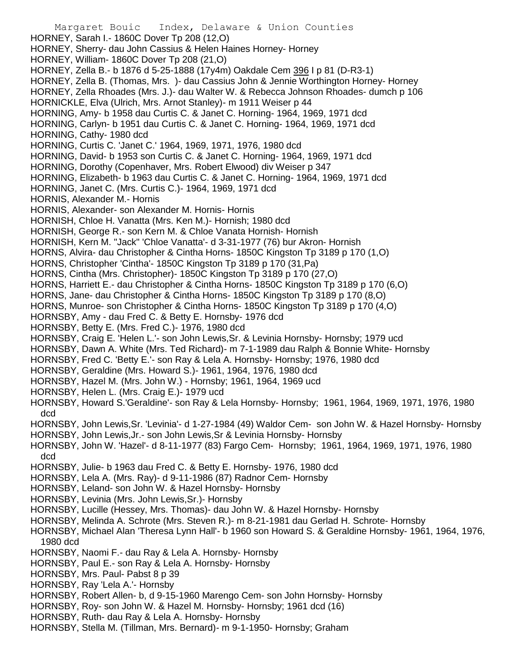Margaret Bouic Index, Delaware & Union Counties HORNEY, Sarah I.- 1860C Dover Tp 208 (12,O) HORNEY, Sherry- dau John Cassius & Helen Haines Horney- Horney HORNEY, William- 1860C Dover Tp 208 (21,O) HORNEY, Zella B.- b 1876 d 5-25-1888 (17y4m) Oakdale Cem 396 I p 81 (D-R3-1) HORNEY, Zella B. (Thomas, Mrs. )- dau Cassius John & Jennie Worthington Horney- Horney HORNEY, Zella Rhoades (Mrs. J.)- dau Walter W. & Rebecca Johnson Rhoades- dumch p 106 HORNICKLE, Elva (Ulrich, Mrs. Arnot Stanley)- m 1911 Weiser p 44 HORNING, Amy- b 1958 dau Curtis C. & Janet C. Horning- 1964, 1969, 1971 dcd HORNING, Carlyn- b 1951 dau Curtis C. & Janet C. Horning- 1964, 1969, 1971 dcd HORNING, Cathy- 1980 dcd HORNING, Curtis C. 'Janet C.' 1964, 1969, 1971, 1976, 1980 dcd HORNING, David- b 1953 son Curtis C. & Janet C. Horning- 1964, 1969, 1971 dcd HORNING, Dorothy (Copenhaver, Mrs. Robert Elwood) div Weiser p 347 HORNING, Elizabeth- b 1963 dau Curtis C. & Janet C. Horning- 1964, 1969, 1971 dcd HORNING, Janet C. (Mrs. Curtis C.)- 1964, 1969, 1971 dcd HORNIS, Alexander M.- Hornis HORNIS, Alexander- son Alexander M. Hornis- Hornis HORNISH, Chloe H. Vanatta (Mrs. Ken M.)- Hornish; 1980 dcd HORNISH, George R.- son Kern M. & Chloe Vanata Hornish- Hornish HORNISH, Kern M. "Jack" 'Chloe Vanatta'- d 3-31-1977 (76) bur Akron- Hornish HORNS, Alvira- dau Christopher & Cintha Horns- 1850C Kingston Tp 3189 p 170 (1,O) HORNS, Christopher 'Cintha'- 1850C Kingston Tp 3189 p 170 (31,Pa) HORNS, Cintha (Mrs. Christopher)- 1850C Kingston Tp 3189 p 170 (27,O) HORNS, Harriett E.- dau Christopher & Cintha Horns- 1850C Kingston Tp 3189 p 170 (6,O) HORNS, Jane- dau Christopher & Cintha Horns- 1850C Kingston Tp 3189 p 170 (8,O) HORNS, Munroe- son Christopher & Cintha Horns- 1850C Kingston Tp 3189 p 170 (4,O) HORNSBY, Amy - dau Fred C. & Betty E. Hornsby- 1976 dcd HORNSBY, Betty E. (Mrs. Fred C.)- 1976, 1980 dcd HORNSBY, Craig E. 'Helen L.'- son John Lewis,Sr. & Levinia Hornsby- Hornsby; 1979 ucd HORNSBY, Dawn A. White (Mrs. Ted Richard)- m 7-1-1989 dau Ralph & Bonnie White- Hornsby HORNSBY, Fred C. 'Betty E.'- son Ray & Lela A. Hornsby- Hornsby; 1976, 1980 dcd HORNSBY, Geraldine (Mrs. Howard S.)- 1961, 1964, 1976, 1980 dcd HORNSBY, Hazel M. (Mrs. John W.) - Hornsby; 1961, 1964, 1969 ucd HORNSBY, Helen L. (Mrs. Craig E.)- 1979 ucd HORNSBY, Howard S.'Geraldine'- son Ray & Lela Hornsby- Hornsby; 1961, 1964, 1969, 1971, 1976, 1980 dcd HORNSBY, John Lewis,Sr. 'Levinia'- d 1-27-1984 (49) Waldor Cem- son John W. & Hazel Hornsby- Hornsby HORNSBY, John Lewis,Jr.- son John Lewis,Sr & Levinia Hornsby- Hornsby HORNSBY, John W. 'Hazel'- d 8-11-1977 (83) Fargo Cem- Hornsby; 1961, 1964, 1969, 1971, 1976, 1980 dcd HORNSBY, Julie- b 1963 dau Fred C. & Betty E. Hornsby- 1976, 1980 dcd HORNSBY, Lela A. (Mrs. Ray)- d 9-11-1986 (87) Radnor Cem- Hornsby HORNSBY, Leland- son John W. & Hazel Hornsby- Hornsby HORNSBY, Levinia (Mrs. John Lewis,Sr.)- Hornsby HORNSBY, Lucille (Hessey, Mrs. Thomas)- dau John W. & Hazel Hornsby- Hornsby HORNSBY, Melinda A. Schrote (Mrs. Steven R.)- m 8-21-1981 dau Gerlad H. Schrote- Hornsby HORNSBY, Michael Alan 'Theresa Lynn Hall'- b 1960 son Howard S. & Geraldine Hornsby- 1961, 1964, 1976, 1980 dcd HORNSBY, Naomi F.- dau Ray & Lela A. Hornsby- Hornsby HORNSBY, Paul E.- son Ray & Lela A. Hornsby- Hornsby HORNSBY, Mrs. Paul- Pabst 8 p 39 HORNSBY, Ray 'Lela A.'- Hornsby HORNSBY, Robert Allen- b, d 9-15-1960 Marengo Cem- son John Hornsby- Hornsby HORNSBY, Roy- son John W. & Hazel M. Hornsby- Hornsby; 1961 dcd (16) HORNSBY, Ruth- dau Ray & Lela A. Hornsby- Hornsby HORNSBY, Stella M. (Tillman, Mrs. Bernard)- m 9-1-1950- Hornsby; Graham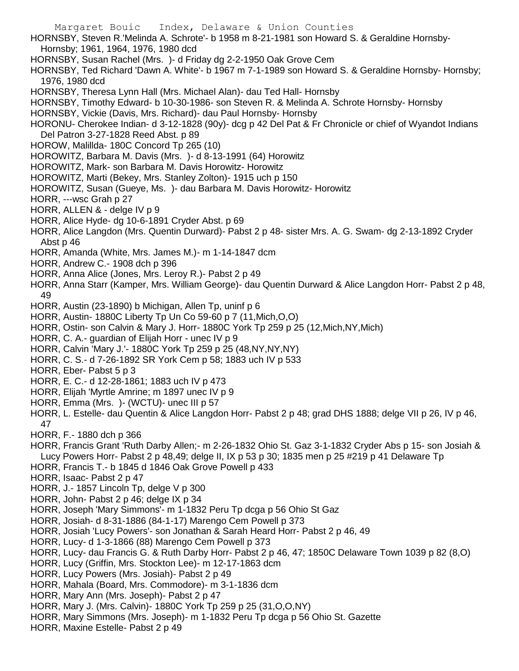- HORNSBY, Steven R.'Melinda A. Schrote'- b 1958 m 8-21-1981 son Howard S. & Geraldine Hornsby-Hornsby; 1961, 1964, 1976, 1980 dcd
- HORNSBY, Susan Rachel (Mrs. )- d Friday dg 2-2-1950 Oak Grove Cem
- HORNSBY, Ted Richard 'Dawn A. White'- b 1967 m 7-1-1989 son Howard S. & Geraldine Hornsby- Hornsby; 1976, 1980 dcd
- HORNSBY, Theresa Lynn Hall (Mrs. Michael Alan)- dau Ted Hall- Hornsby
- HORNSBY, Timothy Edward- b 10-30-1986- son Steven R. & Melinda A. Schrote Hornsby- Hornsby
- HORNSBY, Vickie (Davis, Mrs. Richard)- dau Paul Hornsby- Hornsby
- HORONU- Cherokee Indian- d 3-12-1828 (90y)- dcg p 42 Del Pat & Fr Chronicle or chief of Wyandot Indians Del Patron 3-27-1828 Reed Abst. p 89
- HOROW, Malillda- 180C Concord Tp 265 (10)
- HOROWITZ, Barbara M. Davis (Mrs. )- d 8-13-1991 (64) Horowitz
- HOROWITZ, Mark- son Barbara M. Davis Horowitz- Horowitz
- HOROWITZ, Marti (Bekey, Mrs. Stanley Zolton)- 1915 uch p 150
- HOROWITZ, Susan (Gueye, Ms. )- dau Barbara M. Davis Horowitz- Horowitz
- HORR, ---wsc Grah p 27
- HORR, ALLEN & delge IV p 9
- HORR, Alice Hyde- dg 10-6-1891 Cryder Abst. p 69
- HORR, Alice Langdon (Mrs. Quentin Durward)- Pabst 2 p 48- sister Mrs. A. G. Swam- dg 2-13-1892 Cryder Abst p 46
- HORR, Amanda (White, Mrs. James M.)- m 1-14-1847 dcm
- HORR, Andrew C.- 1908 dch p 396
- HORR, Anna Alice (Jones, Mrs. Leroy R.)- Pabst 2 p 49
- HORR, Anna Starr (Kamper, Mrs. William George)- dau Quentin Durward & Alice Langdon Horr- Pabst 2 p 48, 49
- HORR, Austin (23-1890) b Michigan, Allen Tp, uninf p 6
- HORR, Austin- 1880C Liberty Tp Un Co 59-60 p 7 (11,Mich,O,O)
- HORR, Ostin- son Calvin & Mary J. Horr- 1880C York Tp 259 p 25 (12,Mich,NY,Mich)
- HORR, C. A.- guardian of Elijah Horr unec IV p 9
- HORR, Calvin 'Mary J.'- 1880C York Tp 259 p 25 (48,NY,NY,NY)
- HORR, C. S.- d 7-26-1892 SR York Cem p 58; 1883 uch IV p 533
- HORR, Eber- Pabst 5 p 3
- HORR, E. C.- d 12-28-1861; 1883 uch IV p 473
- HORR, Elijah 'Myrtle Amrine; m 1897 unec IV p 9
- HORR, Emma (Mrs. )- (WCTU)- unec III p 57
- HORR, L. Estelle- dau Quentin & Alice Langdon Horr- Pabst 2 p 48; grad DHS 1888; delge VII p 26, IV p 46, 47
- HORR, F.- 1880 dch p 366
- HORR, Francis Grant 'Ruth Darby Allen;- m 2-26-1832 Ohio St. Gaz 3-1-1832 Cryder Abs p 15- son Josiah & Lucy Powers Horr- Pabst 2 p 48,49; delge II, IX p 53 p 30; 1835 men p 25 #219 p 41 Delaware Tp
- HORR, Francis T.- b 1845 d 1846 Oak Grove Powell p 433
- HORR, Isaac- Pabst 2 p 47
- HORR, J.- 1857 Lincoln Tp, delge V p 300
- HORR, John- Pabst 2 p 46; delge IX p 34
- HORR, Joseph 'Mary Simmons'- m 1-1832 Peru Tp dcga p 56 Ohio St Gaz
- HORR, Josiah- d 8-31-1886 (84-1-17) Marengo Cem Powell p 373
- HORR, Josiah 'Lucy Powers'- son Jonathan & Sarah Heard Horr- Pabst 2 p 46, 49
- HORR, Lucy- d 1-3-1866 (88) Marengo Cem Powell p 373
- HORR, Lucy- dau Francis G. & Ruth Darby Horr- Pabst 2 p 46, 47; 1850C Delaware Town 1039 p 82 (8,O)
- HORR, Lucy (Griffin, Mrs. Stockton Lee)- m 12-17-1863 dcm
- HORR, Lucy Powers (Mrs. Josiah)- Pabst 2 p 49
- HORR, Mahala (Board, Mrs. Commodore)- m 3-1-1836 dcm
- HORR, Mary Ann (Mrs. Joseph)- Pabst 2 p 47
- HORR, Mary J. (Mrs. Calvin)- 1880C York Tp 259 p 25 (31,O,O,NY)
- HORR, Mary Simmons (Mrs. Joseph)- m 1-1832 Peru Tp dcga p 56 Ohio St. Gazette
- HORR, Maxine Estelle- Pabst 2 p 49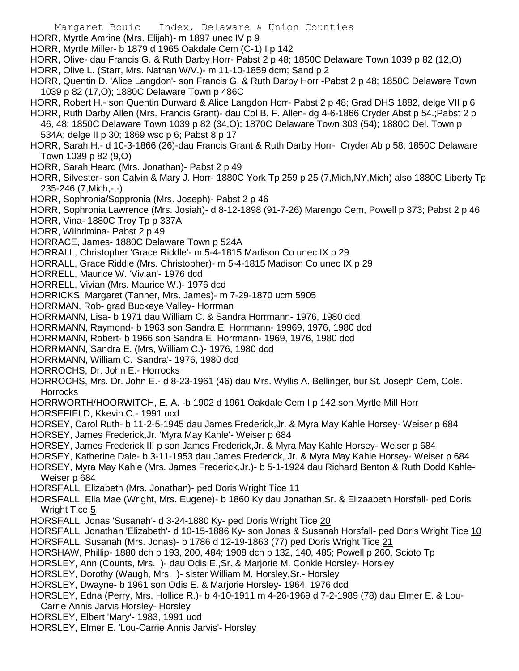- Margaret Bouic Index, Delaware & Union Counties
- HORR, Myrtle Amrine (Mrs. Elijah)- m 1897 unec IV p 9
- HORR, Myrtle Miller- b 1879 d 1965 Oakdale Cem (C-1) I p 142
- HORR, Olive- dau Francis G. & Ruth Darby Horr- Pabst 2 p 48; 1850C Delaware Town 1039 p 82 (12,O)
- HORR, Olive L. (Starr, Mrs. Nathan W/V.)- m 11-10-1859 dcm; Sand p 2
- HORR, Quentin D. 'Alice Langdon'- son Francis G. & Ruth Darby Horr -Pabst 2 p 48; 1850C Delaware Town 1039 p 82 (17,O); 1880C Delaware Town p 486C
- HORR, Robert H.- son Quentin Durward & Alice Langdon Horr- Pabst 2 p 48; Grad DHS 1882, delge VII p 6
- HORR, Ruth Darby Allen (Mrs. Francis Grant)- dau Col B. F. Allen- dg 4-6-1866 Cryder Abst p 54.;Pabst 2 p 46, 48; 1850C Delaware Town 1039 p 82 (34,O); 1870C Delaware Town 303 (54); 1880C Del. Town p 534A; delge II p 30; 1869 wsc p 6; Pabst 8 p 17
- HORR, Sarah H.- d 10-3-1866 (26)-dau Francis Grant & Ruth Darby Horr- Cryder Ab p 58; 1850C Delaware Town 1039 p 82 (9,O)
- HORR, Sarah Heard (Mrs. Jonathan)- Pabst 2 p 49
- HORR, Silvester- son Calvin & Mary J. Horr- 1880C York Tp 259 p 25 (7,Mich,NY,Mich) also 1880C Liberty Tp 235-246 (7,Mich,-,-)
- HORR, Sophronia/Soppronia (Mrs. Joseph)- Pabst 2 p 46
- HORR, Sophronia Lawrence (Mrs. Josiah)- d 8-12-1898 (91-7-26) Marengo Cem, Powell p 373; Pabst 2 p 46
- HORR, Vina- 1880C Troy Tp p 337A
- HORR, Wilhrlmina- Pabst 2 p 49
- HORRACE, James- 1880C Delaware Town p 524A
- HORRALL, Christopher 'Grace Riddle'- m 5-4-1815 Madison Co unec IX p 29
- HORRALL, Grace Riddle (Mrs. Christopher)- m 5-4-1815 Madison Co unec IX p 29
- HORRELL, Maurice W. 'Vivian'- 1976 dcd
- HORRELL, Vivian (Mrs. Maurice W.)- 1976 dcd
- HORRICKS, Margaret (Tanner, Mrs. James)- m 7-29-1870 ucm 5905
- HORRMAN, Rob- grad Buckeye Valley- Horrman
- HORRMANN, Lisa- b 1971 dau William C. & Sandra Horrmann- 1976, 1980 dcd
- HORRMANN, Raymond- b 1963 son Sandra E. Horrmann- 19969, 1976, 1980 dcd
- HORRMANN, Robert- b 1966 son Sandra E. Horrmann- 1969, 1976, 1980 dcd
- HORRMANN, Sandra E. (Mrs, William C.)- 1976, 1980 dcd
- HORRMANN, William C. 'Sandra'- 1976, 1980 dcd
- HORROCHS, Dr. John E.- Horrocks
- HORROCHS, Mrs. Dr. John E.- d 8-23-1961 (46) dau Mrs. Wyllis A. Bellinger, bur St. Joseph Cem, Cols. **Horrocks**
- HORRWORTH/HOORWITCH, E. A. -b 1902 d 1961 Oakdale Cem I p 142 son Myrtle Mill Horr
- HORSEFIELD, Kkevin C.- 1991 ucd
- HORSEY, Carol Ruth- b 11-2-5-1945 dau James Frederick,Jr. & Myra May Kahle Horsey- Weiser p 684
- HORSEY, James Frederick,Jr. 'Myra May Kahle'- Weiser p 684
- HORSEY, James Frederick III p son James Frederick,Jr. & Myra May Kahle Horsey- Weiser p 684
- HORSEY, Katherine Dale- b 3-11-1953 dau James Frederick, Jr. & Myra May Kahle Horsey- Weiser p 684
- HORSEY, Myra May Kahle (Mrs. James Frederick,Jr.)- b 5-1-1924 dau Richard Benton & Ruth Dodd Kahle-Weiser p 684
- HORSFALL, Elizabeth (Mrs. Jonathan)- ped Doris Wright Tice 11
- HORSFALL, Ella Mae (Wright, Mrs. Eugene)- b 1860 Ky dau Jonathan,Sr. & Elizaabeth Horsfall- ped Doris Wright Tice 5
- HORSFALL, Jonas 'Susanah'- d 3-24-1880 Ky- ped Doris Wright Tice 20
- HORSFALL, Jonathan 'Elizabeth'- d 10-15-1886 Ky- son Jonas & Susanah Horsfall- ped Doris Wright Tice 10
- HORSFALL, Susanah (Mrs. Jonas)- b 1786 d 12-19-1863 (77) ped Doris Wright Tice 21
- HORSHAW, Phillip- 1880 dch p 193, 200, 484; 1908 dch p 132, 140, 485; Powell p 260, Scioto Tp
- HORSLEY, Ann (Counts, Mrs. )- dau Odis E.,Sr. & Marjorie M. Conkle Horsley- Horsley
- HORSLEY, Dorothy (Waugh, Mrs.) sister William M. Horsley, Sr.- Horsley
- HORSLEY, Dwayne- b 1961 son Odis E. & Marjorie Horsley- 1964, 1976 dcd
- HORSLEY, Edna (Perry, Mrs. Hollice R.)- b 4-10-1911 m 4-26-1969 d 7-2-1989 (78) dau Elmer E. & Lou-Carrie Annis Jarvis Horsley- Horsley
- HORSLEY, Elbert 'Mary'- 1983, 1991 ucd
- HORSLEY, Elmer E. 'Lou-Carrie Annis Jarvis'- Horsley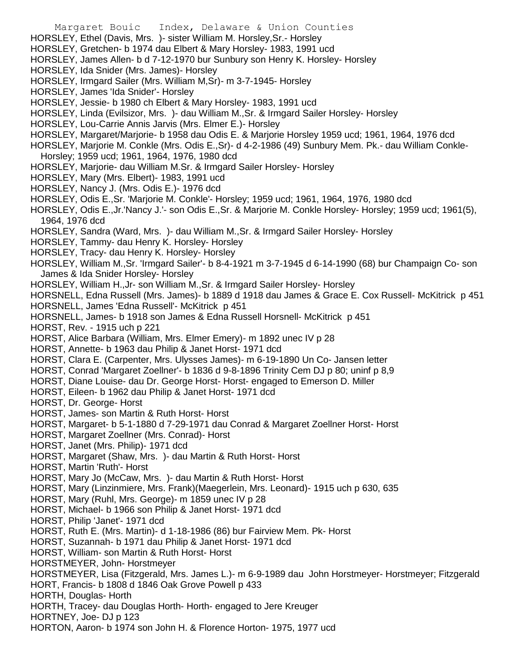Margaret Bouic Index, Delaware & Union Counties HORSLEY, Ethel (Davis, Mrs. )- sister William M. Horsley,Sr.- Horsley HORSLEY, Gretchen- b 1974 dau Elbert & Mary Horsley- 1983, 1991 ucd HORSLEY, James Allen- b d 7-12-1970 bur Sunbury son Henry K. Horsley- Horsley HORSLEY, Ida Snider (Mrs. James)- Horsley HORSLEY, Irmgard Sailer (Mrs. William M,Sr)- m 3-7-1945- Horsley HORSLEY, James 'Ida Snider'- Horsley HORSLEY, Jessie- b 1980 ch Elbert & Mary Horsley- 1983, 1991 ucd HORSLEY, Linda (Evilsizor, Mrs. )- dau William M.,Sr. & Irmgard Sailer Horsley- Horsley HORSLEY, Lou-Carrie Annis Jarvis (Mrs. Elmer E.)- Horsley HORSLEY, Margaret/Marjorie- b 1958 dau Odis E. & Marjorie Horsley 1959 ucd; 1961, 1964, 1976 dcd HORSLEY, Marjorie M. Conkle (Mrs. Odis E.,Sr)- d 4-2-1986 (49) Sunbury Mem. Pk.- dau William Conkle-Horsley; 1959 ucd; 1961, 1964, 1976, 1980 dcd HORSLEY, Marjorie- dau William M.Sr. & Irmgard Sailer Horsley- Horsley HORSLEY, Mary (Mrs. Elbert)- 1983, 1991 ucd HORSLEY, Nancy J. (Mrs. Odis E.)- 1976 dcd HORSLEY, Odis E.,Sr. 'Marjorie M. Conkle'- Horsley; 1959 ucd; 1961, 1964, 1976, 1980 dcd HORSLEY, Odis E.,Jr.'Nancy J.'- son Odis E.,Sr. & Marjorie M. Conkle Horsley- Horsley; 1959 ucd; 1961(5), 1964, 1976 dcd HORSLEY, Sandra (Ward, Mrs. )- dau William M.,Sr. & Irmgard Sailer Horsley- Horsley HORSLEY, Tammy- dau Henry K. Horsley- Horsley HORSLEY, Tracy- dau Henry K. Horsley- Horsley HORSLEY, William M.,Sr. 'Irmgard Sailer'- b 8-4-1921 m 3-7-1945 d 6-14-1990 (68) bur Champaign Co- son James & Ida Snider Horsley- Horsley HORSLEY, William H.,Jr- son William M.,Sr. & Irmgard Sailer Horsley- Horsley HORSNELL, Edna Russell (Mrs. James)- b 1889 d 1918 dau James & Grace E. Cox Russell- McKitrick p 451 HORSNELL, James 'Edna Russell'- McKitrick p 451 HORSNELL, James- b 1918 son James & Edna Russell Horsnell- McKitrick p 451 HORST, Rev. - 1915 uch p 221 HORST, Alice Barbara (William, Mrs. Elmer Emery)- m 1892 unec IV p 28 HORST, Annette- b 1963 dau Philip & Janet Horst- 1971 dcd HORST, Clara E. (Carpenter, Mrs. Ulysses James)- m 6-19-1890 Un Co- Jansen letter HORST, Conrad 'Margaret Zoellner'- b 1836 d 9-8-1896 Trinity Cem DJ p 80; uninf p 8,9 HORST, Diane Louise- dau Dr. George Horst- Horst- engaged to Emerson D. Miller HORST, Eileen- b 1962 dau Philip & Janet Horst- 1971 dcd HORST, Dr. George- Horst HORST, James- son Martin & Ruth Horst- Horst HORST, Margaret- b 5-1-1880 d 7-29-1971 dau Conrad & Margaret Zoellner Horst- Horst HORST, Margaret Zoellner (Mrs. Conrad)- Horst HORST, Janet (Mrs. Philip)- 1971 dcd HORST, Margaret (Shaw, Mrs. )- dau Martin & Ruth Horst- Horst HORST, Martin 'Ruth'- Horst HORST, Mary Jo (McCaw, Mrs. )- dau Martin & Ruth Horst- Horst HORST, Mary (Linzinmiere, Mrs. Frank)(Maegerlein, Mrs. Leonard)- 1915 uch p 630, 635 HORST, Mary (Ruhl, Mrs. George)- m 1859 unec IV p 28 HORST, Michael- b 1966 son Philip & Janet Horst- 1971 dcd HORST, Philip 'Janet'- 1971 dcd HORST, Ruth E. (Mrs. Martin)- d 1-18-1986 (86) bur Fairview Mem. Pk- Horst HORST, Suzannah- b 1971 dau Philip & Janet Horst- 1971 dcd HORST, William- son Martin & Ruth Horst- Horst HORSTMEYER, John- Horstmeyer HORSTMEYER, Lisa (Fitzgerald, Mrs. James L.)- m 6-9-1989 dau John Horstmeyer- Horstmeyer; Fitzgerald HORT, Francis- b 1808 d 1846 Oak Grove Powell p 433 HORTH, Douglas- Horth HORTH, Tracey- dau Douglas Horth- Horth- engaged to Jere Kreuger HORTNEY, Joe- DJ p 123

HORTON, Aaron- b 1974 son John H. & Florence Horton- 1975, 1977 ucd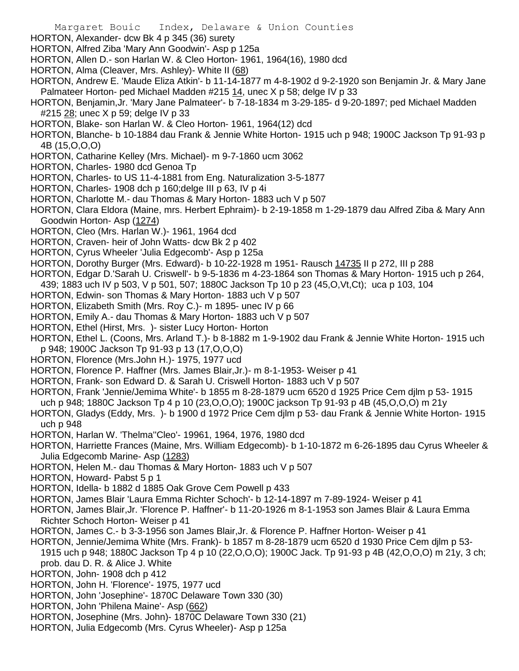- Margaret Bouic Index, Delaware & Union Counties
- HORTON, Alexander- dcw Bk 4 p 345 (36) surety
- HORTON, Alfred Ziba 'Mary Ann Goodwin'- Asp p 125a
- HORTON, Allen D.- son Harlan W. & Cleo Horton- 1961, 1964(16), 1980 dcd
- HORTON, Alma (Cleaver, Mrs. Ashley)- White II (68)
- HORTON, Andrew E. 'Maude Eliza Atkin'- b 11-14-1877 m 4-8-1902 d 9-2-1920 son Benjamin Jr. & Mary Jane Palmateer Horton- ped Michael Madden #215 14, unec X p 58; delge IV p 33
- HORTON, Benjamin,Jr. 'Mary Jane Palmateer'- b 7-18-1834 m 3-29-185- d 9-20-1897; ped Michael Madden #215 28; unec X p 59; delge IV p 33
- HORTON, Blake- son Harlan W. & Cleo Horton- 1961, 1964(12) dcd
- HORTON, Blanche- b 10-1884 dau Frank & Jennie White Horton- 1915 uch p 948; 1900C Jackson Tp 91-93 p 4B (15,O,O,O)
- HORTON, Catharine Kelley (Mrs. Michael)- m 9-7-1860 ucm 3062
- HORTON, Charles- 1980 dcd Genoa Tp
- HORTON, Charles- to US 11-4-1881 from Eng. Naturalization 3-5-1877
- HORTON, Charles- 1908 dch p 160;delge III p 63, IV p 4i
- HORTON, Charlotte M.- dau Thomas & Mary Horton- 1883 uch V p 507
- HORTON, Clara Eldora (Maine, mrs. Herbert Ephraim)- b 2-19-1858 m 1-29-1879 dau Alfred Ziba & Mary Ann Goodwin Horton- Asp (1274)
- HORTON, Cleo (Mrs. Harlan W.)- 1961, 1964 dcd
- HORTON, Craven- heir of John Watts- dcw Bk 2 p 402
- HORTON, Cyrus Wheeler 'Julia Edgecomb'- Asp p 125a
- HORTON, Dorothy Burger (Mrs. Edward)- b 10-22-1928 m 1951- Rausch 14735 II p 272, III p 288
- HORTON, Edgar D.'Sarah U. Criswell'- b 9-5-1836 m 4-23-1864 son Thomas & Mary Horton- 1915 uch p 264,
- 439; 1883 uch IV p 503, V p 501, 507; 1880C Jackson Tp 10 p 23 (45,O,Vt,Ct); uca p 103, 104
- HORTON, Edwin- son Thomas & Mary Horton- 1883 uch V p 507
- HORTON, Elizabeth Smith (Mrs. Roy C.)- m 1895- unec IV p 66
- HORTON, Emily A.- dau Thomas & Mary Horton- 1883 uch V p 507
- HORTON, Ethel (Hirst, Mrs. )- sister Lucy Horton- Horton
- HORTON, Ethel L. (Coons, Mrs. Arland T.)- b 8-1882 m 1-9-1902 dau Frank & Jennie White Horton- 1915 uch p 948; 1900C Jackson Tp 91-93 p 13 (17,O,O,O)
- HORTON, Florence (Mrs.John H.)- 1975, 1977 ucd
- HORTON, Florence P. Haffner (Mrs. James Blair,Jr.)- m 8-1-1953- Weiser p 41
- HORTON, Frank- son Edward D. & Sarah U. Criswell Horton- 1883 uch V p 507
- HORTON, Frank 'Jennie/Jemima White'- b 1855 m 8-28-1879 ucm 6520 d 1925 Price Cem djlm p 53- 1915 uch p 948; 1880C Jackson Tp 4 p 10 (23,O,O,O); 1900C jackson Tp 91-93 p 4B (45,O,O,O) m 21y
- HORTON, Gladys (Eddy, Mrs. )- b 1900 d 1972 Price Cem djlm p 53- dau Frank & Jennie White Horton- 1915
- uch p 948 HORTON, Harlan W. 'Thelma''Cleo'- 19961, 1964, 1976, 1980 dcd
- HORTON, Harriette Frances (Maine, Mrs. William Edgecomb)- b 1-10-1872 m 6-26-1895 dau Cyrus Wheeler & Julia Edgecomb Marine- Asp (1283)
- HORTON, Helen M.- dau Thomas & Mary Horton- 1883 uch V p 507
- HORTON, Howard- Pabst 5 p 1
- HORTON, Idella- b 1882 d 1885 Oak Grove Cem Powell p 433
- HORTON, James Blair 'Laura Emma Richter Schoch'- b 12-14-1897 m 7-89-1924- Weiser p 41
- HORTON, James Blair,Jr. 'Florence P. Haffner'- b 11-20-1926 m 8-1-1953 son James Blair & Laura Emma Richter Schoch Horton- Weiser p 41
- HORTON, James C.- b 3-3-1956 son James Blair,Jr. & Florence P. Haffner Horton- Weiser p 41
- HORTON, Jennie/Jemima White (Mrs. Frank)- b 1857 m 8-28-1879 ucm 6520 d 1930 Price Cem djlm p 53- 1915 uch p 948; 1880C Jackson Tp 4 p 10 (22,O,O,O); 1900C Jack. Tp 91-93 p 4B (42,O,O,O) m 21y, 3 ch;
- prob. dau D. R. & Alice J. White
- HORTON, John- 1908 dch p 412
- HORTON, John H. 'Florence'- 1975, 1977 ucd
- HORTON, John 'Josephine'- 1870C Delaware Town 330 (30)
- HORTON, John 'Philena Maine'- Asp (662)
- HORTON, Josephine (Mrs. John)- 1870C Delaware Town 330 (21)
- HORTON, Julia Edgecomb (Mrs. Cyrus Wheeler)- Asp p 125a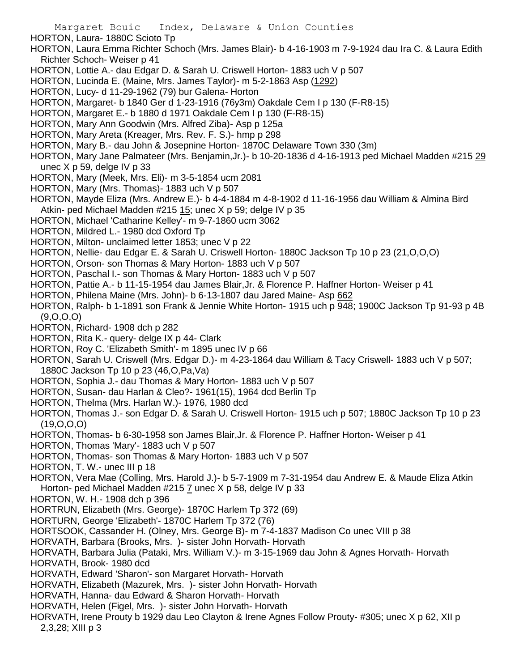- HORTON, Laura- 1880C Scioto Tp
- HORTON, Laura Emma Richter Schoch (Mrs. James Blair)- b 4-16-1903 m 7-9-1924 dau Ira C. & Laura Edith Richter Schoch- Weiser p 41
- HORTON, Lottie A.- dau Edgar D. & Sarah U. Criswell Horton- 1883 uch V p 507
- HORTON, Lucinda E. (Maine, Mrs. James Taylor)- m 5-2-1863 Asp (1292)
- HORTON, Lucy- d 11-29-1962 (79) bur Galena- Horton
- HORTON, Margaret- b 1840 Ger d 1-23-1916 (76y3m) Oakdale Cem I p 130 (F-R8-15)
- HORTON, Margaret E.- b 1880 d 1971 Oakdale Cem I p 130 (F-R8-15)
- HORTON, Mary Ann Goodwin (Mrs. Alfred Ziba)- Asp p 125a
- HORTON, Mary Areta (Kreager, Mrs. Rev. F. S.)- hmp p 298
- HORTON, Mary B.- dau John & Josepnine Horton- 1870C Delaware Town 330 (3m)
- HORTON, Mary Jane Palmateer (Mrs. Benjamin,Jr.)- b 10-20-1836 d 4-16-1913 ped Michael Madden #215 29 unec  $X$  p 59, delge IV p 33
- HORTON, Mary (Meek, Mrs. Eli)- m 3-5-1854 ucm 2081
- HORTON, Mary (Mrs. Thomas)- 1883 uch V p 507
- HORTON, Mayde Eliza (Mrs. Andrew E.)- b 4-4-1884 m 4-8-1902 d 11-16-1956 dau William & Almina Bird Atkin- ped Michael Madden #215 15; unec X p 59; delge IV p 35
- HORTON, Michael 'Catharine Kelley'- m 9-7-1860 ucm 3062
- HORTON, Mildred L.- 1980 dcd Oxford Tp
- HORTON, Milton- unclaimed letter 1853; unec V p 22
- HORTON, Nellie- dau Edgar E. & Sarah U. Criswell Horton- 1880C Jackson Tp 10 p 23 (21,O,O,O)
- HORTON, Orson- son Thomas & Mary Horton- 1883 uch V p 507
- HORTON, Paschal I.- son Thomas & Mary Horton- 1883 uch V p 507
- HORTON, Pattie A.- b 11-15-1954 dau James Blair,Jr. & Florence P. Haffner Horton- Weiser p 41
- HORTON, Philena Maine (Mrs. John)- b 6-13-1807 dau Jared Maine- Asp 662
- HORTON, Ralph- b 1-1891 son Frank & Jennie White Horton- 1915 uch p 948; 1900C Jackson Tp 91-93 p 4B (9,O,O,O)
- HORTON, Richard- 1908 dch p 282
- HORTON, Rita K.- query- delge IX p 44- Clark
- HORTON, Roy C. 'Elizabeth Smith'- m 1895 unec IV p 66
- HORTON, Sarah U. Criswell (Mrs. Edgar D.)- m 4-23-1864 dau William & Tacy Criswell- 1883 uch V p 507; 1880C Jackson Tp 10 p 23 (46,O,Pa,Va)
- HORTON, Sophia J.- dau Thomas & Mary Horton- 1883 uch V p 507
- HORTON, Susan- dau Harlan & Cleo?- 1961(15), 1964 dcd Berlin Tp
- HORTON, Thelma (Mrs. Harlan W.)- 1976, 1980 dcd
- HORTON, Thomas J.- son Edgar D. & Sarah U. Criswell Horton- 1915 uch p 507; 1880C Jackson Tp 10 p 23 (19,O,O,O)
- HORTON, Thomas- b 6-30-1958 son James Blair,Jr. & Florence P. Haffner Horton- Weiser p 41
- HORTON, Thomas 'Mary'- 1883 uch V p 507
- HORTON, Thomas- son Thomas & Mary Horton- 1883 uch V p 507
- HORTON, T. W.- unec III p 18
- HORTON, Vera Mae (Colling, Mrs. Harold J.)- b 5-7-1909 m 7-31-1954 dau Andrew E. & Maude Eliza Atkin Horton- ped Michael Madden  $#215$   $\overline{7}$  unec  $X$  p 58, delge IV p 33
- HORTON, W. H.- 1908 dch p 396
- HORTRUN, Elizabeth (Mrs. George)- 1870C Harlem Tp 372 (69)
- HORTURN, George 'Elizabeth'- 1870C Harlem Tp 372 (76)
- HORTSOOK, Cassander H. (Olney, Mrs. George B)- m 7-4-1837 Madison Co unec VIII p 38
- HORVATH, Barbara (Brooks, Mrs. )- sister John Horvath- Horvath
- HORVATH, Barbara Julia (Pataki, Mrs. William V.)- m 3-15-1969 dau John & Agnes Horvath- Horvath
- HORVATH, Brook- 1980 dcd
- HORVATH, Edward 'Sharon'- son Margaret Horvath- Horvath
- HORVATH, Elizabeth (Mazurek, Mrs. )- sister John Horvath- Horvath
- HORVATH, Hanna- dau Edward & Sharon Horvath- Horvath
- HORVATH, Helen (Figel, Mrs. )- sister John Horvath- Horvath
- HORVATH, Irene Prouty b 1929 dau Leo Clayton & Irene Agnes Follow Prouty- #305; unec X p 62, XII p 2,3,28; XIII p 3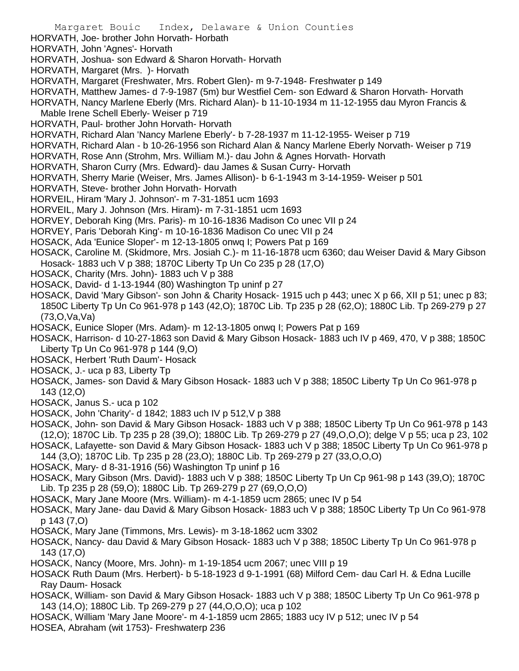HORVATH, Joe- brother John Horvath- Horbath

HORVATH, John 'Agnes'- Horvath

- HORVATH, Joshua- son Edward & Sharon Horvath- Horvath
- HORVATH, Margaret (Mrs. )- Horvath
- HORVATH, Margaret (Freshwater, Mrs. Robert Glen)- m 9-7-1948- Freshwater p 149
- HORVATH, Matthew James- d 7-9-1987 (5m) bur Westfiel Cem- son Edward & Sharon Horvath- Horvath
- HORVATH, Nancy Marlene Eberly (Mrs. Richard Alan)- b 11-10-1934 m 11-12-1955 dau Myron Francis &
- Mable Irene Schell Eberly- Weiser p 719
- HORVATH, Paul- brother John Horvath- Horvath
- HORVATH, Richard Alan 'Nancy Marlene Eberly'- b 7-28-1937 m 11-12-1955- Weiser p 719
- HORVATH, Richard Alan b 10-26-1956 son Richard Alan & Nancy Marlene Eberly Norvath- Weiser p 719
- HORVATH, Rose Ann (Strohm, Mrs. William M.)- dau John & Agnes Horvath- Horvath
- HORVATH, Sharon Curry (Mrs. Edward)- dau James & Susan Curry- Horvath
- HORVATH, Sherry Marie (Weiser, Mrs. James Allison)- b 6-1-1943 m 3-14-1959- Weiser p 501
- HORVATH, Steve- brother John Horvath- Horvath
- HORVEIL, Hiram 'Mary J. Johnson'- m 7-31-1851 ucm 1693
- HORVEIL, Mary J. Johnson (Mrs. Hiram)- m 7-31-1851 ucm 1693
- HORVEY, Deborah King (Mrs. Paris)- m 10-16-1836 Madison Co unec VII p 24
- HORVEY, Paris 'Deborah King'- m 10-16-1836 Madison Co unec VII p 24
- HOSACK, Ada 'Eunice Sloper'- m 12-13-1805 onwq I; Powers Pat p 169
- HOSACK, Caroline M. (Skidmore, Mrs. Josiah C.)- m 11-16-1878 ucm 6360; dau Weiser David & Mary Gibson Hosack- 1883 uch V p 388; 1870C Liberty Tp Un Co 235 p 28 (17,O)
- HOSACK, Charity (Mrs. John)- 1883 uch V p 388
- HOSACK, David- d 1-13-1944 (80) Washington Tp uninf p 27
- HOSACK, David 'Mary Gibson'- son John & Charity Hosack- 1915 uch p 443; unec X p 66, XII p 51; unec p 83; 1850C Liberty Tp Un Co 961-978 p 143 (42,O); 1870C Lib. Tp 235 p 28 (62,O); 1880C Lib. Tp 269-279 p 27 (73,O,Va,Va)
- HOSACK, Eunice Sloper (Mrs. Adam)- m 12-13-1805 onwq I; Powers Pat p 169
- HOSACK, Harrison- d 10-27-1863 son David & Mary Gibson Hosack- 1883 uch IV p 469, 470, V p 388; 1850C Liberty Tp Un Co 961-978 p 144 (9,O)
- HOSACK, Herbert 'Ruth Daum'- Hosack
- HOSACK, J.- uca p 83, Liberty Tp
- HOSACK, James- son David & Mary Gibson Hosack- 1883 uch V p 388; 1850C Liberty Tp Un Co 961-978 p 143 (12,O)
- HOSACK, Janus S.- uca p 102
- HOSACK, John 'Charity'- d 1842; 1883 uch IV p 512,V p 388
- HOSACK, John- son David & Mary Gibson Hosack- 1883 uch V p 388; 1850C Liberty Tp Un Co 961-978 p 143 (12,O); 1870C Lib. Tp 235 p 28 (39,O); 1880C Lib. Tp 269-279 p 27 (49,O,O,O); delge V p 55; uca p 23, 102
- HOSACK, Lafayette- son David & Mary Gibson Hosack- 1883 uch V p 388; 1850C Liberty Tp Un Co 961-978 p
- 144 (3,O); 1870C Lib. Tp 235 p 28 (23,O); 1880C Lib. Tp 269-279 p 27 (33,O,O,O)
- HOSACK, Mary- d 8-31-1916 (56) Washington Tp uninf p 16
- HOSACK, Mary Gibson (Mrs. David)- 1883 uch V p 388; 1850C Liberty Tp Un Cp 961-98 p 143 (39,O); 1870C Lib. Tp 235 p 28 (59,O); 1880C Lib. Tp 269-279 p 27 (69,O,O,O)
- HOSACK, Mary Jane Moore (Mrs. William)- m 4-1-1859 ucm 2865; unec IV p 54
- HOSACK, Mary Jane- dau David & Mary Gibson Hosack- 1883 uch V p 388; 1850C Liberty Tp Un Co 961-978 p 143 (7,O)
- HOSACK, Mary Jane (Timmons, Mrs. Lewis)- m 3-18-1862 ucm 3302
- HOSACK, Nancy- dau David & Mary Gibson Hosack- 1883 uch V p 388; 1850C Liberty Tp Un Co 961-978 p 143 (17,O)
- HOSACK, Nancy (Moore, Mrs. John)- m 1-19-1854 ucm 2067; unec VIII p 19
- HOSACK Ruth Daum (Mrs. Herbert)- b 5-18-1923 d 9-1-1991 (68) Milford Cem- dau Carl H. & Edna Lucille Ray Daum- Hosack
- HOSACK, William- son David & Mary Gibson Hosack- 1883 uch V p 388; 1850C Liberty Tp Un Co 961-978 p 143 (14,O); 1880C Lib. Tp 269-279 p 27 (44,O,O,O); uca p 102
- HOSACK, William 'Mary Jane Moore'- m 4-1-1859 ucm 2865; 1883 ucy IV p 512; unec IV p 54 HOSEA, Abraham (wit 1753)- Freshwaterp 236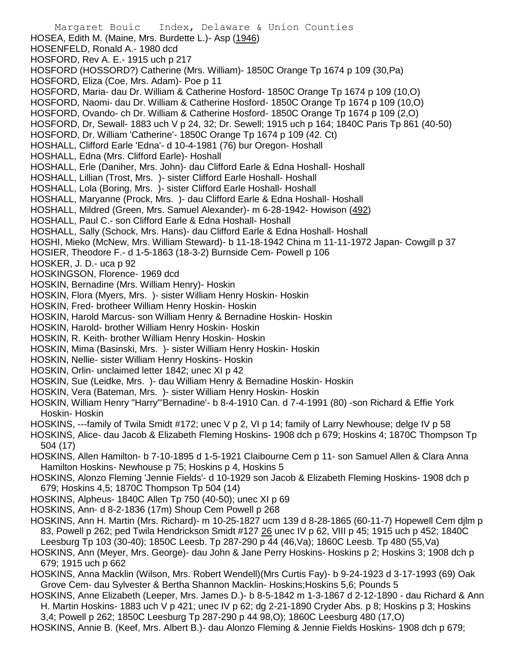Margaret Bouic Index, Delaware & Union Counties HOSEA, Edith M. (Maine, Mrs. Burdette L.)- Asp (1946) HOSENFELD, Ronald A.- 1980 dcd HOSFORD, Rev A. E.- 1915 uch p 217 HOSFORD (HOSSORD?) Catherine (Mrs. William)- 1850C Orange Tp 1674 p 109 (30,Pa) HOSFORD, Eliza (Coe, Mrs. Adam)- Poe p 11 HOSFORD, Maria- dau Dr. William & Catherine Hosford- 1850C Orange Tp 1674 p 109 (10,O) HOSFORD, Naomi- dau Dr. William & Catherine Hosford- 1850C Orange Tp 1674 p 109 (10,O) HOSFORD, Ovando- ch Dr. William & Catherine Hosford- 1850C Orange Tp 1674 p 109 (2,O) HOSFORD, Dr, Sewall- 1883 uch V p 24, 32; Dr. Sewell; 1915 uch p 164; 1840C Paris Tp 861 (40-50) HOSFORD, Dr. William 'Catherine'- 1850C Orange Tp 1674 p 109 (42. Ct) HOSHALL, Clifford Earle 'Edna'- d 10-4-1981 (76) bur Oregon- Hoshall HOSHALL, Edna (Mrs. Clifford Earle)- Hoshall HOSHALL, Erle (Daniher, Mrs. John)- dau Clifford Earle & Edna Hoshall- Hoshall HOSHALL, Lillian (Trost, Mrs. )- sister Clifford Earle Hoshall- Hoshall HOSHALL, Lola (Boring, Mrs. )- sister Clifford Earle Hoshall- Hoshall HOSHALL, Maryanne (Prock, Mrs. )- dau Clifford Earle & Edna Hoshall- Hoshall HOSHALL, Mildred (Green, Mrs. Samuel Alexander)- m 6-28-1942- Howison (492) HOSHALL, Paul C.- son Clifford Earle & Edna Hoshall- Hoshall HOSHALL, Sally (Schock, Mrs. Hans)- dau Clifford Earle & Edna Hoshall- Hoshall HOSHI, Mieko (McNew, Mrs. William Steward)- b 11-18-1942 China m 11-11-1972 Japan- Cowgill p 37 HOSIER, Theodore F.- d 1-5-1863 (18-3-2) Burnside Cem- Powell p 106 HOSKER, J. D.- uca p 92 HOSKINGSON, Florence- 1969 dcd HOSKIN, Bernadine (Mrs. William Henry)- Hoskin HOSKIN, Flora (Myers, Mrs. )- sister William Henry Hoskin- Hoskin HOSKIN, Fred- brotheer William Henry Hoskin- Hoskin HOSKIN, Harold Marcus- son William Henry & Bernadine Hoskin- Hoskin HOSKIN, Harold- brother William Henry Hoskin- Hoskin HOSKIN, R. Keith- brother William Henry Hoskin- Hoskin HOSKIN, Mima (Basinski, Mrs. )- sister William Henry Hoskin- Hoskin HOSKIN, Nellie- sister William Henry Hoskins- Hoskin HOSKIN, Orlin- unclaimed letter 1842; unec XI p 42 HOSKIN, Sue (Leidke, Mrs. )- dau William Henry & Bernadine Hoskin- Hoskin HOSKIN, Vera (Bateman, Mrs. )- sister William Henry Hoskin- Hoskin HOSKIN, William Henry "Harry"'Bernadine'- b 8-4-1910 Can. d 7-4-1991 (80) -son Richard & Effie York Hoskin- Hoskin HOSKINS, ---family of Twila Smidt #172; unec V p 2, VI p 14; family of Larry Newhouse; delge IV p 58 HOSKINS, Alice- dau Jacob & Elizabeth Fleming Hoskins- 1908 dch p 679; Hoskins 4; 1870C Thompson Tp 504 (17) HOSKINS, Allen Hamilton- b 7-10-1895 d 1-5-1921 Claibourne Cem p 11- son Samuel Allen & Clara Anna Hamilton Hoskins- Newhouse p 75; Hoskins p 4, Hoskins 5 HOSKINS, Alonzo Fleming 'Jennie Fields'- d 10-1929 son Jacob & Elizabeth Fleming Hoskins- 1908 dch p 679; Hoskins 4,5; 1870C Thompson Tp 504 (14) HOSKINS, Alpheus- 1840C Allen Tp 750 (40-50); unec XI p 69 HOSKINS, Ann- d 8-2-1836 (17m) Shoup Cem Powell p 268 HOSKINS, Ann H. Martin (Mrs. Richard)- m 10-25-1827 ucm 139 d 8-28-1865 (60-11-7) Hopewell Cem djlm p 83, Powell p 262; ped Twila Hendrickson Smidt #127 26 unec IV p 62, VIII p 45; 1915 uch p 452; 1840C Leesburg Tp 103 (30-40); 1850C Leesb. Tp 287-290 p 44 (46,Va); 1860C Leesb. Tp 480 (55,Va) HOSKINS, Ann (Meyer, Mrs. George)- dau John & Jane Perry Hoskins- Hoskins p 2; Hoskins 3; 1908 dch p 679; 1915 uch p 662 HOSKINS, Anna Macklin (Wilson, Mrs. Robert Wendell)(Mrs Curtis Fay)- b 9-24-1923 d 3-17-1993 (69) Oak Grove Cem- dau Sylvester & Bertha Shannon Macklin- Hoskins;Hoskins 5,6; Pounds 5 HOSKINS, Anne Elizabeth (Leeper, Mrs. James D.)- b 8-5-1842 m 1-3-1867 d 2-12-1890 - dau Richard & Ann H. Martin Hoskins- 1883 uch V p 421; unec IV p 62; dg 2-21-1890 Cryder Abs. p 8; Hoskins p 3; Hoskins 3,4; Powell p 262; 1850C Leesburg Tp 287-290 p 44 98,O); 1860C Leesburg 480 (17,O)

HOSKINS, Annie B. (Keef, Mrs. Albert B.)- dau Alonzo Fleming & Jennie Fields Hoskins- 1908 dch p 679;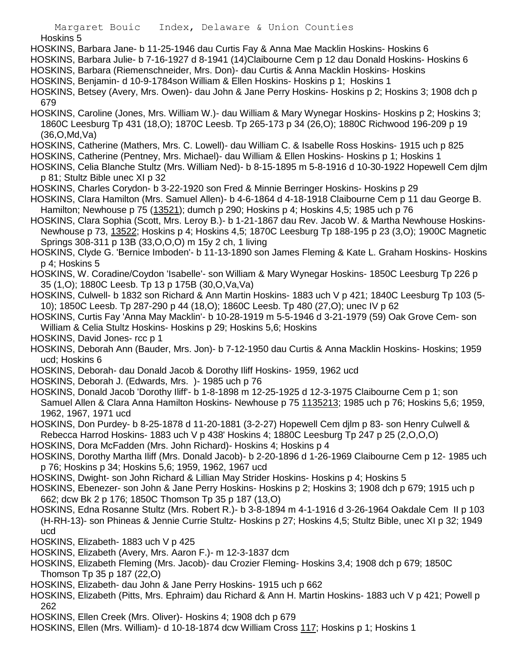- HOSKINS, Barbara Jane- b 11-25-1946 dau Curtis Fay & Anna Mae Macklin Hoskins- Hoskins 6
- HOSKINS, Barbara Julie- b 7-16-1927 d 8-1941 (14)Claibourne Cem p 12 dau Donald Hoskins- Hoskins 6
- HOSKINS, Barbara (Riemenschneider, Mrs. Don)- dau Curtis & Anna Macklin Hoskins- Hoskins
- HOSKINS, Benjamin- d 10-9-1784son William & Ellen Hoskins- Hoskins p 1; Hoskins 1
- HOSKINS, Betsey (Avery, Mrs. Owen)- dau John & Jane Perry Hoskins- Hoskins p 2; Hoskins 3; 1908 dch p 679
- HOSKINS, Caroline (Jones, Mrs. William W.)- dau William & Mary Wynegar Hoskins- Hoskins p 2; Hoskins 3; 1860C Leesburg Tp 431 (18,O); 1870C Leesb. Tp 265-173 p 34 (26,O); 1880C Richwood 196-209 p 19 (36,O,Md,Va)
- HOSKINS, Catherine (Mathers, Mrs. C. Lowell)- dau William C. & Isabelle Ross Hoskins- 1915 uch p 825
- HOSKINS, Catherine (Pentney, Mrs. Michael)- dau William & Ellen Hoskins- Hoskins p 1; Hoskins 1
- HOSKINS, Celia Blanche Stultz (Mrs. William Ned)- b 8-15-1895 m 5-8-1916 d 10-30-1922 Hopewell Cem djlm p 81; Stultz Bible unec XI p 32
- HOSKINS, Charles Corydon- b 3-22-1920 son Fred & Minnie Berringer Hoskins- Hoskins p 29
- HOSKINS, Clara Hamilton (Mrs. Samuel Allen)- b 4-6-1864 d 4-18-1918 Claibourne Cem p 11 dau George B. Hamilton; Newhouse p 75 (13521); dumch p 290; Hoskins p 4; Hoskins 4,5; 1985 uch p 76
- HOSKINS, Clara Sophia (Scott, Mrs. Leroy B.)- b 1-21-1867 dau Rev. Jacob W. & Martha Newhouse Hoskins-Newhouse p 73, 13522; Hoskins p 4; Hoskins 4,5; 1870C Leesburg Tp 188-195 p 23 (3,O); 1900C Magnetic Springs 308-311 p 13B (33,O,O,O) m 15y 2 ch, 1 living
- HOSKINS, Clyde G. 'Bernice Imboden'- b 11-13-1890 son James Fleming & Kate L. Graham Hoskins- Hoskins p 4; Hoskins 5
- HOSKINS, W. Coradine/Coydon 'Isabelle'- son William & Mary Wynegar Hoskins- 1850C Leesburg Tp 226 p 35 (1,O); 1880C Leesb. Tp 13 p 175B (30,O,Va,Va)
- HOSKINS, Culwell- b 1832 son Richard & Ann Martin Hoskins- 1883 uch V p 421; 1840C Leesburg Tp 103 (5- 10); 1850C Leesb. Tp 287-290 p 44 (18,O); 1860C Leesb. Tp 480 (27,O); unec IV p 62
- HOSKINS, Curtis Fay 'Anna May Macklin'- b 10-28-1919 m 5-5-1946 d 3-21-1979 (59) Oak Grove Cem- son William & Celia Stultz Hoskins- Hoskins p 29; Hoskins 5,6; Hoskins
- HOSKINS, David Jones- rcc p 1
- HOSKINS, Deborah Ann (Bauder, Mrs. Jon)- b 7-12-1950 dau Curtis & Anna Macklin Hoskins- Hoskins; 1959 ucd; Hoskins 6
- HOSKINS, Deborah- dau Donald Jacob & Dorothy Iliff Hoskins- 1959, 1962 ucd
- HOSKINS, Deborah J. (Edwards, Mrs. )- 1985 uch p 76
- HOSKINS, Donald Jacob 'Dorothy Iliff'- b 1-8-1898 m 12-25-1925 d 12-3-1975 Claibourne Cem p 1; son Samuel Allen & Clara Anna Hamilton Hoskins- Newhouse p 75 1135213; 1985 uch p 76; Hoskins 5,6; 1959, 1962, 1967, 1971 ucd
- HOSKINS, Don Purdey- b 8-25-1878 d 11-20-1881 (3-2-27) Hopewell Cem djlm p 83- son Henry Culwell & Rebecca Harrod Hoskins- 1883 uch V p 438' Hoskins 4; 1880C Leesburg Tp 247 p 25 (2,O,O,O)
- HOSKINS, Dora McFadden (Mrs. John Richard)- Hoskins 4; Hoskins p 4
- HOSKINS, Dorothy Martha Iliff (Mrs. Donald Jacob)- b 2-20-1896 d 1-26-1969 Claibourne Cem p 12- 1985 uch p 76; Hoskins p 34; Hoskins 5,6; 1959, 1962, 1967 ucd
- HOSKINS, Dwight- son John Richard & Lillian May Strider Hoskins- Hoskins p 4; Hoskins 5
- HOSKINS, Ebenezer- son John & Jane Perry Hoskins- Hoskins p 2; Hoskins 3; 1908 dch p 679; 1915 uch p 662; dcw Bk 2 p 176; 1850C Thomson Tp 35 p 187 (13,O)
- HOSKINS, Edna Rosanne Stultz (Mrs. Robert R.)- b 3-8-1894 m 4-1-1916 d 3-26-1964 Oakdale Cem II p 103 (H-RH-13)- son Phineas & Jennie Currie Stultz- Hoskins p 27; Hoskins 4,5; Stultz Bible, unec XI p 32; 1949 ucd
- HOSKINS, Elizabeth- 1883 uch V p 425
- HOSKINS, Elizabeth (Avery, Mrs. Aaron F.)- m 12-3-1837 dcm
- HOSKINS, Elizabeth Fleming (Mrs. Jacob)- dau Crozier Fleming- Hoskins 3,4; 1908 dch p 679; 1850C Thomson Tp 35 p 187 (22,O)
- HOSKINS, Elizabeth- dau John & Jane Perry Hoskins- 1915 uch p 662
- HOSKINS, Elizabeth (Pitts, Mrs. Ephraim) dau Richard & Ann H. Martin Hoskins- 1883 uch V p 421; Powell p 262
- HOSKINS, Ellen Creek (Mrs. Oliver)- Hoskins 4; 1908 dch p 679
- HOSKINS, Ellen (Mrs. William)- d 10-18-1874 dcw William Cross 117; Hoskins p 1; Hoskins 1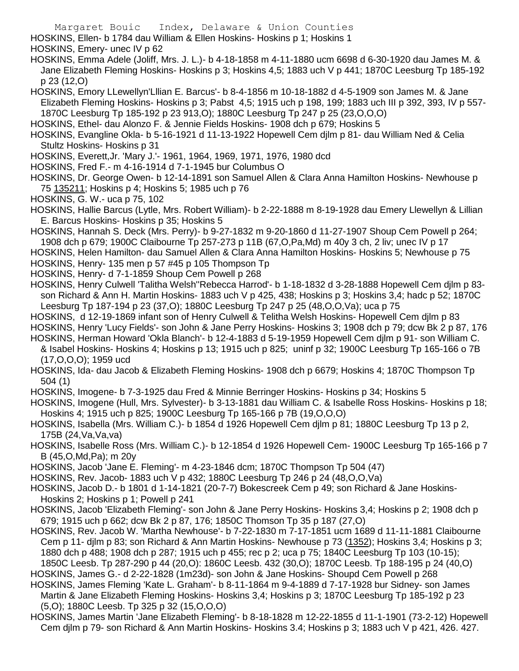Margaret Bouic Index, Delaware & Union Counties HOSKINS, Ellen- b 1784 dau William & Ellen Hoskins- Hoskins p 1; Hoskins 1 HOSKINS, Emery- unec IV p 62 HOSKINS, Emma Adele (Joliff, Mrs. J. L.)- b 4-18-1858 m 4-11-1880 ucm 6698 d 6-30-1920 dau James M. & Jane Elizabeth Fleming Hoskins- Hoskins p 3; Hoskins 4,5; 1883 uch V p 441; 1870C Leesburg Tp 185-192 p 23 (12,O) HOSKINS, Emory LLewellyn'Lllian E. Barcus'- b 8-4-1856 m 10-18-1882 d 4-5-1909 son James M. & Jane Elizabeth Fleming Hoskins- Hoskins p 3; Pabst 4,5; 1915 uch p 198, 199; 1883 uch III p 392, 393, IV p 557- 1870C Leesburg Tp 185-192 p 23 913,O); 1880C Leesburg Tp 247 p 25 (23,O,O,O) HOSKINS, Ethel- dau Alonzo F. & Jennie Fields Hoskins- 1908 dch p 679; Hoskins 5 HOSKINS, Evangline Okla- b 5-16-1921 d 11-13-1922 Hopewell Cem djlm p 81- dau William Ned & Celia Stultz Hoskins- Hoskins p 31 HOSKINS, Everett,Jr. 'Mary J.'- 1961, 1964, 1969, 1971, 1976, 1980 dcd HOSKINS, Fred F.- m 4-16-1914 d 7-1-1945 bur Columbus O HOSKINS, Dr. George Owen- b 12-14-1891 son Samuel Allen & Clara Anna Hamilton Hoskins- Newhouse p 75 135211; Hoskins p 4; Hoskins 5; 1985 uch p 76 HOSKINS, G. W.- uca p 75, 102 HOSKINS, Hallie Barcus (Lytle, Mrs. Robert William)- b 2-22-1888 m 8-19-1928 dau Emery Llewellyn & Lillian E. Barcus Hoskins- Hoskins p 35; Hoskins 5 HOSKINS, Hannah S. Deck (Mrs. Perry)- b 9-27-1832 m 9-20-1860 d 11-27-1907 Shoup Cem Powell p 264; 1908 dch p 679; 1900C Claibourne Tp 257-273 p 11B (67,O,Pa,Md) m 40y 3 ch, 2 liv; unec IV p 17 HOSKINS, Helen Hamilton- dau Samuel Allen & Clara Anna Hamilton Hoskins- Hoskins 5; Newhouse p 75 HOSKINS, Henry- 135 men p 57 #45 p 105 Thompson Tp HOSKINS, Henry- d 7-1-1859 Shoup Cem Powell p 268 HOSKINS, Henry Culwell 'Talitha Welsh''Rebecca Harrod'- b 1-18-1832 d 3-28-1888 Hopewell Cem djlm p 83 son Richard & Ann H. Martin Hoskins- 1883 uch V p 425, 438; Hoskins p 3; Hoskins 3,4; hadc p 52; 1870C Leesburg Tp 187-194 p 23 (37,O); 1880C Leesburg Tp 247 p 25 (48,O,O,Va); uca p 75 HOSKINS, d 12-19-1869 infant son of Henry Culwell & Telitha Welsh Hoskins- Hopewell Cem djlm p 83 HOSKINS, Henry 'Lucy Fields'- son John & Jane Perry Hoskins- Hoskins 3; 1908 dch p 79; dcw Bk 2 p 87, 176 HOSKINS, Herman Howard 'Okla Blanch'- b 12-4-1883 d 5-19-1959 Hopewell Cem djlm p 91- son William C. & Isabel Hoskins- Hoskins 4; Hoskins p 13; 1915 uch p 825; uninf p 32; 1900C Leesburg Tp 165-166 o 7B (17,O,O,O); 1959 ucd HOSKINS, Ida- dau Jacob & Elizabeth Fleming Hoskins- 1908 dch p 6679; Hoskins 4; 1870C Thompson Tp 504 (1) HOSKINS, Imogene- b 7-3-1925 dau Fred & Minnie Berringer Hoskins- Hoskins p 34; Hoskins 5 HOSKINS, Imogene (Hull, Mrs. Sylvester)- b 3-13-1881 dau William C. & Isabelle Ross Hoskins- Hoskins p 18; Hoskins 4; 1915 uch p 825; 1900C Leesburg Tp 165-166 p 7B (19,O,O,O) HOSKINS, Isabella (Mrs. William C.)- b 1854 d 1926 Hopewell Cem djlm p 81; 1880C Leesburg Tp 13 p 2, 175B (24,Va,Va,va) HOSKINS, Isabelle Ross (Mrs. William C.)- b 12-1854 d 1926 Hopewell Cem- 1900C Leesburg Tp 165-166 p 7 B (45,O,Md,Pa); m 20y HOSKINS, Jacob 'Jane E. Fleming'- m 4-23-1846 dcm; 1870C Thompson Tp 504 (47) HOSKINS, Rev. Jacob- 1883 uch V p 432; 1880C Leesburg Tp 246 p 24 (48,O,O,Va) HOSKINS, Jacob D.- b 1801 d 1-14-1821 (20-7-7) Bokescreek Cem p 49; son Richard & Jane Hoskins-Hoskins 2; Hoskins p 1; Powell p 241 HOSKINS, Jacob 'Elizabeth Fleming'- son John & Jane Perry Hoskins- Hoskins 3,4; Hoskins p 2; 1908 dch p 679; 1915 uch p 662; dcw Bk 2 p 87, 176; 1850C Thomson Tp 35 p 187 (27,O) HOSKINS, Rev. Jacob W. 'Martha Newhouse'- b 7-22-1830 m 7-17-1851 ucm 1689 d 11-11-1881 Claibourne Cem p 11- djlm p 83; son Richard & Ann Martin Hoskins- Newhouse p 73 (1352); Hoskins 3,4; Hoskins p 3; 1880 dch p 488; 1908 dch p 287; 1915 uch p 455; rec p 2; uca p 75; 1840C Leesburg Tp 103 (10-15);

1850C Leesb. Tp 287-290 p 44 (20,O): 1860C Leesb. 432 (30,O); 1870C Leesb. Tp 188-195 p 24 (40,O) HOSKINS, James G.- d 2-22-1828 (1m23d)- son John & Jane Hoskins- Shoupd Cem Powell p 268

HOSKINS, James Fleming 'Kate L. Graham'- b 8-11-1864 m 9-4-1889 d 7-17-1928 bur Sidney- son James Martin & Jane Elizabeth Fleming Hoskins- Hoskins 3,4; Hoskins p 3; 1870C Leesburg Tp 185-192 p 23 (5,O); 1880C Leesb. Tp 325 p 32 (15,O,O,O)

HOSKINS, James Martin 'Jane Elizabeth Fleming'- b 8-18-1828 m 12-22-1855 d 11-1-1901 (73-2-12) Hopewell Cem djlm p 79- son Richard & Ann Martin Hoskins- Hoskins 3.4; Hoskins p 3; 1883 uch V p 421, 426. 427.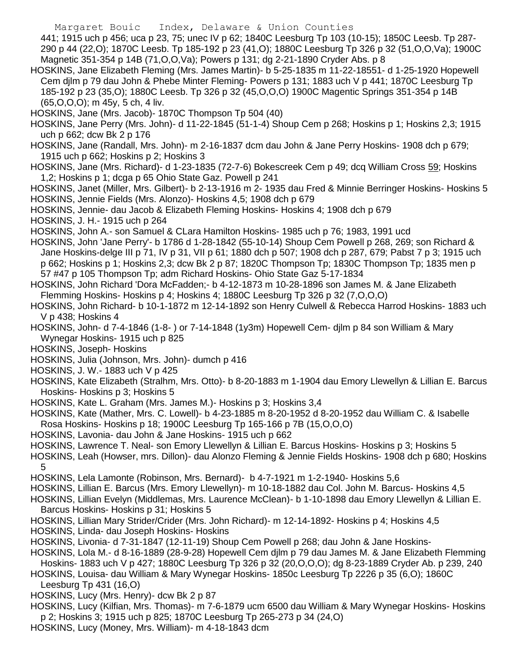441; 1915 uch p 456; uca p 23, 75; unec IV p 62; 1840C Leesburg Tp 103 (10-15); 1850C Leesb. Tp 287- 290 p 44 (22,O); 1870C Leesb. Tp 185-192 p 23 (41,O); 1880C Leesburg Tp 326 p 32 (51,O,O,Va); 1900C Magnetic 351-354 p 14B (71,O,O,Va); Powers p 131; dg 2-21-1890 Cryder Abs. p 8

- HOSKINS, Jane Elizabeth Fleming (Mrs. James Martin)- b 5-25-1835 m 11-22-18551- d 1-25-1920 Hopewell Cem djlm p 79 dau John & Phebe Minter Fleming- Powers p 131; 1883 uch V p 441; 1870C Leesburg Tp 185-192 p 23 (35,O); 1880C Leesb. Tp 326 p 32 (45,O,O,O) 1900C Magentic Springs 351-354 p 14B (65,O,O,O); m 45y, 5 ch, 4 liv.
- HOSKINS, Jane (Mrs. Jacob)- 1870C Thompson Tp 504 (40)
- HOSKINS, Jane Perry (Mrs. John)- d 11-22-1845 (51-1-4) Shoup Cem p 268; Hoskins p 1; Hoskins 2,3; 1915 uch p 662; dcw Bk 2 p 176
- HOSKINS, Jane (Randall, Mrs. John)- m 2-16-1837 dcm dau John & Jane Perry Hoskins- 1908 dch p 679; 1915 uch p 662; Hoskins p 2; Hoskins 3
- HOSKINS, Jane (Mrs. Richard)- d 1-23-1835 (72-7-6) Bokescreek Cem p 49; dcq William Cross 59; Hoskins 1,2; Hoskins p 1; dcga p 65 Ohio State Gaz. Powell p 241
- HOSKINS, Janet (Miller, Mrs. Gilbert)- b 2-13-1916 m 2- 1935 dau Fred & Minnie Berringer Hoskins- Hoskins 5 HOSKINS, Jennie Fields (Mrs. Alonzo)- Hoskins 4,5; 1908 dch p 679
- HOSKINS, Jennie- dau Jacob & Elizabeth Fleming Hoskins- Hoskins 4; 1908 dch p 679
- HOSKINS, J. H.- 1915 uch p 264
- HOSKINS, John A.- son Samuel & CLara Hamilton Hoskins- 1985 uch p 76; 1983, 1991 ucd
- HOSKINS, John 'Jane Perry'- b 1786 d 1-28-1842 (55-10-14) Shoup Cem Powell p 268, 269; son Richard & Jane Hoskins-delge III p 71, IV p 31, VII p 61; 1880 dch p 507; 1908 dch p 287, 679; Pabst 7 p 3; 1915 uch p 662; Hoskins p 1; Hoskins 2,3; dcw Bk 2 p 87; 1820C Thompson Tp; 1830C Thompson Tp; 1835 men p 57 #47 p 105 Thompson Tp; adm Richard Hoskins- Ohio State Gaz 5-17-1834
- HOSKINS, John Richard 'Dora McFadden;- b 4-12-1873 m 10-28-1896 son James M. & Jane Elizabeth Flemming Hoskins- Hoskins p 4; Hoskins 4; 1880C Leesburg Tp 326 p 32 (7,O,O,O)
- HOSKINS, John Richard- b 10-1-1872 m 12-14-1892 son Henry Culwell & Rebecca Harrod Hoskins- 1883 uch V p 438; Hoskins 4
- HOSKINS, John- d 7-4-1846 (1-8- ) or 7-14-1848 (1y3m) Hopewell Cem- djlm p 84 son William & Mary Wynegar Hoskins- 1915 uch p 825
- HOSKINS, Joseph- Hoskins
- HOSKINS, Julia (Johnson, Mrs. John)- dumch p 416
- HOSKINS, J. W.- 1883 uch V p 425
- HOSKINS, Kate Elizabeth (Stralhm, Mrs. Otto)- b 8-20-1883 m 1-1904 dau Emory Llewellyn & Lillian E. Barcus Hoskins- Hoskins p 3; Hoskins 5
- HOSKINS, Kate L. Graham (Mrs. James M.)- Hoskins p 3; Hoskins 3,4
- HOSKINS, Kate (Mather, Mrs. C. Lowell)- b 4-23-1885 m 8-20-1952 d 8-20-1952 dau William C. & Isabelle Rosa Hoskins- Hoskins p 18; 1900C Leesburg Tp 165-166 p 7B (15,O,O,O)
- HOSKINS, Lavonia- dau John & Jane Hoskins- 1915 uch p 662
- HOSKINS, Lawrence T. Neal- son Emory Llewellyn & Lillian E. Barcus Hoskins- Hoskins p 3; Hoskins 5
- HOSKINS, Leah (Howser, mrs. Dillon)- dau Alonzo Fleming & Jennie Fields Hoskins- 1908 dch p 680; Hoskins 5
- HOSKINS, Lela Lamonte (Robinson, Mrs. Bernard)- b 4-7-1921 m 1-2-1940- Hoskins 5,6
- HOSKINS, Lillian E. Barcus (Mrs. Emory Llewellyn)- m 10-18-1882 dau Col. John M. Barcus- Hoskins 4,5
- HOSKINS, Lillian Evelyn (Middlemas, Mrs. Laurence McClean)- b 1-10-1898 dau Emory Llewellyn & Lillian E. Barcus Hoskins- Hoskins p 31; Hoskins 5
- HOSKINS, Lillian Mary Strider/Crider (Mrs. John Richard)- m 12-14-1892- Hoskins p 4; Hoskins 4,5
- HOSKINS, Linda- dau Joseph Hoskins- Hoskins
- HOSKINS, Livonia- d 7-31-1847 (12-11-19) Shoup Cem Powell p 268; dau John & Jane Hoskins-
- HOSKINS, Lola M.- d 8-16-1889 (28-9-28) Hopewell Cem djlm p 79 dau James M. & Jane Elizabeth Flemming
- Hoskins- 1883 uch V p 427; 1880C Leesburg Tp 326 p 32 (20,O,O,O); dg 8-23-1889 Cryder Ab. p 239, 240
- HOSKINS, Louisa- dau William & Mary Wynegar Hoskins- 1850c Leesburg Tp 2226 p 35 (6,O); 1860C Leesburg Tp 431 (16,O)
- HOSKINS, Lucy (Mrs. Henry)- dcw Bk 2 p 87
- HOSKINS, Lucy (Kilfian, Mrs. Thomas)- m 7-6-1879 ucm 6500 dau William & Mary Wynegar Hoskins- Hoskins p 2; Hoskins 3; 1915 uch p 825; 1870C Leesburg Tp 265-273 p 34 (24,O)
- HOSKINS, Lucy (Money, Mrs. William)- m 4-18-1843 dcm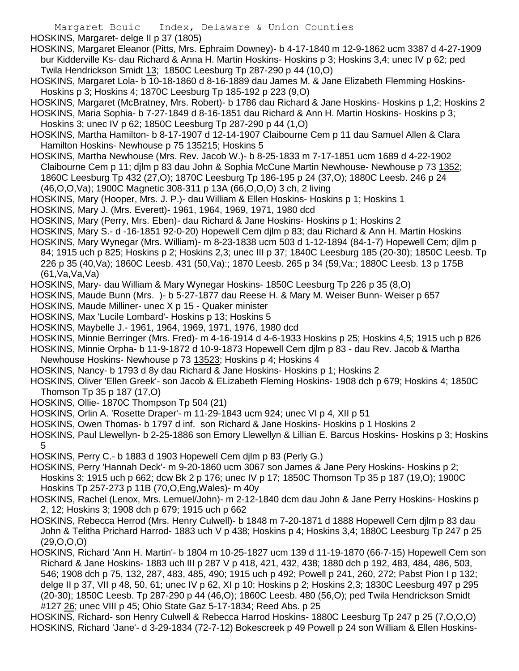HOSKINS, Margaret- delge II p 37 (1805)

- HOSKINS, Margaret Eleanor (Pitts, Mrs. Ephraim Downey)- b 4-17-1840 m 12-9-1862 ucm 3387 d 4-27-1909 bur Kidderville Ks- dau Richard & Anna H. Martin Hoskins- Hoskins p 3; Hoskins 3,4; unec IV p 62; ped Twila Hendrickson Smidt 13; 1850C Leesburg Tp 287-290 p 44 (10,O)
- HOSKINS, Margaret Lola- b 10-18-1860 d 8-16-1889 dau James M. & Jane Elizabeth Flemming Hoskins-Hoskins p 3; Hoskins 4; 1870C Leesburg Tp 185-192 p 223 (9,O)
- HOSKINS, Margaret (McBratney, Mrs. Robert)- b 1786 dau Richard & Jane Hoskins- Hoskins p 1,2; Hoskins 2 HOSKINS, Maria Sophia- b 7-27-1849 d 8-16-1851 dau Richard & Ann H. Martin Hoskins- Hoskins p 3;
- Hoskins 3; unec IV p 62; 1850C Leesburg Tp 287-290 p 44 (1,O)
- HOSKINS, Martha Hamilton- b 8-17-1907 d 12-14-1907 Claibourne Cem p 11 dau Samuel Allen & Clara Hamilton Hoskins- Newhouse p 75 135215; Hoskins 5
- HOSKINS, Martha Newhouse (Mrs. Rev. Jacob W.)- b 8-25-1833 m 7-17-1851 ucm 1689 d 4-22-1902 Claibourne Cem p 11; djlm p 83 dau John & Sophia McCune Martin Newhouse- Newhouse p 73 1352; 1860C Leesburg Tp 432 (27,O); 1870C Leesburg Tp 186-195 p 24 (37,O); 1880C Leesb. 246 p 24 (46,O,O,Va); 1900C Magnetic 308-311 p 13A (66,O,O,O) 3 ch, 2 living
- HOSKINS, Mary (Hooper, Mrs. J. P.)- dau William & Ellen Hoskins- Hoskins p 1; Hoskins 1
- HOSKINS, Mary J. (Mrs. Everett)- 1961, 1964, 1969, 1971, 1980 dcd
- HOSKINS, Mary (Perry, Mrs. Eben)- dau Richard & Jane Hoskins- Hoskins p 1; Hoskins 2
- HOSKINS, Mary S.- d -16-1851 92-0-20) Hopewell Cem djlm p 83; dau Richard & Ann H. Martin Hoskins
- HOSKINS, Mary Wynegar (Mrs. William)- m 8-23-1838 ucm 503 d 1-12-1894 (84-1-7) Hopewell Cem; djlm p 84; 1915 uch p 825; Hoskins p 2; Hoskins 2,3; unec III p 37; 1840C Leesburg 185 (20-30); 1850C Leesb. Tp 226 p 35 (40,Va); 1860C Leesb. 431 (50,Va):; 1870 Leesb. 265 p 34 (59,Va:; 1880C Leesb. 13 p 175B (61,Va,Va,Va)
- HOSKINS, Mary- dau William & Mary Wynegar Hoskins- 1850C Leesburg Tp 226 p 35 (8,O)
- HOSKINS, Maude Bunn (Mrs. )- b 5-27-1877 dau Reese H. & Mary M. Weiser Bunn- Weiser p 657
- HOSKINS, Maude Milliner- unec X p 15 Quaker minister
- HOSKINS, Max 'Lucile Lombard'- Hoskins p 13; Hoskins 5
- HOSKINS, Maybelle J.- 1961, 1964, 1969, 1971, 1976, 1980 dcd
- HOSKINS, Minnie Berringer (Mrs. Fred)- m 4-16-1914 d 4-6-1933 Hoskins p 25; Hoskins 4,5; 1915 uch p 826
- HOSKINS, Minnie Orpha- b 11-9-1872 d 10-9-1873 Hopewell Cem djlm p 83 dau Rev. Jacob & Martha
- Newhouse Hoskins- Newhouse p 73 13523; Hoskins p 4; Hoskins 4
- HOSKINS, Nancy- b 1793 d 8y dau Richard & Jane Hoskins- Hoskins p 1; Hoskins 2
- HOSKINS, Oliver 'Ellen Greek'- son Jacob & ELizabeth Fleming Hoskins- 1908 dch p 679; Hoskins 4; 1850C Thomson Tp 35 p 187 (17,O)
- HOSKINS, Ollie- 1870C Thompson Tp 504 (21)
- HOSKINS, Orlin A. 'Rosette Draper'- m 11-29-1843 ucm 924; unec VI p 4, XII p 51
- HOSKINS, Owen Thomas- b 1797 d inf. son Richard & Jane Hoskins- Hoskins p 1 Hoskins 2
- HOSKINS, Paul Llewellyn- b 2-25-1886 son Emory Llewellyn & Lillian E. Barcus Hoskins- Hoskins p 3; Hoskins 5
- HOSKINS, Perry C.- b 1883 d 1903 Hopewell Cem djlm p 83 (Perly G.)
- HOSKINS, Perry 'Hannah Deck'- m 9-20-1860 ucm 3067 son James & Jane Pery Hoskins- Hoskins p 2; Hoskins 3; 1915 uch p 662; dcw Bk 2 p 176; unec IV p 17; 1850C Thomson Tp 35 p 187 (19,O); 1900C Hoskins Tp 257-273 p 11B (70,O,Eng,Wales)- m 40y
- HOSKINS, Rachel (Lenox, Mrs. Lemuel/John)- m 2-12-1840 dcm dau John & Jane Perry Hoskins- Hoskins p 2, 12; Hoskins 3; 1908 dch p 679; 1915 uch p 662
- HOSKINS, Rebecca Herrod (Mrs. Henry Culwell)- b 1848 m 7-20-1871 d 1888 Hopewell Cem djlm p 83 dau John & Telitha Prichard Harrod- 1883 uch V p 438; Hoskins p 4; Hoskins 3,4; 1880C Leesburg Tp 247 p 25 (29,O,O,O)
- HOSKINS, Richard 'Ann H. Martin'- b 1804 m 10-25-1827 ucm 139 d 11-19-1870 (66-7-15) Hopewell Cem son Richard & Jane Hoskins- 1883 uch III p 287 V p 418, 421, 432, 438; 1880 dch p 192, 483, 484, 486, 503, 546; 1908 dch p 75, 132, 287, 483, 485, 490; 1915 uch p 492; Powell p 241, 260, 272; Pabst Pion I p 132; delge II p 37, VII p 48, 50, 61; unec IV p 62, XI p 10; Hoskins p 2; Hoskins 2,3; 1830C Leesburg 497 p 295 (20-30); 1850C Leesb. Tp 287-290 p 44 (46,O); 1860C Leesb. 480 (56,O); ped Twila Hendrickson Smidt #127 26; unec VIII p 45; Ohio State Gaz 5-17-1834; Reed Abs. p 25
- HOSKINS, Richard- son Henry Culwell & Rebecca Harrod Hoskins- 1880C Leesburg Tp 247 p 25 (7,O,O,O) HOSKINS, Richard 'Jane'- d 3-29-1834 (72-7-12) Bokescreek p 49 Powell p 24 son William & Ellen Hoskins-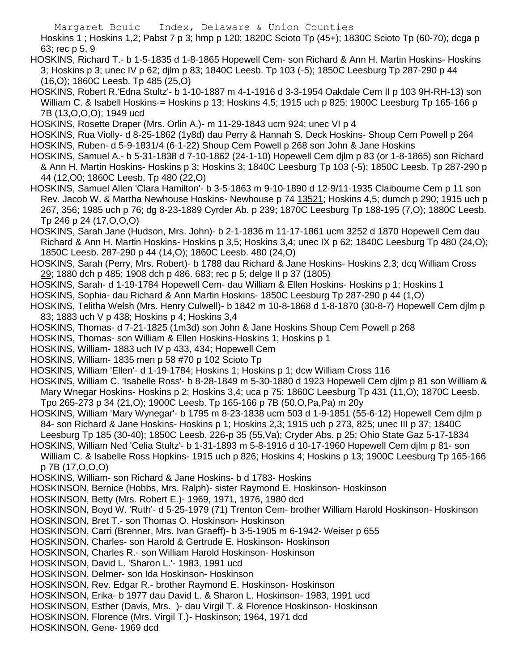Hoskins 1 ; Hoskins 1,2; Pabst 7 p 3; hmp p 120; 1820C Scioto Tp (45+); 1830C Scioto Tp (60-70); dcga p 63; rec p 5, 9

- HOSKINS, Richard T.- b 1-5-1835 d 1-8-1865 Hopewell Cem- son Richard & Ann H. Martin Hoskins- Hoskins 3; Hoskins p 3; unec IV p 62; djlm p 83; 1840C Leesb. Tp 103 (-5); 1850C Leesburg Tp 287-290 p 44 (16,O); 1860C Leesb. Tp 485 (25,O)
- HOSKINS, Robert R.'Edna Stultz'- b 1-10-1887 m 4-1-1916 d 3-3-1954 Oakdale Cem II p 103 9H-RH-13) son William C. & Isabell Hoskins-= Hoskins p 13; Hoskins 4,5; 1915 uch p 825; 1900C Leesburg Tp 165-166 p 7B (13,O,O,O); 1949 ucd
- HOSKINS, Rosette Draper (Mrs. Orlin A.)- m 11-29-1843 ucm 924; unec VI p 4
- HOSKINS, Rua Violly- d 8-25-1862 (1y8d) dau Perry & Hannah S. Deck Hoskins- Shoup Cem Powell p 264 HOSKINS, Ruben- d 5-9-1831/4 (6-1-22) Shoup Cem Powell p 268 son John & Jane Hoskins
- HOSKINS, Samuel A.- b 5-31-1838 d 7-10-1862 (24-1-10) Hopewell Cem djlm p 83 (or 1-8-1865) son Richard & Ann H. Martin Hoskins- Hoskins p 3; Hoskins 3; 1840C Leesburg Tp 103 (-5); 1850C Leesb. Tp 287-290 p 44 (12,O0; 1860C Leesb. Tp 480 (22,O)
- HOSKINS, Samuel Allen 'Clara Hamilton'- b 3-5-1863 m 9-10-1890 d 12-9/11-1935 Claibourne Cem p 11 son Rev. Jacob W. & Martha Newhouse Hoskins- Newhouse p 74 13521; Hoskins 4,5; dumch p 290; 1915 uch p 267, 356; 1985 uch p 76; dg 8-23-1889 Cyrder Ab. p 239; 1870C Leesburg Tp 188-195 (7,O); 1880C Leesb. Tp 246 p 24 (17,O,O,O)
- HOSKINS, Sarah Jane (Hudson, Mrs. John)- b 2-1-1836 m 11-17-1861 ucm 3252 d 1870 Hopewell Cem dau Richard & Ann H. Martin Hoskins- Hoskins p 3,5; Hoskins 3,4; unec IX p 62; 1840C Leesburg Tp 480 (24,O); 1850C Leesb. 287-290 p 44 (14,O); 1860C Leesb. 480 (24,O)
- HOSKINS, Sarah (Perry, Mrs. Robert)- b 1788 dau Richard & Jane Hoskins- Hoskins 2,3; dcq William Cross 29; 1880 dch p 485; 1908 dch p 486. 683; rec p 5; delge II p 37 (1805)
- HOSKINS, Sarah- d 1-19-1784 Hopewell Cem- dau William & Ellen Hoskins- Hoskins p 1; Hoskins 1
- HOSKINS, Sophia- dau Richard & Ann Martin Hoskins- 1850C Leesburg Tp 287-290 p 44 (1,O)
- HOSKINS, Telitha Welsh (Mrs. Henry Culwell)- b 1842 m 10-8-1868 d 1-8-1870 (30-8-7) Hopewell Cem djlm p 83; 1883 uch V p 438; Hoskins p 4; Hoskins 3,4
- HOSKINS, Thomas- d 7-21-1825 (1m3d) son John & Jane Hoskins Shoup Cem Powell p 268
- HOSKINS, Thomas- son William & Ellen Hoskins-Hoskins 1; Hoskins p 1
- HOSKINS, William- 1883 uch IV p 433, 434; Hopewell Cem
- HOSKINS, William- 1835 men p 58 #70 p 102 Scioto Tp
- HOSKINS, William 'Ellen'- d 1-19-1784; Hoskins 1; Hoskins p 1; dcw William Cross 116
- HOSKINS, William C. 'Isabelle Ross'- b 8-28-1849 m 5-30-1880 d 1923 Hopewell Cem djlm p 81 son William & Mary Wnegar Hoskins- Hoskins p 2; Hoskins 3,4; uca p 75; 1860C Leesburg Tp 431 (11,O); 1870C Leesb. Tpo 265-273 p 34 (21,O); 1900C Leesb. Tp 165-166 p 7B (50,O,Pa,Pa) m 20y
- HOSKINS, William 'Mary Wynegar'- b 1795 m 8-23-1838 ucm 503 d 1-9-1851 (55-6-12) Hopewell Cem djlm p 84- son Richard & Jane Hoskins- Hoskins p 1; Hoskins 2,3; 1915 uch p 273, 825; unec III p 37; 1840C
- Leesburg Tp 185 (30-40); 1850C Leesb. 226-p 35 (55,Va); Cryder Abs. p 25; Ohio State Gaz 5-17-1834
- HOSKINS, William Ned 'Celia Stultz'- b 1-31-1893 m 5-8-1916 d 10-17-1960 Hopewell Cem djlm p 81- son William C. & Isabelle Ross Hopkins- 1915 uch p 826; Hoskins 4; Hoskins p 13; 1900C Leesburg Tp 165-166 p 7B (17,O,O,O)
- HOSKINS, William- son Richard & Jane Hoskins- b d 1783- Hoskins
- HOSKINSON, Bernice (Hobbs, Mrs. Ralph)- sister Raymond E. Hoskinson- Hoskinson
- HOSKINSON, Betty (Mrs. Robert E.)- 1969, 1971, 1976, 1980 dcd
- HOSKINSON, Boyd W. 'Ruth'- d 5-25-1979 (71) Trenton Cem- brother William Harold Hoskinson- Hoskinson
- HOSKINSON, Bret T.- son Thomas O. Hoskinson- Hoskinson
- HOSKINSON, Carri (Brenner, Mrs. Ivan Graeff)- b 3-5-1905 m 6-1942- Weiser p 655
- HOSKINSON, Charles- son Harold & Gertrude E. Hoskinson- Hoskinson
- HOSKINSON, Charles R.- son William Harold Hoskinson- Hoskinson
- HOSKINSON, David L. 'Sharon L.'- 1983, 1991 ucd
- HOSKINSON, Delmer- son Ida Hoskinson- Hoskinson
- HOSKINSON, Rev. Edgar R.- brother Raymond E. Hoskinson- Hoskinson
- HOSKINSON, Erika- b 1977 dau David L. & Sharon L. Hoskinson- 1983, 1991 ucd
- HOSKINSON, Esther (Davis, Mrs. )- dau Virgil T. & Florence Hoskinson- Hoskinson
- HOSKINSON, Florence (Mrs. Virgil T.)- Hoskinson; 1964, 1971 dcd
- HOSKINSON, Gene- 1969 dcd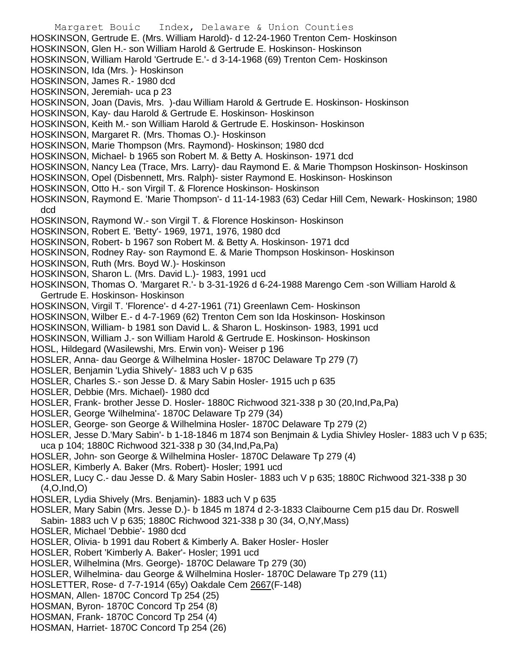Margaret Bouic Index, Delaware & Union Counties HOSKINSON, Gertrude E. (Mrs. William Harold)- d 12-24-1960 Trenton Cem- Hoskinson HOSKINSON, Glen H.- son William Harold & Gertrude E. Hoskinson- Hoskinson HOSKINSON, William Harold 'Gertrude E.'- d 3-14-1968 (69) Trenton Cem- Hoskinson HOSKINSON, Ida (Mrs. )- Hoskinson HOSKINSON, James R.- 1980 dcd HOSKINSON, Jeremiah- uca p 23 HOSKINSON, Joan (Davis, Mrs. )-dau William Harold & Gertrude E. Hoskinson- Hoskinson HOSKINSON, Kay- dau Harold & Gertrude E. Hoskinson- Hoskinson HOSKINSON, Keith M.- son William Harold & Gertrude E. Hoskinson- Hoskinson HOSKINSON, Margaret R. (Mrs. Thomas O.)- Hoskinson HOSKINSON, Marie Thompson (Mrs. Raymond)- Hoskinson; 1980 dcd HOSKINSON, Michael- b 1965 son Robert M. & Betty A. Hoskinson- 1971 dcd HOSKINSON, Nancy Lea (Trace, Mrs. Larry)- dau Raymond E. & Marie Thompson Hoskinson- Hoskinson HOSKINSON, Opel (Disbennett, Mrs. Ralph)- sister Raymond E. Hoskinson- Hoskinson HOSKINSON, Otto H.- son Virgil T. & Florence Hoskinson- Hoskinson HOSKINSON, Raymond E. 'Marie Thompson'- d 11-14-1983 (63) Cedar Hill Cem, Newark- Hoskinson; 1980 dcd HOSKINSON, Raymond W.- son Virgil T. & Florence Hoskinson- Hoskinson HOSKINSON, Robert E. 'Betty'- 1969, 1971, 1976, 1980 dcd HOSKINSON, Robert- b 1967 son Robert M. & Betty A. Hoskinson- 1971 dcd HOSKINSON, Rodney Ray- son Raymond E. & Marie Thompson Hoskinson- Hoskinson HOSKINSON, Ruth (Mrs. Boyd W.)- Hoskinson HOSKINSON, Sharon L. (Mrs. David L.)- 1983, 1991 ucd HOSKINSON, Thomas O. 'Margaret R.'- b 3-31-1926 d 6-24-1988 Marengo Cem -son William Harold & Gertrude E. Hoskinson- Hoskinson HOSKINSON, Virgil T. 'Florence'- d 4-27-1961 (71) Greenlawn Cem- Hoskinson HOSKINSON, Wilber E.- d 4-7-1969 (62) Trenton Cem son Ida Hoskinson- Hoskinson HOSKINSON, William- b 1981 son David L. & Sharon L. Hoskinson- 1983, 1991 ucd HOSKINSON, William J.- son William Harold & Gertrude E. Hoskinson- Hoskinson HOSL, Hildegard (Wasilewshi, Mrs. Erwin von)- Weiser p 196 HOSLER, Anna- dau George & Wilhelmina Hosler- 1870C Delaware Tp 279 (7) HOSLER, Benjamin 'Lydia Shively'- 1883 uch V p 635 HOSLER, Charles S.- son Jesse D. & Mary Sabin Hosler- 1915 uch p 635 HOSLER, Debbie (Mrs. Michael)- 1980 dcd HOSLER, Frank- brother Jesse D. Hosler- 1880C Richwood 321-338 p 30 (20,Ind,Pa,Pa) HOSLER, George 'Wilhelmina'- 1870C Delaware Tp 279 (34) HOSLER, George- son George & Wilhelmina Hosler- 1870C Delaware Tp 279 (2) HOSLER, Jesse D.'Mary Sabin'- b 1-18-1846 m 1874 son Benjmain & Lydia Shivley Hosler- 1883 uch V p 635; uca p 104; 1880C Richwood 321-338 p 30 (34,Ind,Pa,Pa) HOSLER, John- son George & Wilhelmina Hosler- 1870C Delaware Tp 279 (4) HOSLER, Kimberly A. Baker (Mrs. Robert)- Hosler; 1991 ucd HOSLER, Lucy C.- dau Jesse D. & Mary Sabin Hosler- 1883 uch V p 635; 1880C Richwood 321-338 p 30 (4,O,Ind,O) HOSLER, Lydia Shively (Mrs. Benjamin)- 1883 uch V p 635 HOSLER, Mary Sabin (Mrs. Jesse D.)- b 1845 m 1874 d 2-3-1833 Claibourne Cem p15 dau Dr. Roswell Sabin- 1883 uch V p 635; 1880C Richwood 321-338 p 30 (34, O,NY,Mass) HOSLER, Michael 'Debbie'- 1980 dcd HOSLER, Olivia- b 1991 dau Robert & Kimberly A. Baker Hosler- Hosler HOSLER, Robert 'Kimberly A. Baker'- Hosler; 1991 ucd HOSLER, Wilhelmina (Mrs. George)- 1870C Delaware Tp 279 (30) HOSLER, Wilhelmina- dau George & Wilhelmina Hosler- 1870C Delaware Tp 279 (11) HOSLETTER, Rose- d 7-7-1914 (65y) Oakdale Cem 2667(F-148) HOSMAN, Allen- 1870C Concord Tp 254 (25) HOSMAN, Byron- 1870C Concord Tp 254 (8) HOSMAN, Frank- 1870C Concord Tp 254 (4) HOSMAN, Harriet- 1870C Concord Tp 254 (26)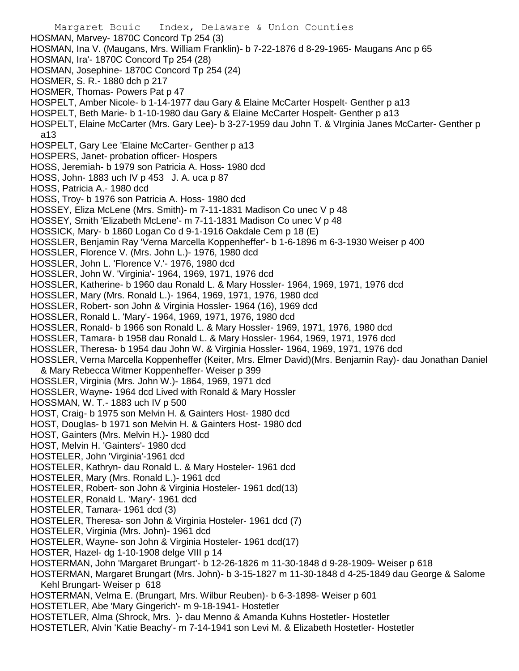Margaret Bouic Index, Delaware & Union Counties HOSMAN, Marvey- 1870C Concord Tp 254 (3) HOSMAN, Ina V. (Maugans, Mrs. William Franklin)- b 7-22-1876 d 8-29-1965- Maugans Anc p 65 HOSMAN, Ira'- 1870C Concord Tp 254 (28) HOSMAN, Josephine- 1870C Concord Tp 254 (24) HOSMER, S. R.- 1880 dch p 217 HOSMER, Thomas- Powers Pat p 47 HOSPELT, Amber Nicole- b 1-14-1977 dau Gary & Elaine McCarter Hospelt- Genther p a13 HOSPELT, Beth Marie- b 1-10-1980 dau Gary & Elaine McCarter Hospelt- Genther p a13 HOSPELT, Elaine McCarter (Mrs. Gary Lee)- b 3-27-1959 dau John T. & VIrginia Janes McCarter- Genther p a13 HOSPELT, Gary Lee 'Elaine McCarter- Genther p a13 HOSPERS, Janet- probation officer- Hospers HOSS, Jeremiah- b 1979 son Patricia A. Hoss- 1980 dcd HOSS, John- 1883 uch IV p 453 J. A. uca p 87 HOSS, Patricia A.- 1980 dcd HOSS, Troy- b 1976 son Patricia A. Hoss- 1980 dcd HOSSEY, Eliza McLene (Mrs. Smith)- m 7-11-1831 Madison Co unec V p 48 HOSSEY, Smith 'Elizabeth McLene'- m 7-11-1831 Madison Co unec V p 48 HOSSICK, Mary- b 1860 Logan Co d 9-1-1916 Oakdale Cem p 18 (E) HOSSLER, Benjamin Ray 'Verna Marcella Koppenheffer'- b 1-6-1896 m 6-3-1930 Weiser p 400 HOSSLER, Florence V. (Mrs. John L.)- 1976, 1980 dcd HOSSLER, John L. 'Florence V.'- 1976, 1980 dcd HOSSLER, John W. 'Virginia'- 1964, 1969, 1971, 1976 dcd HOSSLER, Katherine- b 1960 dau Ronald L. & Mary Hossler- 1964, 1969, 1971, 1976 dcd HOSSLER, Mary (Mrs. Ronald L.)- 1964, 1969, 1971, 1976, 1980 dcd HOSSLER, Robert- son John & Virginia Hossler- 1964 (16), 1969 dcd HOSSLER, Ronald L. 'Mary'- 1964, 1969, 1971, 1976, 1980 dcd HOSSLER, Ronald- b 1966 son Ronald L. & Mary Hossler- 1969, 1971, 1976, 1980 dcd HOSSLER, Tamara- b 1958 dau Ronald L. & Mary Hossler- 1964, 1969, 1971, 1976 dcd HOSSLER, Theresa- b 1954 dau John W. & Virginia Hossler- 1964, 1969, 1971, 1976 dcd HOSSLER, Verna Marcella Koppenheffer (Keiter, Mrs. Elmer David)(Mrs. Benjamin Ray)- dau Jonathan Daniel & Mary Rebecca Witmer Koppenheffer- Weiser p 399 HOSSLER, Virginia (Mrs. John W.)- 1864, 1969, 1971 dcd HOSSLER, Wayne- 1964 dcd Lived with Ronald & Mary Hossler HOSSMAN, W. T.- 1883 uch IV p 500 HOST, Craig- b 1975 son Melvin H. & Gainters Host- 1980 dcd HOST, Douglas- b 1971 son Melvin H. & Gainters Host- 1980 dcd HOST, Gainters (Mrs. Melvin H.)- 1980 dcd HOST, Melvin H. 'Gainters'- 1980 dcd HOSTELER, John 'Virginia'-1961 dcd HOSTELER, Kathryn- dau Ronald L. & Mary Hosteler- 1961 dcd HOSTELER, Mary (Mrs. Ronald L.)- 1961 dcd HOSTELER, Robert- son John & Virginia Hosteler- 1961 dcd(13) HOSTELER, Ronald L. 'Mary'- 1961 dcd HOSTELER, Tamara- 1961 dcd (3) HOSTELER, Theresa- son John & Virginia Hosteler- 1961 dcd (7) HOSTELER, Virginia (Mrs. John)- 1961 dcd HOSTELER, Wayne- son John & Virginia Hosteler- 1961 dcd(17) HOSTER, Hazel- dg 1-10-1908 delge VIII p 14 HOSTERMAN, John 'Margaret Brungart'- b 12-26-1826 m 11-30-1848 d 9-28-1909- Weiser p 618 HOSTERMAN, Margaret Brungart (Mrs. John)- b 3-15-1827 m 11-30-1848 d 4-25-1849 dau George & Salome Kehl Brungart- Weiser p 618 HOSTERMAN, Velma E. (Brungart, Mrs. Wilbur Reuben)- b 6-3-1898- Weiser p 601 HOSTETLER, Abe 'Mary Gingerich'- m 9-18-1941- Hostetler HOSTETLER, Alma (Shrock, Mrs. )- dau Menno & Amanda Kuhns Hostetler- Hostetler HOSTETLER, Alvin 'Katie Beachy'- m 7-14-1941 son Levi M. & Elizabeth Hostetler- Hostetler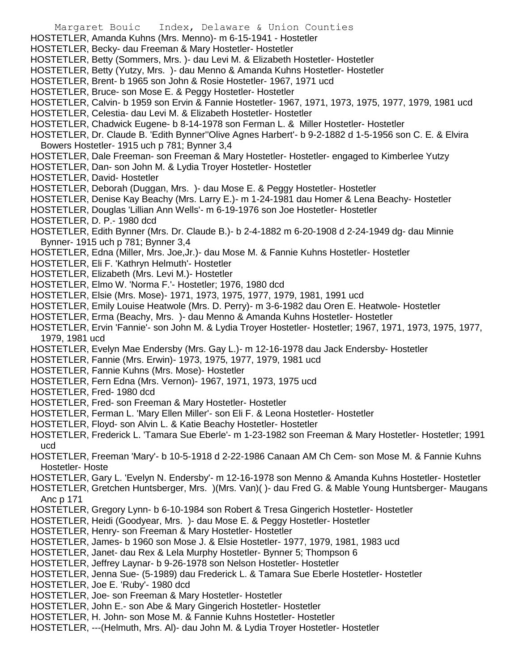Margaret Bouic Index, Delaware & Union Counties HOSTETLER, Amanda Kuhns (Mrs. Menno)- m 6-15-1941 - Hostetler HOSTETLER, Becky- dau Freeman & Mary Hostetler- Hostetler HOSTETLER, Betty (Sommers, Mrs. )- dau Levi M. & Elizabeth Hostetler- Hostetler HOSTETLER, Betty (Yutzy, Mrs. )- dau Menno & Amanda Kuhns Hostetler- Hostetler HOSTETLER, Brent- b 1965 son John & Rosie Hostetler- 1967, 1971 ucd HOSTETLER, Bruce- son Mose E. & Peggy Hostetler- Hostetler HOSTETLER, Calvin- b 1959 son Ervin & Fannie Hostetler- 1967, 1971, 1973, 1975, 1977, 1979, 1981 ucd HOSTETLER, Celestia- dau Levi M. & Elizabeth Hostetler- Hostetler HOSTETLER, Chadwick Eugene- b 8-14-1978 son Ferman L. & Miller Hostetler- Hostetler HOSTETLER, Dr. Claude B. 'Edith Bynner''Olive Agnes Harbert'- b 9-2-1882 d 1-5-1956 son C. E. & Elvira Bowers Hostetler- 1915 uch p 781; Bynner 3,4 HOSTETLER, Dale Freeman- son Freeman & Mary Hostetler- Hostetler- engaged to Kimberlee Yutzy HOSTETLER, Dan- son John M. & Lydia Troyer Hostetler- Hostetler HOSTETLER, David- Hostetler HOSTETLER, Deborah (Duggan, Mrs. )- dau Mose E. & Peggy Hostetler- Hostetler HOSTETLER, Denise Kay Beachy (Mrs. Larry E.)- m 1-24-1981 dau Homer & Lena Beachy- Hostetler HOSTETLER, Douglas 'Lillian Ann Wells'- m 6-19-1976 son Joe Hostetler- Hostetler HOSTETLER, D. P.- 1980 dcd HOSTETLER, Edith Bynner (Mrs. Dr. Claude B.)- b 2-4-1882 m 6-20-1908 d 2-24-1949 dg- dau Minnie Bynner- 1915 uch p 781; Bynner 3,4 HOSTETLER, Edna (Miller, Mrs. Joe,Jr.)- dau Mose M. & Fannie Kuhns Hostetler- Hostetler HOSTETLER, Eli F. 'Kathryn Helmuth'- Hostetler HOSTETLER, Elizabeth (Mrs. Levi M.)- Hostetler HOSTETLER, Elmo W. 'Norma F.'- Hostetler; 1976, 1980 dcd HOSTETLER, Elsie (Mrs. Mose)- 1971, 1973, 1975, 1977, 1979, 1981, 1991 ucd HOSTETLER, Emily Louise Heatwole (Mrs. D. Perry)- m 3-6-1982 dau Oren E. Heatwole- Hostetler HOSTETLER, Erma (Beachy, Mrs. )- dau Menno & Amanda Kuhns Hostetler- Hostetler HOSTETLER, Ervin 'Fannie'- son John M. & Lydia Troyer Hostetler- Hostetler; 1967, 1971, 1973, 1975, 1977, 1979, 1981 ucd HOSTETLER, Evelyn Mae Endersby (Mrs. Gay L.)- m 12-16-1978 dau Jack Endersby- Hostetler HOSTETLER, Fannie (Mrs. Erwin)- 1973, 1975, 1977, 1979, 1981 ucd HOSTETLER, Fannie Kuhns (Mrs. Mose)- Hostetler HOSTETLER, Fern Edna (Mrs. Vernon)- 1967, 1971, 1973, 1975 ucd HOSTETLER, Fred- 1980 dcd HOSTETLER, Fred- son Freeman & Mary Hostetler- Hostetler HOSTETLER, Ferman L. 'Mary Ellen Miller'- son Eli F. & Leona Hostetler- Hostetler HOSTETLER, Floyd- son Alvin L. & Katie Beachy Hostetler- Hostetler HOSTETLER, Frederick L. 'Tamara Sue Eberle'- m 1-23-1982 son Freeman & Mary Hostetler- Hostetler; 1991 ucd HOSTETLER, Freeman 'Mary'- b 10-5-1918 d 2-22-1986 Canaan AM Ch Cem- son Mose M. & Fannie Kuhns Hostetler- Hoste HOSTETLER, Gary L. 'Evelyn N. Endersby'- m 12-16-1978 son Menno & Amanda Kuhns Hostetler- Hostetler HOSTETLER, Gretchen Huntsberger, Mrs. )(Mrs. Van)( )- dau Fred G. & Mable Young Huntsberger- Maugans Anc p 171 HOSTETLER, Gregory Lynn- b 6-10-1984 son Robert & Tresa Gingerich Hostetler- Hostetler HOSTETLER, Heidi (Goodyear, Mrs. )- dau Mose E. & Peggy Hostetler- Hostetler HOSTETLER, Henry- son Freeman & Mary Hostetler- Hostetler HOSTETLER, James- b 1960 son Mose J. & Elsie Hostetler- 1977, 1979, 1981, 1983 ucd HOSTETLER, Janet- dau Rex & Lela Murphy Hostetler- Bynner 5; Thompson 6 HOSTETLER, Jeffrey Laynar- b 9-26-1978 son Nelson Hostetler- Hostetler HOSTETLER, Jenna Sue- (5-1989) dau Frederick L. & Tamara Sue Eberle Hostetler- Hostetler HOSTETLER, Joe E. 'Ruby'- 1980 dcd HOSTETLER, Joe- son Freeman & Mary Hostetler- Hostetler HOSTETLER, John E.- son Abe & Mary Gingerich Hostetler- Hostetler HOSTETLER, H. John- son Mose M. & Fannie Kuhns Hostetler- Hostetler HOSTETLER, ---(Helmuth, Mrs. Al)- dau John M. & Lydia Troyer Hostetler- Hostetler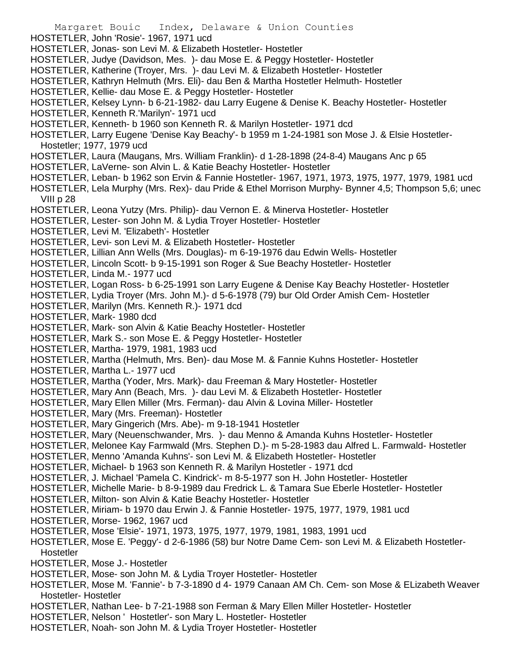- Margaret Bouic Index, Delaware & Union Counties HOSTETLER, John 'Rosie'- 1967, 1971 ucd HOSTETLER, Jonas- son Levi M. & Elizabeth Hostetler- Hostetler HOSTETLER, Judye (Davidson, Mes. )- dau Mose E. & Peggy Hostetler- Hostetler HOSTETLER, Katherine (Troyer, Mrs. )- dau Levi M. & Elizabeth Hostetler- Hostetler HOSTETLER, Kathryn Helmuth (Mrs. Eli)- dau Ben & Martha Hostetler Helmuth- Hostetler HOSTETLER, Kellie- dau Mose E. & Peggy Hostetler- Hostetler HOSTETLER, Kelsey Lynn- b 6-21-1982- dau Larry Eugene & Denise K. Beachy Hostetler- Hostetler HOSTETLER, Kenneth R.'Marilyn'- 1971 ucd HOSTETLER, Kenneth- b 1960 son Kenneth R. & Marilyn Hostetler- 1971 dcd HOSTETLER, Larry Eugene 'Denise Kay Beachy'- b 1959 m 1-24-1981 son Mose J. & Elsie Hostetler-Hostetler; 1977, 1979 ucd HOSTETLER, Laura (Maugans, Mrs. William Franklin)- d 1-28-1898 (24-8-4) Maugans Anc p 65 HOSTETLER, LaVerne- son Alvin L. & Katie Beachy Hostetler- Hostetler HOSTETLER, Leban- b 1962 son Ervin & Fannie Hostetler- 1967, 1971, 1973, 1975, 1977, 1979, 1981 ucd HOSTETLER, Lela Murphy (Mrs. Rex)- dau Pride & Ethel Morrison Murphy- Bynner 4,5; Thompson 5,6; unec VIII p 28 HOSTETLER, Leona Yutzy (Mrs. Philip)- dau Vernon E. & Minerva Hostetler- Hostetler HOSTETLER, Lester- son John M. & Lydia Troyer Hostetler- Hostetler HOSTETLER, Levi M. 'Elizabeth'- Hostetler HOSTETLER, Levi- son Levi M. & Elizabeth Hostetler- Hostetler HOSTETLER, Lillian Ann Wells (Mrs. Douglas)- m 6-19-1976 dau Edwin Wells- Hostetler HOSTETLER, Lincoln Scott- b 9-15-1991 son Roger & Sue Beachy Hostetler- Hostetler HOSTETLER, Linda M.- 1977 ucd HOSTETLER, Logan Ross- b 6-25-1991 son Larry Eugene & Denise Kay Beachy Hostetler- Hostetler HOSTETLER, Lydia Troyer (Mrs. John M.)- d 5-6-1978 (79) bur Old Order Amish Cem- Hostetler HOSTETLER, Marilyn (Mrs. Kenneth R.)- 1971 dcd HOSTETLER, Mark- 1980 dcd HOSTETLER, Mark- son Alvin & Katie Beachy Hostetler- Hostetler HOSTETLER, Mark S.- son Mose E. & Peggy Hostetler- Hostetler HOSTETLER, Martha- 1979, 1981, 1983 ucd HOSTETLER, Martha (Helmuth, Mrs. Ben)- dau Mose M. & Fannie Kuhns Hostetler- Hostetler HOSTETLER, Martha L.- 1977 ucd HOSTETLER, Martha (Yoder, Mrs. Mark)- dau Freeman & Mary Hostetler- Hostetler HOSTETLER, Mary Ann (Beach, Mrs. )- dau Levi M. & Elizabeth Hostetler- Hostetler HOSTETLER, Mary Ellen Miller (Mrs. Ferman)- dau Alvin & Lovina Miller- Hostetler HOSTETLER, Mary (Mrs. Freeman)- Hostetler HOSTETLER, Mary Gingerich (Mrs. Abe)- m 9-18-1941 Hostetler HOSTETLER, Mary (Neuenschwander, Mrs. )- dau Menno & Amanda Kuhns Hostetler- Hostetler HOSTETLER, Melonee Kay Farmwald (Mrs. Stephen D.)- m 5-28-1983 dau Alfred L. Farmwald- Hostetler HOSTETLER, Menno 'Amanda Kuhns'- son Levi M. & Elizabeth Hostetler- Hostetler HOSTETLER, Michael- b 1963 son Kenneth R. & Marilyn Hostetler - 1971 dcd HOSTETLER, J. Michael 'Pamela C. Kindrick'- m 8-5-1977 son H. John Hostetler- Hostetler HOSTETLER, Michelle Marie- b 8-9-1989 dau Fredrick L. & Tamara Sue Eberle Hostetler- Hostetler HOSTETLER, Milton- son Alvin & Katie Beachy Hostetler- Hostetler HOSTETLER, Miriam- b 1970 dau Erwin J. & Fannie Hostetler- 1975, 1977, 1979, 1981 ucd HOSTETLER, Morse- 1962, 1967 ucd HOSTETLER, Mose 'Elsie'- 1971, 1973, 1975, 1977, 1979, 1981, 1983, 1991 ucd HOSTETLER, Mose E. 'Peggy'- d 2-6-1986 (58) bur Notre Dame Cem- son Levi M. & Elizabeth Hostetler-**Hostetler** HOSTETLER, Mose J.- Hostetler HOSTETLER, Mose- son John M. & Lydia Troyer Hostetler- Hostetler HOSTETLER, Mose M. 'Fannie'- b 7-3-1890 d 4- 1979 Canaan AM Ch. Cem- son Mose & ELizabeth Weaver Hostetler- Hostetler HOSTETLER, Nathan Lee- b 7-21-1988 son Ferman & Mary Ellen Miller Hostetler- Hostetler HOSTETLER, Nelson ' Hostetler'- son Mary L. Hostetler- Hostetler
- HOSTETLER, Noah- son John M. & Lydia Troyer Hostetler- Hostetler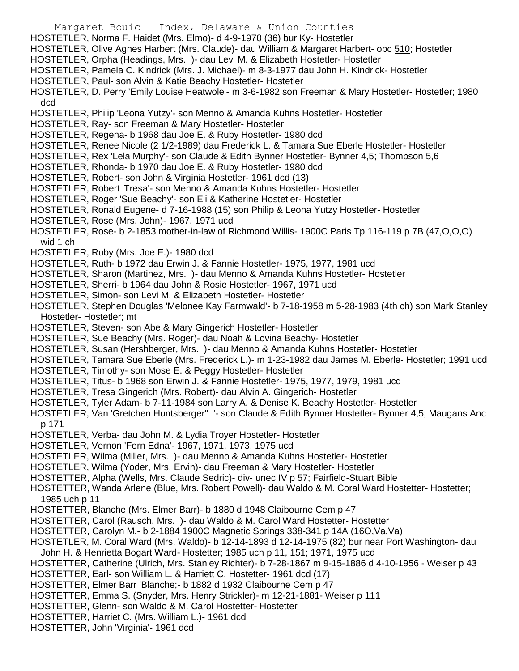- Margaret Bouic Index, Delaware & Union Counties HOSTETLER, Norma F. Haidet (Mrs. Elmo)- d 4-9-1970 (36) bur Ky- Hostetler
- HOSTETLER, Olive Agnes Harbert (Mrs. Claude)- dau William & Margaret Harbert- opc 510; Hostetler
- HOSTETLER, Orpha (Headings, Mrs. )- dau Levi M. & Elizabeth Hostetler- Hostetler
- HOSTETLER, Pamela C. Kindrick (Mrs. J. Michael)- m 8-3-1977 dau John H. Kindrick- Hostetler
- HOSTETLER, Paul- son Alvin & Katie Beachy Hostetler- Hostetler

HOSTETLER, D. Perry 'Emily Louise Heatwole'- m 3-6-1982 son Freeman & Mary Hostetler- Hostetler; 1980 dcd

- HOSTETLER, Philip 'Leona Yutzy'- son Menno & Amanda Kuhns Hostetler- Hostetler
- HOSTETLER, Ray- son Freeman & Mary Hostetler- Hostetler
- HOSTETLER, Regena- b 1968 dau Joe E. & Ruby Hostetler- 1980 dcd
- HOSTETLER, Renee Nicole (2 1/2-1989) dau Frederick L. & Tamara Sue Eberle Hostetler- Hostetler
- HOSTETLER, Rex 'Lela Murphy'- son Claude & Edith Bynner Hostetler- Bynner 4,5; Thompson 5,6
- HOSTETLER, Rhonda- b 1970 dau Joe E. & Ruby Hostetler- 1980 dcd
- HOSTETLER, Robert- son John & Virginia Hostetler- 1961 dcd (13)
- HOSTETLER, Robert 'Tresa'- son Menno & Amanda Kuhns Hostetler- Hostetler
- HOSTETLER, Roger 'Sue Beachy'- son Eli & Katherine Hostetler- Hostetler
- HOSTETLER, Ronald Eugene- d 7-16-1988 (15) son Philip & Leona Yutzy Hostetler- Hostetler
- HOSTETLER, Rose (Mrs. John)- 1967, 1971 ucd
- HOSTETLER, Rose- b 2-1853 mother-in-law of Richmond Willis- 1900C Paris Tp 116-119 p 7B (47,O,O,O) wid 1 ch
- HOSTETLER, Ruby (Mrs. Joe E.)- 1980 dcd
- HOSTETLER, Ruth- b 1972 dau Erwin J. & Fannie Hostetler- 1975, 1977, 1981 ucd
- HOSTETLER, Sharon (Martinez, Mrs. )- dau Menno & Amanda Kuhns Hostetler- Hostetler
- HOSTETLER, Sherri- b 1964 dau John & Rosie Hostetler- 1967, 1971 ucd
- HOSTETLER, Simon- son Levi M. & Elizabeth Hostetler- Hostetler
- HOSTETLER, Stephen Douglas 'Melonee Kay Farmwald'- b 7-18-1958 m 5-28-1983 (4th ch) son Mark Stanley Hostetler- Hostetler; mt
- HOSTETLER, Steven- son Abe & Mary Gingerich Hostetler- Hostetler
- HOSTETLER, Sue Beachy (Mrs. Roger)- dau Noah & Lovina Beachy- Hostetler
- HOSTETLER, Susan (Hershberger, Mrs. )- dau Menno & Amanda Kuhns Hostetler- Hostetler
- HOSTETLER, Tamara Sue Eberle (Mrs. Frederick L.)- m 1-23-1982 dau James M. Eberle- Hostetler; 1991 ucd
- HOSTETLER, Timothy- son Mose E. & Peggy Hostetler- Hostetler
- HOSTETLER, Titus- b 1968 son Erwin J. & Fannie Hostetler- 1975, 1977, 1979, 1981 ucd
- HOSTETLER, Tresa Gingerich (Mrs. Robert)- dau Alvin A. Gingerich- Hostetler
- HOSTETLER, Tyler Adam- b 7-11-1984 son Larry A. & Denise K. Beachy Hostetler- Hostetler
- HOSTETLER, Van 'Gretchen Huntsberger'' '- son Claude & Edith Bynner Hostetler- Bynner 4,5; Maugans Anc p 171
- HOSTETLER, Verba- dau John M. & Lydia Troyer Hostetler- Hostetler
- HOSTETLER, Vernon 'Fern Edna'- 1967, 1971, 1973, 1975 ucd
- HOSTETLER, Wilma (Miller, Mrs. )- dau Menno & Amanda Kuhns Hostetler- Hostetler
- HOSTETLER, Wilma (Yoder, Mrs. Ervin)- dau Freeman & Mary Hostetler- Hostetler
- HOSTETTER, Alpha (Wells, Mrs. Claude Sedric)- div- unec IV p 57; Fairfield-Stuart Bible
- HOSTETTER, Wanda Arlene (Blue, Mrs. Robert Powell)- dau Waldo & M. Coral Ward Hostetter- Hostetter; 1985 uch p 11
- HOSTETTER, Blanche (Mrs. Elmer Barr)- b 1880 d 1948 Claibourne Cem p 47
- HOSTETTER, Carol (Rausch, Mrs. )- dau Waldo & M. Carol Ward Hostetter- Hostetter
- HOSTETTER, Carolyn M.- b 2-1884 1900C Magnetic Springs 338-341 p 14A (16O,Va,Va)
- HOSTETLER, M. Coral Ward (Mrs. Waldo)- b 12-14-1893 d 12-14-1975 (82) bur near Port Washington- dau
- John H. & Henrietta Bogart Ward- Hostetter; 1985 uch p 11, 151; 1971, 1975 ucd
- HOSTETTER, Catherine (Ulrich, Mrs. Stanley Richter)- b 7-28-1867 m 9-15-1886 d 4-10-1956 Weiser p 43
- HOSTETTER, Earl- son William L. & Harriett C. Hostetter- 1961 dcd (17)
- HOSTETTER, Elmer Barr 'Blanche;- b 1882 d 1932 Claibourne Cem p 47
- HOSTETTER, Emma S. (Snyder, Mrs. Henry Strickler)- m 12-21-1881- Weiser p 111
- HOSTETTER, Glenn- son Waldo & M. Carol Hostetter- Hostetter
- HOSTETTER, Harriet C. (Mrs. William L.)- 1961 dcd
- HOSTETTER, John 'Virginia'- 1961 dcd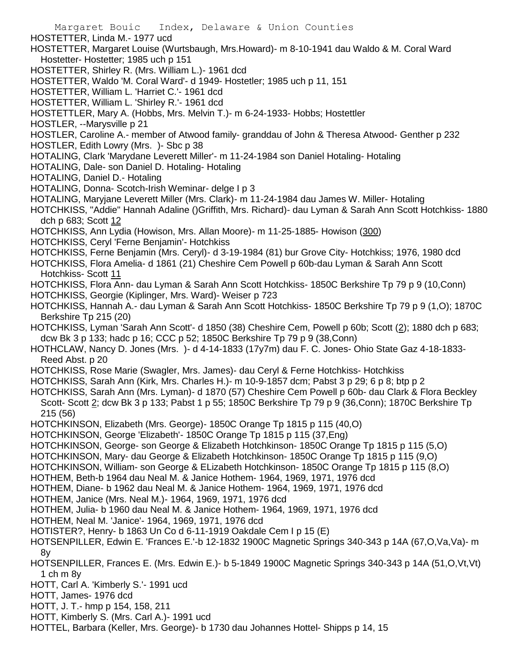Margaret Bouic Index, Delaware & Union Counties HOSTETTER, Linda M.- 1977 ucd HOSTETTER, Margaret Louise (Wurtsbaugh, Mrs.Howard)- m 8-10-1941 dau Waldo & M. Coral Ward Hostetter- Hostetter; 1985 uch p 151 HOSTETTER, Shirley R. (Mrs. William L.)- 1961 dcd HOSTETTER, Waldo 'M. Coral Ward'- d 1949- Hostetler; 1985 uch p 11, 151 HOSTETTER, William L. 'Harriet C.'- 1961 dcd HOSTETTER, William L. 'Shirley R.'- 1961 dcd HOSTETTLER, Mary A. (Hobbs, Mrs. Melvin T.)- m 6-24-1933- Hobbs; Hostettler HOSTLER, --Marysville p 21 HOSTLER, Caroline A.- member of Atwood family- granddau of John & Theresa Atwood- Genther p 232 HOSTLER, Edith Lowry (Mrs. )- Sbc p 38 HOTALING, Clark 'Marydane Leverett Miller'- m 11-24-1984 son Daniel Hotaling- Hotaling HOTALING, Dale- son Daniel D. Hotaling- Hotaling HOTALING, Daniel D.- Hotaling HOTALING, Donna- Scotch-Irish Weminar- delge I p 3 HOTALING, Maryjane Leverett Miller (Mrs. Clark)- m 11-24-1984 dau James W. Miller- Hotaling HOTCHKISS, "Addie" Hannah Adaline ()Griffith, Mrs. Richard)- dau Lyman & Sarah Ann Scott Hotchkiss- 1880 dch p 683; Scott 12 HOTCHKISS, Ann Lydia (Howison, Mrs. Allan Moore)- m 11-25-1885- Howison (300) HOTCHKISS, Ceryl 'Ferne Benjamin'- Hotchkiss HOTCHKISS, Ferne Benjamin (Mrs. Ceryl)- d 3-19-1984 (81) bur Grove City- Hotchkiss; 1976, 1980 dcd HOTCHKISS, Flora Amelia- d 1861 (21) Cheshire Cem Powell p 60b-dau Lyman & Sarah Ann Scott Hotchkiss- Scott 11 HOTCHKISS, Flora Ann- dau Lyman & Sarah Ann Scott Hotchkiss- 1850C Berkshire Tp 79 p 9 (10,Conn) HOTCHKISS, Georgie (Kiplinger, Mrs. Ward)- Weiser p 723 HOTCHKISS, Hannah A.- dau Lyman & Sarah Ann Scott Hotchkiss- 1850C Berkshire Tp 79 p 9 (1,O); 1870C Berkshire Tp 215 (20) HOTCHKISS, Lyman 'Sarah Ann Scott'- d 1850 (38) Cheshire Cem, Powell p 60b; Scott (2); 1880 dch p 683; dcw Bk 3 p 133; hadc p 16; CCC p 52; 1850C Berkshire Tp 79 p 9 (38,Conn) HOTHCLAW, Nancy D. Jones (Mrs. )- d 4-14-1833 (17y7m) dau F. C. Jones- Ohio State Gaz 4-18-1833- Reed Abst. p 20 HOTCHKISS, Rose Marie (Swagler, Mrs. James)- dau Ceryl & Ferne Hotchkiss- Hotchkiss HOTCHKISS, Sarah Ann (Kirk, Mrs. Charles H.)- m 10-9-1857 dcm; Pabst 3 p 29; 6 p 8; btp p 2 HOTCHKISS, Sarah Ann (Mrs. Lyman)- d 1870 (57) Cheshire Cem Powell p 60b- dau Clark & Flora Beckley Scott- Scott 2; dcw Bk 3 p 133; Pabst 1 p 55; 1850C Berkshire Tp 79 p 9 (36,Conn); 1870C Berkshire Tp 215 (56) HOTCHKINSON, Elizabeth (Mrs. George)- 1850C Orange Tp 1815 p 115 (40,O) HOTCHKINSON, George 'Elizabeth'- 1850C Orange Tp 1815 p 115 (37,Eng) HOTCHKINSON, George- son George & Elizabeth Hotchkinson- 1850C Orange Tp 1815 p 115 (5,O) HOTCHKINSON, Mary- dau George & Elizabeth Hotchkinson- 1850C Orange Tp 1815 p 115 (9,O) HOTCHKINSON, William- son George & ELizabeth Hotchkinson- 1850C Orange Tp 1815 p 115 (8,O) HOTHEM, Beth-b 1964 dau Neal M. & Janice Hothem- 1964, 1969, 1971, 1976 dcd HOTHEM, Diane- b 1962 dau Neal M. & Janice Hothem- 1964, 1969, 1971, 1976 dcd HOTHEM, Janice (Mrs. Neal M.)- 1964, 1969, 1971, 1976 dcd HOTHEM, Julia- b 1960 dau Neal M. & Janice Hothem- 1964, 1969, 1971, 1976 dcd HOTHEM, Neal M. 'Janice'- 1964, 1969, 1971, 1976 dcd HOTISTER?, Henry- b 1863 Un Co d 6-11-1919 Oakdale Cem I p 15 (E) HOTSENPILLER, Edwin E. 'Frances E.'-b 12-1832 1900C Magnetic Springs 340-343 p 14A (67,O,Va,Va)- m 8y HOTSENPILLER, Frances E. (Mrs. Edwin E.)- b 5-1849 1900C Magnetic Springs 340-343 p 14A (51,O,Vt,Vt) 1 ch m 8y HOTT, Carl A. 'Kimberly S.'- 1991 ucd HOTT, James- 1976 dcd HOTT, J. T.- hmp p 154, 158, 211 HOTT, Kimberly S. (Mrs. Carl A.)- 1991 ucd HOTTEL, Barbara (Keller, Mrs. George)- b 1730 dau Johannes Hottel- Shipps p 14, 15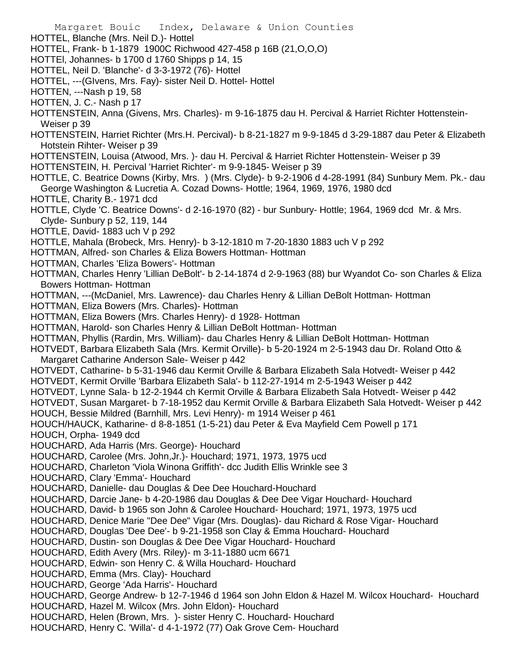Margaret Bouic Index, Delaware & Union Counties HOTTEL, Blanche (Mrs. Neil D.)- Hottel HOTTEL, Frank- b 1-1879 1900C Richwood 427-458 p 16B (21,O,O,O) HOTTEl, Johannes- b 1700 d 1760 Shipps p 14, 15 HOTTEL, Neil D. 'Blanche'- d 3-3-1972 (76)- Hottel HOTTEL, ---(GIvens, Mrs. Fay)- sister Neil D. Hottel- Hottel HOTTEN, ---Nash p 19, 58 HOTTEN, J. C.- Nash p 17 HOTTENSTEIN, Anna (Givens, Mrs. Charles)- m 9-16-1875 dau H. Percival & Harriet Richter Hottenstein-Weiser p 39 HOTTENSTEIN, Harriet Richter (Mrs.H. Percival)- b 8-21-1827 m 9-9-1845 d 3-29-1887 dau Peter & Elizabeth Hotstein Rihter- Weiser p 39 HOTTENSTEIN, Louisa (Atwood, Mrs. )- dau H. Percival & Harriet Richter Hottenstein- Weiser p 39 HOTTENSTEIN, H. Percival 'Harriet Richter'- m 9-9-1845- Weiser p 39 HOTTLE, C. Beatrice Downs (Kirby, Mrs. ) (Mrs. Clyde)- b 9-2-1906 d 4-28-1991 (84) Sunbury Mem. Pk.- dau George Washington & Lucretia A. Cozad Downs- Hottle; 1964, 1969, 1976, 1980 dcd HOTTLE, Charity B.- 1971 dcd HOTTLE, Clyde 'C. Beatrice Downs'- d 2-16-1970 (82) - bur Sunbury- Hottle; 1964, 1969 dcd Mr. & Mrs. Clyde- Sunbury p 52, 119, 144 HOTTLE, David- 1883 uch V p 292 HOTTLE, Mahala (Brobeck, Mrs. Henry)- b 3-12-1810 m 7-20-1830 1883 uch V p 292 HOTTMAN, Alfred- son Charles & Eliza Bowers Hottman- Hottman HOTTMAN, Charles 'Eliza Bowers'- Hottman HOTTMAN, Charles Henry 'Lillian DeBolt'- b 2-14-1874 d 2-9-1963 (88) bur Wyandot Co- son Charles & Eliza Bowers Hottman- Hottman HOTTMAN, ---(McDaniel, Mrs. Lawrence)- dau Charles Henry & Lillian DeBolt Hottman- Hottman HOTTMAN, Eliza Bowers (Mrs. Charles)- Hottman HOTTMAN, Eliza Bowers (Mrs. Charles Henry)- d 1928- Hottman HOTTMAN, Harold- son Charles Henry & Lillian DeBolt Hottman- Hottman HOTTMAN, Phyllis (Rardin, Mrs. William)- dau Charles Henry & Lillian DeBolt Hottman- Hottman HOTVEDT, Barbara Elizabeth Sala (Mrs. Kermit Orville)- b 5-20-1924 m 2-5-1943 dau Dr. Roland Otto & Margaret Catharine Anderson Sale- Weiser p 442 HOTVEDT, Catharine- b 5-31-1946 dau Kermit Orville & Barbara Elizabeth Sala Hotvedt- Weiser p 442 HOTVEDT, Kermit Orville 'Barbara Elizabeth Sala'- b 112-27-1914 m 2-5-1943 Weiser p 442 HOTVEDT, Lynne Sala- b 12-2-1944 ch Kermit Orville & Barbara Elizabeth Sala Hotvedt- Weiser p 442 HOTVEDT, Susan Margaret- b 7-18-1952 dau Kermit Orville & Barbara Elizabeth Sala Hotvedt- Weiser p 442 HOUCH, Bessie Mildred (Barnhill, Mrs. Levi Henry)- m 1914 Weiser p 461 HOUCH/HAUCK, Katharine- d 8-8-1851 (1-5-21) dau Peter & Eva Mayfield Cem Powell p 171 HOUCH, Orpha- 1949 dcd HOUCHARD, Ada Harris (Mrs. George)- Houchard HOUCHARD, Carolee (Mrs. John,Jr.)- Houchard; 1971, 1973, 1975 ucd HOUCHARD, Charleton 'Viola Winona Griffith'- dcc Judith Ellis Wrinkle see 3 HOUCHARD, Clary 'Emma'- Houchard HOUCHARD, Danielle- dau Douglas & Dee Dee Houchard-Houchard HOUCHARD, Darcie Jane- b 4-20-1986 dau Douglas & Dee Dee Vigar Houchard- Houchard HOUCHARD, David- b 1965 son John & Carolee Houchard- Houchard; 1971, 1973, 1975 ucd HOUCHARD, Denice Marie "Dee Dee" Vigar (Mrs. Douglas)- dau Richard & Rose Vigar- Houchard HOUCHARD, Douglas 'Dee Dee'- b 9-21-1958 son Clay & Emma Houchard- Houchard HOUCHARD, Dustin- son Douglas & Dee Dee Vigar Houchard- Houchard HOUCHARD, Edith Avery (Mrs. Riley)- m 3-11-1880 ucm 6671 HOUCHARD, Edwin- son Henry C. & Willa Houchard- Houchard HOUCHARD, Emma (Mrs. Clay)- Houchard HOUCHARD, George 'Ada Harris'- Houchard HOUCHARD, George Andrew- b 12-7-1946 d 1964 son John Eldon & Hazel M. Wilcox Houchard- Houchard HOUCHARD, Hazel M. Wilcox (Mrs. John Eldon)- Houchard HOUCHARD, Helen (Brown, Mrs. )- sister Henry C. Houchard- Houchard HOUCHARD, Henry C. 'Willa'- d 4-1-1972 (77) Oak Grove Cem- Houchard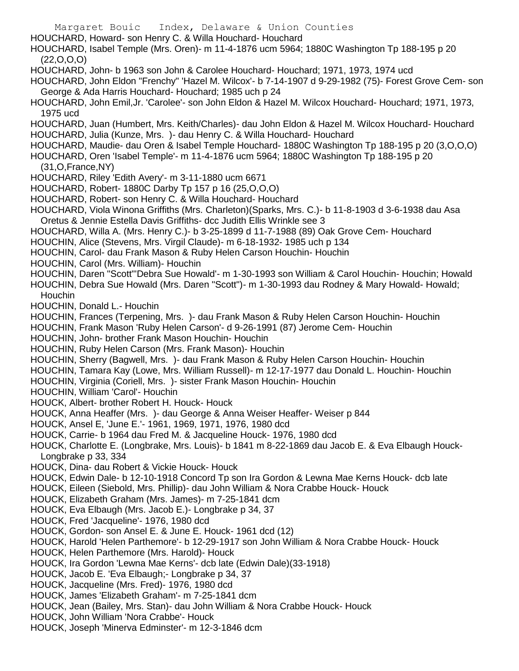- Margaret Bouic Index, Delaware & Union Counties HOUCHARD, Howard- son Henry C. & Willa Houchard- Houchard HOUCHARD, Isabel Temple (Mrs. Oren)- m 11-4-1876 ucm 5964; 1880C Washington Tp 188-195 p 20  $(22, 0, 0, 0)$ HOUCHARD, John- b 1963 son John & Carolee Houchard- Houchard; 1971, 1973, 1974 ucd HOUCHARD, John Eldon "Frenchy" 'Hazel M. Wilcox'- b 7-14-1907 d 9-29-1982 (75)- Forest Grove Cem- son George & Ada Harris Houchard- Houchard; 1985 uch p 24 HOUCHARD, John Emil,Jr. 'Carolee'- son John Eldon & Hazel M. Wilcox Houchard- Houchard; 1971, 1973, 1975 ucd HOUCHARD, Juan (Humbert, Mrs. Keith/Charles)- dau John Eldon & Hazel M. Wilcox Houchard- Houchard HOUCHARD, Julia (Kunze, Mrs. )- dau Henry C. & Willa Houchard- Houchard HOUCHARD, Maudie- dau Oren & Isabel Temple Houchard- 1880C Washington Tp 188-195 p 20 (3,O,O,O) HOUCHARD, Oren 'Isabel Temple'- m 11-4-1876 ucm 5964; 1880C Washington Tp 188-195 p 20 (31,O,France,NY) HOUCHARD, Riley 'Edith Avery'- m 3-11-1880 ucm 6671 HOUCHARD, Robert- 1880C Darby Tp 157 p 16 (25,O,O,O) HOUCHARD, Robert- son Henry C. & Willa Houchard- Houchard HOUCHARD, Viola Winona Griffiths (Mrs. Charleton)(Sparks, Mrs. C.)- b 11-8-1903 d 3-6-1938 dau Asa Oretus & Jennie Estella Davis Griffiths- dcc Judith Ellis Wrinkle see 3 HOUCHARD, Willa A. (Mrs. Henry C.)- b 3-25-1899 d 11-7-1988 (89) Oak Grove Cem- Houchard HOUCHIN, Alice (Stevens, Mrs. Virgil Claude)- m 6-18-1932- 1985 uch p 134 HOUCHIN, Carol- dau Frank Mason & Ruby Helen Carson Houchin- Houchin HOUCHIN, Carol (Mrs. William)- Houchin HOUCHIN, Daren "Scott"'Debra Sue Howald'- m 1-30-1993 son William & Carol Houchin- Houchin; Howald HOUCHIN, Debra Sue Howald (Mrs. Daren "Scott")- m 1-30-1993 dau Rodney & Mary Howald- Howald; Houchin HOUCHIN, Donald L.- Houchin HOUCHIN, Frances (Terpening, Mrs. )- dau Frank Mason & Ruby Helen Carson Houchin- Houchin HOUCHIN, Frank Mason 'Ruby Helen Carson'- d 9-26-1991 (87) Jerome Cem- Houchin HOUCHIN, John- brother Frank Mason Houchin- Houchin HOUCHIN, Ruby Helen Carson (Mrs. Frank Mason)- Houchin HOUCHIN, Sherry (Bagwell, Mrs. )- dau Frank Mason & Ruby Helen Carson Houchin- Houchin HOUCHIN, Tamara Kay (Lowe, Mrs. William Russell)- m 12-17-1977 dau Donald L. Houchin- Houchin HOUCHIN, Virginia (Coriell, Mrs. )- sister Frank Mason Houchin- Houchin HOUCHIN, William 'Carol'- Houchin HOUCK, Albert- brother Robert H. Houck- Houck HOUCK, Anna Heaffer (Mrs. )- dau George & Anna Weiser Heaffer- Weiser p 844 HOUCK, Ansel E, 'June E.'- 1961, 1969, 1971, 1976, 1980 dcd HOUCK, Carrie- b 1964 dau Fred M. & Jacqueline Houck- 1976, 1980 dcd HOUCK, Charlotte E. (Longbrake, Mrs. Louis)- b 1841 m 8-22-1869 dau Jacob E. & Eva Elbaugh Houck-Longbrake p 33, 334 HOUCK, Dina- dau Robert & Vickie Houck- Houck HOUCK, Edwin Dale- b 12-10-1918 Concord Tp son Ira Gordon & Lewna Mae Kerns Houck- dcb late HOUCK, Eileen (Siebold, Mrs. Phillip)- dau John William & Nora Crabbe Houck- Houck HOUCK, Elizabeth Graham (Mrs. James)- m 7-25-1841 dcm HOUCK, Eva Elbaugh (Mrs. Jacob E.)- Longbrake p 34, 37 HOUCK, Fred 'Jacqueline'- 1976, 1980 dcd HOUCK, Gordon- son Ansel E. & June E. Houck- 1961 dcd (12) HOUCK, Harold 'Helen Parthemore'- b 12-29-1917 son John William & Nora Crabbe Houck- Houck HOUCK, Helen Parthemore (Mrs. Harold)- Houck HOUCK, Ira Gordon 'Lewna Mae Kerns'- dcb late (Edwin Dale)(33-1918) HOUCK, Jacob E. 'Eva Elbaugh;- Longbrake p 34, 37 HOUCK, Jacqueline (Mrs. Fred)- 1976, 1980 dcd HOUCK, James 'Elizabeth Graham'- m 7-25-1841 dcm HOUCK, Jean (Bailey, Mrs. Stan)- dau John William & Nora Crabbe Houck- Houck HOUCK, John William 'Nora Crabbe'- Houck
- HOUCK, Joseph 'Minerva Edminster'- m 12-3-1846 dcm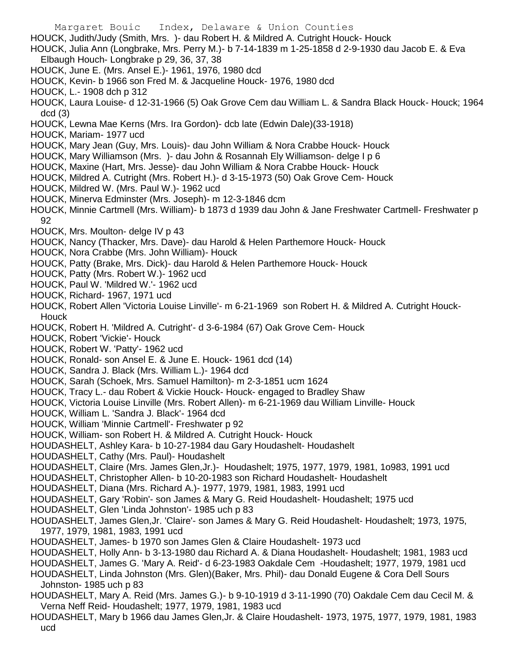Margaret Bouic Index, Delaware & Union Counties HOUCK, Judith/Judy (Smith, Mrs. )- dau Robert H. & Mildred A. Cutright Houck- Houck HOUCK, Julia Ann (Longbrake, Mrs. Perry M.)- b 7-14-1839 m 1-25-1858 d 2-9-1930 dau Jacob E. & Eva Elbaugh Houch- Longbrake p 29, 36, 37, 38 HOUCK, June E. (Mrs. Ansel E.)- 1961, 1976, 1980 dcd HOUCK, Kevin- b 1966 son Fred M. & Jacqueline Houck- 1976, 1980 dcd HOUCK, L.- 1908 dch p 312 HOUCK, Laura Louise- d 12-31-1966 (5) Oak Grove Cem dau William L. & Sandra Black Houck- Houck; 1964 dcd (3) HOUCK, Lewna Mae Kerns (Mrs. Ira Gordon)- dcb late (Edwin Dale)(33-1918) HOUCK, Mariam- 1977 ucd HOUCK, Mary Jean (Guy, Mrs. Louis)- dau John William & Nora Crabbe Houck- Houck HOUCK, Mary Williamson (Mrs. )- dau John & Rosannah Ely Williamson- delge I p 6 HOUCK, Maxine (Hart, Mrs. Jesse)- dau John William & Nora Crabbe Houck- Houck HOUCK, Mildred A. Cutright (Mrs. Robert H.)- d 3-15-1973 (50) Oak Grove Cem- Houck HOUCK, Mildred W. (Mrs. Paul W.)- 1962 ucd HOUCK, Minerva Edminster (Mrs. Joseph)- m 12-3-1846 dcm HOUCK, Minnie Cartmell (Mrs. William)- b 1873 d 1939 dau John & Jane Freshwater Cartmell- Freshwater p 92 HOUCK, Mrs. Moulton- delge IV p 43 HOUCK, Nancy (Thacker, Mrs. Dave)- dau Harold & Helen Parthemore Houck- Houck HOUCK, Nora Crabbe (Mrs. John William)- Houck HOUCK, Patty (Brake, Mrs. Dick)- dau Harold & Helen Parthemore Houck- Houck HOUCK, Patty (Mrs. Robert W.)- 1962 ucd HOUCK, Paul W. 'Mildred W.'- 1962 ucd HOUCK, Richard- 1967, 1971 ucd HOUCK, Robert Allen 'Victoria Louise Linville'- m 6-21-1969 son Robert H. & Mildred A. Cutright Houck-**Houck** HOUCK, Robert H. 'Mildred A. Cutright'- d 3-6-1984 (67) Oak Grove Cem- Houck HOUCK, Robert 'Vickie'- Houck HOUCK, Robert W. 'Patty'- 1962 ucd HOUCK, Ronald- son Ansel E. & June E. Houck- 1961 dcd (14) HOUCK, Sandra J. Black (Mrs. William L.)- 1964 dcd HOUCK, Sarah (Schoek, Mrs. Samuel Hamilton)- m 2-3-1851 ucm 1624 HOUCK, Tracy L.- dau Robert & Vickie Houck- Houck- engaged to Bradley Shaw HOUCK, Victoria Louise Linville (Mrs. Robert Allen)- m 6-21-1969 dau William Linville- Houck HOUCK, William L. 'Sandra J. Black'- 1964 dcd HOUCK, William 'Minnie Cartmell'- Freshwater p 92 HOUCK, William- son Robert H. & Mildred A. Cutright Houck- Houck HOUDASHELT, Ashley Kara- b 10-27-1984 dau Gary Houdashelt- Houdashelt HOUDASHELT, Cathy (Mrs. Paul)- Houdashelt HOUDASHELT, Claire (Mrs. James Glen,Jr.)- Houdashelt; 1975, 1977, 1979, 1981, 1o983, 1991 ucd HOUDASHELT, Christopher Allen- b 10-20-1983 son Richard Houdashelt- Houdashelt HOUDASHELT, Diana (Mrs. Richard A.)- 1977, 1979, 1981, 1983, 1991 ucd HOUDASHELT, Gary 'Robin'- son James & Mary G. Reid Houdashelt- Houdashelt; 1975 ucd HOUDASHELT, Glen 'Linda Johnston'- 1985 uch p 83 HOUDASHELT, James Glen,Jr. 'Claire'- son James & Mary G. Reid Houdashelt- Houdashelt; 1973, 1975, 1977, 1979, 1981, 1983, 1991 ucd HOUDASHELT, James- b 1970 son James Glen & Claire Houdashelt- 1973 ucd HOUDASHELT, Holly Ann- b 3-13-1980 dau Richard A. & Diana Houdashelt- Houdashelt; 1981, 1983 ucd HOUDASHELT, James G. 'Mary A. Reid'- d 6-23-1983 Oakdale Cem -Houdashelt; 1977, 1979, 1981 ucd HOUDASHELT, Linda Johnston (Mrs. Glen)(Baker, Mrs. Phil)- dau Donald Eugene & Cora Dell Sours Johnston- 1985 uch p 83 HOUDASHELT, Mary A. Reid (Mrs. James G.)- b 9-10-1919 d 3-11-1990 (70) Oakdale Cem dau Cecil M. & Verna Neff Reid- Houdashelt; 1977, 1979, 1981, 1983 ucd HOUDASHELT, Mary b 1966 dau James Glen,Jr. & Claire Houdashelt- 1973, 1975, 1977, 1979, 1981, 1983

ucd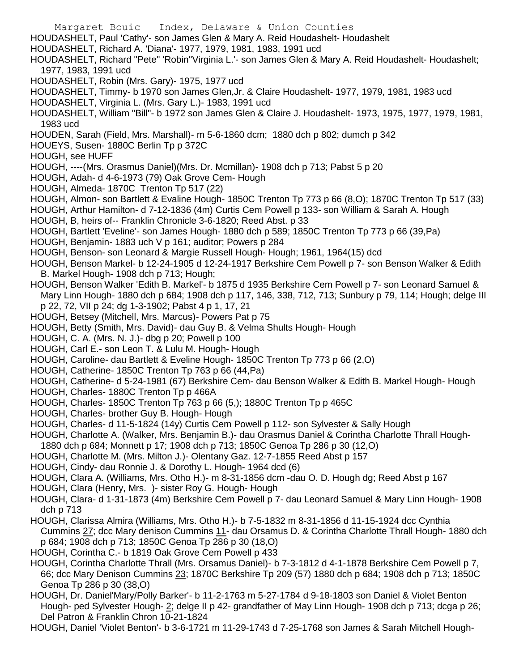Margaret Bouic Index, Delaware & Union Counties HOUDASHELT, Paul 'Cathy'- son James Glen & Mary A. Reid Houdashelt- Houdashelt HOUDASHELT, Richard A. 'Diana'- 1977, 1979, 1981, 1983, 1991 ucd HOUDASHELT, Richard "Pete" 'Robin''Virginia L.'- son James Glen & Mary A. Reid Houdashelt- Houdashelt; 1977, 1983, 1991 ucd HOUDASHELT, Robin (Mrs. Gary)- 1975, 1977 ucd HOUDASHELT, Timmy- b 1970 son James Glen,Jr. & Claire Houdashelt- 1977, 1979, 1981, 1983 ucd HOUDASHELT, Virginia L. (Mrs. Gary L.)- 1983, 1991 ucd HOUDASHELT, William "Bill"- b 1972 son James Glen & Claire J. Houdashelt- 1973, 1975, 1977, 1979, 1981, 1983 ucd HOUDEN, Sarah (Field, Mrs. Marshall)- m 5-6-1860 dcm; 1880 dch p 802; dumch p 342 HOUEYS, Susen-1880C Berlin Tp p 372C HOUGH, see HUFF HOUGH, ----(Mrs. Orasmus Daniel)(Mrs. Dr. Mcmillan)- 1908 dch p 713; Pabst 5 p 20 HOUGH, Adah- d 4-6-1973 (79) Oak Grove Cem- Hough HOUGH, Almeda- 1870C Trenton Tp 517 (22) HOUGH, Almon- son Bartlett & Evaline Hough- 1850C Trenton Tp 773 p 66 (8,O); 1870C Trenton Tp 517 (33) HOUGH, Arthur Hamilton- d 7-12-1836 (4m) Curtis Cem Powell p 133- son William & Sarah A. Hough HOUGH, B, heirs of-- Franklin Chronicle 3-6-1820; Reed Abst. p 33 HOUGH, Bartlett 'Eveline'- son James Hough- 1880 dch p 589; 1850C Trenton Tp 773 p 66 (39,Pa) HOUGH, Benjamin- 1883 uch V p 161; auditor; Powers p 284 HOUGH, Benson- son Leonard & Margie Russell Hough- Hough; 1961, 1964(15) dcd HOUGH, Benson Markel- b 12-24-1905 d 12-24-1917 Berkshire Cem Powell p 7- son Benson Walker & Edith B. Markel Hough- 1908 dch p 713; Hough; HOUGH, Benson Walker 'Edith B. Markel'- b 1875 d 1935 Berkshire Cem Powell p 7- son Leonard Samuel & Mary Linn Hough- 1880 dch p 684; 1908 dch p 117, 146, 338, 712, 713; Sunbury p 79, 114; Hough; delge III p 22, 72, VII p 24; dg 1-3-1902; Pabst 4 p 1, 17, 21 HOUGH, Betsey (Mitchell, Mrs. Marcus)- Powers Pat p 75 HOUGH, Betty (Smith, Mrs. David)- dau Guy B. & Velma Shults Hough- Hough HOUGH, C. A. (Mrs. N. J.)- dbg p 20; Powell p 100 HOUGH, Carl E.- son Leon T. & Lulu M. Hough- Hough HOUGH, Caroline- dau Bartlett & Eveline Hough- 1850C Trenton Tp 773 p 66 (2,O) HOUGH, Catherine- 1850C Trenton Tp 763 p 66 (44,Pa) HOUGH, Catherine- d 5-24-1981 (67) Berkshire Cem- dau Benson Walker & Edith B. Markel Hough- Hough HOUGH, Charles- 1880C Trenton Tp p 466A HOUGH, Charles- 1850C Trenton Tp 763 p 66 (5,); 1880C Trenton Tp p 465C HOUGH, Charles- brother Guy B. Hough- Hough HOUGH, Charles- d 11-5-1824 (14y) Curtis Cem Powell p 112- son Sylvester & Sally Hough HOUGH, Charlotte A. (Walker, Mrs. Benjamin B.)- dau Orasmus Daniel & Corintha Charlotte Thrall Hough-1880 dch p 684; Monnett p 17; 1908 dch p 713; 1850C Genoa Tp 286 p 30 (12,O) HOUGH, Charlotte M. (Mrs. Milton J.)- Olentany Gaz. 12-7-1855 Reed Abst p 157 HOUGH, Cindy- dau Ronnie J. & Dorothy L. Hough- 1964 dcd (6) HOUGH, Clara A. (Williams, Mrs. Otho H.)- m 8-31-1856 dcm -dau O. D. Hough dg; Reed Abst p 167 HOUGH, Clara (Henry, Mrs. )- sister Roy G. Hough- Hough HOUGH, Clara- d 1-31-1873 (4m) Berkshire Cem Powell p 7- dau Leonard Samuel & Mary Linn Hough- 1908 dch p 713 HOUGH, Clarissa Almira (Williams, Mrs. Otho H.)- b 7-5-1832 m 8-31-1856 d 11-15-1924 dcc Cynthia

Cummins 27; dcc Mary denison Cummins 11- dau Orsamus D. & Corintha Charlotte Thrall Hough- 1880 dch p 684; 1908 dch p 713; 1850C Genoa Tp 286 p 30 (18,O)

HOUGH, Corintha C.- b 1819 Oak Grove Cem Powell p 433

HOUGH, Corintha Charlotte Thrall (Mrs. Orsamus Daniel)- b 7-3-1812 d 4-1-1878 Berkshire Cem Powell p 7, 66; dcc Mary Denison Cummins 23; 1870C Berkshire Tp 209 (57) 1880 dch p 684; 1908 dch p 713; 1850C Genoa Tp 286 p 30 (38,O)

HOUGH, Dr. Daniel'Mary/Polly Barker'- b 11-2-1763 m 5-27-1784 d 9-18-1803 son Daniel & Violet Benton Hough- ped Sylvester Hough- 2; delge II p 42- grandfather of May Linn Hough- 1908 dch p 713; dcga p 26; Del Patron & Franklin Chron 10-21-1824

HOUGH, Daniel 'Violet Benton'- b 3-6-1721 m 11-29-1743 d 7-25-1768 son James & Sarah Mitchell Hough-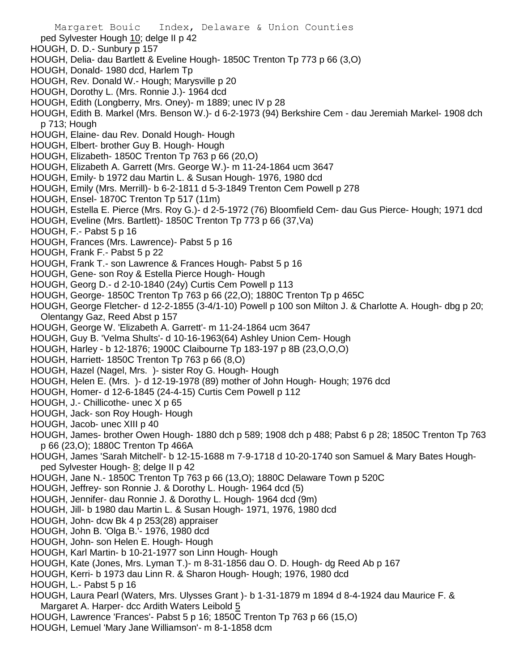ped Sylvester Hough 10; delge II p 42

- HOUGH, D. D.- Sunbury p 157
- HOUGH, Delia- dau Bartlett & Eveline Hough- 1850C Trenton Tp 773 p 66 (3,O)
- HOUGH, Donald- 1980 dcd, Harlem Tp
- HOUGH, Rev. Donald W.- Hough; Marysville p 20
- HOUGH, Dorothy L. (Mrs. Ronnie J.)- 1964 dcd
- HOUGH, Edith (Longberry, Mrs. Oney)- m 1889; unec IV p 28
- HOUGH, Edith B. Markel (Mrs. Benson W.)- d 6-2-1973 (94) Berkshire Cem dau Jeremiah Markel- 1908 dch p 713; Hough
- HOUGH, Elaine- dau Rev. Donald Hough- Hough
- HOUGH, Elbert- brother Guy B. Hough- Hough
- HOUGH, Elizabeth- 1850C Trenton Tp 763 p 66 (20,O)
- HOUGH, Elizabeth A. Garrett (Mrs. George W.)- m 11-24-1864 ucm 3647
- HOUGH, Emily- b 1972 dau Martin L. & Susan Hough- 1976, 1980 dcd
- HOUGH, Emily (Mrs. Merrill)- b 6-2-1811 d 5-3-1849 Trenton Cem Powell p 278
- HOUGH, Ensel- 1870C Trenton Tp 517 (11m)
- HOUGH, Estella E. Pierce (Mrs. Roy G.)- d 2-5-1972 (76) Bloomfield Cem- dau Gus Pierce- Hough; 1971 dcd
- HOUGH, Eveline (Mrs. Bartlett)- 1850C Trenton Tp 773 p 66 (37,Va)
- HOUGH, F.- Pabst 5 p 16
- HOUGH, Frances (Mrs. Lawrence)- Pabst 5 p 16
- HOUGH, Frank F.- Pabst 5 p 22
- HOUGH, Frank T.- son Lawrence & Frances Hough- Pabst 5 p 16
- HOUGH, Gene- son Roy & Estella Pierce Hough- Hough
- HOUGH, Georg D.- d 2-10-1840 (24y) Curtis Cem Powell p 113
- HOUGH, George- 1850C Trenton Tp 763 p 66 (22,O); 1880C Trenton Tp p 465C
- HOUGH, George Fletcher- d 12-2-1855 (3-4/1-10) Powell p 100 son Milton J. & Charlotte A. Hough- dbg p 20; Olentangy Gaz, Reed Abst p 157
- HOUGH, George W. 'Elizabeth A. Garrett'- m 11-24-1864 ucm 3647
- HOUGH, Guy B. 'Velma Shults'- d 10-16-1963(64) Ashley Union Cem- Hough
- HOUGH, Harley b 12-1876; 1900C Claibourne Tp 183-197 p 8B (23,O,O,O)
- HOUGH, Harriett- 1850C Trenton Tp 763 p 66 (8,O)
- HOUGH, Hazel (Nagel, Mrs. )- sister Roy G. Hough- Hough
- HOUGH, Helen E. (Mrs. )- d 12-19-1978 (89) mother of John Hough- Hough; 1976 dcd
- HOUGH, Homer- d 12-6-1845 (24-4-15) Curtis Cem Powell p 112
- HOUGH, J.- Chillicothe- unec X p 65
- HOUGH, Jack- son Roy Hough- Hough
- HOUGH, Jacob- unec XIII p 40
- HOUGH, James- brother Owen Hough- 1880 dch p 589; 1908 dch p 488; Pabst 6 p 28; 1850C Trenton Tp 763 p 66 (23,O); 1880C Trenton Tp 466A
- HOUGH, James 'Sarah Mitchell'- b 12-15-1688 m 7-9-1718 d 10-20-1740 son Samuel & Mary Bates Houghped Sylvester Hough- 8; delge II p 42
- HOUGH, Jane N.- 1850C Trenton Tp 763 p 66 (13,O); 1880C Delaware Town p 520C
- HOUGH, Jeffrey- son Ronnie J. & Dorothy L. Hough- 1964 dcd (5)
- HOUGH, Jennifer- dau Ronnie J. & Dorothy L. Hough- 1964 dcd (9m)
- HOUGH, Jill- b 1980 dau Martin L. & Susan Hough- 1971, 1976, 1980 dcd
- HOUGH, John- dcw Bk 4 p 253(28) appraiser
- HOUGH, John B. 'Olga B.'- 1976, 1980 dcd
- HOUGH, John- son Helen E. Hough- Hough
- HOUGH, Karl Martin- b 10-21-1977 son Linn Hough- Hough
- HOUGH, Kate (Jones, Mrs. Lyman T.)- m 8-31-1856 dau O. D. Hough- dg Reed Ab p 167
- HOUGH, Kerri- b 1973 dau Linn R. & Sharon Hough- Hough; 1976, 1980 dcd
- HOUGH, L.- Pabst 5 p 16
- HOUGH, Laura Pearl (Waters, Mrs. Ulysses Grant )- b 1-31-1879 m 1894 d 8-4-1924 dau Maurice F. & Margaret A. Harper- dcc Ardith Waters Leibold 5
- HOUGH, Lawrence 'Frances'- Pabst 5 p 16; 1850C Trenton Tp 763 p 66 (15,O)
- HOUGH, Lemuel 'Mary Jane Williamson'- m 8-1-1858 dcm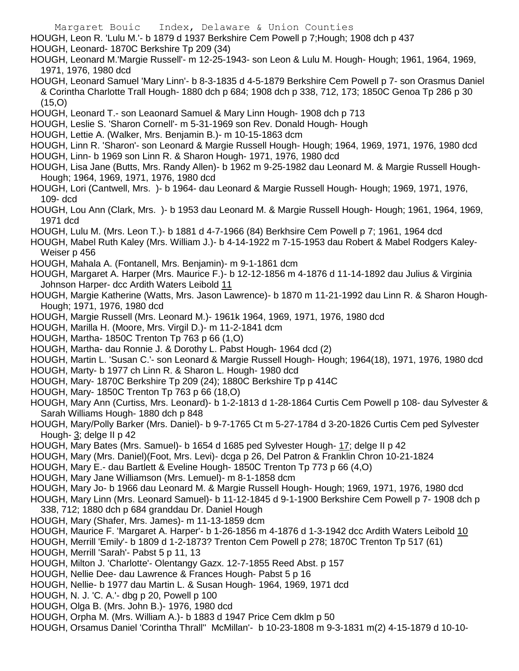- HOUGH, Leon R. 'Lulu M.'- b 1879 d 1937 Berkshire Cem Powell p 7;Hough; 1908 dch p 437
- HOUGH, Leonard- 1870C Berkshire Tp 209 (34)
- HOUGH, Leonard M.'Margie Russell'- m 12-25-1943- son Leon & Lulu M. Hough- Hough; 1961, 1964, 1969, 1971, 1976, 1980 dcd
- HOUGH, Leonard Samuel 'Mary Linn'- b 8-3-1835 d 4-5-1879 Berkshire Cem Powell p 7- son Orasmus Daniel & Corintha Charlotte Trall Hough- 1880 dch p 684; 1908 dch p 338, 712, 173; 1850C Genoa Tp 286 p 30 (15,O)
- HOUGH, Leonard T.- son Leaonard Samuel & Mary Linn Hough- 1908 dch p 713
- HOUGH, Leslie S. 'Sharon Cornell'- m 5-31-1969 son Rev. Donald Hough- Hough
- HOUGH, Lettie A. (Walker, Mrs. Benjamin B.)- m 10-15-1863 dcm
- HOUGH, Linn R. 'Sharon'- son Leonard & Margie Russell Hough- Hough; 1964, 1969, 1971, 1976, 1980 dcd
- HOUGH, Linn- b 1969 son Linn R. & Sharon Hough- 1971, 1976, 1980 dcd
- HOUGH, Lisa Jane (Butts, Mrs. Randy Allen)- b 1962 m 9-25-1982 dau Leonard M. & Margie Russell Hough-Hough; 1964, 1969, 1971, 1976, 1980 dcd
- HOUGH, Lori (Cantwell, Mrs. )- b 1964- dau Leonard & Margie Russell Hough- Hough; 1969, 1971, 1976, 109- dcd
- HOUGH, Lou Ann (Clark, Mrs. )- b 1953 dau Leonard M. & Margie Russell Hough- Hough; 1961, 1964, 1969, 1971 dcd
- HOUGH, Lulu M. (Mrs. Leon T.)- b 1881 d 4-7-1966 (84) Berkhsire Cem Powell p 7; 1961, 1964 dcd
- HOUGH, Mabel Ruth Kaley (Mrs. William J.)- b 4-14-1922 m 7-15-1953 dau Robert & Mabel Rodgers Kaley-Weiser p 456
- HOUGH, Mahala A. (Fontanell, Mrs. Benjamin)- m 9-1-1861 dcm
- HOUGH, Margaret A. Harper (Mrs. Maurice F.)- b 12-12-1856 m 4-1876 d 11-14-1892 dau Julius & Virginia Johnson Harper- dcc Ardith Waters Leibold 11
- HOUGH, Margie Katherine (Watts, Mrs. Jason Lawrence)- b 1870 m 11-21-1992 dau Linn R. & Sharon Hough-Hough; 1971, 1976, 1980 dcd
- HOUGH, Margie Russell (Mrs. Leonard M.)- 1961k 1964, 1969, 1971, 1976, 1980 dcd
- HOUGH, Marilla H. (Moore, Mrs. Virgil D.)- m 11-2-1841 dcm
- HOUGH, Martha- 1850C Trenton Tp 763 p 66 (1,O)
- HOUGH, Martha- dau Ronnie J. & Dorothy L. Pabst Hough- 1964 dcd (2)
- HOUGH, Martin L. 'Susan C.'- son Leonard & Margie Russell Hough- Hough; 1964(18), 1971, 1976, 1980 dcd
- HOUGH, Marty- b 1977 ch Linn R. & Sharon L. Hough- 1980 dcd
- HOUGH, Mary- 1870C Berkshire Tp 209 (24); 1880C Berkshire Tp p 414C
- HOUGH, Mary- 1850C Trenton Tp 763 p 66 (18,O)
- HOUGH, Mary Ann (Curtiss, Mrs. Leonard)- b 1-2-1813 d 1-28-1864 Curtis Cem Powell p 108- dau Sylvester & Sarah Williams Hough- 1880 dch p 848
- HOUGH, Mary/Polly Barker (Mrs. Daniel)- b 9-7-1765 Ct m 5-27-1784 d 3-20-1826 Curtis Cem ped Sylvester Hough- 3; delge II p 42
- HOUGH, Mary Bates (Mrs. Samuel)- b 1654 d 1685 ped Sylvester Hough- 17; delge II p 42
- HOUGH, Mary (Mrs. Daniel)(Foot, Mrs. Levi)- dcga p 26, Del Patron & Franklin Chron 10-21-1824
- HOUGH, Mary E.- dau Bartlett & Eveline Hough- 1850C Trenton Tp 773 p 66 (4,O)
- HOUGH, Mary Jane Williamson (Mrs. Lemuel)- m 8-1-1858 dcm
- HOUGH, Mary Jo- b 1966 dau Leonard M. & Margie Russell Hough- Hough; 1969, 1971, 1976, 1980 dcd
- HOUGH, Mary Linn (Mrs. Leonard Samuel)- b 11-12-1845 d 9-1-1900 Berkshire Cem Powell p 7- 1908 dch p 338, 712; 1880 dch p 684 granddau Dr. Daniel Hough
- HOUGH, Mary (Shafer, Mrs. James)- m 11-13-1859 dcm
- HOUGH, Maurice F. 'Margaret A. Harper'- b 1-26-1856 m 4-1876 d 1-3-1942 dcc Ardith Waters Leibold 10

HOUGH, Merrill 'Emily'- b 1809 d 1-2-1873? Trenton Cem Powell p 278; 1870C Trenton Tp 517 (61)

- HOUGH, Merrill 'Sarah'- Pabst 5 p 11, 13
- HOUGH, Milton J. 'Charlotte'- Olentangy Gazx. 12-7-1855 Reed Abst. p 157
- HOUGH, Nellie Dee- dau Lawrence & Frances Hough- Pabst 5 p 16
- HOUGH, Nellie- b 1977 dau Martin L. & Susan Hough- 1964, 1969, 1971 dcd
- HOUGH, N. J. 'C. A.'- dbg p 20, Powell p 100
- HOUGH, Olga B. (Mrs. John B.)- 1976, 1980 dcd
- HOUGH, Orpha M. (Mrs. William A.)- b 1883 d 1947 Price Cem dklm p 50
- HOUGH, Orsamus Daniel 'Corintha Thrall'' McMillan'- b 10-23-1808 m 9-3-1831 m(2) 4-15-1879 d 10-10-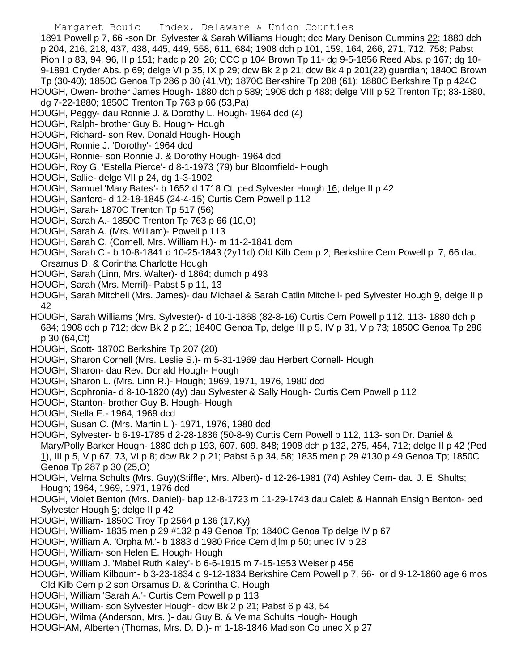1891 Powell p 7, 66 -son Dr. Sylvester & Sarah Williams Hough; dcc Mary Denison Cummins 22; 1880 dch p 204, 216, 218, 437, 438, 445, 449, 558, 611, 684; 1908 dch p 101, 159, 164, 266, 271, 712, 758; Pabst Pion I p 83, 94, 96, II p 151; hadc p 20, 26; CCC p 104 Brown Tp 11- dg 9-5-1856 Reed Abs. p 167; dg 10- 9-1891 Cryder Abs. p 69; delge VI p 35, IX p 29; dcw Bk 2 p 21; dcw Bk 4 p 201(22) guardian; 1840C Brown Tp (30-40); 1850C Genoa Tp 286 p 30 (41,Vt); 1870C Berkshire Tp 208 (61); 1880C Berkshire Tp p 424C

- HOUGH, Owen- brother James Hough- 1880 dch p 589; 1908 dch p 488; delge VIII p 52 Trenton Tp; 83-1880, dg 7-22-1880; 1850C Trenton Tp 763 p 66 (53,Pa)
- HOUGH, Peggy- dau Ronnie J. & Dorothy L. Hough- 1964 dcd (4)
- HOUGH, Ralph- brother Guy B. Hough- Hough
- HOUGH, Richard- son Rev. Donald Hough- Hough
- HOUGH, Ronnie J. 'Dorothy'- 1964 dcd
- HOUGH, Ronnie- son Ronnie J. & Dorothy Hough- 1964 dcd
- HOUGH, Roy G. 'Estella Pierce'- d 8-1-1973 (79) bur Bloomfield- Hough
- HOUGH, Sallie- delge VII p 24, dg 1-3-1902
- HOUGH, Samuel 'Mary Bates'- b 1652 d 1718 Ct. ped Sylvester Hough 16; delge II p 42
- HOUGH, Sanford- d 12-18-1845 (24-4-15) Curtis Cem Powell p 112
- HOUGH, Sarah- 1870C Trenton Tp 517 (56)
- HOUGH, Sarah A.- 1850C Trenton Tp 763 p 66 (10,O)
- HOUGH, Sarah A. (Mrs. William)- Powell p 113
- HOUGH, Sarah C. (Cornell, Mrs. William H.)- m 11-2-1841 dcm
- HOUGH, Sarah C.- b 10-8-1841 d 10-25-1843 (2y11d) Old Kilb Cem p 2; Berkshire Cem Powell p 7, 66 dau Orsamus D. & Corintha Charlotte Hough
- HOUGH, Sarah (Linn, Mrs. Walter)- d 1864; dumch p 493
- HOUGH, Sarah (Mrs. Merril)- Pabst 5 p 11, 13
- HOUGH, Sarah Mitchell (Mrs. James)- dau Michael & Sarah Catlin Mitchell- ped Sylvester Hough 9, delge II p 42
- HOUGH, Sarah Williams (Mrs. Sylvester)- d 10-1-1868 (82-8-16) Curtis Cem Powell p 112, 113- 1880 dch p 684; 1908 dch p 712; dcw Bk 2 p 21; 1840C Genoa Tp, delge III p 5, IV p 31, V p 73; 1850C Genoa Tp 286 p 30 (64,Ct)
- HOUGH, Scott- 1870C Berkshire Tp 207 (20)
- HOUGH, Sharon Cornell (Mrs. Leslie S.)- m 5-31-1969 dau Herbert Cornell- Hough
- HOUGH, Sharon- dau Rev. Donald Hough- Hough
- HOUGH, Sharon L. (Mrs. Linn R.)- Hough; 1969, 1971, 1976, 1980 dcd
- HOUGH, Sophronia- d 8-10-1820 (4y) dau Sylvester & Sally Hough- Curtis Cem Powell p 112
- HOUGH, Stanton- brother Guy B. Hough- Hough
- HOUGH, Stella E.- 1964, 1969 dcd
- HOUGH, Susan C. (Mrs. Martin L.)- 1971, 1976, 1980 dcd
- HOUGH, Sylvester- b 6-19-1785 d 2-28-1836 (50-8-9) Curtis Cem Powell p 112, 113- son Dr. Daniel & Mary/Polly Barker Hough- 1880 dch p 193, 607. 609. 848; 1908 dch p 132, 275, 454, 712; delge II p 42 (Ped 1), III p 5, V p 67, 73, VI p 8; dcw Bk 2 p 21; Pabst 6 p 34, 58; 1835 men p 29 #130 p 49 Genoa Tp; 1850C Genoa Tp 287 p 30 (25,O)
- HOUGH, Velma Schults (Mrs. Guy)(Stiffler, Mrs. Albert)- d 12-26-1981 (74) Ashley Cem- dau J. E. Shults; Hough; 1964, 1969, 1971, 1976 dcd
- HOUGH, Violet Benton (Mrs. Daniel)- bap 12-8-1723 m 11-29-1743 dau Caleb & Hannah Ensign Benton- ped Sylvester Hough 5; delge II p 42
- HOUGH, William- 1850C Troy Tp 2564 p 136 (17,Ky)
- HOUGH, William- 1835 men p 29 #132 p 49 Genoa Tp; 1840C Genoa Tp delge IV p 67
- HOUGH, William A. 'Orpha M.'- b 1883 d 1980 Price Cem djlm p 50; unec IV p 28
- HOUGH, William- son Helen E. Hough- Hough
- HOUGH, William J. 'Mabel Ruth Kaley'- b 6-6-1915 m 7-15-1953 Weiser p 456
- HOUGH, William Kilbourn- b 3-23-1834 d 9-12-1834 Berkshire Cem Powell p 7, 66- or d 9-12-1860 age 6 mos Old Kilb Cem p 2 son Orsamus D. & Corintha C. Hough
- HOUGH, William 'Sarah A.'- Curtis Cem Powell p p 113
- HOUGH, William- son Sylvester Hough- dcw Bk 2 p 21; Pabst 6 p 43, 54
- HOUGH, Wilma (Anderson, Mrs. )- dau Guy B. & Velma Schults Hough- Hough
- HOUGHAM, Alberten (Thomas, Mrs. D. D.)- m 1-18-1846 Madison Co unec X p 27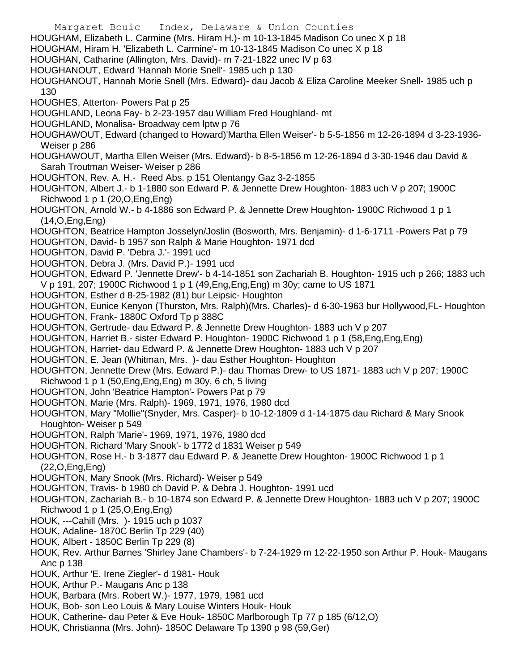- Margaret Bouic Index, Delaware & Union Counties HOUGHAM, Elizabeth L. Carmine (Mrs. Hiram H.)- m 10-13-1845 Madison Co unec X p 18 HOUGHAM, Hiram H. 'Elizabeth L. Carmine'- m 10-13-1845 Madison Co unec X p 18 HOUGHAN, Catharine (Allington, Mrs. David)- m 7-21-1822 unec IV p 63 HOUGHANOUT, Edward 'Hannah Morie Snell'- 1985 uch p 130 HOUGHANOUT, Hannah Morie Snell (Mrs. Edward)- dau Jacob & Eliza Caroline Meeker Snell- 1985 uch p 130 HOUGHES, Atterton- Powers Pat p 25 HOUGHLAND, Leona Fay- b 2-23-1957 dau William Fred Houghland- mt HOUGHLAND, Monalisa- Broadway cem lptw p 76 HOUGHAWOUT, Edward (changed to Howard)'Martha Ellen Weiser'- b 5-5-1856 m 12-26-1894 d 3-23-1936- Weiser p 286 HOUGHAWOUT, Martha Ellen Weiser (Mrs. Edward)- b 8-5-1856 m 12-26-1894 d 3-30-1946 dau David & Sarah Troutman Weiser- Weiser p 286 HOUGHTON, Rev. A. H.- Reed Abs. p 151 Olentangy Gaz 3-2-1855 HOUGHTON, Albert J.- b 1-1880 son Edward P. & Jennette Drew Houghton- 1883 uch V p 207; 1900C Richwood 1 p 1 (20,O,Eng,Eng) HOUGHTON, Arnold W.- b 4-1886 son Edward P. & Jennette Drew Houghton- 1900C Richwood 1 p 1 (14,O,Eng,Eng) HOUGHTON, Beatrice Hampton Josselyn/Joslin (Bosworth, Mrs. Benjamin)- d 1-6-1711 -Powers Pat p 79 HOUGHTON, David- b 1957 son Ralph & Marie Houghton- 1971 dcd HOUGHTON, David P. 'Debra J.'- 1991 ucd HOUGHTON, Debra J. (Mrs. David P.)- 1991 ucd HOUGHTON, Edward P. 'Jennette Drew'- b 4-14-1851 son Zachariah B. Houghton- 1915 uch p 266; 1883 uch V p 191, 207; 1900C Richwood 1 p 1 (49,Eng,Eng,Eng) m 30y; came to US 1871 HOUGHTON, Esther d 8-25-1982 (81) bur Leipsic- Houghton HOUGHTON, Eunice Kenyon (Thurston, Mrs. Ralph)(Mrs. Charles)- d 6-30-1963 bur Hollywood,FL- Houghton HOUGHTON, Frank- 1880C Oxford Tp p 388C HOUGHTON, Gertrude- dau Edward P. & Jennette Drew Houghton- 1883 uch V p 207 HOUGHTON, Harriet B.- sister Edward P. Houghton- 1900C Richwood 1 p 1 (58,Eng,Eng,Eng) HOUGHTON, Harriet- dau Edward P. & Jennette Drew Houghton- 1883 uch V p 207 HOUGHTON, E. Jean (Whitman, Mrs. )- dau Esther Houghton- Houghton HOUGHTON, Jennette Drew (Mrs. Edward P.)- dau Thomas Drew- to US 1871- 1883 uch V p 207; 1900C Richwood 1 p 1 (50,Eng,Eng,Eng) m 30y, 6 ch, 5 living HOUGHTON, John 'Beatrice Hampton'- Powers Pat p 79 HOUGHTON, Marie (Mrs. Ralph)- 1969, 1971, 1976, 1980 dcd HOUGHTON, Mary "Mollie"(Snyder, Mrs. Casper)- b 10-12-1809 d 1-14-1875 dau Richard & Mary Snook Houghton- Weiser p 549 HOUGHTON, Ralph 'Marie'- 1969, 1971, 1976, 1980 dcd HOUGHTON, Richard 'Mary Snook'- b 1772 d 1831 Weiser p 549 HOUGHTON, Rose H.- b 3-1877 dau Edward P. & Jeanette Drew Houghton- 1900C Richwood 1 p 1 (22,O,Eng,Eng) HOUGHTON, Mary Snook (Mrs. Richard)- Weiser p 549 HOUGHTON, Travis- b 1980 ch David P. & Debra J. Houghton- 1991 ucd HOUGHTON, Zachariah B.- b 10-1874 son Edward P. & Jennette Drew Houghton- 1883 uch V p 207; 1900C Richwood 1 p 1 (25,O,Eng,Eng) HOUK, ---Cahill (Mrs. )- 1915 uch p 1037 HOUK, Adaline- 1870C Berlin Tp 229 (40) HOUK, Albert - 1850C Berlin Tp 229 (8) HOUK, Rev. Arthur Barnes 'Shirley Jane Chambers'- b 7-24-1929 m 12-22-1950 son Arthur P. Houk- Maugans Anc p 138 HOUK, Arthur 'E. Irene Ziegler'- d 1981- Houk HOUK, Arthur P.- Maugans Anc p 138 HOUK, Barbara (Mrs. Robert W.)- 1977, 1979, 1981 ucd HOUK, Bob- son Leo Louis & Mary Louise Winters Houk- Houk HOUK, Catherine- dau Peter & Eve Houk- 1850C Marlborough Tp 77 p 185 (6/12,O)
- HOUK, Christianna (Mrs. John)- 1850C Delaware Tp 1390 p 98 (59,Ger)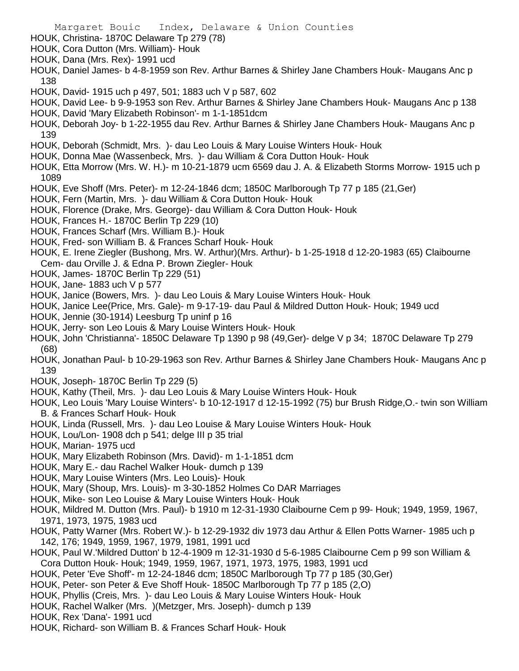HOUK, Christina- 1870C Delaware Tp 279 (78)

- HOUK, Cora Dutton (Mrs. William)- Houk
- HOUK, Dana (Mrs. Rex)- 1991 ucd
- HOUK, Daniel James- b 4-8-1959 son Rev. Arthur Barnes & Shirley Jane Chambers Houk- Maugans Anc p 138
- HOUK, David- 1915 uch p 497, 501; 1883 uch V p 587, 602
- HOUK, David Lee- b 9-9-1953 son Rev. Arthur Barnes & Shirley Jane Chambers Houk- Maugans Anc p 138 HOUK, David 'Mary Elizabeth Robinson'- m 1-1-1851dcm
- HOUK, Deborah Joy- b 1-22-1955 dau Rev. Arthur Barnes & Shirley Jane Chambers Houk- Maugans Anc p 139
- HOUK, Deborah (Schmidt, Mrs. )- dau Leo Louis & Mary Louise Winters Houk- Houk
- HOUK, Donna Mae (Wassenbeck, Mrs. )- dau William & Cora Dutton Houk- Houk
- HOUK, Etta Morrow (Mrs. W. H.)- m 10-21-1879 ucm 6569 dau J. A. & Elizabeth Storms Morrow- 1915 uch p 1089
- HOUK, Eve Shoff (Mrs. Peter)- m 12-24-1846 dcm; 1850C Marlborough Tp 77 p 185 (21,Ger)
- HOUK, Fern (Martin, Mrs. )- dau William & Cora Dutton Houk- Houk
- HOUK, Florence (Drake, Mrs. George)- dau William & Cora Dutton Houk- Houk
- HOUK, Frances H.- 1870C Berlin Tp 229 (10)
- HOUK, Frances Scharf (Mrs. William B.)- Houk
- HOUK, Fred- son William B. & Frances Scharf Houk- Houk
- HOUK, E. Irene Ziegler (Bushong, Mrs. W. Arthur)(Mrs. Arthur)- b 1-25-1918 d 12-20-1983 (65) Claibourne Cem- dau Orville J. & Edna P. Brown Ziegler- Houk
- HOUK, James- 1870C Berlin Tp 229 (51)
- HOUK, Jane- 1883 uch V p 577
- HOUK, Janice (Bowers, Mrs. )- dau Leo Louis & Mary Louise Winters Houk- Houk
- HOUK, Janice Lee(Price, Mrs. Gale)- m 9-17-19- dau Paul & Mildred Dutton Houk- Houk; 1949 ucd
- HOUK, Jennie (30-1914) Leesburg Tp uninf p 16
- HOUK, Jerry- son Leo Louis & Mary Louise Winters Houk- Houk
- HOUK, John 'Christianna'- 1850C Delaware Tp 1390 p 98 (49,Ger)- delge V p 34; 1870C Delaware Tp 279 (68)
- HOUK, Jonathan Paul- b 10-29-1963 son Rev. Arthur Barnes & Shirley Jane Chambers Houk- Maugans Anc p 139
- HOUK, Joseph- 1870C Berlin Tp 229 (5)
- HOUK, Kathy (Theil, Mrs. )- dau Leo Louis & Mary Louise Winters Houk- Houk
- HOUK, Leo Louis 'Mary Louise Winters'- b 10-12-1917 d 12-15-1992 (75) bur Brush Ridge,O.- twin son William B. & Frances Scharf Houk- Houk
- HOUK, Linda (Russell, Mrs. )- dau Leo Louise & Mary Louise Winters Houk- Houk
- HOUK, Lou/Lon- 1908 dch p 541; delge III p 35 trial
- HOUK, Marian- 1975 ucd
- HOUK, Mary Elizabeth Robinson (Mrs. David)- m 1-1-1851 dcm
- HOUK, Mary E.- dau Rachel Walker Houk- dumch p 139
- HOUK, Mary Louise Winters (Mrs. Leo Louis)- Houk
- HOUK, Mary (Shoup, Mrs. Louis)- m 3-30-1852 Holmes Co DAR Marriages
- HOUK, Mike- son Leo Louise & Mary Louise Winters Houk- Houk
- HOUK, Mildred M. Dutton (Mrs. Paul)- b 1910 m 12-31-1930 Claibourne Cem p 99- Houk; 1949, 1959, 1967, 1971, 1973, 1975, 1983 ucd
- HOUK, Patty Warner (Mrs. Robert W.)- b 12-29-1932 div 1973 dau Arthur & Ellen Potts Warner- 1985 uch p 142, 176; 1949, 1959, 1967, 1979, 1981, 1991 ucd
- HOUK, Paul W.'Mildred Dutton' b 12-4-1909 m 12-31-1930 d 5-6-1985 Claibourne Cem p 99 son William & Cora Dutton Houk- Houk; 1949, 1959, 1967, 1971, 1973, 1975, 1983, 1991 ucd
- HOUK, Peter 'Eve Shoff'- m 12-24-1846 dcm; 1850C Marlborough Tp 77 p 185 (30,Ger)
- HOUK, Peter- son Peter & Eve Shoff Houk- 1850C Marlborough Tp 77 p 185 (2,O)
- HOUK, Phyllis (Creis, Mrs. )- dau Leo Louis & Mary Louise Winters Houk- Houk
- HOUK, Rachel Walker (Mrs. )(Metzger, Mrs. Joseph)- dumch p 139
- HOUK, Rex 'Dana'- 1991 ucd
- HOUK, Richard- son William B. & Frances Scharf Houk- Houk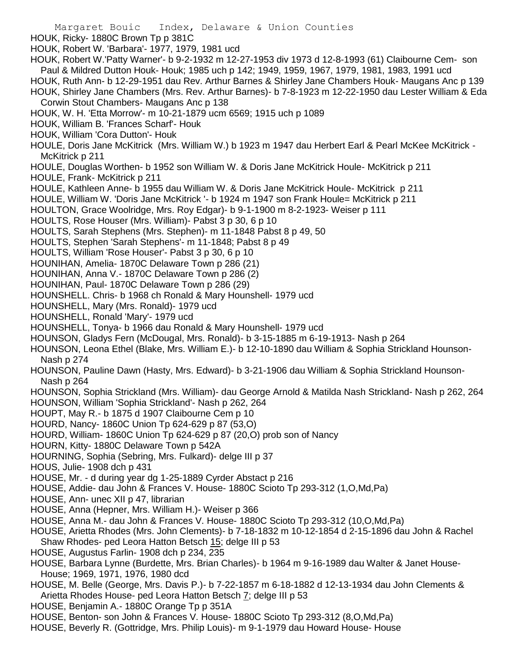- HOUK, Ricky- 1880C Brown Tp p 381C
- HOUK, Robert W. 'Barbara'- 1977, 1979, 1981 ucd

HOUK, Robert W.'Patty Warner'- b 9-2-1932 m 12-27-1953 div 1973 d 12-8-1993 (61) Claibourne Cem- son Paul & Mildred Dutton Houk- Houk; 1985 uch p 142; 1949, 1959, 1967, 1979, 1981, 1983, 1991 ucd HOUK, Ruth Ann- b 12-29-1951 dau Rev. Arthur Barnes & Shirley Jane Chambers Houk- Maugans Anc p 139 HOUK, Shirley Jane Chambers (Mrs. Rev. Arthur Barnes)- b 7-8-1923 m 12-22-1950 dau Lester William & Eda Corwin Stout Chambers- Maugans Anc p 138

- HOUK, W. H. 'Etta Morrow'- m 10-21-1879 ucm 6569; 1915 uch p 1089
- HOUK, William B. 'Frances Scharf'- Houk
- HOUK, William 'Cora Dutton'- Houk

HOULE, Doris Jane McKitrick (Mrs. William W.) b 1923 m 1947 dau Herbert Earl & Pearl McKee McKitrick - McKitrick p 211

- HOULE, Douglas Worthen- b 1952 son William W. & Doris Jane McKitrick Houle- McKitrick p 211
- HOULE, Frank- McKitrick p 211
- HOULE, Kathleen Anne- b 1955 dau William W. & Doris Jane McKitrick Houle- McKitrick p 211
- HOULE, William W. 'Doris Jane McKitrick '- b 1924 m 1947 son Frank Houle= McKitrick p 211
- HOULTON, Grace Woolridge, Mrs. Roy Edgar)- b 9-1-1900 m 8-2-1923- Weiser p 111
- HOULTS, Rose Houser (Mrs. William)- Pabst 3 p 30, 6 p 10
- HOULTS, Sarah Stephens (Mrs. Stephen)- m 11-1848 Pabst 8 p 49, 50
- HOULTS, Stephen 'Sarah Stephens'- m 11-1848; Pabst 8 p 49
- HOULTS, William 'Rose Houser'- Pabst 3 p 30, 6 p 10
- HOUNIHAN, Amelia- 1870C Delaware Town p 286 (21)
- HOUNIHAN, Anna V.- 1870C Delaware Town p 286 (2)
- HOUNIHAN, Paul- 1870C Delaware Town p 286 (29)
- HOUNSHELL. Chris- b 1968 ch Ronald & Mary Hounshell- 1979 ucd
- HOUNSHELL, Mary (Mrs. Ronald)- 1979 ucd
- HOUNSHELL, Ronald 'Mary'- 1979 ucd
- HOUNSHELL, Tonya- b 1966 dau Ronald & Mary Hounshell- 1979 ucd
- HOUNSON, Gladys Fern (McDougal, Mrs. Ronald)- b 3-15-1885 m 6-19-1913- Nash p 264
- HOUNSON, Leona Ethel (Blake, Mrs. William E.)- b 12-10-1890 dau William & Sophia Strickland Hounson-Nash p 274
- HOUNSON, Pauline Dawn (Hasty, Mrs. Edward)- b 3-21-1906 dau William & Sophia Strickland Hounson-Nash p 264
- HOUNSON, Sophia Strickland (Mrs. William)- dau George Arnold & Matilda Nash Strickland- Nash p 262, 264
- HOUNSON, William 'Sophia Strickland'- Nash p 262, 264
- HOUPT, May R.- b 1875 d 1907 Claibourne Cem p 10
- HOURD, Nancy- 1860C Union Tp 624-629 p 87 (53,O)
- HOURD, William- 1860C Union Tp 624-629 p 87 (20,O) prob son of Nancy
- HOURN, Kitty- 1880C Delaware Town p 542A
- HOURNING, Sophia (Sebring, Mrs. Fulkard)- delge III p 37
- HOUS, Julie- 1908 dch p 431
- HOUSE, Mr. d during year dg 1-25-1889 Cyrder Abstact p 216
- HOUSE, Addie- dau John & Frances V. House- 1880C Scioto Tp 293-312 (1,O,Md,Pa)
- HOUSE, Ann- unec XII p 47, librarian
- HOUSE, Anna (Hepner, Mrs. William H.)- Weiser p 366
- HOUSE, Anna M.- dau John & Frances V. House- 1880C Scioto Tp 293-312 (10,O,Md,Pa)
- HOUSE, Arietta Rhodes (Mrs. John Clements)- b 7-18-1832 m 10-12-1854 d 2-15-1896 dau John & Rachel Shaw Rhodes- ped Leora Hatton Betsch 15; delge III p 53
- HOUSE, Augustus Farlin- 1908 dch p 234, 235
- HOUSE, Barbara Lynne (Burdette, Mrs. Brian Charles)- b 1964 m 9-16-1989 dau Walter & Janet House-House; 1969, 1971, 1976, 1980 dcd
- HOUSE, M. Belle (George, Mrs. Davis P.)- b 7-22-1857 m 6-18-1882 d 12-13-1934 dau John Clements & Arietta Rhodes House- ped Leora Hatton Betsch 7; delge III p 53
- HOUSE, Benjamin A.- 1880C Orange Tp p 351A
- HOUSE, Benton- son John & Frances V. House- 1880C Scioto Tp 293-312 (8,O,Md,Pa)
- HOUSE, Beverly R. (Gottridge, Mrs. Philip Louis)- m 9-1-1979 dau Howard House- House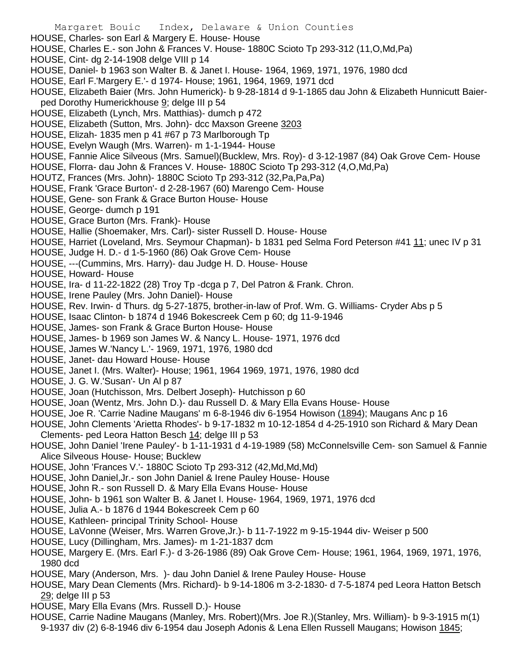Margaret Bouic Index, Delaware & Union Counties HOUSE, Charles- son Earl & Margery E. House- House HOUSE, Charles E.- son John & Frances V. House- 1880C Scioto Tp 293-312 (11,O,Md,Pa) HOUSE, Cint- dg 2-14-1908 delge VIII p 14 HOUSE, Daniel- b 1963 son Walter B. & Janet I. House- 1964, 1969, 1971, 1976, 1980 dcd HOUSE, Earl F.'Margery E.'- d 1974- House; 1961, 1964, 1969, 1971 dcd HOUSE, Elizabeth Baier (Mrs. John Humerick)- b 9-28-1814 d 9-1-1865 dau John & Elizabeth Hunnicutt Baierped Dorothy Humerickhouse 9; delge III p 54 HOUSE, Elizabeth (Lynch, Mrs. Matthias)- dumch p 472 HOUSE, Elizabeth (Sutton, Mrs. John)- dcc Maxson Greene 3203 HOUSE, Elizah- 1835 men p 41 #67 p 73 Marlborough Tp HOUSE, Evelyn Waugh (Mrs. Warren)- m 1-1-1944- House HOUSE, Fannie Alice Silveous (Mrs. Samuel)(Bucklew, Mrs. Roy)- d 3-12-1987 (84) Oak Grove Cem- House HOUSE, Florra- dau John & Frances V. House- 1880C Scioto Tp 293-312 (4,O,Md,Pa) HOUTZ, Frances (Mrs. John)- 1880C Scioto Tp 293-312 (32,Pa,Pa,Pa) HOUSE, Frank 'Grace Burton'- d 2-28-1967 (60) Marengo Cem- House HOUSE, Gene- son Frank & Grace Burton House- House HOUSE, George- dumch p 191 HOUSE, Grace Burton (Mrs. Frank)- House HOUSE, Hallie (Shoemaker, Mrs. Carl)- sister Russell D. House- House HOUSE, Harriet (Loveland, Mrs. Seymour Chapman)- b 1831 ped Selma Ford Peterson #41 11; unec IV p 31 HOUSE, Judge H. D.- d 1-5-1960 (86) Oak Grove Cem- House HOUSE, ---(Cummins, Mrs. Harry)- dau Judge H. D. House- House HOUSE, Howard- House HOUSE, Ira- d 11-22-1822 (28) Troy Tp -dcga p 7, Del Patron & Frank. Chron. HOUSE, Irene Pauley (Mrs. John Daniel)- House HOUSE, Rev. Irwin- d Thurs. dg 5-27-1875, brother-in-law of Prof. Wm. G. Williams- Cryder Abs p 5 HOUSE, Isaac Clinton- b 1874 d 1946 Bokescreek Cem p 60; dg 11-9-1946 HOUSE, James- son Frank & Grace Burton House- House HOUSE, James- b 1969 son James W. & Nancy L. House- 1971, 1976 dcd HOUSE, James W.'Nancy L.'- 1969, 1971, 1976, 1980 dcd HOUSE, Janet- dau Howard House- House HOUSE, Janet I. (Mrs. Walter)- House; 1961, 1964 1969, 1971, 1976, 1980 dcd HOUSE, J. G. W.'Susan'- Un Al p 87 HOUSE, Joan (Hutchisson, Mrs. Delbert Joseph)- Hutchisson p 60 HOUSE, Joan (Wentz, Mrs. John D.)- dau Russell D. & Mary Ella Evans House- House HOUSE, Joe R. 'Carrie Nadine Maugans' m 6-8-1946 div 6-1954 Howison (1894); Maugans Anc p 16 HOUSE, John Clements 'Arietta Rhodes'- b 9-17-1832 m 10-12-1854 d 4-25-1910 son Richard & Mary Dean Clements- ped Leora Hatton Besch 14; delge III p 53 HOUSE, John Daniel 'Irene Pauley'- b 1-11-1931 d 4-19-1989 (58) McConnelsville Cem- son Samuel & Fannie Alice Silveous House- House; Bucklew HOUSE, John 'Frances V.'- 1880C Scioto Tp 293-312 (42,Md,Md,Md) HOUSE, John Daniel,Jr.- son John Daniel & Irene Pauley House- House HOUSE, John R.- son Russell D. & Mary Ella Evans House- House HOUSE, John- b 1961 son Walter B. & Janet I. House- 1964, 1969, 1971, 1976 dcd HOUSE, Julia A.- b 1876 d 1944 Bokescreek Cem p 60 HOUSE, Kathleen- principal Trinity School- House HOUSE, LaVonne (Weiser, Mrs. Warren Grove,Jr.)- b 11-7-1922 m 9-15-1944 div- Weiser p 500 HOUSE, Lucy (Dillingham, Mrs. James)- m 1-21-1837 dcm HOUSE, Margery E. (Mrs. Earl F.)- d 3-26-1986 (89) Oak Grove Cem- House; 1961, 1964, 1969, 1971, 1976, 1980 dcd

- HOUSE, Mary (Anderson, Mrs. )- dau John Daniel & Irene Pauley House- House
- HOUSE, Mary Dean Clements (Mrs. Richard)- b 9-14-1806 m 3-2-1830- d 7-5-1874 ped Leora Hatton Betsch 29; delge III p 53
- HOUSE, Mary Ella Evans (Mrs. Russell D.)- House
- HOUSE, Carrie Nadine Maugans (Manley, Mrs. Robert)(Mrs. Joe R.)(Stanley, Mrs. William)- b 9-3-1915 m(1) 9-1937 div (2) 6-8-1946 div 6-1954 dau Joseph Adonis & Lena Ellen Russell Maugans; Howison 1845;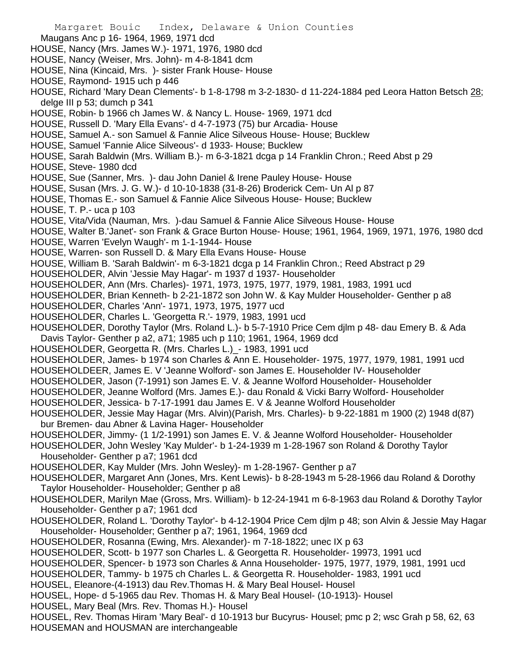Margaret Bouic Index, Delaware & Union Counties Maugans Anc p 16- 1964, 1969, 1971 dcd HOUSE, Nancy (Mrs. James W.)- 1971, 1976, 1980 dcd HOUSE, Nancy (Weiser, Mrs. John)- m 4-8-1841 dcm HOUSE, Nina (Kincaid, Mrs. )- sister Frank House- House HOUSE, Raymond- 1915 uch p 446 HOUSE, Richard 'Mary Dean Clements'- b 1-8-1798 m 3-2-1830- d 11-224-1884 ped Leora Hatton Betsch 28; delge III p 53; dumch p 341 HOUSE, Robin- b 1966 ch James W. & Nancy L. House- 1969, 1971 dcd HOUSE, Russell D. 'Mary Ella Evans'- d 4-7-1973 (75) bur Arcadia- House HOUSE, Samuel A.- son Samuel & Fannie Alice Silveous House- House; Bucklew HOUSE, Samuel 'Fannie Alice Silveous'- d 1933- House; Bucklew HOUSE, Sarah Baldwin (Mrs. William B.)- m 6-3-1821 dcga p 14 Franklin Chron.; Reed Abst p 29 HOUSE, Steve- 1980 dcd HOUSE, Sue (Sanner, Mrs. )- dau John Daniel & Irene Pauley House- House HOUSE, Susan (Mrs. J. G. W.)- d 10-10-1838 (31-8-26) Broderick Cem- Un Al p 87 HOUSE, Thomas E.- son Samuel & Fannie Alice Silveous House- House; Bucklew HOUSE, T. P.- uca p 103 HOUSE, Vita/Vida (Nauman, Mrs. )-dau Samuel & Fannie Alice Silveous House- House HOUSE, Walter B.'Janet'- son Frank & Grace Burton House- House; 1961, 1964, 1969, 1971, 1976, 1980 dcd HOUSE, Warren 'Evelyn Waugh'- m 1-1-1944- House HOUSE, Warren- son Russell D. & Mary Ella Evans House- House HOUSE, William B. 'Sarah Baldwin'- m 6-3-1821 dcga p 14 Franklin Chron.; Reed Abstract p 29 HOUSEHOLDER, Alvin 'Jessie May Hagar'- m 1937 d 1937- Householder HOUSEHOLDER, Ann (Mrs. Charles)- 1971, 1973, 1975, 1977, 1979, 1981, 1983, 1991 ucd HOUSEHOLDER, Brian Kenneth- b 2-21-1872 son John W. & Kay Mulder Householder- Genther p a8 HOUSEHOLDER, Charles 'Ann'- 1971, 1973, 1975, 1977 ucd HOUSEHOLDER, Charles L. 'Georgetta R.'- 1979, 1983, 1991 ucd HOUSEHOLDER, Dorothy Taylor (Mrs. Roland L.)- b 5-7-1910 Price Cem djlm p 48- dau Emery B. & Ada Davis Taylor- Genther p a2, a71; 1985 uch p 110; 1961, 1964, 1969 dcd HOUSEHOLDER, Georgetta R. (Mrs. Charles L.)\_- 1983, 1991 ucd HOUSEHOLDER, James- b 1974 son Charles & Ann E. Householder- 1975, 1977, 1979, 1981, 1991 ucd HOUSEHOLDEER, James E. V 'Jeanne Wolford'- son James E. Householder IV- Householder HOUSEHOLDER, Jason (7-1991) son James E. V. & Jeanne Wolford Householder- Householder HOUSEHOLDER, Jeanne Wolford (Mrs. James E.)- dau Ronald & Vicki Barry Wolford- Householder HOUSEHOLDER, Jessica- b 7-17-1991 dau James E. V & Jeanne Wolford Householder HOUSEHOLDER, Jessie May Hagar (Mrs. Alvin)(Parish, Mrs. Charles)- b 9-22-1881 m 1900 (2) 1948 d(87) bur Bremen- dau Abner & Lavina Hager- Householder HOUSEHOLDER, Jimmy- (1 1/2-1991) son James E. V. & Jeanne Wolford Householder- Householder HOUSEHOLDER, John Wesley 'Kay Mulder'- b 1-24-1939 m 1-28-1967 son Roland & Dorothy Taylor Householder- Genther p a7; 1961 dcd HOUSEHOLDER, Kay Mulder (Mrs. John Wesley)- m 1-28-1967- Genther p a7 HOUSEHOLDER, Margaret Ann (Jones, Mrs. Kent Lewis)- b 8-28-1943 m 5-28-1966 dau Roland & Dorothy Taylor Householder- Householder; Genther p a8 HOUSEHOLDER, Marilyn Mae (Gross, Mrs. William)- b 12-24-1941 m 6-8-1963 dau Roland & Dorothy Taylor Householder- Genther p a7; 1961 dcd HOUSEHOLDER, Roland L. 'Dorothy Taylor'- b 4-12-1904 Price Cem djlm p 48; son Alvin & Jessie May Hagar Householder- Householder; Genther p a7; 1961, 1964, 1969 dcd HOUSEHOLDER, Rosanna (Ewing, Mrs. Alexander)- m 7-18-1822; unec IX p 63 HOUSEHOLDER, Scott- b 1977 son Charles L. & Georgetta R. Householder- 19973, 1991 ucd HOUSEHOLDER, Spencer- b 1973 son Charles & Anna Householder- 1975, 1977, 1979, 1981, 1991 ucd HOUSEHOLDER, Tammy- b 1975 ch Charles L. & Georgetta R. Householder- 1983, 1991 ucd HOUSEL, Eleanore-(4-1913) dau Rev.Thomas H. & Mary Beal Housel- Housel HOUSEL, Hope- d 5-1965 dau Rev. Thomas H. & Mary Beal Housel- (10-1913)- Housel HOUSEL, Mary Beal (Mrs. Rev. Thomas H.)- Housel HOUSEL, Rev. Thomas Hiram 'Mary Beal'- d 10-1913 bur Bucyrus- Housel; pmc p 2; wsc Grah p 58, 62, 63 HOUSEMAN and HOUSMAN are interchangeable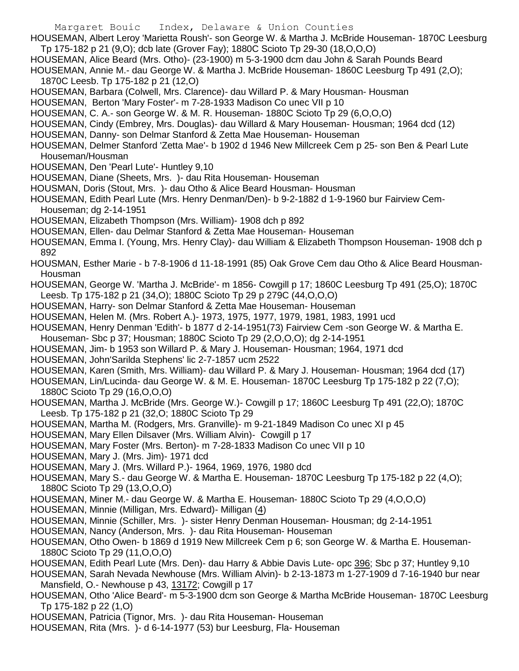- Margaret Bouic Index, Delaware & Union Counties HOUSEMAN, Albert Leroy 'Marietta Roush'- son George W. & Martha J. McBride Houseman- 1870C Leesburg
- Tp 175-182 p 21 (9,O); dcb late (Grover Fay); 1880C Scioto Tp 29-30 (18,O,O,O)
- HOUSEMAN, Alice Beard (Mrs. Otho)- (23-1900) m 5-3-1900 dcm dau John & Sarah Pounds Beard

HOUSEMAN, Annie M.- dau George W. & Martha J. McBride Houseman- 1860C Leesburg Tp 491 (2,O); 1870C Leesb. Tp 175-182 p 21 (12,O)

- HOUSEMAN, Barbara (Colwell, Mrs. Clarence)- dau Willard P. & Mary Housman- Housman
- HOUSEMAN, Berton 'Mary Foster'- m 7-28-1933 Madison Co unec VII p 10
- HOUSEMAN, C. A.- son George W. & M. R. Houseman- 1880C Scioto Tp 29 (6,O,O,O)
- HOUSEMAN, Cindy (Embrey, Mrs. Douglas)- dau Willard & Mary Houseman- Housman; 1964 dcd (12)
- HOUSEMAN, Danny- son Delmar Stanford & Zetta Mae Houseman- Houseman
- HOUSEMAN, Delmer Stanford 'Zetta Mae'- b 1902 d 1946 New Millcreek Cem p 25- son Ben & Pearl Lute Houseman/Housman
- HOUSEMAN, Den 'Pearl Lute'- Huntley 9,10
- HOUSEMAN, Diane (Sheets, Mrs. )- dau Rita Houseman- Houseman
- HOUSMAN, Doris (Stout, Mrs. )- dau Otho & Alice Beard Housman- Housman
- HOUSEMAN, Edith Pearl Lute (Mrs. Henry Denman/Den)- b 9-2-1882 d 1-9-1960 bur Fairview Cem-Houseman; dg 2-14-1951
- HOUSEMAN, Elizabeth Thompson (Mrs. William)- 1908 dch p 892
- HOUSEMAN, Ellen- dau Delmar Stanford & Zetta Mae Houseman- Houseman
- HOUSEMAN, Emma I. (Young, Mrs. Henry Clay)- dau William & Elizabeth Thompson Houseman- 1908 dch p 892
- HOUSMAN, Esther Marie b 7-8-1906 d 11-18-1991 (85) Oak Grove Cem dau Otho & Alice Beard Housman-Housman
- HOUSEMAN, George W. 'Martha J. McBride'- m 1856- Cowgill p 17; 1860C Leesburg Tp 491 (25,O); 1870C Leesb. Tp 175-182 p 21 (34,O); 1880C Scioto Tp 29 p 279C (44,O,O,O)
- HOUSEMAN, Harry- son Delmar Stanford & Zetta Mae Houseman- Houseman
- HOUSEMAN, Helen M. (Mrs. Robert A.)- 1973, 1975, 1977, 1979, 1981, 1983, 1991 ucd
- HOUSEMAN, Henry Denman 'Edith'- b 1877 d 2-14-1951(73) Fairview Cem -son George W. & Martha E.
- Houseman- Sbc p 37; Housman; 1880C Scioto Tp 29 (2,O,O,O); dg 2-14-1951
- HOUSEMAN, Jim- b 1953 son Willard P. & Mary J. Houseman- Housman; 1964, 1971 dcd
- HOUSEMAN, John'Sarilda Stephens' lic 2-7-1857 ucm 2522
- HOUSEMAN, Karen (Smith, Mrs. William)- dau Willard P. & Mary J. Houseman- Housman; 1964 dcd (17)
- HOUSEMAN, Lin/Lucinda- dau George W. & M. E. Houseman- 1870C Leesburg Tp 175-182 p 22 (7,O); 1880C Scioto Tp 29 (16,O,O,O)
- HOUSEMAN, Martha J. McBride (Mrs. George W.)- Cowgill p 17; 1860C Leesburg Tp 491 (22,O); 1870C Leesb. Tp 175-182 p 21 (32,O; 1880C Scioto Tp 29
- HOUSEMAN, Martha M. (Rodgers, Mrs. Granville)- m 9-21-1849 Madison Co unec XI p 45
- HOUSEMAN, Mary Ellen Dilsaver (Mrs. William Alvin)- Cowgill p 17
- HOUSEMAN, Mary Foster (Mrs. Berton)- m 7-28-1833 Madison Co unec VII p 10
- HOUSEMAN, Mary J. (Mrs. Jim)- 1971 dcd
- HOUSEMAN, Mary J. (Mrs. Willard P.)- 1964, 1969, 1976, 1980 dcd
- HOUSEMAN, Mary S.- dau George W. & Martha E. Houseman- 1870C Leesburg Tp 175-182 p 22 (4,O); 1880C Scioto Tp 29 (13,O,O,O)
- HOUSEMAN, Miner M.- dau George W. & Martha E. Houseman- 1880C Scioto Tp 29 (4,O,O,O)
- HOUSEMAN, Minnie (Milligan, Mrs. Edward)- Milligan (4)
- HOUSEMAN, Minnie (Schiller, Mrs. )- sister Henry Denman Houseman- Housman; dg 2-14-1951
- HOUSEMAN, Nancy (Anderson, Mrs. )- dau Rita Houseman- Houseman
- HOUSEMAN, Otho Owen- b 1869 d 1919 New Millcreek Cem p 6; son George W. & Martha E. Houseman-1880C Scioto Tp 29 (11,O,O,O)
- HOUSEMAN, Edith Pearl Lute (Mrs. Den)- dau Harry & Abbie Davis Lute- opc 396; Sbc p 37; Huntley 9,10

HOUSEMAN, Sarah Nevada Newhouse (Mrs. William Alvin)- b 2-13-1873 m 1-27-1909 d 7-16-1940 bur near Mansfield, O.- Newhouse p 43, 13172; Cowgill p 17

- HOUSEMAN, Otho 'Alice Beard'- m 5-3-1900 dcm son George & Martha McBride Houseman- 1870C Leesburg Tp 175-182 p 22 (1,O)
- HOUSEMAN, Patricia (Tignor, Mrs. )- dau Rita Houseman- Houseman
- HOUSEMAN, Rita (Mrs. )- d 6-14-1977 (53) bur Leesburg, Fla- Houseman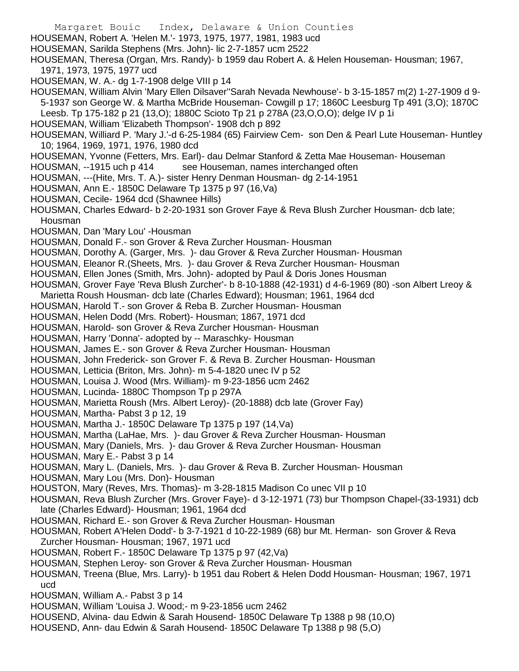- Margaret Bouic Index, Delaware & Union Counties HOUSEMAN, Robert A. 'Helen M.'- 1973, 1975, 1977, 1981, 1983 ucd HOUSEMAN, Sarilda Stephens (Mrs. John)- lic 2-7-1857 ucm 2522 HOUSEMAN, Theresa (Organ, Mrs. Randy)- b 1959 dau Robert A. & Helen Houseman- Housman; 1967, 1971, 1973, 1975, 1977 ucd HOUSEMAN, W. A.- dg 1-7-1908 delge VIII p 14 HOUSEMAN, William Alvin 'Mary Ellen Dilsaver''Sarah Nevada Newhouse'- b 3-15-1857 m(2) 1-27-1909 d 9- 5-1937 son George W. & Martha McBride Houseman- Cowgill p 17; 1860C Leesburg Tp 491 (3,O); 1870C Leesb. Tp 175-182 p 21 (13,O); 1880C Scioto Tp 21 p 278A (23,O,O,O); delge IV p 1i HOUSEMAN, William 'Elizabeth Thompson'- 1908 dch p 892 HOUSEMAN, Williard P. 'Mary J.'-d 6-25-1984 (65) Fairview Cem- son Den & Pearl Lute Houseman- Huntley 10; 1964, 1969, 1971, 1976, 1980 dcd HOUSEMAN, Yvonne (Fetters, Mrs. Earl)- dau Delmar Stanford & Zetta Mae Houseman- Houseman HOUSMAN, --1915 uch p 414 see Houseman, names interchanged often HOUSMAN, ---(Hite, Mrs. T. A.)- sister Henry Denman Housman- dg 2-14-1951 HOUSMAN, Ann E.- 1850C Delaware Tp 1375 p 97 (16,Va) HOUSMAN, Cecile- 1964 dcd (Shawnee Hills) HOUSMAN, Charles Edward- b 2-20-1931 son Grover Faye & Reva Blush Zurcher Housman- dcb late; Housman HOUSMAN, Dan 'Mary Lou' -Housman HOUSMAN, Donald F.- son Grover & Reva Zurcher Housman- Housman HOUSMAN, Dorothy A. (Garger, Mrs. )- dau Grover & Reva Zurcher Housman- Housman HOUSMAN, Eleanor R.(Sheets, Mrs. )- dau Grover & Reva Zurcher Housman- Housman HOUSMAN, Ellen Jones (Smith, Mrs. John)- adopted by Paul & Doris Jones Housman HOUSMAN, Grover Faye 'Reva Blush Zurcher'- b 8-10-1888 (42-1931) d 4-6-1969 (80) -son Albert Lreoy & Marietta Roush Housman- dcb late (Charles Edward); Housman; 1961, 1964 dcd HOUSMAN, Harold T.- son Grover & Reba B. Zurcher Housman- Housman HOUSMAN, Helen Dodd (Mrs. Robert)- Housman; 1867, 1971 dcd HOUSMAN, Harold- son Grover & Reva Zurcher Housman- Housman HOUSMAN, Harry 'Donna'- adopted by -- Maraschky- Housman HOUSMAN, James E.- son Grover & Reva Zurcher Housman- Housman HOUSMAN, John Frederick- son Grover F. & Reva B. Zurcher Housman- Housman HOUSMAN, Letticia (Briton, Mrs. John)- m 5-4-1820 unec IV p 52 HOUSMAN, Louisa J. Wood (Mrs. William)- m 9-23-1856 ucm 2462 HOUSMAN, Lucinda- 1880C Thompson Tp p 297A HOUSMAN, Marietta Roush (Mrs. Albert Leroy)- (20-1888) dcb late (Grover Fay) HOUSMAN, Martha- Pabst 3 p 12, 19 HOUSMAN, Martha J.- 1850C Delaware Tp 1375 p 197 (14,Va) HOUSMAN, Martha (LaHae, Mrs. )- dau Grover & Reva Zurcher Housman- Housman HOUSMAN, Mary (Daniels, Mrs. )- dau Grover & Reva Zurcher Housman- Housman HOUSMAN, Mary E.- Pabst 3 p 14 HOUSMAN, Mary L. (Daniels, Mrs. )- dau Grover & Reva B. Zurcher Housman- Housman HOUSMAN, Mary Lou (Mrs. Don)- Housman HOUSTON, Mary (Reves, Mrs. Thomas)- m 3-28-1815 Madison Co unec VII p 10 HOUSMAN, Reva Blush Zurcher (Mrs. Grover Faye)- d 3-12-1971 (73) bur Thompson Chapel-(33-1931) dcb late (Charles Edward)- Housman; 1961, 1964 dcd HOUSMAN, Richard E.- son Grover & Reva Zurcher Housman- Housman HOUSMAN, Robert A'Helen Dodd'- b 3-7-1921 d 10-22-1989 (68) bur Mt. Herman- son Grover & Reva Zurcher Housman- Housman; 1967, 1971 ucd HOUSMAN, Robert F.- 1850C Delaware Tp 1375 p 97 (42,Va) HOUSMAN, Stephen Leroy- son Grover & Reva Zurcher Housman- Housman HOUSMAN, Treena (Blue, Mrs. Larry)- b 1951 dau Robert & Helen Dodd Housman- Housman; 1967, 1971 ucd HOUSMAN, William A.- Pabst 3 p 14
- HOUSMAN, William 'Louisa J. Wood;- m 9-23-1856 ucm 2462
- HOUSEND, Alvina- dau Edwin & Sarah Housend- 1850C Delaware Tp 1388 p 98 (10,O)
- HOUSEND, Ann- dau Edwin & Sarah Housend- 1850C Delaware Tp 1388 p 98 (5,O)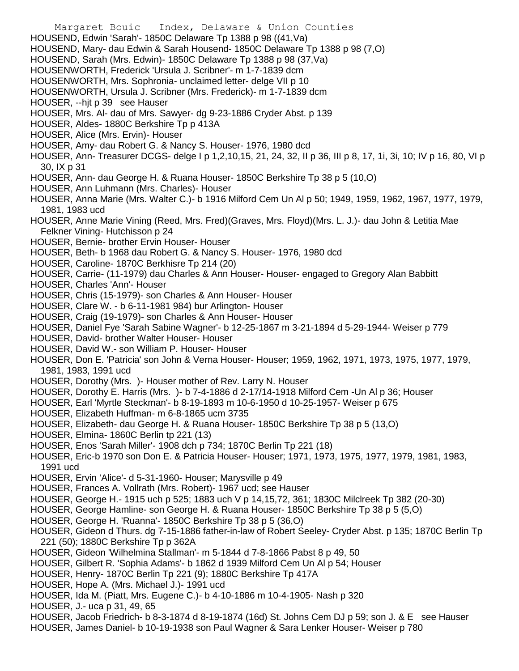- Margaret Bouic Index, Delaware & Union Counties HOUSEND, Edwin 'Sarah'- 1850C Delaware Tp 1388 p 98 ((41,Va) HOUSEND, Mary- dau Edwin & Sarah Housend- 1850C Delaware Tp 1388 p 98 (7,O) HOUSEND, Sarah (Mrs. Edwin)- 1850C Delaware Tp 1388 p 98 (37,Va) HOUSENWORTH, Frederick 'Ursula J. Scribner'- m 1-7-1839 dcm HOUSENWORTH, Mrs. Sophronia- unclaimed letter- delge VII p 10 HOUSENWORTH, Ursula J. Scribner (Mrs. Frederick)- m 1-7-1839 dcm HOUSER, --hjt p 39 see Hauser HOUSER, Mrs. Al- dau of Mrs. Sawyer- dg 9-23-1886 Cryder Abst. p 139 HOUSER, Aldes- 1880C Berkshire Tp p 413A HOUSER, Alice (Mrs. Ervin)- Houser HOUSER, Amy- dau Robert G. & Nancy S. Houser- 1976, 1980 dcd HOUSER, Ann- Treasurer DCGS- delge I p 1,2,10,15, 21, 24, 32, II p 36, III p 8, 17, 1i, 3i, 10; IV p 16, 80, VI p 30, IX p 31 HOUSER, Ann- dau George H. & Ruana Houser- 1850C Berkshire Tp 38 p 5 (10,O) HOUSER, Ann Luhmann (Mrs. Charles)- Houser HOUSER, Anna Marie (Mrs. Walter C.)- b 1916 Milford Cem Un Al p 50; 1949, 1959, 1962, 1967, 1977, 1979, 1981, 1983 ucd HOUSER, Anne Marie Vining (Reed, Mrs. Fred)(Graves, Mrs. Floyd)(Mrs. L. J.)- dau John & Letitia Mae Felkner Vining- Hutchisson p 24 HOUSER, Bernie- brother Ervin Houser- Houser HOUSER, Beth- b 1968 dau Robert G. & Nancy S. Houser- 1976, 1980 dcd HOUSER, Caroline- 1870C Berkhisre Tp 214 (20) HOUSER, Carrie- (11-1979) dau Charles & Ann Houser- Houser- engaged to Gregory Alan Babbitt HOUSER, Charles 'Ann'- Houser HOUSER, Chris (15-1979)- son Charles & Ann Houser- Houser HOUSER, Clare W. - b 6-11-1981 984) bur Arlington- Houser HOUSER, Craig (19-1979)- son Charles & Ann Houser- Houser HOUSER, Daniel Fye 'Sarah Sabine Wagner'- b 12-25-1867 m 3-21-1894 d 5-29-1944- Weiser p 779 HOUSER, David- brother Walter Houser- Houser HOUSER, David W.- son William P. Houser- Houser HOUSER, Don E. 'Patricia' son John & Verna Houser- Houser; 1959, 1962, 1971, 1973, 1975, 1977, 1979, 1981, 1983, 1991 ucd HOUSER, Dorothy (Mrs. )- Houser mother of Rev. Larry N. Houser HOUSER, Dorothy E. Harris (Mrs. )- b 7-4-1886 d 2-17/14-1918 Milford Cem -Un Al p 36; Houser HOUSER, Earl 'Myrtle Steckman'- b 8-19-1893 m 10-6-1950 d 10-25-1957- Weiser p 675 HOUSER, Elizabeth Huffman- m 6-8-1865 ucm 3735
- HOUSER, Elizabeth- dau George H. & Ruana Houser- 1850C Berkshire Tp 38 p 5 (13,O)
- HOUSER, Elmina- 1860C Berlin tp 221 (13)
- HOUSER, Enos 'Sarah Miller'- 1908 dch p 734; 1870C Berlin Tp 221 (18)
- HOUSER, Eric-b 1970 son Don E. & Patricia Houser- Houser; 1971, 1973, 1975, 1977, 1979, 1981, 1983, 1991 ucd
- HOUSER, Ervin 'Alice'- d 5-31-1960- Houser; Marysville p 49
- HOUSER, Frances A. Vollrath (Mrs. Robert)- 1967 ucd; see Hauser
- HOUSER, George H.- 1915 uch p 525; 1883 uch V p 14,15,72, 361; 1830C Milclreek Tp 382 (20-30)
- HOUSER, George Hamline- son George H. & Ruana Houser- 1850C Berkshire Tp 38 p 5 (5,O)
- HOUSER, George H. 'Ruanna'- 1850C Berkshire Tp 38 p 5 (36,O)
- HOUSER, Gideon d Thurs. dg 7-15-1886 father-in-law of Robert Seeley- Cryder Abst. p 135; 1870C Berlin Tp 221 (50); 1880C Berkshire Tp p 362A
- HOUSER, Gideon 'Wilhelmina Stallman'- m 5-1844 d 7-8-1866 Pabst 8 p 49, 50
- HOUSER, Gilbert R. 'Sophia Adams'- b 1862 d 1939 Milford Cem Un Al p 54; Houser
- HOUSER, Henry- 1870C Berlin Tp 221 (9); 1880C Berkshire Tp 417A
- HOUSER, Hope A. (Mrs. Michael J.)- 1991 ucd
- HOUSER, Ida M. (Piatt, Mrs. Eugene C.)- b 4-10-1886 m 10-4-1905- Nash p 320
- HOUSER, J.- uca p 31, 49, 65
- HOUSER, Jacob Friedrich- b 8-3-1874 d 8-19-1874 (16d) St. Johns Cem DJ p 59; son J. & E see Hauser
- HOUSER, James Daniel- b 10-19-1938 son Paul Wagner & Sara Lenker Houser- Weiser p 780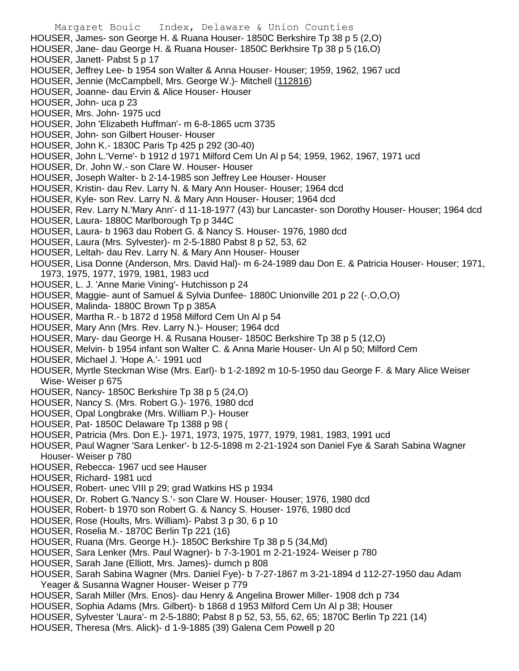Margaret Bouic Index, Delaware & Union Counties HOUSER, James- son George H. & Ruana Houser- 1850C Berkshire Tp 38 p 5 (2,O) HOUSER, Jane- dau George H. & Ruana Houser- 1850C Berkhsire Tp 38 p 5 (16,O) HOUSER, Janett- Pabst 5 p 17 HOUSER, Jeffrey Lee- b 1954 son Walter & Anna Houser- Houser; 1959, 1962, 1967 ucd HOUSER, Jennie (McCampbell, Mrs. George W.)- Mitchell (112816) HOUSER, Joanne- dau Ervin & Alice Houser- Houser HOUSER, John- uca p 23 HOUSER, Mrs. John- 1975 ucd HOUSER, John 'Elizabeth Huffman'- m 6-8-1865 ucm 3735 HOUSER, John- son Gilbert Houser- Houser HOUSER, John K.- 1830C Paris Tp 425 p 292 (30-40) HOUSER, John L.'Verne'- b 1912 d 1971 Milford Cem Un Al p 54; 1959, 1962, 1967, 1971 ucd HOUSER, Dr. John W.- son Clare W. Houser- Houser HOUSER, Joseph Walter- b 2-14-1985 son Jeffrey Lee Houser- Houser HOUSER, Kristin- dau Rev. Larry N. & Mary Ann Houser- Houser; 1964 dcd HOUSER, Kyle- son Rev. Larry N. & Mary Ann Houser- Houser; 1964 dcd HOUSER, Rev. Larry N.'Mary Ann'- d 11-18-1977 (43) bur Lancaster- son Dorothy Houser- Houser; 1964 dcd HOUSER, Laura- 1880C Marlborough Tp p 344C HOUSER, Laura- b 1963 dau Robert G. & Nancy S. Houser- 1976, 1980 dcd HOUSER, Laura (Mrs. Sylvester)- m 2-5-1880 Pabst 8 p 52, 53, 62 HOUSER, Leltah- dau Rev. Larry N. & Mary Ann Houser- Houser HOUSER, Lisa Donne (Anderson, Mrs. David Hal)- m 6-24-1989 dau Don E. & Patricia Houser- Houser; 1971, 1973, 1975, 1977, 1979, 1981, 1983 ucd HOUSER, L. J. 'Anne Marie Vining'- Hutchisson p 24 HOUSER, Maggie- aunt of Samuel & Sylvia Dunfee- 1880C Unionville 201 p 22 (-.O,O,O) HOUSER, Malinda- 1880C Brown Tp p 385A HOUSER, Martha R.- b 1872 d 1958 Milford Cem Un Al p 54 HOUSER, Mary Ann (Mrs. Rev. Larry N.)- Houser; 1964 dcd HOUSER, Mary- dau George H. & Rusana Houser- 1850C Berkshire Tp 38 p 5 (12,O) HOUSER, Melvin- b 1954 infant son Walter C. & Anna Marie Houser- Un Al p 50; Milford Cem HOUSER, Michael J. 'Hope A.'- 1991 ucd HOUSER, Myrtle Steckman Wise (Mrs. Earl)- b 1-2-1892 m 10-5-1950 dau George F. & Mary Alice Weiser Wise- Weiser p 675 HOUSER, Nancy- 1850C Berkshire Tp 38 p 5 (24,O) HOUSER, Nancy S. (Mrs. Robert G.)- 1976, 1980 dcd HOUSER, Opal Longbrake (Mrs. William P.)- Houser HOUSER, Pat- 1850C Delaware Tp 1388 p 98 ( HOUSER, Patricia (Mrs. Don E.)- 1971, 1973, 1975, 1977, 1979, 1981, 1983, 1991 ucd HOUSER, Paul Wagner 'Sara Lenker'- b 12-5-1898 m 2-21-1924 son Daniel Fye & Sarah Sabina Wagner Houser- Weiser p 780 HOUSER, Rebecca- 1967 ucd see Hauser HOUSER, Richard- 1981 ucd HOUSER, Robert- unec VIII p 29; grad Watkins HS p 1934 HOUSER, Dr. Robert G.'Nancy S.'- son Clare W. Houser- Houser; 1976, 1980 dcd HOUSER, Robert- b 1970 son Robert G. & Nancy S. Houser- 1976, 1980 dcd HOUSER, Rose (Hoults, Mrs. William)- Pabst 3 p 30, 6 p 10 HOUSER, Roselia M.- 1870C Berlin Tp 221 (16) HOUSER, Ruana (Mrs. George H.)- 1850C Berkshire Tp 38 p 5 (34,Md) HOUSER, Sara Lenker (Mrs. Paul Wagner)- b 7-3-1901 m 2-21-1924- Weiser p 780 HOUSER, Sarah Jane (Elliott, Mrs. James)- dumch p 808 HOUSER, Sarah Sabina Wagner (Mrs. Daniel Fye)- b 7-27-1867 m 3-21-1894 d 112-27-1950 dau Adam Yeager & Susanna Wagner Houser- Weiser p 779

- HOUSER, Sarah Miller (Mrs. Enos)- dau Henry & Angelina Brower Miller- 1908 dch p 734
- HOUSER, Sophia Adams (Mrs. Gilbert)- b 1868 d 1953 Milford Cem Un Al p 38; Houser
- HOUSER, Sylvester 'Laura'- m 2-5-1880; Pabst 8 p 52, 53, 55, 62, 65; 1870C Berlin Tp 221 (14)
- HOUSER, Theresa (Mrs. Alick)- d 1-9-1885 (39) Galena Cem Powell p 20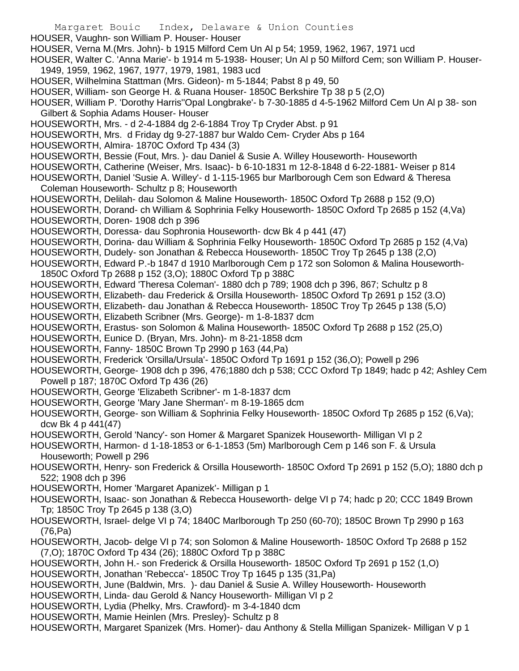Margaret Bouic Index, Delaware & Union Counties HOUSER, Vaughn- son William P. Houser- Houser HOUSER, Verna M.(Mrs. John)- b 1915 Milford Cem Un Al p 54; 1959, 1962, 1967, 1971 ucd HOUSER, Walter C. 'Anna Marie'- b 1914 m 5-1938- Houser; Un Al p 50 Milford Cem; son William P. Houser-1949, 1959, 1962, 1967, 1977, 1979, 1981, 1983 ucd HOUSER, Wilhelmina Stattman (Mrs. Gideon)- m 5-1844; Pabst 8 p 49, 50 HOUSER, William- son George H. & Ruana Houser- 1850C Berkshire Tp 38 p 5 (2,O) HOUSER, William P. 'Dorothy Harris''Opal Longbrake'- b 7-30-1885 d 4-5-1962 Milford Cem Un Al p 38- son Gilbert & Sophia Adams Houser- Houser HOUSEWORTH, Mrs. - d 2-4-1884 dg 2-6-1884 Troy Tp Cryder Abst. p 91 HOUSEWORTH, Mrs. d Friday dg 9-27-1887 bur Waldo Cem- Cryder Abs p 164 HOUSEWORTH, Almira- 1870C Oxford Tp 434 (3) HOUSEWORTH, Bessie (Fout, Mrs. )- dau Daniel & Susie A. Willey Houseworth- Houseworth HOUSEWORTH, Catherine (Weiser, Mrs. Isaac)- b 6-10-1831 m 12-8-1848 d 6-22-1881- Weiser p 814 HOUSEWORTH, Daniel 'Susie A. Willey'- d 1-115-1965 bur Marlborough Cem son Edward & Theresa Coleman Houseworth- Schultz p 8; Houseworth HOUSEWORTH, Delilah- dau Solomon & Maline Houseworth- 1850C Oxford Tp 2688 p 152 (9,O) HOUSEWORTH, Dorand- ch William & Sophrinia Felky Houseworth- 1850C Oxford Tp 2685 p 152 (4,Va) HOUSEWORTH, Doren- 1908 dch p 396 HOUSEWORTH, Doressa- dau Sophronia Houseworth- dcw Bk 4 p 441 (47) HOUSEWORTH, Dorina- dau William & Sophrinia Felky Houseworth- 1850C Oxford Tp 2685 p 152 (4,Va) HOUSEWORTH, Dudely- son Jonathan & Rebecca Houseworth- 1850C Troy Tp 2645 p 138 (2,O) HOUSEWORTH, Edward P.-b 1847 d 1910 Marlborough Cem p 172 son Solomon & Malina Houseworth-1850C Oxford Tp 2688 p 152 (3,O); 1880C Oxford Tp p 388C HOUSEWORTH, Edward 'Theresa Coleman'- 1880 dch p 789; 1908 dch p 396, 867; Schultz p 8 HOUSEWORTH, Elizabeth- dau Frederick & Orsilla Houseworth- 1850C Oxford Tp 2691 p 152 (3.O) HOUSEWORTH, Elizabeth- dau Jonathan & Rebecca Houseworth- 1850C Troy Tp 2645 p 138 (5,O) HOUSEWORTH, Elizabeth Scribner (Mrs. George)- m 1-8-1837 dcm HOUSEWORTH, Erastus- son Solomon & Malina Houseworth- 1850C Oxford Tp 2688 p 152 (25,O) HOUSEWORTH, Eunice D. (Bryan, Mrs. John)- m 8-21-1858 dcm HOUSEWORTH, Fanny- 1850C Brown Tp 2990 p 163 (44,Pa) HOUSEWORTH, Frederick 'Orsilla/Ursula'- 1850C Oxford Tp 1691 p 152 (36,O); Powell p 296 HOUSEWORTH, George- 1908 dch p 396, 476;1880 dch p 538; CCC Oxford Tp 1849; hadc p 42; Ashley Cem Powell p 187; 1870C Oxford Tp 436 (26) HOUSEWORTH, George 'Elizabeth Scribner'- m 1-8-1837 dcm HOUSEWORTH, George 'Mary Jane Sherman'- m 8-19-1865 dcm HOUSEWORTH, George- son William & Sophrinia Felky Houseworth- 1850C Oxford Tp 2685 p 152 (6,Va); dcw Bk 4 p 441(47) HOUSEWORTH, Gerold 'Nancy'- son Homer & Margaret Spanizek Houseworth- Milligan VI p 2 HOUSEWORTH, Harmon- d 1-18-1853 or 6-1-1853 (5m) Marlborough Cem p 146 son F. & Ursula Houseworth; Powell p 296 HOUSEWORTH, Henry- son Frederick & Orsilla Houseworth- 1850C Oxford Tp 2691 p 152 (5,O); 1880 dch p 522; 1908 dch p 396 HOUSEWORTH, Homer 'Margaret Apanizek'- Milligan p 1 HOUSEWORTH, Isaac- son Jonathan & Rebecca Houseworth- delge VI p 74; hadc p 20; CCC 1849 Brown Tp; 1850C Troy Tp 2645 p 138 (3,O) HOUSEWORTH, Israel- delge VI p 74; 1840C Marlborough Tp 250 (60-70); 1850C Brown Tp 2990 p 163 (76,Pa) HOUSEWORTH, Jacob- delge VI p 74; son Solomon & Maline Houseworth- 1850C Oxford Tp 2688 p 152 (7,O); 1870C Oxford Tp 434 (26); 1880C Oxford Tp p 388C HOUSEWORTH, John H.- son Frederick & Orsilla Houseworth- 1850C Oxford Tp 2691 p 152 (1,O) HOUSEWORTH, Jonathan 'Rebecca'- 1850C Troy Tp 1645 p 135 (31,Pa) HOUSEWORTH, June (Baldwin, Mrs. )- dau Daniel & Susie A. Willey Houseworth- Houseworth HOUSEWORTH, Linda- dau Gerold & Nancy Houseworth- Milligan VI p 2 HOUSEWORTH, Lydia (Phelky, Mrs. Crawford)- m 3-4-1840 dcm HOUSEWORTH, Mamie Heinlen (Mrs. Presley)- Schultz p 8 HOUSEWORTH, Margaret Spanizek (Mrs. Homer)- dau Anthony & Stella Milligan Spanizek- Milligan V p 1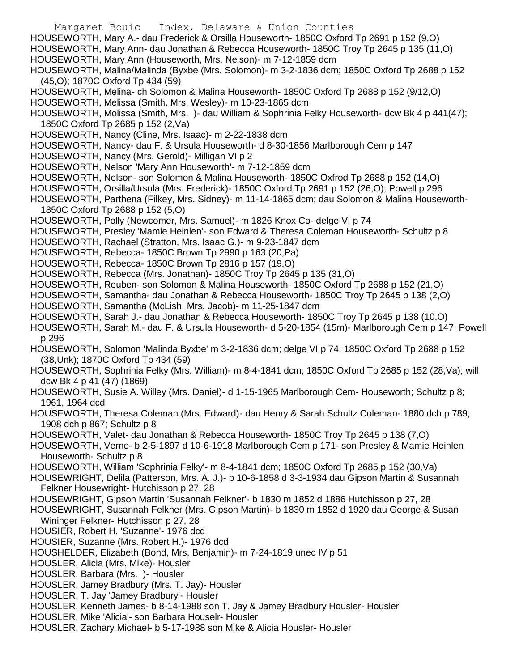Margaret Bouic Index, Delaware & Union Counties HOUSEWORTH, Mary A.- dau Frederick & Orsilla Houseworth- 1850C Oxford Tp 2691 p 152 (9,O) HOUSEWORTH, Mary Ann- dau Jonathan & Rebecca Houseworth- 1850C Troy Tp 2645 p 135 (11,O) HOUSEWORTH, Mary Ann (Houseworth, Mrs. Nelson)- m 7-12-1859 dcm HOUSEWORTH, Malina/Malinda (Byxbe (Mrs. Solomon)- m 3-2-1836 dcm; 1850C Oxford Tp 2688 p 152 (45,O); 1870C Oxford Tp 434 (59) HOUSEWORTH, Melina- ch Solomon & Malina Houseworth- 1850C Oxford Tp 2688 p 152 (9/12,O) HOUSEWORTH, Melissa (Smith, Mrs. Wesley)- m 10-23-1865 dcm HOUSEWORTH, Molissa (Smith, Mrs. )- dau William & Sophrinia Felky Houseworth- dcw Bk 4 p 441(47); 1850C Oxford Tp 2685 p 152 (2,Va) HOUSEWORTH, Nancy (Cline, Mrs. Isaac)- m 2-22-1838 dcm HOUSEWORTH, Nancy- dau F. & Ursula Houseworth- d 8-30-1856 Marlborough Cem p 147 HOUSEWORTH, Nancy (Mrs. Gerold)- Milligan VI p 2 HOUSEWORTH, Nelson 'Mary Ann Houseworth'- m 7-12-1859 dcm HOUSEWORTH, Nelson- son Solomon & Malina Houseworth- 1850C Oxfrod Tp 2688 p 152 (14,O) HOUSEWORTH, Orsilla/Ursula (Mrs. Frederick)- 1850C Oxford Tp 2691 p 152 (26,O); Powell p 296 HOUSEWORTH, Parthena (Filkey, Mrs. Sidney)- m 11-14-1865 dcm; dau Solomon & Malina Houseworth-1850C Oxford Tp 2688 p 152 (5,O) HOUSEWORTH, Polly (Newcomer, Mrs. Samuel)- m 1826 Knox Co- delge VI p 74 HOUSEWORTH, Presley 'Mamie Heinlen'- son Edward & Theresa Coleman Houseworth- Schultz p 8 HOUSEWORTH, Rachael (Stratton, Mrs. Isaac G.)- m 9-23-1847 dcm HOUSEWORTH, Rebecca- 1850C Brown Tp 2990 p 163 (20,Pa) HOUSEWORTH, Rebecca- 1850C Brown Tp 2816 p 157 (19,O) HOUSEWORTH, Rebecca (Mrs. Jonathan)- 1850C Troy Tp 2645 p 135 (31,O) HOUSEWORTH, Reuben- son Solomon & Malina Houseworth- 1850C Oxford Tp 2688 p 152 (21,O) HOUSEWORTH, Samantha- dau Jonathan & Rebecca Houseworth- 1850C Troy Tp 2645 p 138 (2,O) HOUSEWORTH, Samantha (McLish, Mrs. Jacob)- m 11-25-1847 dcm HOUSEWORTH, Sarah J.- dau Jonathan & Rebecca Houseworth- 1850C Troy Tp 2645 p 138 (10,O) HOUSEWORTH, Sarah M.- dau F. & Ursula Houseworth- d 5-20-1854 (15m)- Marlborough Cem p 147; Powell p 296 HOUSEWORTH, Solomon 'Malinda Byxbe' m 3-2-1836 dcm; delge VI p 74; 1850C Oxford Tp 2688 p 152 (38,Unk); 1870C Oxford Tp 434 (59) HOUSEWORTH, Sophrinia Felky (Mrs. William)- m 8-4-1841 dcm; 1850C Oxford Tp 2685 p 152 (28,Va); will dcw Bk 4 p 41 (47) (1869) HOUSEWORTH, Susie A. Willey (Mrs. Daniel)- d 1-15-1965 Marlborough Cem- Houseworth; Schultz p 8; 1961, 1964 dcd HOUSEWORTH, Theresa Coleman (Mrs. Edward)- dau Henry & Sarah Schultz Coleman- 1880 dch p 789; 1908 dch p 867; Schultz p 8 HOUSEWORTH, Valet- dau Jonathan & Rebecca Houseworth- 1850C Troy Tp 2645 p 138 (7,O) HOUSEWORTH, Verne- b 2-5-1897 d 10-6-1918 Marlborough Cem p 171- son Presley & Mamie Heinlen Houseworth- Schultz p 8 HOUSEWORTH, William 'Sophrinia Felky'- m 8-4-1841 dcm; 1850C Oxford Tp 2685 p 152 (30,Va) HOUSEWRIGHT, Delila (Patterson, Mrs. A. J.)- b 10-6-1858 d 3-3-1934 dau Gipson Martin & Susannah Felkner Housewright- Hutchisson p 27, 28 HOUSEWRIGHT, Gipson Martin 'Susannah Felkner'- b 1830 m 1852 d 1886 Hutchisson p 27, 28 HOUSEWRIGHT, Susannah Felkner (Mrs. Gipson Martin)- b 1830 m 1852 d 1920 dau George & Susan Wininger Felkner- Hutchisson p 27, 28 HOUSIER, Robert H. 'Suzanne'- 1976 dcd HOUSIER, Suzanne (Mrs. Robert H.)- 1976 dcd HOUSHELDER, Elizabeth (Bond, Mrs. Benjamin)- m 7-24-1819 unec IV p 51 HOUSLER, Alicia (Mrs. Mike)- Housler HOUSLER, Barbara (Mrs. )- Housler HOUSLER, Jamey Bradbury (Mrs. T. Jay)- Housler HOUSLER, T. Jay 'Jamey Bradbury'- Housler HOUSLER, Kenneth James- b 8-14-1988 son T. Jay & Jamey Bradbury Housler- Housler HOUSLER, Mike 'Alicia'- son Barbara Houselr- Housler HOUSLER, Zachary Michael- b 5-17-1988 son Mike & Alicia Housler- Housler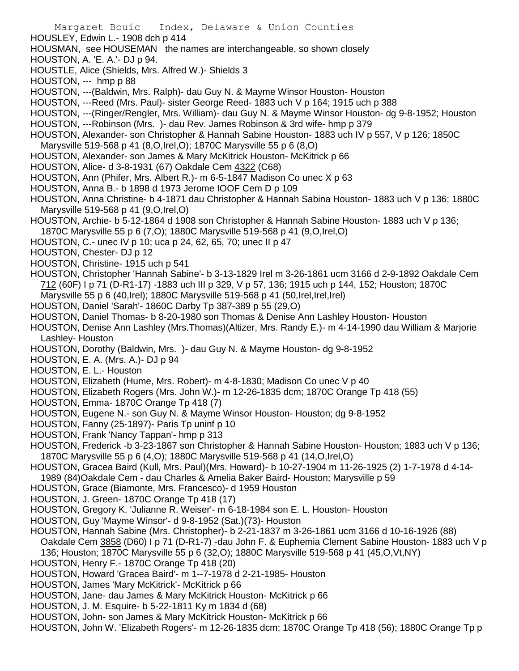- HOUSLEY, Edwin L.- 1908 dch p 414
- HOUSMAN, see HOUSEMAN the names are interchangeable, so shown closely
- HOUSTON, A. 'E. A.'- DJ p 94.
- HOUSTLE, Alice (Shields, Mrs. Alfred W.)- Shields 3
- HOUSTON, --- hmp p 88
- HOUSTON, ---(Baldwin, Mrs. Ralph)- dau Guy N. & Mayme Winsor Houston- Houston
- HOUSTON, ---Reed (Mrs. Paul)- sister George Reed- 1883 uch V p 164; 1915 uch p 388
- HOUSTON, ---(Ringer/Rengler, Mrs. William)- dau Guy N. & Mayme Winsor Houston- dg 9-8-1952; Houston
- HOUSTON, ---Robinson (Mrs. )- dau Rev. James Robinson & 3rd wife- hmp p 379
- HOUSTON, Alexander- son Christopher & Hannah Sabine Houston- 1883 uch IV p 557, V p 126; 1850C Marysville 519-568 p 41 (8,O,Irel,O); 1870C Marysville 55 p 6 (8,O)
- HOUSTON, Alexander- son James & Mary McKitrick Houston- McKitrick p 66
- HOUSTON, Alice- d 3-8-1931 (67) Oakdale Cem 4322 (C68)
- HOUSTON, Ann (Phifer, Mrs. Albert R.)- m 6-5-1847 Madison Co unec X p 63
- HOUSTON, Anna B.- b 1898 d 1973 Jerome IOOF Cem D p 109
- HOUSTON, Anna Christine- b 4-1871 dau Christopher & Hannah Sabina Houston- 1883 uch V p 136; 1880C Marysville 519-568 p 41 (9,O,Irel,O)
- HOUSTON, Archie- b 5-12-1864 d 1908 son Christopher & Hannah Sabine Houston- 1883 uch V p 136;
- 1870C Marysville 55 p 6 (7,O); 1880C Marysville 519-568 p 41 (9,O,Irel,O)
- HOUSTON, C.- unec IV p 10; uca p 24, 62, 65, 70; unec II p 47
- HOUSTON, Chester- DJ p 12
- HOUSTON, Christine- 1915 uch p 541
- HOUSTON, Christopher 'Hannah Sabine'- b 3-13-1829 Irel m 3-26-1861 ucm 3166 d 2-9-1892 Oakdale Cem 712 (60F) I p 71 (D-R1-17) -1883 uch III p 329, V p 57, 136; 1915 uch p 144, 152; Houston; 1870C Marysville 55 p 6 (40,Irel); 1880C Marysville 519-568 p 41 (50,Irel,Irel,Irel)
- HOUSTON, Daniel 'Sarah'- 1860C Darby Tp 387-389 p 55 (29,O)
- HOUSTON, Daniel Thomas- b 8-20-1980 son Thomas & Denise Ann Lashley Houston- Houston
- HOUSTON, Denise Ann Lashley (Mrs.Thomas)(Altizer, Mrs. Randy E.)- m 4-14-1990 dau William & Marjorie Lashley- Houston
- HOUSTON, Dorothy (Baldwin, Mrs. )- dau Guy N. & Mayme Houston- dg 9-8-1952
- HOUSTON, E. A. (Mrs. A.)- DJ p 94
- HOUSTON, E. L.- Houston
- HOUSTON, Elizabeth (Hume, Mrs. Robert)- m 4-8-1830; Madison Co unec V p 40
- HOUSTON, Elizabeth Rogers (Mrs. John W.)- m 12-26-1835 dcm; 1870C Orange Tp 418 (55)
- HOUSTON, Emma- 1870C Orange Tp 418 (7)
- HOUSTON, Eugene N.- son Guy N. & Mayme Winsor Houston- Houston; dg 9-8-1952
- HOUSTON, Fanny (25-1897)- Paris Tp uninf p 10
- HOUSTON, Frank 'Nancy Tappan'- hmp p 313
- HOUSTON, Frederick -b 3-23-1867 son Christopher & Hannah Sabine Houston- Houston; 1883 uch V p 136; 1870C Marysville 55 p 6 (4,O); 1880C Marysville 519-568 p 41 (14,O,Irel,O)
- HOUSTON, Gracea Baird (Kull, Mrs. Paul)(Mrs. Howard)- b 10-27-1904 m 11-26-1925 (2) 1-7-1978 d 4-14-
- 1989 (84)Oakdale Cem dau Charles & Amelia Baker Baird- Houston; Marysville p 59
- HOUSTON, Grace (Biamonte, Mrs. Francesco)- d 1959 Houston
- HOUSTON, J. Green- 1870C Orange Tp 418 (17)
- HOUSTON, Gregory K. 'Julianne R. Weiser'- m 6-18-1984 son E. L. Houston- Houston
- HOUSTON, Guy 'Mayme Winsor'- d 9-8-1952 (Sat.)(73)- Houston
- HOUSTON, Hannah Sabine (Mrs. Christopher)- b 2-21-1837 m 3-26-1861 ucm 3166 d 10-16-1926 (88) Oakdale Cem 3858 (D60) I p 71 (D-R1-7) -dau John F. & Euphemia Clement Sabine Houston- 1883 uch V p
- 136; Houston; 1870C Marysville 55 p 6 (32,O); 1880C Marysville 519-568 p 41 (45,O,Vt,NY)
- HOUSTON, Henry F.- 1870C Orange Tp 418 (20)
- HOUSTON, Howard 'Gracea Baird'- m 1--7-1978 d 2-21-1985- Houston
- HOUSTON, James 'Mary McKitrick'- McKitrick p 66
- HOUSTON, Jane- dau James & Mary McKitrick Houston- McKitrick p 66
- HOUSTON, J. M. Esquire- b 5-22-1811 Ky m 1834 d (68)
- HOUSTON, John- son James & Mary McKitrick Houston- McKitrick p 66
- HOUSTON, John W. 'Elizabeth Rogers'- m 12-26-1835 dcm; 1870C Orange Tp 418 (56); 1880C Orange Tp p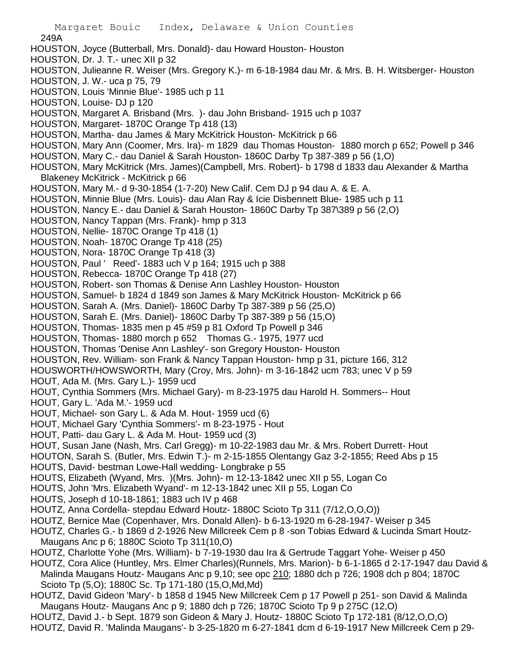- 249A HOUSTON, Joyce (Butterball, Mrs. Donald)- dau Howard Houston- Houston HOUSTON, Dr. J. T.- unec XII p 32 HOUSTON, Julieanne R. Weiser (Mrs. Gregory K.)- m 6-18-1984 dau Mr. & Mrs. B. H. Witsberger- Houston HOUSTON, J. W.- uca p 75, 79 HOUSTON, Louis 'Minnie Blue'- 1985 uch p 11 HOUSTON, Louise- DJ p 120 HOUSTON, Margaret A. Brisband (Mrs. )- dau John Brisband- 1915 uch p 1037 HOUSTON, Margaret- 1870C Orange Tp 418 (13) HOUSTON, Martha- dau James & Mary McKitrick Houston- McKitrick p 66 HOUSTON, Mary Ann (Coomer, Mrs. Ira)- m 1829 dau Thomas Houston- 1880 morch p 652; Powell p 346 HOUSTON, Mary C.- dau Daniel & Sarah Houston- 1860C Darby Tp 387-389 p 56 (1,O) HOUSTON, Mary McKitrick (Mrs. James)(Campbell, Mrs. Robert)- b 1798 d 1833 dau Alexander & Martha Blakeney McKitrick - McKitrick p 66 HOUSTON, Mary M.- d 9-30-1854 (1-7-20) New Calif. Cem DJ p 94 dau A. & E. A. HOUSTON, Minnie Blue (Mrs. Louis)- dau Alan Ray & Icie Disbennett Blue- 1985 uch p 11 HOUSTON, Nancy E.- dau Daniel & Sarah Houston- 1860C Darby Tp 387\389 p 56 (2,O) HOUSTON, Nancy Tappan (Mrs. Frank)- hmp p 313 HOUSTON, Nellie- 1870C Orange Tp 418 (1) HOUSTON, Noah- 1870C Orange Tp 418 (25) HOUSTON, Nora- 1870C Orange Tp 418 (3) HOUSTON, Paul ' Reed'- 1883 uch V p 164; 1915 uch p 388 HOUSTON, Rebecca- 1870C Orange Tp 418 (27) HOUSTON, Robert- son Thomas & Denise Ann Lashley Houston- Houston HOUSTON, Samuel- b 1824 d 1849 son James & Mary McKitrick Houston- McKitrick p 66 HOUSTON, Sarah A. (Mrs. Daniel)- 1860C Darby Tp 387-389 p 56 (25,O) HOUSTON, Sarah E. (Mrs. Daniel)- 1860C Darby Tp 387-389 p 56 (15,O) HOUSTON, Thomas- 1835 men p 45 #59 p 81 Oxford Tp Powell p 346 HOUSTON, Thomas- 1880 morch p 652 Thomas G.- 1975, 1977 ucd HOUSTON, Thomas 'Denise Ann Lashley'- son Gregory Houston- Houston HOUSTON, Rev. William- son Frank & Nancy Tappan Houston- hmp p 31, picture 166, 312 HOUSWORTH/HOWSWORTH, Mary (Croy, Mrs. John)- m 3-16-1842 ucm 783; unec V p 59 HOUT, Ada M. (Mrs. Gary L.)- 1959 ucd HOUT, Cynthia Sommers (Mrs. Michael Gary)- m 8-23-1975 dau Harold H. Sommers-- Hout HOUT, Gary L. 'Ada M.'- 1959 ucd HOUT, Michael- son Gary L. & Ada M. Hout- 1959 ucd (6) HOUT, Michael Gary 'Cynthia Sommers'- m 8-23-1975 - Hout HOUT, Patti- dau Gary L. & Ada M. Hout- 1959 ucd (3) HOUT, Susan Jane (Nash, Mrs. Carl Gregg)- m 10-22-1983 dau Mr. & Mrs. Robert Durrett- Hout HOUTON, Sarah S. (Butler, Mrs. Edwin T.)- m 2-15-1855 Olentangy Gaz 3-2-1855; Reed Abs p 15 HOUTS, David- bestman Lowe-Hall wedding- Longbrake p 55 HOUTS, Elizabeth (Wyand, Mrs. )(Mrs. John)- m 12-13-1842 unec XII p 55, Logan Co HOUTS, John 'Mrs. Elizabeth Wyand'- m 12-13-1842 unec XII p 55, Logan Co HOUTS, Joseph d 10-18-1861; 1883 uch IV p 468 HOUTZ, Anna Cordella- stepdau Edward Houtz- 1880C Scioto Tp 311 (7/12,O,O,O)) HOUTZ, Bernice Mae (Copenhaver, Mrs. Donald Allen)- b 6-13-1920 m 6-28-1947- Weiser p 345 HOUTZ, Charles G.- b 1869 d 2-1926 New Millcreek Cem p 8 -son Tobias Edward & Lucinda Smart Houtz-Maugans Anc p 6; 1880C Scioto Tp 311(10,O) HOUTZ, Charlotte Yohe (Mrs. William)- b 7-19-1930 dau Ira & Gertrude Taggart Yohe- Weiser p 450 HOUTZ, Cora Alice (Huntley, Mrs. Elmer Charles)(Runnels, Mrs. Marion)- b 6-1-1865 d 2-17-1947 dau David & Malinda Maugans Houtz- Maugans Anc p 9,10; see opc 210; 1880 dch p 726; 1908 dch p 804; 1870C Scioto Tp (5,O); 1880C Sc. Tp 171-180 (15,O,Md,Md)
	- HOUTZ, David Gideon 'Mary'- b 1858 d 1945 New Millcreek Cem p 17 Powell p 251- son David & Malinda Maugans Houtz- Maugans Anc p 9; 1880 dch p 726; 1870C Scioto Tp 9 p 275C (12,O)
	- HOUTZ, David J.- b Sept. 1879 son Gideon & Mary J. Houtz- 1880C Scioto Tp 172-181 (8/12,O,O,O)
	- HOUTZ, David R. 'Malinda Maugans'- b 3-25-1820 m 6-27-1841 dcm d 6-19-1917 New Millcreek Cem p 29-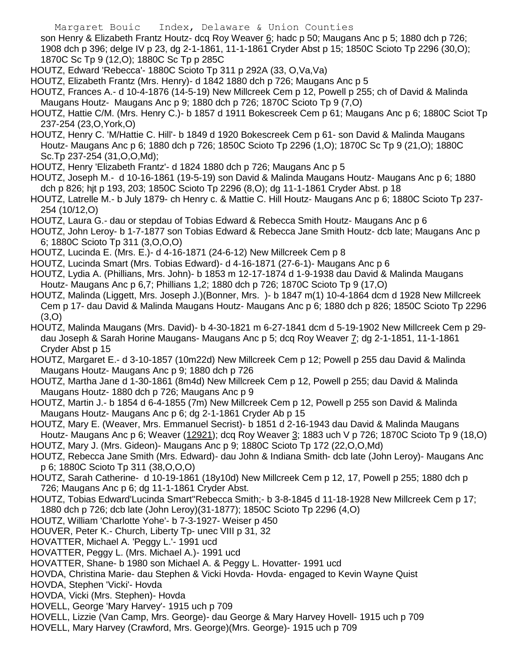son Henry & Elizabeth Frantz Houtz- dcq Roy Weaver 6; hadc p 50; Maugans Anc p 5; 1880 dch p 726; 1908 dch p 396; delge IV p 23, dg 2-1-1861, 11-1-1861 Cryder Abst p 15; 1850C Scioto Tp 2296 (30,O); 1870C Sc Tp 9 (12,O); 1880C Sc Tp p 285C

- HOUTZ, Edward 'Rebecca'- 1880C Scioto Tp 311 p 292A (33, O,Va,Va)
- HOUTZ, Elizabeth Frantz (Mrs. Henry)- d 1842 1880 dch p 726; Maugans Anc p 5
- HOUTZ, Frances A.- d 10-4-1876 (14-5-19) New Millcreek Cem p 12, Powell p 255; ch of David & Malinda Maugans Houtz- Maugans Anc p 9; 1880 dch p 726; 1870C Scioto Tp 9 (7,O)
- HOUTZ, Hattie C/M. (Mrs. Henry C.)- b 1857 d 1911 Bokescreek Cem p 61; Maugans Anc p 6; 1880C Sciot Tp 237-254 (23,O,York,O)
- HOUTZ, Henry C. 'M/Hattie C. Hill'- b 1849 d 1920 Bokescreek Cem p 61- son David & Malinda Maugans Houtz- Maugans Anc p 6; 1880 dch p 726; 1850C Scioto Tp 2296 (1,O); 1870C Sc Tp 9 (21,O); 1880C Sc.Tp 237-254 (31,O,O,Md);
- HOUTZ, Henry 'Elizabeth Frantz'- d 1824 1880 dch p 726; Maugans Anc p 5
- HOUTZ, Joseph M.- d 10-16-1861 (19-5-19) son David & Malinda Maugans Houtz- Maugans Anc p 6; 1880 dch p 826; hjt p 193, 203; 1850C Scioto Tp 2296 (8,O); dg 11-1-1861 Cryder Abst. p 18
- HOUTZ, Latrelle M.- b July 1879- ch Henry c. & Mattie C. Hill Houtz- Maugans Anc p 6; 1880C Scioto Tp 237- 254 (10/12,O)
- HOUTZ, Laura G.- dau or stepdau of Tobias Edward & Rebecca Smith Houtz- Maugans Anc p 6
- HOUTZ, John Leroy- b 1-7-1877 son Tobias Edward & Rebecca Jane Smith Houtz- dcb late; Maugans Anc p 6; 1880C Scioto Tp 311 (3,O,O,O)
- HOUTZ, Lucinda E. (Mrs. E.)- d 4-16-1871 (24-6-12) New Millcreek Cem p 8
- HOUTZ, Lucinda Smart (Mrs. Tobias Edward)- d 4-16-1871 (27-6-1)- Maugans Anc p 6
- HOUTZ, Lydia A. (Phillians, Mrs. John)- b 1853 m 12-17-1874 d 1-9-1938 dau David & Malinda Maugans Houtz- Maugans Anc p 6,7; Phillians 1,2; 1880 dch p 726; 1870C Scioto Tp 9 (17,O)
- HOUTZ, Malinda (Liggett, Mrs. Joseph J.)(Bonner, Mrs. )- b 1847 m(1) 10-4-1864 dcm d 1928 New Millcreek Cem p 17- dau David & Malinda Maugans Houtz- Maugans Anc p 6; 1880 dch p 826; 1850C Scioto Tp 2296 (3,O)
- HOUTZ, Malinda Maugans (Mrs. David)- b 4-30-1821 m 6-27-1841 dcm d 5-19-1902 New Millcreek Cem p 29 dau Joseph & Sarah Horine Maugans- Maugans Anc p 5; dcq Roy Weaver 7; dg 2-1-1851, 11-1-1861 Cryder Abst p 15
- HOUTZ, Margaret E.- d 3-10-1857 (10m22d) New Millcreek Cem p 12; Powell p 255 dau David & Malinda Maugans Houtz- Maugans Anc p 9; 1880 dch p 726
- HOUTZ, Martha Jane d 1-30-1861 (8m4d) New Millcreek Cem p 12, Powell p 255; dau David & Malinda Maugans Houtz- 1880 dch p 726; Maugans Anc p 9
- HOUTZ, Martin J.- b 1854 d 6-4-1855 (7m) New Millcreek Cem p 12, Powell p 255 son David & Malinda Maugans Houtz- Maugans Anc p 6; dg 2-1-1861 Cryder Ab p 15
- HOUTZ, Mary E. (Weaver, Mrs. Emmanuel Secrist)- b 1851 d 2-16-1943 dau David & Malinda Maugans Houtz- Maugans Anc p 6; Weaver (12921); dcq Roy Weaver 3; 1883 uch V p 726; 1870C Scioto Tp 9 (18,O)
- HOUTZ, Mary J. (Mrs. Gideon)- Maugans Anc p 9; 1880C Scioto Tp 172 (22,O,O,Md)
- HOUTZ, Rebecca Jane Smith (Mrs. Edward)- dau John & Indiana Smith- dcb late (John Leroy)- Maugans Anc p 6; 1880C Scioto Tp 311 (38,O,O,O)
- HOUTZ, Sarah Catherine- d 10-19-1861 (18y10d) New Millcreek Cem p 12, 17, Powell p 255; 1880 dch p 726; Maugans Anc p 6; dg 11-1-1861 Cryder Abst.
- HOUTZ, Tobias Edward'Lucinda Smart''Rebecca Smith;- b 3-8-1845 d 11-18-1928 New Millcreek Cem p 17; 1880 dch p 726; dcb late (John Leroy)(31-1877); 1850C Scioto Tp 2296 (4,O)
- HOUTZ, William 'Charlotte Yohe'- b 7-3-1927- Weiser p 450
- HOUVER, Peter K.- Church, Liberty Tp- unec VIII p 31, 32
- HOVATTER, Michael A. 'Peggy L.'- 1991 ucd
- HOVATTER, Peggy L. (Mrs. Michael A.)- 1991 ucd
- HOVATTER, Shane- b 1980 son Michael A. & Peggy L. Hovatter- 1991 ucd
- HOVDA, Christina Marie- dau Stephen & Vicki Hovda- Hovda- engaged to Kevin Wayne Quist
- HOVDA, Stephen 'Vicki'- Hovda
- HOVDA, Vicki (Mrs. Stephen)- Hovda
- HOVELL, George 'Mary Harvey'- 1915 uch p 709
- HOVELL, Lizzie (Van Camp, Mrs. George)- dau George & Mary Harvey Hovell- 1915 uch p 709
- HOVELL, Mary Harvey (Crawford, Mrs. George)(Mrs. George)- 1915 uch p 709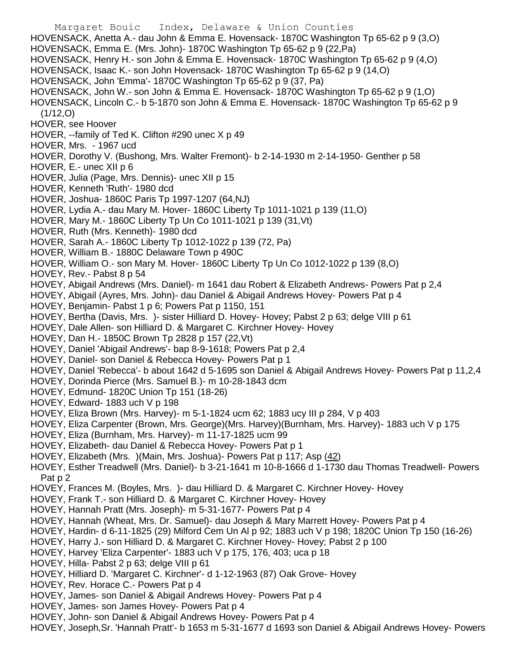- Margaret Bouic Index, Delaware & Union Counties HOVENSACK, Anetta A.- dau John & Emma E. Hovensack- 1870C Washington Tp 65-62 p 9 (3,O) HOVENSACK, Emma E. (Mrs. John)- 1870C Washington Tp 65-62 p 9 (22,Pa) HOVENSACK, Henry H.- son John & Emma E. Hovensack- 1870C Washington Tp 65-62 p 9 (4,O) HOVENSACK, Isaac K.- son John Hovensack- 1870C Washington Tp 65-62 p 9 (14,O) HOVENSACK, John 'Emma'- 1870C Washington Tp 65-62 p 9 (37, Pa) HOVENSACK, John W.- son John & Emma E. Hovensack- 1870C Washington Tp 65-62 p 9 (1,O) HOVENSACK, Lincoln C.- b 5-1870 son John & Emma E. Hovensack- 1870C Washington Tp 65-62 p 9  $(1/12, O)$ HOVER, see Hoover HOVER, --family of Ted K. Clifton #290 unec X p 49 HOVER, Mrs. - 1967 ucd HOVER, Dorothy V. (Bushong, Mrs. Walter Fremont)- b 2-14-1930 m 2-14-1950- Genther p 58 HOVER, E.- unec XII p 6 HOVER, Julia (Page, Mrs. Dennis)- unec XII p 15 HOVER, Kenneth 'Ruth'- 1980 dcd HOVER, Joshua- 1860C Paris Tp 1997-1207 (64,NJ) HOVER, Lydia A.- dau Mary M. Hover- 1860C Liberty Tp 1011-1021 p 139 (11,O) HOVER, Mary M.- 1860C Liberty Tp Un Co 1011-1021 p 139 (31,Vt) HOVER, Ruth (Mrs. Kenneth)- 1980 dcd HOVER, Sarah A.- 1860C Liberty Tp 1012-1022 p 139 (72, Pa) HOVER, William B.- 1880C Delaware Town p 490C HOVER, William O.- son Mary M. Hover- 1860C Liberty Tp Un Co 1012-1022 p 139 (8,O) HOVEY, Rev.- Pabst 8 p 54 HOVEY, Abigail Andrews (Mrs. Daniel)- m 1641 dau Robert & Elizabeth Andrews- Powers Pat p 2,4 HOVEY, Abigail (Ayres, Mrs. John)- dau Daniel & Abigail Andrews Hovey- Powers Pat p 4 HOVEY, Benjamin- Pabst 1 p 6; Powers Pat p 1150, 151 HOVEY, Bertha (Davis, Mrs. )- sister Hilliard D. Hovey- Hovey; Pabst 2 p 63; delge VIII p 61 HOVEY, Dale Allen- son Hilliard D. & Margaret C. Kirchner Hovey- Hovey HOVEY, Dan H.- 1850C Brown Tp 2828 p 157 (22,Vt) HOVEY, Daniel 'Abigail Andrews'- bap 8-9-1618; Powers Pat p 2,4 HOVEY, Daniel- son Daniel & Rebecca Hovey- Powers Pat p 1 HOVEY, Daniel 'Rebecca'- b about 1642 d 5-1695 son Daniel & Abigail Andrews Hovey- Powers Pat p 11,2,4 HOVEY, Dorinda Pierce (Mrs. Samuel B.)- m 10-28-1843 dcm HOVEY, Edmund- 1820C Union Tp 151 (18-26) HOVEY, Edward- 1883 uch V p 198 HOVEY, Eliza Brown (Mrs. Harvey)- m 5-1-1824 ucm 62; 1883 ucy III p 284, V p 403 HOVEY, Eliza Carpenter (Brown, Mrs. George)(Mrs. Harvey)(Burnham, Mrs. Harvey)- 1883 uch V p 175 HOVEY, Eliza (Burnham, Mrs. Harvey)- m 11-17-1825 ucm 99 HOVEY, Elizabeth- dau Daniel & Rebecca Hovey- Powers Pat p 1 HOVEY, Elizabeth (Mrs. )(Main, Mrs. Joshua)- Powers Pat p 117; Asp (42) HOVEY, Esther Treadwell (Mrs. Daniel)- b 3-21-1641 m 10-8-1666 d 1-1730 dau Thomas Treadwell- Powers Pat p 2 HOVEY, Frances M. (Boyles, Mrs. )- dau Hilliard D. & Margaret C. Kirchner Hovey- Hovey HOVEY, Frank T.- son Hilliard D. & Margaret C. Kirchner Hovey- Hovey HOVEY, Hannah Pratt (Mrs. Joseph)- m 5-31-1677- Powers Pat p 4 HOVEY, Hannah (Wheat, Mrs. Dr. Samuel)- dau Joseph & Mary Marrett Hovey- Powers Pat p 4 HOVEY, Hardin- d 6-11-1825 (29) Milford Cem Un Al p 92; 1883 uch V p 198; 1820C Union Tp 150 (16-26) HOVEY, Harry J.- son Hilliard D. & Margaret C. Kirchner Hovey- Hovey; Pabst 2 p 100 HOVEY, Harvey 'Eliza Carpenter'- 1883 uch V p 175, 176, 403; uca p 18 HOVEY, Hilla- Pabst 2 p 63; delge VIII p 61 HOVEY, Hilliard D. 'Margaret C. Kirchner'- d 1-12-1963 (87) Oak Grove- Hovey HOVEY, Rev. Horace C.- Powers Pat p 4
- HOVEY, James- son Daniel & Abigail Andrews Hovey- Powers Pat p 4
- HOVEY, James- son James Hovey- Powers Pat p 4
- HOVEY, John- son Daniel & Abigail Andrews Hovey- Powers Pat p 4
- HOVEY, Joseph,Sr. 'Hannah Pratt'- b 1653 m 5-31-1677 d 1693 son Daniel & Abigail Andrews Hovey- Powers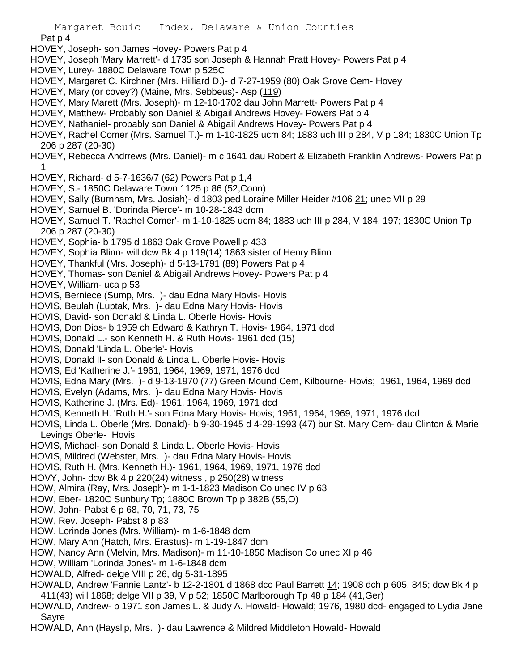Pat p 4

- HOVEY, Joseph- son James Hovey- Powers Pat p 4
- HOVEY, Joseph 'Mary Marrett'- d 1735 son Joseph & Hannah Pratt Hovey- Powers Pat p 4
- HOVEY, Lurey- 1880C Delaware Town p 525C
- HOVEY, Margaret C. Kirchner (Mrs. Hilliard D.)- d 7-27-1959 (80) Oak Grove Cem- Hovey
- HOVEY, Mary (or covey?) (Maine, Mrs. Sebbeus) Asp (119)
- HOVEY, Mary Marett (Mrs. Joseph)- m 12-10-1702 dau John Marrett- Powers Pat p 4
- HOVEY, Matthew- Probably son Daniel & Abigail Andrews Hovey- Powers Pat p 4
- HOVEY, Nathaniel- probably son Daniel & Abigail Andrews Hovey- Powers Pat p 4
- HOVEY, Rachel Comer (Mrs. Samuel T.)- m 1-10-1825 ucm 84; 1883 uch III p 284, V p 184; 1830C Union Tp 206 p 287 (20-30)
- HOVEY, Rebecca Andrrews (Mrs. Daniel)- m c 1641 dau Robert & Elizabeth Franklin Andrews- Powers Pat p 1
- HOVEY, Richard- d 5-7-1636/7 (62) Powers Pat p 1,4
- HOVEY, S.- 1850C Delaware Town 1125 p 86 (52,Conn)
- HOVEY, Sally (Burnham, Mrs. Josiah)- d 1803 ped Loraine Miller Heider #106 21; unec VII p 29
- HOVEY, Samuel B. 'Dorinda Pierce'- m 10-28-1843 dcm
- HOVEY, Samuel T. 'Rachel Comer'- m 1-10-1825 ucm 84; 1883 uch III p 284, V 184, 197; 1830C Union Tp 206 p 287 (20-30)
- HOVEY, Sophia- b 1795 d 1863 Oak Grove Powell p 433
- HOVEY, Sophia Blinn- will dcw Bk 4 p 119(14) 1863 sister of Henry Blinn
- HOVEY, Thankful (Mrs. Joseph)- d 5-13-1791 (89) Powers Pat p 4
- HOVEY, Thomas- son Daniel & Abigail Andrews Hovey- Powers Pat p 4
- HOVEY, William- uca p 53
- HOVIS, Berniece (Sump, Mrs. )- dau Edna Mary Hovis- Hovis
- HOVIS, Beulah (Luptak, Mrs. )- dau Edna Mary Hovis- Hovis
- HOVIS, David- son Donald & Linda L. Oberle Hovis- Hovis
- HOVIS, Don Dios- b 1959 ch Edward & Kathryn T. Hovis- 1964, 1971 dcd
- HOVIS, Donald L.- son Kenneth H. & Ruth Hovis- 1961 dcd (15)
- HOVIS, Donald 'Linda L. Oberle'- Hovis
- HOVIS, Donald II- son Donald & Linda L. Oberle Hovis- Hovis
- HOVIS, Ed 'Katherine J.'- 1961, 1964, 1969, 1971, 1976 dcd
- HOVIS, Edna Mary (Mrs. )- d 9-13-1970 (77) Green Mound Cem, Kilbourne- Hovis; 1961, 1964, 1969 dcd
- HOVIS, Evelyn (Adams, Mrs. )- dau Edna Mary Hovis- Hovis
- HOVIS, Katherine J. (Mrs. Ed)- 1961, 1964, 1969, 1971 dcd
- HOVIS, Kenneth H. 'Ruth H.'- son Edna Mary Hovis- Hovis; 1961, 1964, 1969, 1971, 1976 dcd
- HOVIS, Linda L. Oberle (Mrs. Donald)- b 9-30-1945 d 4-29-1993 (47) bur St. Mary Cem- dau Clinton & Marie Levings Oberle- Hovis
- HOVIS, Michael- son Donald & Linda L. Oberle Hovis- Hovis
- HOVIS, Mildred (Webster, Mrs. )- dau Edna Mary Hovis- Hovis
- HOVIS, Ruth H. (Mrs. Kenneth H.)- 1961, 1964, 1969, 1971, 1976 dcd
- HOVY, John- dcw Bk 4 p 220(24) witness , p 250(28) witness
- HOW, Almira (Ray, Mrs. Joseph)- m 1-1-1823 Madison Co unec IV p 63
- HOW, Eber- 1820C Sunbury Tp; 1880C Brown Tp p 382B (55,O)
- HOW, John- Pabst 6 p 68, 70, 71, 73, 75
- HOW, Rev. Joseph- Pabst 8 p 83
- HOW, Lorinda Jones (Mrs. William)- m 1-6-1848 dcm
- HOW, Mary Ann (Hatch, Mrs. Erastus)- m 1-19-1847 dcm
- HOW, Nancy Ann (Melvin, Mrs. Madison)- m 11-10-1850 Madison Co unec XI p 46
- HOW, William 'Lorinda Jones'- m 1-6-1848 dcm
- HOWALD, Alfred- delge VIII p 26, dg 5-31-1895
- HOWALD, Andrew 'Fannie Lantz'- b 12-2-1801 d 1868 dcc Paul Barrett 14; 1908 dch p 605, 845; dcw Bk 4 p 411(43) will 1868; delge VII p 39, V p 52; 1850C Marlborough Tp 48 p 184 (41,Ger)
- HOWALD, Andrew- b 1971 son James L. & Judy A. Howald- Howald; 1976, 1980 dcd- engaged to Lydia Jane Sayre
- HOWALD, Ann (Hayslip, Mrs. )- dau Lawrence & Mildred Middleton Howald- Howald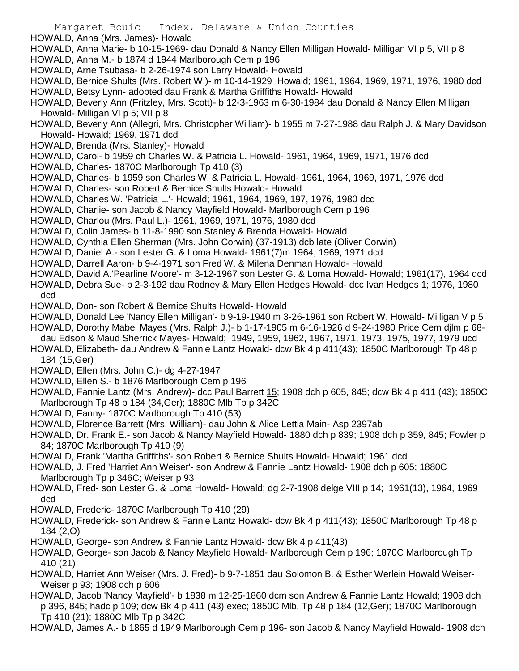- HOWALD, Anna (Mrs. James)- Howald
- HOWALD, Anna Marie- b 10-15-1969- dau Donald & Nancy Ellen Milligan Howald- Milligan VI p 5, VII p 8
- HOWALD, Anna M.- b 1874 d 1944 Marlborough Cem p 196
- HOWALD, Arne Tsubasa- b 2-26-1974 son Larry Howald- Howald
- HOWALD, Bernice Shults (Mrs. Robert W.)- m 10-14-1929 Howald; 1961, 1964, 1969, 1971, 1976, 1980 dcd HOWALD, Betsy Lynn- adopted dau Frank & Martha Griffiths Howald- Howald
- HOWALD, Beverly Ann (Fritzley, Mrs. Scott)- b 12-3-1963 m 6-30-1984 dau Donald & Nancy Ellen Milligan Howald- Milligan VI p 5; VII p 8
- HOWALD, Beverly Ann (Allegri, Mrs. Christopher William)- b 1955 m 7-27-1988 dau Ralph J. & Mary Davidson Howald- Howald; 1969, 1971 dcd
- HOWALD, Brenda (Mrs. Stanley)- Howald
- HOWALD, Carol- b 1959 ch Charles W. & Patricia L. Howald- 1961, 1964, 1969, 1971, 1976 dcd
- HOWALD, Charles- 1870C Marlborough Tp 410 (3)
- HOWALD, Charles- b 1959 son Charles W. & Patricia L. Howald- 1961, 1964, 1969, 1971, 1976 dcd
- HOWALD, Charles- son Robert & Bernice Shults Howald- Howald
- HOWALD, Charles W. 'Patricia L.'- Howald; 1961, 1964, 1969, 197, 1976, 1980 dcd
- HOWALD, Charlie- son Jacob & Nancy Mayfield Howald- Marlborough Cem p 196
- HOWALD, Charlou (Mrs. Paul L.)- 1961, 1969, 1971, 1976, 1980 dcd
- HOWALD, Colin James- b 11-8-1990 son Stanley & Brenda Howald- Howald
- HOWALD, Cynthia Ellen Sherman (Mrs. John Corwin) (37-1913) dcb late (Oliver Corwin)
- HOWALD, Daniel A.- son Lester G. & Loma Howald- 1961(7)m 1964, 1969, 1971 dcd
- HOWALD, Darrell Aaron- b 9-4-1971 son Fred W. & Milena Denman Howald- Howald
- HOWALD, David A.'Pearline Moore'- m 3-12-1967 son Lester G. & Loma Howald- Howald; 1961(17), 1964 dcd HOWALD, Debra Sue- b 2-3-192 dau Rodney & Mary Ellen Hedges Howald- dcc Ivan Hedges 1; 1976, 1980
- dcd
- HOWALD, Don- son Robert & Bernice Shults Howald- Howald
- HOWALD, Donald Lee 'Nancy Ellen Milligan'- b 9-19-1940 m 3-26-1961 son Robert W. Howald- Milligan V p 5
- HOWALD, Dorothy Mabel Mayes (Mrs. Ralph J.)- b 1-17-1905 m 6-16-1926 d 9-24-1980 Price Cem djlm p 68 dau Edson & Maud Sherrick Mayes- Howald; 1949, 1959, 1962, 1967, 1971, 1973, 1975, 1977, 1979 ucd
- HOWALD, Elizabeth- dau Andrew & Fannie Lantz Howald- dcw Bk 4 p 411(43); 1850C Marlborough Tp 48 p 184 (15,Ger)
- HOWALD, Ellen (Mrs. John C.)- dg 4-27-1947
- HOWALD, Ellen S.- b 1876 Marlborough Cem p 196
- HOWALD, Fannie Lantz (Mrs. Andrew)- dcc Paul Barrett 15; 1908 dch p 605, 845; dcw Bk 4 p 411 (43); 1850C Marlborough Tp 48 p 184 (34,Ger); 1880C Mlb Tp p 342C
- HOWALD, Fanny- 1870C Marlborough Tp 410 (53)
- HOWALD, Florence Barrett (Mrs. William)- dau John & Alice Lettia Main- Asp 2397ab
- HOWALD, Dr. Frank E.- son Jacob & Nancy Mayfield Howald- 1880 dch p 839; 1908 dch p 359, 845; Fowler p 84; 1870C Marlborough Tp 410 (9)
- HOWALD, Frank 'Martha Griffiths'- son Robert & Bernice Shults Howald- Howald; 1961 dcd
- HOWALD, J. Fred 'Harriet Ann Weiser'- son Andrew & Fannie Lantz Howald- 1908 dch p 605; 1880C Marlborough Tp p 346C; Weiser p 93
- HOWALD, Fred- son Lester G. & Loma Howald- Howald; dg 2-7-1908 delge VIII p 14; 1961(13), 1964, 1969 dcd
- HOWALD, Frederic- 1870C Marlborough Tp 410 (29)
- HOWALD, Frederick- son Andrew & Fannie Lantz Howald- dcw Bk 4 p 411(43); 1850C Marlborough Tp 48 p 184 (2,O)
- HOWALD, George- son Andrew & Fannie Lantz Howald- dcw Bk 4 p 411(43)
- HOWALD, George- son Jacob & Nancy Mayfield Howald- Marlborough Cem p 196; 1870C Marlborough Tp 410 (21)
- HOWALD, Harriet Ann Weiser (Mrs. J. Fred)- b 9-7-1851 dau Solomon B. & Esther Werlein Howald Weiser-Weiser p 93; 1908 dch p 606
- HOWALD, Jacob 'Nancy Mayfield'- b 1838 m 12-25-1860 dcm son Andrew & Fannie Lantz Howald; 1908 dch p 396, 845; hadc p 109; dcw Bk 4 p 411 (43) exec; 1850C Mlb. Tp 48 p 184 (12,Ger); 1870C Marlborough Tp 410 (21); 1880C Mlb Tp p 342C
- HOWALD, James A.- b 1865 d 1949 Marlborough Cem p 196- son Jacob & Nancy Mayfield Howald- 1908 dch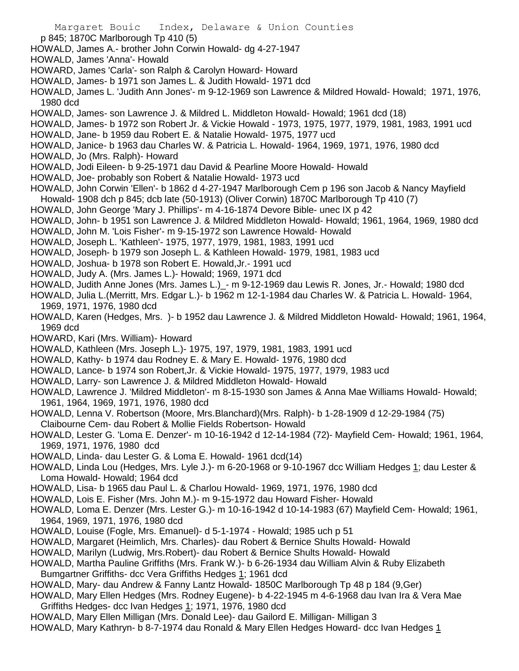- p 845; 1870C Marlborough Tp 410 (5)
- HOWALD, James A.- brother John Corwin Howald- dg 4-27-1947
- HOWALD, James 'Anna'- Howald
- HOWARD, James 'Carla'- son Ralph & Carolyn Howard- Howard
- HOWALD, James- b 1971 son James L. & Judith Howald- 1971 dcd
- HOWALD, James L. 'Judith Ann Jones'- m 9-12-1969 son Lawrence & Mildred Howald- Howald; 1971, 1976, 1980 dcd
- HOWALD, James- son Lawrence J. & Mildred L. Middleton Howald- Howald; 1961 dcd (18)
- HOWALD, James- b 1972 son Robert Jr. & Vickie Howald 1973, 1975, 1977, 1979, 1981, 1983, 1991 ucd
- HOWALD, Jane- b 1959 dau Robert E. & Natalie Howald- 1975, 1977 ucd
- HOWALD, Janice- b 1963 dau Charles W. & Patricia L. Howald- 1964, 1969, 1971, 1976, 1980 dcd
- HOWALD, Jo (Mrs. Ralph)- Howard
- HOWALD, Jodi Eileen- b 9-25-1971 dau David & Pearline Moore Howald- Howald
- HOWALD, Joe- probably son Robert & Natalie Howald- 1973 ucd
- HOWALD, John Corwin 'Ellen'- b 1862 d 4-27-1947 Marlborough Cem p 196 son Jacob & Nancy Mayfield Howald- 1908 dch p 845; dcb late (50-1913) (Oliver Corwin) 1870C Marlborough Tp 410 (7)
- HOWALD, John George 'Mary J. Phillips'- m 4-16-1874 Devore Bible- unec IX p 42
- HOWALD, John- b 1951 son Lawrence J. & Mildred Middleton Howald- Howald; 1961, 1964, 1969, 1980 dcd
- HOWALD, John M. 'Lois Fisher'- m 9-15-1972 son Lawrence Howald- Howald
- HOWALD, Joseph L. 'Kathleen'- 1975, 1977, 1979, 1981, 1983, 1991 ucd
- HOWALD, Joseph- b 1979 son Joseph L. & Kathleen Howald- 1979, 1981, 1983 ucd
- HOWALD, Joshua- b 1978 son Robert E. Howald,Jr.- 1991 ucd
- HOWALD, Judy A. (Mrs. James L.)- Howald; 1969, 1971 dcd
- HOWALD, Judith Anne Jones (Mrs. James L.)\_- m 9-12-1969 dau Lewis R. Jones, Jr.- Howald; 1980 dcd
- HOWALD, Julia L.(Merritt, Mrs. Edgar L.)- b 1962 m 12-1-1984 dau Charles W. & Patricia L. Howald- 1964, 1969, 1971, 1976, 1980 dcd
- HOWALD, Karen (Hedges, Mrs. )- b 1952 dau Lawrence J. & Mildred Middleton Howald- Howald; 1961, 1964, 1969 dcd
- HOWARD, Kari (Mrs. William)- Howard
- HOWALD, Kathleen (Mrs. Joseph L.)- 1975, 197, 1979, 1981, 1983, 1991 ucd
- HOWALD, Kathy- b 1974 dau Rodney E. & Mary E. Howald- 1976, 1980 dcd
- HOWALD, Lance- b 1974 son Robert,Jr. & Vickie Howald- 1975, 1977, 1979, 1983 ucd
- HOWALD, Larry- son Lawrence J. & Mildred Middleton Howald- Howald
- HOWALD, Lawrence J. 'Mildred Middleton'- m 8-15-1930 son James & Anna Mae Williams Howald- Howald; 1961, 1964, 1969, 1971, 1976, 1980 dcd
- HOWALD, Lenna V. Robertson (Moore, Mrs.Blanchard)(Mrs. Ralph)- b 1-28-1909 d 12-29-1984 (75) Claibourne Cem- dau Robert & Mollie Fields Robertson- Howald
- HOWALD, Lester G. 'Loma E. Denzer'- m 10-16-1942 d 12-14-1984 (72)- Mayfield Cem- Howald; 1961, 1964, 1969, 1971, 1976, 1980 dcd
- HOWALD, Linda- dau Lester G. & Loma E. Howald- 1961 dcd(14)
- HOWALD, Linda Lou (Hedges, Mrs. Lyle J.)- m 6-20-1968 or 9-10-1967 dcc William Hedges 1; dau Lester & Loma Howald- Howald; 1964 dcd
- HOWALD, Lisa- b 1965 dau Paul L. & Charlou Howald- 1969, 1971, 1976, 1980 dcd
- HOWALD, Lois E. Fisher (Mrs. John M.)- m 9-15-1972 dau Howard Fisher- Howald
- HOWALD, Loma E. Denzer (Mrs. Lester G.)- m 10-16-1942 d 10-14-1983 (67) Mayfield Cem- Howald; 1961, 1964, 1969, 1971, 1976, 1980 dcd
- HOWALD, Louise (Fogle, Mrs. Emanuel)- d 5-1-1974 Howald; 1985 uch p 51
- HOWALD, Margaret (Heimlich, Mrs. Charles)- dau Robert & Bernice Shults Howald- Howald
- HOWALD, Marilyn (Ludwig, Mrs.Robert)- dau Robert & Bernice Shults Howald- Howald
- HOWALD, Martha Pauline Griffiths (Mrs. Frank W.)- b 6-26-1934 dau William Alvin & Ruby Elizabeth Bumgartner Griffiths- dcc Vera Griffiths Hedges 1; 1961 dcd
- HOWALD, Mary- dau Andrew & Fanny Lantz Howald- 1850C Marlborough Tp 48 p 184 (9,Ger)
- HOWALD, Mary Ellen Hedges (Mrs. Rodney Eugene)- b 4-22-1945 m 4-6-1968 dau Ivan Ira & Vera Mae Griffiths Hedges- dcc Ivan Hedges 1; 1971, 1976, 1980 dcd
- HOWALD, Mary Ellen Milligan (Mrs. Donald Lee)- dau Gailord E. Milligan- Milligan 3
- HOWALD, Mary Kathryn- b 8-7-1974 dau Ronald & Mary Ellen Hedges Howard- dcc Ivan Hedges 1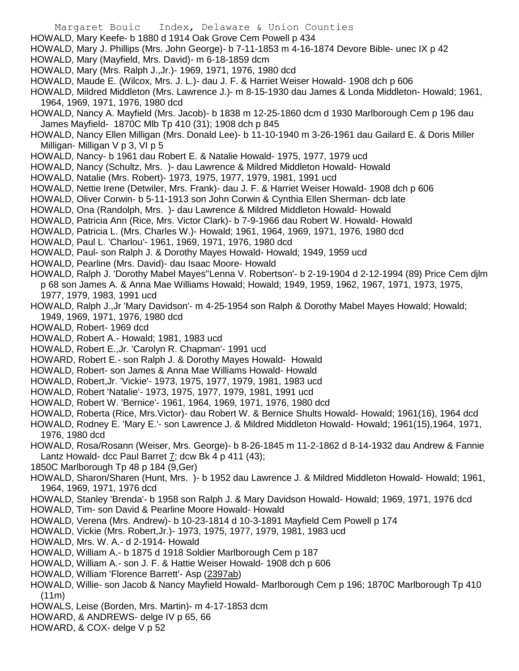- Margaret Bouic Index, Delaware & Union Counties
- HOWALD, Mary Keefe- b 1880 d 1914 Oak Grove Cem Powell p 434
- HOWALD, Mary J. Phillips (Mrs. John George)- b 7-11-1853 m 4-16-1874 Devore Bible- unec IX p 42
- HOWALD, Mary (Mayfield, Mrs. David)- m 6-18-1859 dcm
- HOWALD, Mary (Mrs. Ralph J.,Jr.)- 1969, 1971, 1976, 1980 dcd
- HOWALD, Maude E. (Wilcox, Mrs. J. L.)- dau J. F. & Harriet Weiser Howald- 1908 dch p 606
- HOWALD, Mildred Middleton (Mrs. Lawrence J.)- m 8-15-1930 dau James & Londa Middleton- Howald; 1961, 1964, 1969, 1971, 1976, 1980 dcd
- HOWALD, Nancy A. Mayfield (Mrs. Jacob)- b 1838 m 12-25-1860 dcm d 1930 Marlborough Cem p 196 dau James Mayfield- 1870C Mlb Tp 410 (31); 1908 dch p 845
- HOWALD, Nancy Ellen Milligan (Mrs. Donald Lee)- b 11-10-1940 m 3-26-1961 dau Gailard E. & Doris Miller Milligan- Milligan V p 3, VI p 5
- HOWALD, Nancy- b 1961 dau Robert E. & Natalie Howald- 1975, 1977, 1979 ucd
- HOWALD, Nancy (Schultz, Mrs. )- dau Lawrence & Mildred Middleton Howald- Howald
- HOWALD, Natalie (Mrs. Robert)- 1973, 1975, 1977, 1979, 1981, 1991 ucd
- HOWALD, Nettie Irene (Detwiler, Mrs. Frank)- dau J. F. & Harriet Weiser Howald- 1908 dch p 606
- HOWALD, Oliver Corwin- b 5-11-1913 son John Corwin & Cynthia Ellen Sherman- dcb late
- HOWALD, Ona (Randolph, Mrs. )- dau Lawrence & Mildred Middleton Howald- Howald
- HOWALD, Patricia Ann (Rice, Mrs. Victor Clark)- b 7-9-1966 dau Robert W. Howald- Howald
- HOWALD, Patricia L. (Mrs. Charles W.)- Howald; 1961, 1964, 1969, 1971, 1976, 1980 dcd
- HOWALD, Paul L. 'Charlou'- 1961, 1969, 1971, 1976, 1980 dcd
- HOWALD, Paul- son Ralph J. & Dorothy Mayes Howald- Howald; 1949, 1959 ucd
- HOWALD, Pearline (Mrs. David)- dau Isaac Moore- Howald
- HOWALD, Ralph J. 'Dorothy Mabel Mayes''Lenna V. Robertson'- b 2-19-1904 d 2-12-1994 (89) Price Cem djlm p 68 son James A. & Anna Mae Williams Howald; Howald; 1949, 1959, 1962, 1967, 1971, 1973, 1975, 1977, 1979, 1983, 1991 ucd
- HOWALD, Ralph J.,Jr 'Mary Davidson'- m 4-25-1954 son Ralph & Dorothy Mabel Mayes Howald; Howald; 1949, 1969, 1971, 1976, 1980 dcd
- HOWALD, Robert- 1969 dcd
- HOWALD, Robert A.- Howald; 1981, 1983 ucd
- HOWALD, Robert E.,Jr. 'Carolyn R. Chapman'- 1991 ucd
- HOWARD, Robert E.- son Ralph J. & Dorothy Mayes Howald- Howald
- HOWALD, Robert- son James & Anna Mae Williams Howald- Howald
- HOWALD, Robert,Jr. 'Vickie'- 1973, 1975, 1977, 1979, 1981, 1983 ucd
- HOWALD, Robert 'Natalie'- 1973, 1975, 1977, 1979, 1981, 1991 ucd
- HOWALD, Robert W. 'Bernice'- 1961, 1964, 1969, 1971, 1976, 1980 dcd
- HOWALD, Roberta (Rice, Mrs.Victor)- dau Robert W. & Bernice Shults Howald- Howald; 1961(16), 1964 dcd
- HOWALD, Rodney E. 'Mary E.'- son Lawrence J. & Mildred Middleton Howald- Howald; 1961(15),1964, 1971, 1976, 1980 dcd
- HOWALD, Rosa/Rosann (Weiser, Mrs. George)- b 8-26-1845 m 11-2-1862 d 8-14-1932 dau Andrew & Fannie Lantz Howald- dcc Paul Barret  $\overline{I}$ ; dcw Bk 4 p 411 (43);
- 1850C Marlborough Tp 48 p 184 (9,Ger)
- HOWALD, Sharon/Sharen (Hunt, Mrs. )- b 1952 dau Lawrence J. & Mildred Middleton Howald- Howald; 1961, 1964, 1969, 1971, 1976 dcd
- HOWALD, Stanley 'Brenda'- b 1958 son Ralph J. & Mary Davidson Howald- Howald; 1969, 1971, 1976 dcd
- HOWALD, Tim- son David & Pearline Moore Howald- Howald
- HOWALD, Verena (Mrs. Andrew)- b 10-23-1814 d 10-3-1891 Mayfield Cem Powell p 174
- HOWALD, Vickie (Mrs. Robert,Jr.)- 1973, 1975, 1977, 1979, 1981, 1983 ucd
- HOWALD, Mrs. W. A.- d 2-1914- Howald
- HOWALD, William A.- b 1875 d 1918 Soldier Marlborough Cem p 187
- HOWALD, William A.- son J. F. & Hattie Weiser Howald- 1908 dch p 606
- HOWALD, William 'Florence Barrett'- Asp (2397ab)
- HOWALD, Willie- son Jacob & Nancy Mayfield Howald- Marlborough Cem p 196; 1870C Marlborough Tp 410 (11m)
- HOWALS, Leise (Borden, Mrs. Martin)- m 4-17-1853 dcm
- HOWARD, & ANDREWS- delge IV p 65, 66
- HOWARD, & COX- delge V p 52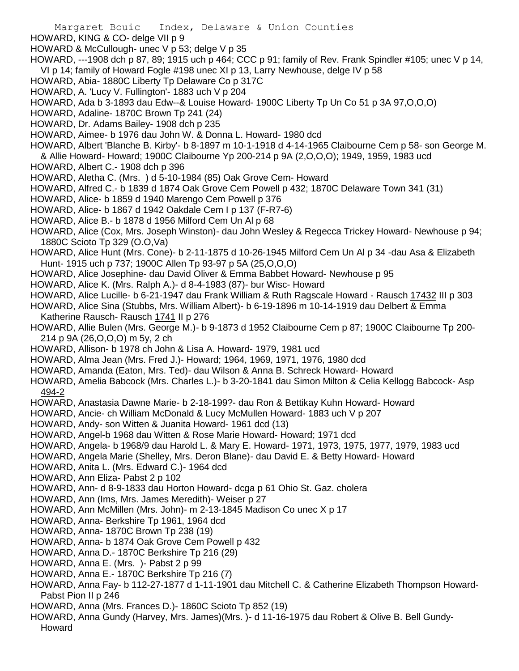- HOWARD, KING & CO- delge VII p 9
- HOWARD & McCullough- unec V p 53; delge V p 35
- HOWARD, ---1908 dch p 87, 89; 1915 uch p 464; CCC p 91; family of Rev. Frank Spindler #105; unec V p 14, VI p 14; family of Howard Fogle #198 unec XI p 13, Larry Newhouse, delge IV p 58
- HOWARD, Abia- 1880C Liberty Tp Delaware Co p 317C
- HOWARD, A. 'Lucy V. Fullington'- 1883 uch V p 204
- HOWARD, Ada b 3-1893 dau Edw--& Louise Howard- 1900C Liberty Tp Un Co 51 p 3A 97,O,O,O)
- HOWARD, Adaline- 1870C Brown Tp 241 (24)
- HOWARD, Dr. Adams Bailey- 1908 dch p 235
- HOWARD, Aimee- b 1976 dau John W. & Donna L. Howard- 1980 dcd
- HOWARD, Albert 'Blanche B. Kirby'- b 8-1897 m 10-1-1918 d 4-14-1965 Claibourne Cem p 58- son George M. & Allie Howard- Howard; 1900C Claibourne Yp 200-214 p 9A (2,O,O,O); 1949, 1959, 1983 ucd
- HOWARD, Albert C.- 1908 dch p 396
- HOWARD, Aletha C. (Mrs. ) d 5-10-1984 (85) Oak Grove Cem- Howard
- HOWARD, Alfred C.- b 1839 d 1874 Oak Grove Cem Powell p 432; 1870C Delaware Town 341 (31)
- HOWARD, Alice- b 1859 d 1940 Marengo Cem Powell p 376
- HOWARD, Alice- b 1867 d 1942 Oakdale Cem I p 137 (F-R7-6)
- HOWARD, Alice B.- b 1878 d 1956 Milford Cem Un Al p 68
- HOWARD, Alice (Cox, Mrs. Joseph Winston)- dau John Wesley & Regecca Trickey Howard- Newhouse p 94; 1880C Scioto Tp 329 (O.O,Va)
- HOWARD, Alice Hunt (Mrs. Cone)- b 2-11-1875 d 10-26-1945 Milford Cem Un Al p 34 -dau Asa & Elizabeth Hunt- 1915 uch p 737; 1900C Allen Tp 93-97 p 5A (25,O,O,O)
- HOWARD, Alice Josephine- dau David Oliver & Emma Babbet Howard- Newhouse p 95
- HOWARD, Alice K. (Mrs. Ralph A.)- d 8-4-1983 (87)- bur Wisc- Howard
- HOWARD, Alice Lucille- b 6-21-1947 dau Frank William & Ruth Ragscale Howard Rausch 17432 III p 303
- HOWARD, Alice Sina (Stubbs, Mrs. William Albert)- b 6-19-1896 m 10-14-1919 dau Delbert & Emma Katherine Rausch- Rausch 1741 II p 276
- HOWARD, Allie Bulen (Mrs. George M.)- b 9-1873 d 1952 Claibourne Cem p 87; 1900C Claibourne Tp 200- 214 p 9A (26,O,O,O) m 5y, 2 ch
- HOWARD, Allison- b 1978 ch John & Lisa A. Howard- 1979, 1981 ucd
- HOWARD, Alma Jean (Mrs. Fred J.)- Howard; 1964, 1969, 1971, 1976, 1980 dcd
- HOWARD, Amanda (Eaton, Mrs. Ted)- dau Wilson & Anna B. Schreck Howard- Howard
- HOWARD, Amelia Babcock (Mrs. Charles L.)- b 3-20-1841 dau Simon Milton & Celia Kellogg Babcock- Asp 494-2
- HOWARD, Anastasia Dawne Marie- b 2-18-199?- dau Ron & Bettikay Kuhn Howard- Howard
- HOWARD, Ancie- ch William McDonald & Lucy McMullen Howard- 1883 uch V p 207
- HOWARD, Andy- son Witten & Juanita Howard- 1961 dcd (13)
- HOWARD, Angel-b 1968 dau Witten & Rose Marie Howard- Howard; 1971 dcd
- HOWARD, Angela- b 1968/9 dau Harold L. & Mary E. Howard- 1971, 1973, 1975, 1977, 1979, 1983 ucd
- HOWARD, Angela Marie (Shelley, Mrs. Deron Blane)- dau David E. & Betty Howard- Howard
- HOWARD, Anita L. (Mrs. Edward C.)- 1964 dcd
- HOWARD, Ann Eliza- Pabst 2 p 102
- HOWARD, Ann- d 8-9-1833 dau Horton Howard- dcga p 61 Ohio St. Gaz. cholera
- HOWARD, Ann (Ims, Mrs. James Meredith)- Weiser p 27
- HOWARD, Ann McMillen (Mrs. John)- m 2-13-1845 Madison Co unec X p 17
- HOWARD, Anna- Berkshire Tp 1961, 1964 dcd
- HOWARD, Anna- 1870C Brown Tp 238 (19)
- HOWARD, Anna- b 1874 Oak Grove Cem Powell p 432
- HOWARD, Anna D.- 1870C Berkshire Tp 216 (29)
- HOWARD, Anna E. (Mrs. )- Pabst 2 p 99
- HOWARD, Anna E.- 1870C Berkshire Tp 216 (7)
- HOWARD, Anna Fay- b 112-27-1877 d 1-11-1901 dau Mitchell C. & Catherine Elizabeth Thompson Howard-Pabst Pion II p 246
- HOWARD, Anna (Mrs. Frances D.)- 1860C Scioto Tp 852 (19)
- HOWARD, Anna Gundy (Harvey, Mrs. James)(Mrs. )- d 11-16-1975 dau Robert & Olive B. Bell Gundy-Howard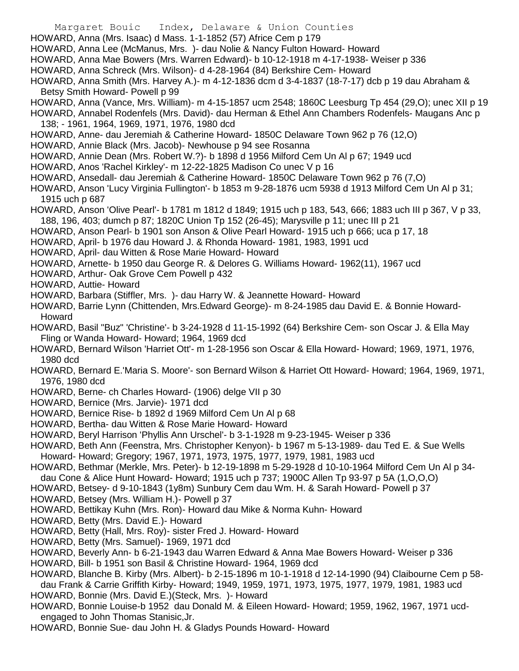- Margaret Bouic Index, Delaware & Union Counties
- HOWARD, Anna (Mrs. Isaac) d Mass. 1-1-1852 (57) Africe Cem p 179
- HOWARD, Anna Lee (McManus, Mrs. )- dau Nolie & Nancy Fulton Howard- Howard
- HOWARD, Anna Mae Bowers (Mrs. Warren Edward)- b 10-12-1918 m 4-17-1938- Weiser p 336
- HOWARD, Anna Schreck (Mrs. Wilson)- d 4-28-1964 (84) Berkshire Cem- Howard
- HOWARD, Anna Smith (Mrs. Harvey A.)- m 4-12-1836 dcm d 3-4-1837 (18-7-17) dcb p 19 dau Abraham & Betsy Smith Howard- Powell p 99
- HOWARD, Anna (Vance, Mrs. William)- m 4-15-1857 ucm 2548; 1860C Leesburg Tp 454 (29,O); unec XII p 19
- HOWARD, Annabel Rodenfels (Mrs. David)- dau Herman & Ethel Ann Chambers Rodenfels- Maugans Anc p 138; - 1961, 1964, 1969, 1971, 1976, 1980 dcd
- HOWARD, Anne- dau Jeremiah & Catherine Howard- 1850C Delaware Town 962 p 76 (12,O)
- HOWARD, Annie Black (Mrs. Jacob)- Newhouse p 94 see Rosanna
- HOWARD, Annie Dean (Mrs. Robert W.?)- b 1898 d 1956 Milford Cem Un Al p 67; 1949 ucd
- HOWARD, Anos 'Rachel Kirkley'- m 12-22-1825 Madison Co unec V p 16
- HOWARD, Ansedall- dau Jeremiah & Catherine Howard- 1850C Delaware Town 962 p 76 (7,O)
- HOWARD, Anson 'Lucy Virginia Fullington'- b 1853 m 9-28-1876 ucm 5938 d 1913 Milford Cem Un Al p 31; 1915 uch p 687
- HOWARD, Anson 'Olive Pearl'- b 1781 m 1812 d 1849; 1915 uch p 183, 543, 666; 1883 uch III p 367, V p 33, 188, 196, 403; dumch p 87; 1820C Union Tp 152 (26-45); Marysville p 11; unec III p 21
- HOWARD, Anson Pearl- b 1901 son Anson & Olive Pearl Howard- 1915 uch p 666; uca p 17, 18
- HOWARD, April- b 1976 dau Howard J. & Rhonda Howard- 1981, 1983, 1991 ucd
- HOWARD, April- dau Witten & Rose Marie Howard- Howard
- HOWARD, Arnette- b 1950 dau George R. & Delores G. Williams Howard- 1962(11), 1967 ucd
- HOWARD, Arthur- Oak Grove Cem Powell p 432
- HOWARD, Auttie- Howard
- HOWARD, Barbara (Stiffler, Mrs. )- dau Harry W. & Jeannette Howard- Howard
- HOWARD, Barrie Lynn (Chittenden, Mrs.Edward George)- m 8-24-1985 dau David E. & Bonnie Howard-Howard
- HOWARD, Basil "Buz" 'Christine'- b 3-24-1928 d 11-15-1992 (64) Berkshire Cem- son Oscar J. & Ella May Fling or Wanda Howard- Howard; 1964, 1969 dcd
- HOWARD, Bernard Wilson 'Harriet Ott'- m 1-28-1956 son Oscar & Ella Howard- Howard; 1969, 1971, 1976, 1980 dcd
- HOWARD, Bernard E.'Maria S. Moore'- son Bernard Wilson & Harriet Ott Howard- Howard; 1964, 1969, 1971, 1976, 1980 dcd
- HOWARD, Berne- ch Charles Howard- (1906) delge VII p 30
- HOWARD, Bernice (Mrs. Jarvie)- 1971 dcd
- HOWARD, Bernice Rise- b 1892 d 1969 Milford Cem Un Al p 68
- HOWARD, Bertha- dau Witten & Rose Marie Howard- Howard
- HOWARD, Beryl Harrison 'Phyllis Ann Urschel'- b 3-1-1928 m 9-23-1945- Weiser p 336
- HOWARD, Beth Ann (Feenstra, Mrs. Christopher Kenyon)- b 1967 m 5-13-1989- dau Ted E. & Sue Wells Howard- Howard; Gregory; 1967, 1971, 1973, 1975, 1977, 1979, 1981, 1983 ucd
- HOWARD, Bethmar (Merkle, Mrs. Peter)- b 12-19-1898 m 5-29-1928 d 10-10-1964 Milford Cem Un Al p 34 dau Cone & Alice Hunt Howard- Howard; 1915 uch p 737; 1900C Allen Tp 93-97 p 5A (1,O,O,O)
- HOWARD, Betsey- d 9-10-1843 (1y8m) Sunbury Cem dau Wm. H. & Sarah Howard- Powell p 37
- HOWARD, Betsey (Mrs. William H.)- Powell p 37
- HOWARD, Bettikay Kuhn (Mrs. Ron)- Howard dau Mike & Norma Kuhn- Howard
- HOWARD, Betty (Mrs. David E.)- Howard
- HOWARD, Betty (Hall, Mrs. Roy)- sister Fred J. Howard- Howard
- HOWARD, Betty (Mrs. Samuel)- 1969, 1971 dcd
- HOWARD, Beverly Ann- b 6-21-1943 dau Warren Edward & Anna Mae Bowers Howard- Weiser p 336
- HOWARD, Bill- b 1951 son Basil & Christine Howard- 1964, 1969 dcd
- HOWARD, Blanche B. Kirby (Mrs. Albert)- b 2-15-1896 m 10-1-1918 d 12-14-1990 (94) Claibourne Cem p 58 dau Frank & Carrie Griffith Kirby- Howard; 1949, 1959, 1971, 1973, 1975, 1977, 1979, 1981, 1983 ucd
- HOWARD, Bonnie (Mrs. David E.)(Steck, Mrs. )- Howard
- HOWARD, Bonnie Louise-b 1952 dau Donald M. & Eileen Howard- Howard; 1959, 1962, 1967, 1971 ucdengaged to John Thomas Stanisic,Jr.
- HOWARD, Bonnie Sue- dau John H. & Gladys Pounds Howard- Howard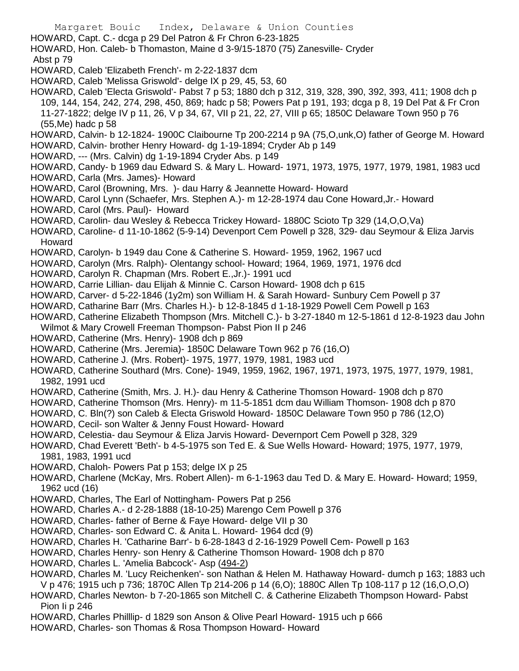- Margaret Bouic Index, Delaware & Union Counties HOWARD, Capt. C.- dcga p 29 Del Patron & Fr Chron 6-23-1825 HOWARD, Hon. Caleb- b Thomaston, Maine d 3-9/15-1870 (75) Zanesville- Cryder Abst p 79 HOWARD, Caleb 'Elizabeth French'- m 2-22-1837 dcm HOWARD, Caleb 'Melissa Griswold'- delge IX p 29, 45, 53, 60 HOWARD, Caleb 'Electa Griswold'- Pabst 7 p 53; 1880 dch p 312, 319, 328, 390, 392, 393, 411; 1908 dch p 109, 144, 154, 242, 274, 298, 450, 869; hadc p 58; Powers Pat p 191, 193; dcga p 8, 19 Del Pat & Fr Cron 11-27-1822; delge IV p 11, 26, V p 34, 67, VII p 21, 22, 27, VIII p 65; 1850C Delaware Town 950 p 76 (55,Me) hadc p 58 HOWARD, Calvin- b 12-1824- 1900C Claibourne Tp 200-2214 p 9A (75,O,unk,O) father of George M. Howard HOWARD, Calvin- brother Henry Howard- dg 1-19-1894; Cryder Ab p 149 HOWARD, --- (Mrs. Calvin) dg 1-19-1894 Cryder Abs. p 149 HOWARD, Candy- b 1969 dau Edward S. & Mary L. Howard- 1971, 1973, 1975, 1977, 1979, 1981, 1983 ucd HOWARD, Carla (Mrs. James)- Howard HOWARD, Carol (Browning, Mrs. )- dau Harry & Jeannette Howard- Howard HOWARD, Carol Lynn (Schaefer, Mrs. Stephen A.)- m 12-28-1974 dau Cone Howard,Jr.- Howard HOWARD, Carol (Mrs. Paul)- Howard HOWARD, Carolin- dau Wesley & Rebecca Trickey Howard- 1880C Scioto Tp 329 (14,O,O,Va) HOWARD, Caroline- d 11-10-1862 (5-9-14) Devenport Cem Powell p 328, 329- dau Seymour & Eliza Jarvis Howard HOWARD, Carolyn- b 1949 dau Cone & Catherine S. Howard- 1959, 1962, 1967 ucd HOWARD, Carolyn (Mrs. Ralph)- Olentangy school- Howard; 1964, 1969, 1971, 1976 dcd HOWARD, Carolyn R. Chapman (Mrs. Robert E.,Jr.)- 1991 ucd HOWARD, Carrie Lillian- dau Elijah & Minnie C. Carson Howard- 1908 dch p 615 HOWARD, Carver- d 5-22-1846 (1y2m) son William H. & Sarah Howard- Sunbury Cem Powell p 37 HOWARD, Catharine Barr (Mrs. Charles H.)- b 12-8-1845 d 1-18-1929 Powell Cem Powell p 163
	- HOWARD, Catherine Elizabeth Thompson (Mrs. Mitchell C.)- b 3-27-1840 m 12-5-1861 d 12-8-1923 dau John Wilmot & Mary Crowell Freeman Thompson- Pabst Pion II p 246
	- HOWARD, Catherine (Mrs. Henry)- 1908 dch p 869
	- HOWARD, Catherine (Mrs. Jeremia)- 1850C Delaware Town 962 p 76 (16,O)
	- HOWARD, Catherine J. (Mrs. Robert)- 1975, 1977, 1979, 1981, 1983 ucd
	- HOWARD, Catherine Southard (Mrs. Cone)- 1949, 1959, 1962, 1967, 1971, 1973, 1975, 1977, 1979, 1981, 1982, 1991 ucd
	- HOWARD, Catherine (Smith, Mrs. J. H.)- dau Henry & Catherine Thomson Howard- 1908 dch p 870
	- HOWARD, Catherine Thomson (Mrs. Henry)- m 11-5-1851 dcm dau William Thomson- 1908 dch p 870
	- HOWARD, C. Bln(?) son Caleb & Electa Griswold Howard- 1850C Delaware Town 950 p 786 (12,O)
	- HOWARD, Cecil- son Walter & Jenny Foust Howard- Howard
	- HOWARD, Celestia- dau Seymour & Eliza Jarvis Howard- Devernport Cem Powell p 328, 329
	- HOWARD, Chad Everett 'Beth'- b 4-5-1975 son Ted E. & Sue Wells Howard- Howard; 1975, 1977, 1979, 1981, 1983, 1991 ucd
	- HOWARD, Chaloh- Powers Pat p 153; delge IX p 25
	- HOWARD, Charlene (McKay, Mrs. Robert Allen)- m 6-1-1963 dau Ted D. & Mary E. Howard- Howard; 1959, 1962 ucd (16)
	- HOWARD, Charles, The Earl of Nottingham- Powers Pat p 256
	- HOWARD, Charles A.- d 2-28-1888 (18-10-25) Marengo Cem Powell p 376
	- HOWARD, Charles- father of Berne & Faye Howard- delge VII p 30
	- HOWARD, Charles- son Edward C. & Anita L. Howard- 1964 dcd (9)
	- HOWARD, Charles H. 'Catharine Barr'- b 6-28-1843 d 2-16-1929 Powell Cem- Powell p 163
	- HOWARD, Charles Henry- son Henry & Catherine Thomson Howard- 1908 dch p 870
	- HOWARD, Charles L. 'Amelia Babcock'- Asp (494-2)
	- HOWARD, Charles M. 'Lucy Reichenken'- son Nathan & Helen M. Hathaway Howard- dumch p 163; 1883 uch V p 476; 1915 uch p 736; 1870C Allen Tp 214-206 p 14 (6,O); 1880C Allen Tp 108-117 p 12 (16,O,O,O)
	- HOWARD, Charles Newton- b 7-20-1865 son Mitchell C. & Catherine Elizabeth Thompson Howard- Pabst Pion Ii p 246
	- HOWARD, Charles Philllip- d 1829 son Anson & Olive Pearl Howard- 1915 uch p 666
	- HOWARD, Charles- son Thomas & Rosa Thompson Howard- Howard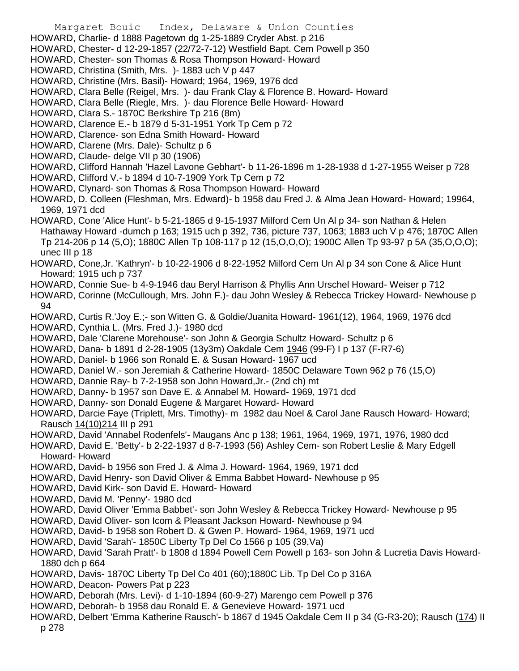- Margaret Bouic Index, Delaware & Union Counties
- HOWARD, Charlie- d 1888 Pagetown dg 1-25-1889 Cryder Abst. p 216
- HOWARD, Chester- d 12-29-1857 (22/72-7-12) Westfield Bapt. Cem Powell p 350
- HOWARD, Chester- son Thomas & Rosa Thompson Howard- Howard
- HOWARD, Christina (Smith, Mrs. )- 1883 uch V p 447
- HOWARD, Christine (Mrs. Basil)- Howard; 1964, 1969, 1976 dcd
- HOWARD, Clara Belle (Reigel, Mrs. )- dau Frank Clay & Florence B. Howard- Howard
- HOWARD, Clara Belle (Riegle, Mrs. )- dau Florence Belle Howard- Howard
- HOWARD, Clara S.- 1870C Berkshire Tp 216 (8m)
- HOWARD, Clarence E.- b 1879 d 5-31-1951 York Tp Cem p 72
- HOWARD, Clarence- son Edna Smith Howard- Howard
- HOWARD, Clarene (Mrs. Dale)- Schultz p 6
- HOWARD, Claude- delge VII p 30 (1906)
- HOWARD, Clifford Hannah 'Hazel Lavone Gebhart'- b 11-26-1896 m 1-28-1938 d 1-27-1955 Weiser p 728
- HOWARD, Clifford V.- b 1894 d 10-7-1909 York Tp Cem p 72
- HOWARD, Clynard- son Thomas & Rosa Thompson Howard- Howard
- HOWARD, D. Colleen (Fleshman, Mrs. Edward)- b 1958 dau Fred J. & Alma Jean Howard- Howard; 19964, 1969, 1971 dcd
- HOWARD, Cone 'Alice Hunt'- b 5-21-1865 d 9-15-1937 Milford Cem Un Al p 34- son Nathan & Helen Hathaway Howard -dumch p 163; 1915 uch p 392, 736, picture 737, 1063; 1883 uch V p 476; 1870C Allen Tp 214-206 p 14 (5,O); 1880C Allen Tp 108-117 p 12 (15,O,O,O); 1900C Allen Tp 93-97 p 5A (35,O,O,O); unec III p 18
- HOWARD, Cone,Jr. 'Kathryn'- b 10-22-1906 d 8-22-1952 Milford Cem Un Al p 34 son Cone & Alice Hunt Howard; 1915 uch p 737
- HOWARD, Connie Sue- b 4-9-1946 dau Beryl Harrison & Phyllis Ann Urschel Howard- Weiser p 712
- HOWARD, Corinne (McCullough, Mrs. John F.)- dau John Wesley & Rebecca Trickey Howard- Newhouse p 94
- HOWARD, Curtis R.'Joy E.;- son Witten G. & Goldie/Juanita Howard- 1961(12), 1964, 1969, 1976 dcd HOWARD, Cynthia L. (Mrs. Fred J.)- 1980 dcd
- HOWARD, Dale 'Clarene Morehouse'- son John & Georgia Schultz Howard- Schultz p 6
- HOWARD, Dana- b 1891 d 2-28-1905 (13y3m) Oakdale Cem 1946 (99-F) I p 137 (F-R7-6)
- HOWARD, Daniel- b 1966 son Ronald E. & Susan Howard- 1967 ucd
- HOWARD, Daniel W.- son Jeremiah & Catherine Howard- 1850C Delaware Town 962 p 76 (15,O)
- HOWARD, Dannie Ray- b 7-2-1958 son John Howard,Jr.- (2nd ch) mt
- HOWARD, Danny- b 1957 son Dave E. & Annabel M. Howard- 1969, 1971 dcd
- HOWARD, Danny- son Donald Eugene & Margaret Howard- Howard
- HOWARD, Darcie Faye (Triplett, Mrs. Timothy)- m 1982 dau Noel & Carol Jane Rausch Howard- Howard; Rausch 14(10)214 III p 291
- HOWARD, David 'Annabel Rodenfels'- Maugans Anc p 138; 1961, 1964, 1969, 1971, 1976, 1980 dcd
- HOWARD, David E. 'Betty'- b 2-22-1937 d 8-7-1993 (56) Ashley Cem- son Robert Leslie & Mary Edgell Howard- Howard
- HOWARD, David- b 1956 son Fred J. & Alma J. Howard- 1964, 1969, 1971 dcd
- HOWARD, David Henry- son David Oliver & Emma Babbet Howard- Newhouse p 95
- HOWARD, David Kirk- son David E. Howard- Howard
- HOWARD, David M. 'Penny'- 1980 dcd
- HOWARD, David Oliver 'Emma Babbet'- son John Wesley & Rebecca Trickey Howard- Newhouse p 95
- HOWARD, David Oliver- son Icom & Pleasant Jackson Howard- Newhouse p 94
- HOWARD, David- b 1958 son Robert D. & Gwen P. Howard- 1964, 1969, 1971 ucd
- HOWARD, David 'Sarah'- 1850C Liberty Tp Del Co 1566 p 105 (39,Va)
- HOWARD, David 'Sarah Pratt'- b 1808 d 1894 Powell Cem Powell p 163- son John & Lucretia Davis Howard-1880 dch p 664
- HOWARD, Davis- 1870C Liberty Tp Del Co 401 (60);1880C Lib. Tp Del Co p 316A
- HOWARD, Deacon- Powers Pat p 223
- HOWARD, Deborah (Mrs. Levi)- d 1-10-1894 (60-9-27) Marengo cem Powell p 376
- HOWARD, Deborah- b 1958 dau Ronald E. & Genevieve Howard- 1971 ucd
- HOWARD, Delbert 'Emma Katherine Rausch'- b 1867 d 1945 Oakdale Cem II p 34 (G-R3-20); Rausch (174) II p 278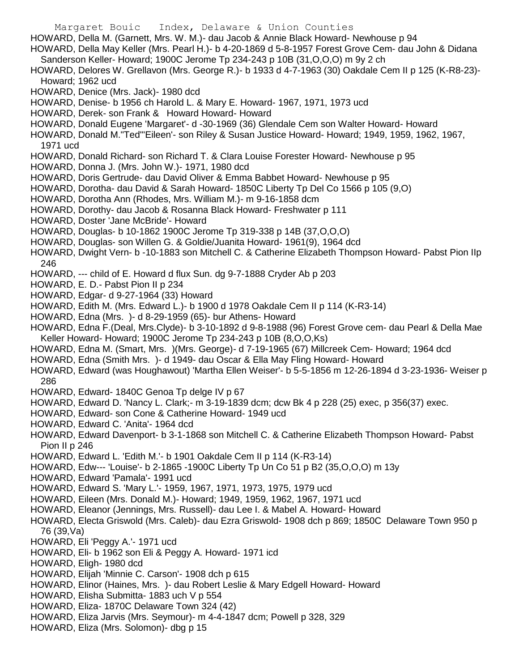- Margaret Bouic Index, Delaware & Union Counties HOWARD, Della M. (Garnett, Mrs. W. M.)- dau Jacob & Annie Black Howard- Newhouse p 94 HOWARD, Della May Keller (Mrs. Pearl H.)- b 4-20-1869 d 5-8-1957 Forest Grove Cem- dau John & Didana Sanderson Keller- Howard; 1900C Jerome Tp 234-243 p 10B (31,O,O,O) m 9y 2 ch HOWARD, Delores W. Grellavon (Mrs. George R.)- b 1933 d 4-7-1963 (30) Oakdale Cem II p 125 (K-R8-23)- Howard; 1962 ucd HOWARD, Denice (Mrs. Jack)- 1980 dcd HOWARD, Denise- b 1956 ch Harold L. & Mary E. Howard- 1967, 1971, 1973 ucd HOWARD, Derek- son Frank & Howard Howard- Howard HOWARD, Donald Eugene 'Margaret'- d -30-1969 (36) Glendale Cem son Walter Howard- Howard HOWARD, Donald M."Ted"'Eileen'- son Riley & Susan Justice Howard- Howard; 1949, 1959, 1962, 1967, 1971 ucd HOWARD, Donald Richard- son Richard T. & Clara Louise Forester Howard- Newhouse p 95 HOWARD, Donna J. (Mrs. John W.)- 1971, 1980 dcd HOWARD, Doris Gertrude- dau David Oliver & Emma Babbet Howard- Newhouse p 95 HOWARD, Dorotha- dau David & Sarah Howard- 1850C Liberty Tp Del Co 1566 p 105 (9,O) HOWARD, Dorotha Ann (Rhodes, Mrs. William M.)- m 9-16-1858 dcm HOWARD, Dorothy- dau Jacob & Rosanna Black Howard- Freshwater p 111 HOWARD, Doster 'Jane McBride'- Howard HOWARD, Douglas- b 10-1862 1900C Jerome Tp 319-338 p 14B (37,O,O,O) HOWARD, Douglas- son Willen G. & Goldie/Juanita Howard- 1961(9), 1964 dcd HOWARD, Dwight Vern- b -10-1883 son Mitchell C. & Catherine Elizabeth Thompson Howard- Pabst Pion IIp 246 HOWARD, --- child of E. Howard d flux Sun. dg 9-7-1888 Cryder Ab p 203 HOWARD, E. D.- Pabst Pion II p 234 HOWARD, Edgar- d 9-27-1964 (33) Howard HOWARD, Edith M. (Mrs. Edward L.)- b 1900 d 1978 Oakdale Cem II p 114 (K-R3-14) HOWARD, Edna (Mrs. )- d 8-29-1959 (65)- bur Athens- Howard HOWARD, Edna F.(Deal, Mrs.Clyde)- b 3-10-1892 d 9-8-1988 (96) Forest Grove cem- dau Pearl & Della Mae Keller Howard- Howard; 1900C Jerome Tp 234-243 p 10B (8,O,O,Ks) HOWARD, Edna M. (Smart, Mrs. )(Mrs. George)- d 7-19-1965 (67) Millcreek Cem- Howard; 1964 dcd HOWARD, Edna (Smith Mrs. )- d 1949- dau Oscar & Ella May Fling Howard- Howard HOWARD, Edward (was Houghawout) 'Martha Ellen Weiser'- b 5-5-1856 m 12-26-1894 d 3-23-1936- Weiser p 286 HOWARD, Edward- 1840C Genoa Tp delge IV p 67 HOWARD, Edward D. 'Nancy L. Clark;- m 3-19-1839 dcm; dcw Bk 4 p 228 (25) exec, p 356(37) exec. HOWARD, Edward- son Cone & Catherine Howard- 1949 ucd HOWARD, Edward C. 'Anita'- 1964 dcd HOWARD, Edward Davenport- b 3-1-1868 son Mitchell C. & Catherine Elizabeth Thompson Howard- Pabst Pion II p 246 HOWARD, Edward L. 'Edith M.'- b 1901 Oakdale Cem II p 114 (K-R3-14)
- HOWARD, Edw--- 'Louise'- b 2-1865 -1900C Liberty Tp Un Co 51 p B2 (35,O,O,O) m 13y
- HOWARD, Edward 'Pamala'- 1991 ucd
- HOWARD, Edward S. 'Mary L.'- 1959, 1967, 1971, 1973, 1975, 1979 ucd
- HOWARD, Eileen (Mrs. Donald M.)- Howard; 1949, 1959, 1962, 1967, 1971 ucd
- HOWARD, Eleanor (Jennings, Mrs. Russell)- dau Lee I. & Mabel A. Howard- Howard
- HOWARD, Electa Griswold (Mrs. Caleb)- dau Ezra Griswold- 1908 dch p 869; 1850C Delaware Town 950 p 76 (39,Va)
- HOWARD, Eli 'Peggy A.'- 1971 ucd
- HOWARD, Eli- b 1962 son Eli & Peggy A. Howard- 1971 icd
- HOWARD, Eligh- 1980 dcd
- HOWARD, Elijah 'Minnie C. Carson'- 1908 dch p 615
- HOWARD, Elinor (Haines, Mrs. )- dau Robert Leslie & Mary Edgell Howard- Howard
- HOWARD, Elisha Submitta- 1883 uch V p 554
- HOWARD, Eliza- 1870C Delaware Town 324 (42)
- HOWARD, Eliza Jarvis (Mrs. Seymour)- m 4-4-1847 dcm; Powell p 328, 329
- HOWARD, Eliza (Mrs. Solomon)- dbg p 15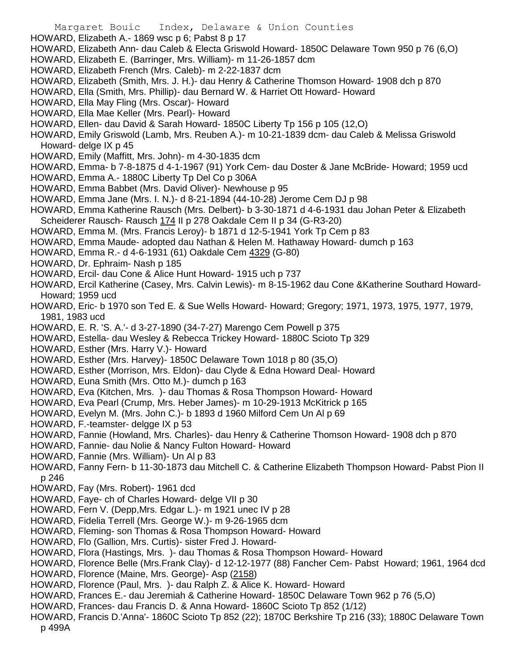- HOWARD, Elizabeth A.- 1869 wsc p 6; Pabst 8 p 17
- HOWARD, Elizabeth Ann- dau Caleb & Electa Griswold Howard- 1850C Delaware Town 950 p 76 (6,O)
- HOWARD, Elizabeth E. (Barringer, Mrs. William)- m 11-26-1857 dcm
- HOWARD, Elizabeth French (Mrs. Caleb)- m 2-22-1837 dcm
- HOWARD, Elizabeth (Smith, Mrs. J. H.)- dau Henry & Catherine Thomson Howard- 1908 dch p 870
- HOWARD, Ella (Smith, Mrs. Phillip)- dau Bernard W. & Harriet Ott Howard- Howard
- HOWARD, Ella May Fling (Mrs. Oscar)- Howard
- HOWARD, Ella Mae Keller (Mrs. Pearl)- Howard
- HOWARD, Ellen- dau David & Sarah Howard- 1850C Liberty Tp 156 p 105 (12,O)
- HOWARD, Emily Griswold (Lamb, Mrs. Reuben A.)- m 10-21-1839 dcm- dau Caleb & Melissa Griswold Howard- delge IX p 45
- HOWARD, Emily (Maffitt, Mrs. John)- m 4-30-1835 dcm
- HOWARD, Emma- b 7-8-1875 d 4-1-1967 (91) York Cem- dau Doster & Jane McBride- Howard; 1959 ucd
- HOWARD, Emma A.- 1880C Liberty Tp Del Co p 306A
- HOWARD, Emma Babbet (Mrs. David Oliver)- Newhouse p 95
- HOWARD, Emma Jane (Mrs. I. N.)- d 8-21-1894 (44-10-28) Jerome Cem DJ p 98
- HOWARD, Emma Katherine Rausch (Mrs. Delbert)- b 3-30-1871 d 4-6-1931 dau Johan Peter & Elizabeth Scheiderer Rausch- Rausch 174 II p 278 Oakdale Cem II p 34 (G-R3-20)
- HOWARD, Emma M. (Mrs. Francis Leroy)- b 1871 d 12-5-1941 York Tp Cem p 83
- HOWARD, Emma Maude- adopted dau Nathan & Helen M. Hathaway Howard- dumch p 163
- HOWARD, Emma R.- d 4-6-1931 (61) Oakdale Cem 4329 (G-80)
- HOWARD, Dr. Ephraim- Nash p 185
- HOWARD, Ercil- dau Cone & Alice Hunt Howard- 1915 uch p 737
- HOWARD, Ercil Katherine (Casey, Mrs. Calvin Lewis)- m 8-15-1962 dau Cone &Katherine Southard Howard-Howard; 1959 ucd
- HOWARD, Eric- b 1970 son Ted E. & Sue Wells Howard- Howard; Gregory; 1971, 1973, 1975, 1977, 1979, 1981, 1983 ucd
- HOWARD, E. R. 'S. A.'- d 3-27-1890 (34-7-27) Marengo Cem Powell p 375
- HOWARD, Estella- dau Wesley & Rebecca Trickey Howard- 1880C Scioto Tp 329
- HOWARD, Esther (Mrs. Harry V.)- Howard
- HOWARD, Esther (Mrs. Harvey)- 1850C Delaware Town 1018 p 80 (35,O)
- HOWARD, Esther (Morrison, Mrs. Eldon)- dau Clyde & Edna Howard Deal- Howard
- HOWARD, Euna Smith (Mrs. Otto M.)- dumch p 163
- HOWARD, Eva (Kitchen, Mrs. )- dau Thomas & Rosa Thompson Howard- Howard
- HOWARD, Eva Pearl (Crump, Mrs. Heber James)- m 10-29-1913 McKitrick p 165
- HOWARD, Evelyn M. (Mrs. John C.)- b 1893 d 1960 Milford Cem Un Al p 69
- HOWARD, F.-teamster- delgge IX p 53
- HOWARD, Fannie (Howland, Mrs. Charles)- dau Henry & Catherine Thomson Howard- 1908 dch p 870
- HOWARD, Fannie- dau Nolie & Nancy Fulton Howard- Howard
- HOWARD, Fannie (Mrs. William)- Un Al p 83
- HOWARD, Fanny Fern- b 11-30-1873 dau Mitchell C. & Catherine Elizabeth Thompson Howard- Pabst Pion II p 246
- HOWARD, Fay (Mrs. Robert)- 1961 dcd
- HOWARD, Faye- ch of Charles Howard- delge VII p 30
- HOWARD, Fern V. (Depp,Mrs. Edgar L.)- m 1921 unec IV p 28
- HOWARD, Fidelia Terrell (Mrs. George W.)- m 9-26-1965 dcm
- HOWARD, Fleming- son Thomas & Rosa Thompson Howard- Howard
- HOWARD, Flo (Gallion, Mrs. Curtis)- sister Fred J. Howard-
- HOWARD, Flora (Hastings, Mrs. )- dau Thomas & Rosa Thompson Howard- Howard
- HOWARD, Florence Belle (Mrs.Frank Clay)- d 12-12-1977 (88) Fancher Cem- Pabst Howard; 1961, 1964 dcd
- HOWARD, Florence (Maine, Mrs. George)- Asp (2158)
- HOWARD, Florence (Paul, Mrs. )- dau Ralph Z. & Alice K. Howard- Howard
- HOWARD, Frances E.- dau Jeremiah & Catherine Howard- 1850C Delaware Town 962 p 76 (5,O)
- HOWARD, Frances- dau Francis D. & Anna Howard- 1860C Scioto Tp 852 (1/12)
- HOWARD, Francis D.'Anna'- 1860C Scioto Tp 852 (22); 1870C Berkshire Tp 216 (33); 1880C Delaware Town p 499A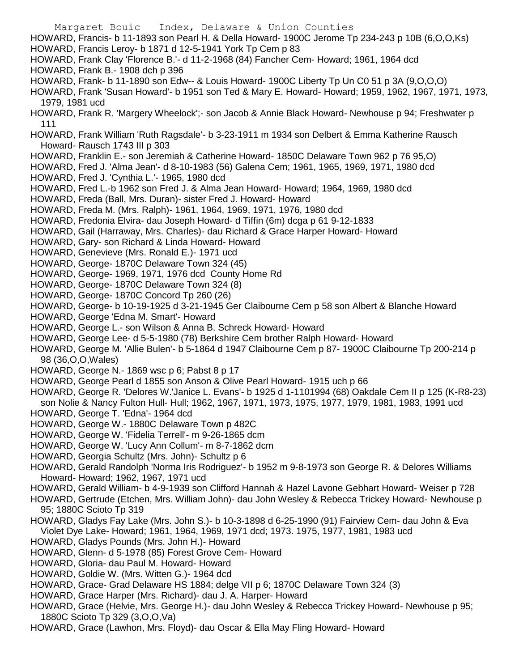Margaret Bouic Index, Delaware & Union Counties HOWARD, Francis- b 11-1893 son Pearl H. & Della Howard- 1900C Jerome Tp 234-243 p 10B (6,O,O,Ks) HOWARD, Francis Leroy- b 1871 d 12-5-1941 York Tp Cem p 83 HOWARD, Frank Clay 'Florence B.'- d 11-2-1968 (84) Fancher Cem- Howard; 1961, 1964 dcd HOWARD, Frank B.- 1908 dch p 396 HOWARD, Frank- b 11-1890 son Edw-- & Louis Howard- 1900C Liberty Tp Un C0 51 p 3A (9,O,O,O) HOWARD, Frank 'Susan Howard'- b 1951 son Ted & Mary E. Howard- Howard; 1959, 1962, 1967, 1971, 1973, 1979, 1981 ucd HOWARD, Frank R. 'Margery Wheelock';- son Jacob & Annie Black Howard- Newhouse p 94; Freshwater p 111 HOWARD, Frank William 'Ruth Ragsdale'- b 3-23-1911 m 1934 son Delbert & Emma Katherine Rausch Howard- Rausch 1743 III p 303 HOWARD, Franklin E.- son Jeremiah & Catherine Howard- 1850C Delaware Town 962 p 76 95,O) HOWARD, Fred J. 'Alma Jean'- d 8-10-1983 (56) Galena Cem; 1961, 1965, 1969, 1971, 1980 dcd HOWARD, Fred J. 'Cynthia L.'- 1965, 1980 dcd HOWARD, Fred L.-b 1962 son Fred J. & Alma Jean Howard- Howard; 1964, 1969, 1980 dcd HOWARD, Freda (Ball, Mrs. Duran)- sister Fred J. Howard- Howard HOWARD, Freda M. (Mrs. Ralph)- 1961, 1964, 1969, 1971, 1976, 1980 dcd HOWARD, Fredonia Elvira- dau Joseph Howard- d Tiffin (6m) dcga p 61 9-12-1833 HOWARD, Gail (Harraway, Mrs. Charles)- dau Richard & Grace Harper Howard- Howard HOWARD, Gary- son Richard & Linda Howard- Howard HOWARD, Genevieve (Mrs. Ronald E.)- 1971 ucd HOWARD, George- 1870C Delaware Town 324 (45) HOWARD, George- 1969, 1971, 1976 dcd County Home Rd HOWARD, George- 1870C Delaware Town 324 (8) HOWARD, George- 1870C Concord Tp 260 (26) HOWARD, George- b 10-19-1925 d 3-21-1945 Ger Claibourne Cem p 58 son Albert & Blanche Howard HOWARD, George 'Edna M. Smart'- Howard HOWARD, George L.- son Wilson & Anna B. Schreck Howard- Howard HOWARD, George Lee- d 5-5-1980 (78) Berkshire Cem brother Ralph Howard- Howard HOWARD, George M. 'Allie Bulen'- b 5-1864 d 1947 Claibourne Cem p 87- 1900C Claibourne Tp 200-214 p 98 (36,O,O,Wales) HOWARD, George N.- 1869 wsc p 6; Pabst 8 p 17 HOWARD, George Pearl d 1855 son Anson & Olive Pearl Howard- 1915 uch p 66 HOWARD, George R. 'Delores W.'Janice L. Evans'- b 1925 d 1-1101994 (68) Oakdale Cem II p 125 (K-R8-23) son Nolie & Nancy Fulton Hull- Hull; 1962, 1967, 1971, 1973, 1975, 1977, 1979, 1981, 1983, 1991 ucd HOWARD, George T. 'Edna'- 1964 dcd HOWARD, George W.- 1880C Delaware Town p 482C HOWARD, George W. 'Fidelia Terrell'- m 9-26-1865 dcm HOWARD, George W. 'Lucy Ann Collum'- m 8-7-1862 dcm

HOWARD, Georgia Schultz (Mrs. John)- Schultz p 6

HOWARD, Gerald Randolph 'Norma Iris Rodriguez'- b 1952 m 9-8-1973 son George R. & Delores Williams Howard- Howard; 1962, 1967, 1971 ucd

HOWARD, Gerald William- b 4-9-1939 son Clifford Hannah & Hazel Lavone Gebhart Howard- Weiser p 728

HOWARD, Gertrude (Etchen, Mrs. William John)- dau John Wesley & Rebecca Trickey Howard- Newhouse p 95; 1880C Scioto Tp 319

- HOWARD, Gladys Fay Lake (Mrs. John S.)- b 10-3-1898 d 6-25-1990 (91) Fairview Cem- dau John & Eva Violet Dye Lake- Howard; 1961, 1964, 1969, 1971 dcd; 1973. 1975, 1977, 1981, 1983 ucd
- HOWARD, Gladys Pounds (Mrs. John H.)- Howard
- HOWARD, Glenn- d 5-1978 (85) Forest Grove Cem- Howard
- HOWARD, Gloria- dau Paul M. Howard- Howard
- HOWARD, Goldie W. (Mrs. Witten G.)- 1964 dcd
- HOWARD, Grace- Grad Delaware HS 1884; delge VII p 6; 1870C Delaware Town 324 (3)
- HOWARD, Grace Harper (Mrs. Richard)- dau J. A. Harper- Howard
- HOWARD, Grace (Helvie, Mrs. George H.)- dau John Wesley & Rebecca Trickey Howard- Newhouse p 95; 1880C Scioto Tp 329 (3,O,O,Va)
- HOWARD, Grace (Lawhon, Mrs. Floyd)- dau Oscar & Ella May Fling Howard- Howard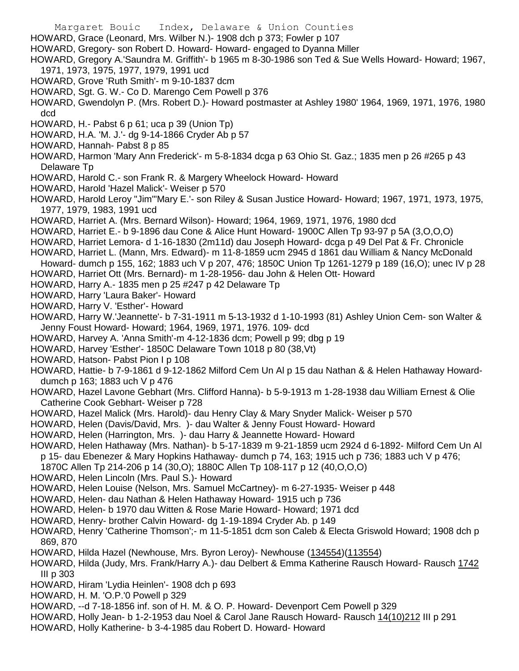Margaret Bouic Index, Delaware & Union Counties HOWARD, Grace (Leonard, Mrs. Wilber N.)- 1908 dch p 373; Fowler p 107 HOWARD, Gregory- son Robert D. Howard- Howard- engaged to Dyanna Miller HOWARD, Gregory A.'Saundra M. Griffith'- b 1965 m 8-30-1986 son Ted & Sue Wells Howard- Howard; 1967, 1971, 1973, 1975, 1977, 1979, 1991 ucd

- HOWARD, Grove 'Ruth Smith'- m 9-10-1837 dcm
- HOWARD, Sgt. G. W.- Co D. Marengo Cem Powell p 376

HOWARD, Gwendolyn P. (Mrs. Robert D.)- Howard postmaster at Ashley 1980' 1964, 1969, 1971, 1976, 1980 dcd

- HOWARD, H.- Pabst 6 p 61; uca p 39 (Union Tp)
- HOWARD, H.A. 'M. J.'- dg 9-14-1866 Cryder Ab p 57
- HOWARD, Hannah- Pabst 8 p 85
- HOWARD, Harmon 'Mary Ann Frederick'- m 5-8-1834 dcga p 63 Ohio St. Gaz.; 1835 men p 26 #265 p 43 Delaware Tp
- HOWARD, Harold C.- son Frank R. & Margery Wheelock Howard- Howard
- HOWARD, Harold 'Hazel Malick'- Weiser p 570
- HOWARD, Harold Leroy "Jim"'Mary E.'- son Riley & Susan Justice Howard- Howard; 1967, 1971, 1973, 1975, 1977, 1979, 1983, 1991 ucd
- HOWARD, Harriet A. (Mrs. Bernard Wilson)- Howard; 1964, 1969, 1971, 1976, 1980 dcd
- HOWARD, Harriet E.- b 9-1896 dau Cone & Alice Hunt Howard- 1900C Allen Tp 93-97 p 5A (3,O,O,O)
- HOWARD, Harriet Lemora- d 1-16-1830 (2m11d) dau Joseph Howard- dcga p 49 Del Pat & Fr. Chronicle
- HOWARD, Harriet L. (Mann, Mrs. Edward)- m 11-8-1859 ucm 2945 d 1861 dau William & Nancy McDonald Howard- dumch p 155, 162; 1883 uch V p 207, 476; 1850C Union Tp 1261-1279 p 189 (16,O); unec IV p 28
- HOWARD, Harriet Ott (Mrs. Bernard)- m 1-28-1956- dau John & Helen Ott- Howard
- HOWARD, Harry A.- 1835 men p 25 #247 p 42 Delaware Tp
- HOWARD, Harry 'Laura Baker'- Howard
- HOWARD, Harry V. 'Esther'- Howard
- HOWARD, Harry W.'Jeannette'- b 7-31-1911 m 5-13-1932 d 1-10-1993 (81) Ashley Union Cem- son Walter & Jenny Foust Howard- Howard; 1964, 1969, 1971, 1976. 109- dcd
- HOWARD, Harvey A. 'Anna Smith'-m 4-12-1836 dcm; Powell p 99; dbg p 19
- HOWARD, Harvey 'Esther'- 1850C Delaware Town 1018 p 80 (38,Vt)
- HOWARD, Hatson- Pabst Pion I p 108
- HOWARD, Hattie- b 7-9-1861 d 9-12-1862 Milford Cem Un Al p 15 dau Nathan & & Helen Hathaway Howarddumch p 163; 1883 uch V p 476
- HOWARD, Hazel Lavone Gebhart (Mrs. Clifford Hanna)- b 5-9-1913 m 1-28-1938 dau William Ernest & Olie Catherine Cook Gebhart- Weiser p 728
- HOWARD, Hazel Malick (Mrs. Harold)- dau Henry Clay & Mary Snyder Malick- Weiser p 570
- HOWARD, Helen (Davis/David, Mrs. )- dau Walter & Jenny Foust Howard- Howard
- HOWARD, Helen (Harrington, Mrs. )- dau Harry & Jeannette Howard- Howard
- HOWARD, Helen Hathaway (Mrs. Nathan)- b 5-17-1839 m 9-21-1859 ucm 2924 d 6-1892- Milford Cem Un Al
	- p 15- dau Ebenezer & Mary Hopkins Hathaway- dumch p 74, 163; 1915 uch p 736; 1883 uch V p 476;
	- 1870C Allen Tp 214-206 p 14 (30,O); 1880C Allen Tp 108-117 p 12 (40,O,O,O)
- HOWARD, Helen Lincoln (Mrs. Paul S.)- Howard
- HOWARD, Helen Louise (Nelson, Mrs. Samuel McCartney)- m 6-27-1935- Weiser p 448
- HOWARD, Helen- dau Nathan & Helen Hathaway Howard- 1915 uch p 736
- HOWARD, Helen- b 1970 dau Witten & Rose Marie Howard- Howard; 1971 dcd
- HOWARD, Henry- brother Calvin Howard- dg 1-19-1894 Cryder Ab. p 149
- HOWARD, Henry 'Catherine Thomson';- m 11-5-1851 dcm son Caleb & Electa Griswold Howard; 1908 dch p 869, 870
- HOWARD, Hilda Hazel (Newhouse, Mrs. Byron Leroy)- Newhouse (134554)(113554)
- HOWARD, Hilda (Judy, Mrs. Frank/Harry A.)- dau Delbert & Emma Katherine Rausch Howard- Rausch 1742 III p 303
- HOWARD, Hiram 'Lydia Heinlen'- 1908 dch p 693
- HOWARD, H. M. 'O.P.'0 Powell p 329
- HOWARD, --d 7-18-1856 inf. son of H. M. & O. P. Howard- Devenport Cem Powell p 329
- HOWARD, Holly Jean- b 1-2-1953 dau Noel & Carol Jane Rausch Howard- Rausch 14(10)212 III p 291
- HOWARD, Holly Katherine- b 3-4-1985 dau Robert D. Howard- Howard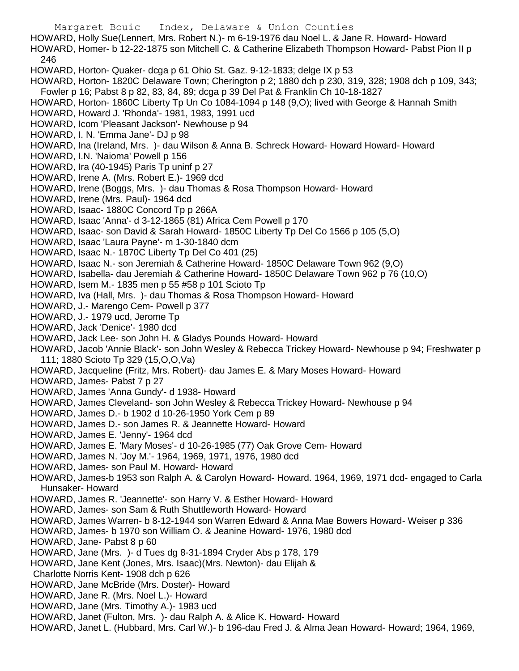Margaret Bouic Index, Delaware & Union Counties HOWARD, Holly Sue(Lennert, Mrs. Robert N.)- m 6-19-1976 dau Noel L. & Jane R. Howard- Howard HOWARD, Homer- b 12-22-1875 son Mitchell C. & Catherine Elizabeth Thompson Howard- Pabst Pion II p 246 HOWARD, Horton- Quaker- dcga p 61 Ohio St. Gaz. 9-12-1833; delge IX p 53 HOWARD, Horton- 1820C Delaware Town; Cherington p 2; 1880 dch p 230, 319, 328; 1908 dch p 109, 343; Fowler p 16; Pabst 8 p 82, 83, 84, 89; dcga p 39 Del Pat & Franklin Ch 10-18-1827 HOWARD, Horton- 1860C Liberty Tp Un Co 1084-1094 p 148 (9,O); lived with George & Hannah Smith HOWARD, Howard J. 'Rhonda'- 1981, 1983, 1991 ucd HOWARD, Icom 'Pleasant Jackson'- Newhouse p 94 HOWARD, I. N. 'Emma Jane'- DJ p 98 HOWARD, Ina (Ireland, Mrs. )- dau Wilson & Anna B. Schreck Howard- Howard Howard- Howard HOWARD, I.N. 'Naioma' Powell p 156 HOWARD, Ira (40-1945) Paris Tp uninf p 27 HOWARD, Irene A. (Mrs. Robert E.)- 1969 dcd HOWARD, Irene (Boggs, Mrs. )- dau Thomas & Rosa Thompson Howard- Howard HOWARD, Irene (Mrs. Paul)- 1964 dcd HOWARD, Isaac- 1880C Concord Tp p 266A HOWARD, Isaac 'Anna'- d 3-12-1865 (81) Africa Cem Powell p 170 HOWARD, Isaac- son David & Sarah Howard- 1850C Liberty Tp Del Co 1566 p 105 (5,O) HOWARD, Isaac 'Laura Payne'- m 1-30-1840 dcm HOWARD, Isaac N.- 1870C Liberty Tp Del Co 401 (25) HOWARD, Isaac N.- son Jeremiah & Catherine Howard- 1850C Delaware Town 962 (9,O) HOWARD, Isabella- dau Jeremiah & Catherine Howard- 1850C Delaware Town 962 p 76 (10,O) HOWARD, Isem M.- 1835 men p 55 #58 p 101 Scioto Tp HOWARD, Iva (Hall, Mrs. )- dau Thomas & Rosa Thompson Howard- Howard HOWARD, J.- Marengo Cem- Powell p 377 HOWARD, J.- 1979 ucd, Jerome Tp HOWARD, Jack 'Denice'- 1980 dcd HOWARD, Jack Lee- son John H. & Gladys Pounds Howard- Howard HOWARD, Jacob 'Annie Black'- son John Wesley & Rebecca Trickey Howard- Newhouse p 94; Freshwater p 111; 1880 Scioto Tp 329 (15,O,O,Va) HOWARD, Jacqueline (Fritz, Mrs. Robert)- dau James E. & Mary Moses Howard- Howard HOWARD, James- Pabst 7 p 27 HOWARD, James 'Anna Gundy'- d 1938- Howard HOWARD, James Cleveland- son John Wesley & Rebecca Trickey Howard- Newhouse p 94 HOWARD, James D.- b 1902 d 10-26-1950 York Cem p 89 HOWARD, James D.- son James R. & Jeannette Howard- Howard HOWARD, James E. 'Jenny'- 1964 dcd HOWARD, James E. 'Mary Moses'- d 10-26-1985 (77) Oak Grove Cem- Howard HOWARD, James N. 'Joy M.'- 1964, 1969, 1971, 1976, 1980 dcd HOWARD, James- son Paul M. Howard- Howard HOWARD, James-b 1953 son Ralph A. & Carolyn Howard- Howard. 1964, 1969, 1971 dcd- engaged to Carla Hunsaker- Howard HOWARD, James R. 'Jeannette'- son Harry V. & Esther Howard- Howard HOWARD, James- son Sam & Ruth Shuttleworth Howard- Howard HOWARD, James Warren- b 8-12-1944 son Warren Edward & Anna Mae Bowers Howard- Weiser p 336 HOWARD, James- b 1970 son William O. & Jeanine Howard- 1976, 1980 dcd HOWARD, Jane- Pabst 8 p 60 HOWARD, Jane (Mrs. )- d Tues dg 8-31-1894 Cryder Abs p 178, 179 HOWARD, Jane Kent (Jones, Mrs. Isaac)(Mrs. Newton)- dau Elijah & Charlotte Norris Kent- 1908 dch p 626 HOWARD, Jane McBride (Mrs. Doster)- Howard HOWARD, Jane R. (Mrs. Noel L.)- Howard

- HOWARD, Jane (Mrs. Timothy A.)- 1983 ucd
- HOWARD, Janet (Fulton, Mrs. )- dau Ralph A. & Alice K. Howard- Howard
- HOWARD, Janet L. (Hubbard, Mrs. Carl W.)- b 196-dau Fred J. & Alma Jean Howard- Howard; 1964, 1969,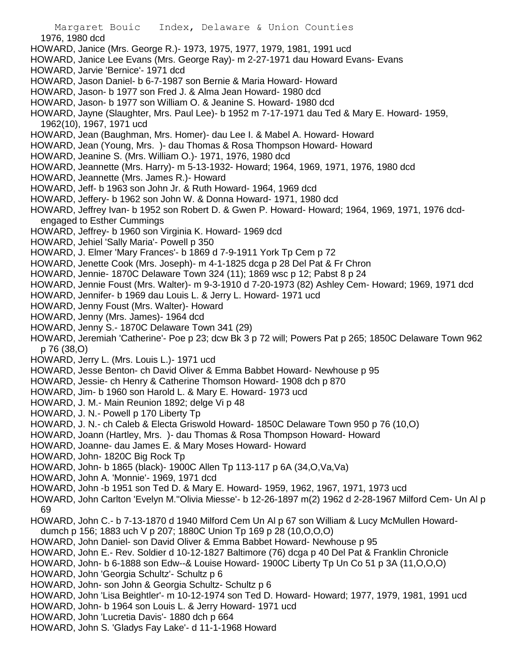1976, 1980 dcd

- HOWARD, Janice (Mrs. George R.)- 1973, 1975, 1977, 1979, 1981, 1991 ucd
- HOWARD, Janice Lee Evans (Mrs. George Ray)- m 2-27-1971 dau Howard Evans- Evans
- HOWARD, Jarvie 'Bernice'- 1971 dcd
- HOWARD, Jason Daniel- b 6-7-1987 son Bernie & Maria Howard- Howard
- HOWARD, Jason- b 1977 son Fred J. & Alma Jean Howard- 1980 dcd
- HOWARD, Jason- b 1977 son William O. & Jeanine S. Howard- 1980 dcd
- HOWARD, Jayne (Slaughter, Mrs. Paul Lee)- b 1952 m 7-17-1971 dau Ted & Mary E. Howard- 1959, 1962(10), 1967, 1971 ucd
- HOWARD, Jean (Baughman, Mrs. Homer)- dau Lee I. & Mabel A. Howard- Howard
- HOWARD, Jean (Young, Mrs. )- dau Thomas & Rosa Thompson Howard- Howard
- HOWARD, Jeanine S. (Mrs. William O.)- 1971, 1976, 1980 dcd
- HOWARD, Jeannette (Mrs. Harry)- m 5-13-1932- Howard; 1964, 1969, 1971, 1976, 1980 dcd
- HOWARD, Jeannette (Mrs. James R.)- Howard
- HOWARD, Jeff- b 1963 son John Jr. & Ruth Howard- 1964, 1969 dcd
- HOWARD, Jeffery- b 1962 son John W. & Donna Howard- 1971, 1980 dcd
- HOWARD, Jeffrey Ivan- b 1952 son Robert D. & Gwen P. Howard- Howard; 1964, 1969, 1971, 1976 dcdengaged to Esther Cummings
- HOWARD, Jeffrey- b 1960 son Virginia K. Howard- 1969 dcd
- HOWARD, Jehiel 'Sally Maria'- Powell p 350
- HOWARD, J. Elmer 'Mary Frances'- b 1869 d 7-9-1911 York Tp Cem p 72
- HOWARD, Jenette Cook (Mrs. Joseph)- m 4-1-1825 dcga p 28 Del Pat & Fr Chron
- HOWARD, Jennie- 1870C Delaware Town 324 (11); 1869 wsc p 12; Pabst 8 p 24
- HOWARD, Jennie Foust (Mrs. Walter)- m 9-3-1910 d 7-20-1973 (82) Ashley Cem- Howard; 1969, 1971 dcd
- HOWARD, Jennifer- b 1969 dau Louis L. & Jerry L. Howard- 1971 ucd
- HOWARD, Jenny Foust (Mrs. Walter)- Howard
- HOWARD, Jenny (Mrs. James)- 1964 dcd
- HOWARD, Jenny S.- 1870C Delaware Town 341 (29)
- HOWARD, Jeremiah 'Catherine'- Poe p 23; dcw Bk 3 p 72 will; Powers Pat p 265; 1850C Delaware Town 962 p 76 (38,O)
- HOWARD, Jerry L. (Mrs. Louis L.)- 1971 ucd
- HOWARD, Jesse Benton- ch David Oliver & Emma Babbet Howard- Newhouse p 95
- HOWARD, Jessie- ch Henry & Catherine Thomson Howard- 1908 dch p 870
- HOWARD, Jim- b 1960 son Harold L. & Mary E. Howard- 1973 ucd
- HOWARD, J. M.- Main Reunion 1892; delge Vi p 48
- HOWARD, J. N.- Powell p 170 Liberty Tp
- HOWARD, J. N.- ch Caleb & Electa Griswold Howard- 1850C Delaware Town 950 p 76 (10,O)
- HOWARD, Joann (Hartley, Mrs. )- dau Thomas & Rosa Thompson Howard- Howard
- HOWARD, Joanne- dau James E. & Mary Moses Howard- Howard
- HOWARD, John- 1820C Big Rock Tp
- HOWARD, John- b 1865 (black)- 1900C Allen Tp 113-117 p 6A (34,O,Va,Va)
- HOWARD, John A. 'Monnie'- 1969, 1971 dcd
- HOWARD, John -b 1951 son Ted D. & Mary E. Howard- 1959, 1962, 1967, 1971, 1973 ucd
- HOWARD, John Carlton 'Evelyn M.''Olivia Miesse'- b 12-26-1897 m(2) 1962 d 2-28-1967 Milford Cem- Un Al p 69
- HOWARD, John C.- b 7-13-1870 d 1940 Milford Cem Un Al p 67 son William & Lucy McMullen Howarddumch p 156; 1883 uch V p 207; 1880C Union Tp 169 p 28 (10,O,O,O)
- HOWARD, John Daniel- son David Oliver & Emma Babbet Howard- Newhouse p 95
- HOWARD, John E.- Rev. Soldier d 10-12-1827 Baltimore (76) dcga p 40 Del Pat & Franklin Chronicle
- 
- HOWARD, John- b 6-1888 son Edw--& Louise Howard- 1900C Liberty Tp Un Co 51 p 3A (11,O,O,O)
- HOWARD, John 'Georgia Schultz'- Schultz p 6
- HOWARD, John- son John & Georgia Schultz- Schultz p 6
- HOWARD, John 'Lisa Beightler'- m 10-12-1974 son Ted D. Howard- Howard; 1977, 1979, 1981, 1991 ucd
- HOWARD, John- b 1964 son Louis L. & Jerry Howard- 1971 ucd
- HOWARD, John 'Lucretia Davis'- 1880 dch p 664
- HOWARD, John S. 'Gladys Fay Lake'- d 11-1-1968 Howard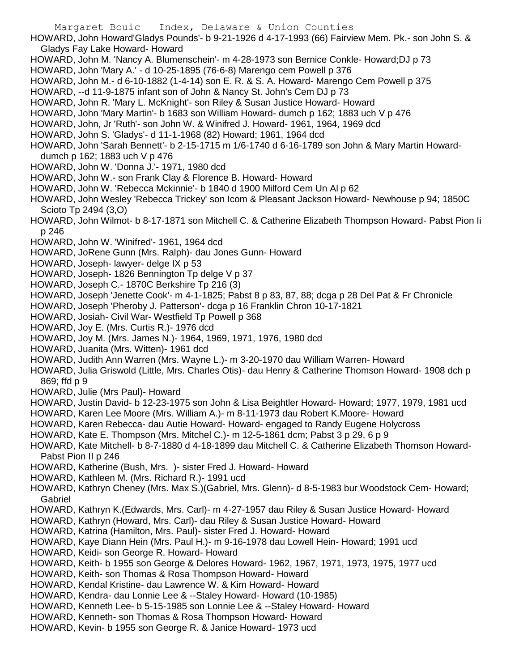HOWARD, John Howard'Gladys Pounds'- b 9-21-1926 d 4-17-1993 (66) Fairview Mem. Pk.- son John S. & Gladys Fay Lake Howard- Howard

- HOWARD, John M. 'Nancy A. Blumenschein'- m 4-28-1973 son Bernice Conkle- Howard;DJ p 73
- HOWARD, John 'Mary A.' d 10-25-1895 (76-6-8) Marengo cem Powell p 376
- HOWARD, John M.- d 6-10-1882 (1-4-14) son E. R. & S. A. Howard- Marengo Cem Powell p 375
- HOWARD, --d 11-9-1875 infant son of John & Nancy St. John's Cem DJ p 73
- HOWARD, John R. 'Mary L. McKnight'- son Riley & Susan Justice Howard- Howard
- HOWARD, John 'Mary Martin'- b 1683 son William Howard- dumch p 162; 1883 uch V p 476
- HOWARD, John, Jr 'Ruth'- son John W. & Winifred J. Howard- 1961, 1964, 1969 dcd
- HOWARD, John S. 'Gladys'- d 11-1-1968 (82) Howard; 1961, 1964 dcd
- HOWARD, John 'Sarah Bennett'- b 2-15-1715 m 1/6-1740 d 6-16-1789 son John & Mary Martin Howarddumch p 162; 1883 uch V p 476
- HOWARD, John W. 'Donna J.'- 1971, 1980 dcd
- HOWARD, John W.- son Frank Clay & Florence B. Howard- Howard
- HOWARD, John W. 'Rebecca Mckinnie'- b 1840 d 1900 Milford Cem Un Al p 62
- HOWARD, John Wesley 'Rebecca Trickey' son Icom & Pleasant Jackson Howard- Newhouse p 94; 1850C Scioto Tp 2494 (3,O)
- HOWARD, John Wilmot- b 8-17-1871 son Mitchell C. & Catherine Elizabeth Thompson Howard- Pabst Pion Ii p 246
- HOWARD, John W. 'Winifred'- 1961, 1964 dcd
- HOWARD, JoRene Gunn (Mrs. Ralph)- dau Jones Gunn- Howard
- HOWARD, Joseph- lawyer- delge IX p 53
- HOWARD, Joseph- 1826 Bennington Tp delge V p 37
- HOWARD, Joseph C.- 1870C Berkshire Tp 216 (3)
- HOWARD, Joseph 'Jenette Cook'- m 4-1-1825; Pabst 8 p 83, 87, 88; dcga p 28 Del Pat & Fr Chronicle
- HOWARD, Joseph 'Pheroby J. Patterson'- dcga p 16 Franklin Chron 10-17-1821
- HOWARD, Josiah- Civil War- Westfield Tp Powell p 368
- HOWARD, Joy E. (Mrs. Curtis R.)- 1976 dcd
- HOWARD, Joy M. (Mrs. James N.)- 1964, 1969, 1971, 1976, 1980 dcd
- HOWARD, Juanita (Mrs. Witten)- 1961 dcd
- HOWARD, Judith Ann Warren (Mrs. Wayne L.)- m 3-20-1970 dau William Warren- Howard
- HOWARD, Julia Griswold (Little, Mrs. Charles Otis)- dau Henry & Catherine Thomson Howard- 1908 dch p 869; ffd p 9
- HOWARD, Julie (Mrs Paul)- Howard
- HOWARD, Justin David- b 12-23-1975 son John & Lisa Beightler Howard- Howard; 1977, 1979, 1981 ucd
- HOWARD, Karen Lee Moore (Mrs. William A.)- m 8-11-1973 dau Robert K.Moore- Howard
- HOWARD, Karen Rebecca- dau Autie Howard- Howard- engaged to Randy Eugene Holycross
- HOWARD, Kate E. Thompson (Mrs. Mitchel C.)- m 12-5-1861 dcm; Pabst 3 p 29, 6 p 9
- HOWARD, Kate Mitchell- b 8-7-1880 d 4-18-1899 dau Mitchell C. & Catherine Elizabeth Thomson Howard-Pabst Pion II p 246
- HOWARD, Katherine (Bush, Mrs. )- sister Fred J. Howard- Howard
- HOWARD, Kathleen M. (Mrs. Richard R.)- 1991 ucd
- HOWARD, Kathryn Cheney (Mrs. Max S.)(Gabriel, Mrs. Glenn)- d 8-5-1983 bur Woodstock Cem- Howard; Gabriel
- HOWARD, Kathryn K.(Edwards, Mrs. Carl)- m 4-27-1957 dau Riley & Susan Justice Howard- Howard
- HOWARD, Kathryn (Howard, Mrs. Carl)- dau Riley & Susan Justice Howard- Howard
- HOWARD, Katrina (Hamilton, Mrs. Paul)- sister Fred J. Howard- Howard
- HOWARD, Kaye Diann Hein (Mrs. Paul H.)- m 9-16-1978 dau Lowell Hein- Howard; 1991 ucd
- HOWARD, Keidi- son George R. Howard- Howard
- HOWARD, Keith- b 1955 son George & Delores Howard- 1962, 1967, 1971, 1973, 1975, 1977 ucd
- HOWARD, Keith- son Thomas & Rosa Thompson Howard- Howard
- HOWARD, Kendal Kristine- dau Lawrence W. & Kim Howard- Howard
- HOWARD, Kendra- dau Lonnie Lee & --Staley Howard- Howard (10-1985)
- HOWARD, Kenneth Lee- b 5-15-1985 son Lonnie Lee & --Staley Howard- Howard
- HOWARD, Kenneth- son Thomas & Rosa Thompson Howard- Howard
- HOWARD, Kevin- b 1955 son George R. & Janice Howard- 1973 ucd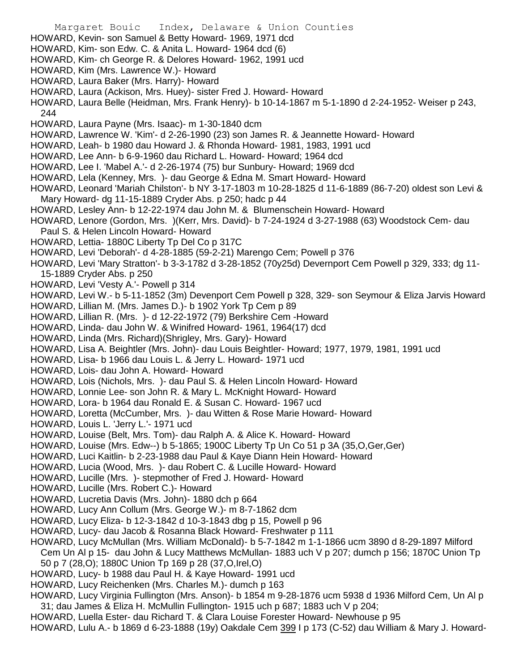- Margaret Bouic Index, Delaware & Union Counties HOWARD, Kevin- son Samuel & Betty Howard- 1969, 1971 dcd HOWARD, Kim- son Edw. C. & Anita L. Howard- 1964 dcd (6) HOWARD, Kim- ch George R. & Delores Howard- 1962, 1991 ucd HOWARD, Kim (Mrs. Lawrence W.)- Howard HOWARD, Laura Baker (Mrs. Harry)- Howard HOWARD, Laura (Ackison, Mrs. Huey)- sister Fred J. Howard- Howard HOWARD, Laura Belle (Heidman, Mrs. Frank Henry)- b 10-14-1867 m 5-1-1890 d 2-24-1952- Weiser p 243, 244 HOWARD, Laura Payne (Mrs. Isaac)- m 1-30-1840 dcm HOWARD, Lawrence W. 'Kim'- d 2-26-1990 (23) son James R. & Jeannette Howard- Howard HOWARD, Leah- b 1980 dau Howard J. & Rhonda Howard- 1981, 1983, 1991 ucd HOWARD, Lee Ann- b 6-9-1960 dau Richard L. Howard- Howard; 1964 dcd HOWARD, Lee I. 'Mabel A.'- d 2-26-1974 (75) bur Sunbury- Howard; 1969 dcd HOWARD, Lela (Kenney, Mrs. )- dau George & Edna M. Smart Howard- Howard HOWARD, Leonard 'Mariah Chilston'- b NY 3-17-1803 m 10-28-1825 d 11-6-1889 (86-7-20) oldest son Levi & Mary Howard- dg 11-15-1889 Cryder Abs. p 250; hadc p 44 HOWARD, Lesley Ann- b 12-22-1974 dau John M. & Blumenschein Howard- Howard HOWARD, Lenore (Gordon, Mrs. )(Kerr, Mrs. David)- b 7-24-1924 d 3-27-1988 (63) Woodstock Cem- dau Paul S. & Helen Lincoln Howard- Howard HOWARD, Lettia- 1880C Liberty Tp Del Co p 317C HOWARD, Levi 'Deborah'- d 4-28-1885 (59-2-21) Marengo Cem; Powell p 376 HOWARD, Levi 'Mary Stratton'- b 3-3-1782 d 3-28-1852 (70y25d) Devernport Cem Powell p 329, 333; dg 11- 15-1889 Cryder Abs. p 250 HOWARD, Levi 'Vesty A.'- Powell p 314 HOWARD, Levi W.- b 5-11-1852 (3m) Devenport Cem Powell p 328, 329- son Seymour & Eliza Jarvis Howard HOWARD, Lillian M. (Mrs. James D.)- b 1902 York Tp Cem p 89 HOWARD, Lillian R. (Mrs. )- d 12-22-1972 (79) Berkshire Cem -Howard HOWARD, Linda- dau John W. & Winifred Howard- 1961, 1964(17) dcd HOWARD, Linda (Mrs. Richard)(Shrigley, Mrs. Gary)- Howard HOWARD, Lisa A. Beightler (Mrs. John)- dau Louis Beightler- Howard; 1977, 1979, 1981, 1991 ucd HOWARD, Lisa- b 1966 dau Louis L. & Jerry L. Howard- 1971 ucd HOWARD, Lois- dau John A. Howard- Howard HOWARD, Lois (Nichols, Mrs. )- dau Paul S. & Helen Lincoln Howard- Howard HOWARD, Lonnie Lee- son John R. & Mary L. McKnight Howard- Howard HOWARD, Lora- b 1964 dau Ronald E. & Susan C. Howard- 1967 ucd HOWARD, Loretta (McCumber, Mrs. )- dau Witten & Rose Marie Howard- Howard HOWARD, Louis L. 'Jerry L.'- 1971 ucd HOWARD, Louise (Belt, Mrs. Tom)- dau Ralph A. & Alice K. Howard- Howard HOWARD, Louise (Mrs. Edw--) b 5-1865; 1900C Liberty Tp Un Co 51 p 3A (35,O,Ger,Ger) HOWARD, Luci Kaitlin- b 2-23-1988 dau Paul & Kaye Diann Hein Howard- Howard HOWARD, Lucia (Wood, Mrs. )- dau Robert C. & Lucille Howard- Howard HOWARD, Lucille (Mrs. )- stepmother of Fred J. Howard- Howard HOWARD, Lucille (Mrs. Robert C.)- Howard HOWARD, Lucretia Davis (Mrs. John)- 1880 dch p 664 HOWARD, Lucy Ann Collum (Mrs. George W.)- m 8-7-1862 dcm HOWARD, Lucy Eliza- b 12-3-1842 d 10-3-1843 dbg p 15, Powell p 96 HOWARD, Lucy- dau Jacob & Rosanna Black Howard- Freshwater p 111 HOWARD, Lucy McMullan (Mrs. William McDonald)- b 5-7-1842 m 1-1-1866 ucm 3890 d 8-29-1897 Milford Cem Un Al p 15- dau John & Lucy Matthews McMullan- 1883 uch V p 207; dumch p 156; 1870C Union Tp 50 p 7 (28,O); 1880C Union Tp 169 p 28 (37,O,Irel,O) HOWARD, Lucy- b 1988 dau Paul H. & Kaye Howard- 1991 ucd HOWARD, Lucy Reichenken (Mrs. Charles M.)- dumch p 163 HOWARD, Lucy Virginia Fullington (Mrs. Anson)- b 1854 m 9-28-1876 ucm 5938 d 1936 Milford Cem, Un Al p 31; dau James & Eliza H. McMullin Fullington- 1915 uch p 687; 1883 uch V p 204;
- HOWARD, Luella Ester- dau Richard T. & Clara Louise Forester Howard- Newhouse p 95
- HOWARD, Lulu A.- b 1869 d 6-23-1888 (19y) Oakdale Cem 399 I p 173 (C-52) dau William & Mary J. Howard-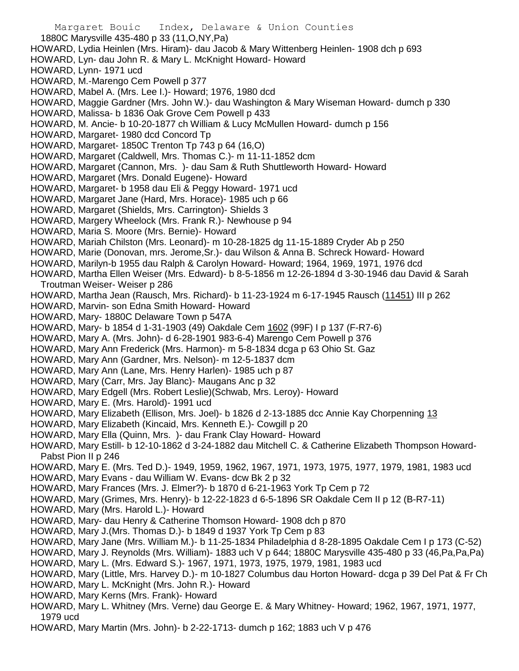Margaret Bouic Index, Delaware & Union Counties 1880C Marysville 435-480 p 33 (11,O,NY,Pa) HOWARD, Lydia Heinlen (Mrs. Hiram)- dau Jacob & Mary Wittenberg Heinlen- 1908 dch p 693 HOWARD, Lyn- dau John R. & Mary L. McKnight Howard- Howard HOWARD, Lynn- 1971 ucd HOWARD, M.-Marengo Cem Powell p 377 HOWARD, Mabel A. (Mrs. Lee I.)- Howard; 1976, 1980 dcd HOWARD, Maggie Gardner (Mrs. John W.)- dau Washington & Mary Wiseman Howard- dumch p 330 HOWARD, Malissa- b 1836 Oak Grove Cem Powell p 433 HOWARD, M. Ancie- b 10-20-1877 ch William & Lucy McMullen Howard- dumch p 156 HOWARD, Margaret- 1980 dcd Concord Tp HOWARD, Margaret- 1850C Trenton Tp 743 p 64 (16,O) HOWARD, Margaret (Caldwell, Mrs. Thomas C.)- m 11-11-1852 dcm HOWARD, Margaret (Cannon, Mrs. )- dau Sam & Ruth Shuttleworth Howard- Howard HOWARD, Margaret (Mrs. Donald Eugene)- Howard HOWARD, Margaret- b 1958 dau Eli & Peggy Howard- 1971 ucd HOWARD, Margaret Jane (Hard, Mrs. Horace)- 1985 uch p 66 HOWARD, Margaret (Shields, Mrs. Carrington)- Shields 3 HOWARD, Margery Wheelock (Mrs. Frank R.)- Newhouse p 94 HOWARD, Maria S. Moore (Mrs. Bernie)- Howard HOWARD, Mariah Chilston (Mrs. Leonard)- m 10-28-1825 dg 11-15-1889 Cryder Ab p 250 HOWARD, Marie (Donovan, mrs. Jerome,Sr.)- dau Wilson & Anna B. Schreck Howard- Howard HOWARD, Marilyn-b 1955 dau Ralph & Carolyn Howard- Howard; 1964, 1969, 1971, 1976 dcd HOWARD, Martha Ellen Weiser (Mrs. Edward)- b 8-5-1856 m 12-26-1894 d 3-30-1946 dau David & Sarah Troutman Weiser- Weiser p 286 HOWARD, Martha Jean (Rausch, Mrs. Richard)- b 11-23-1924 m 6-17-1945 Rausch (11451) III p 262 HOWARD, Marvin- son Edna Smith Howard- Howard HOWARD, Mary- 1880C Delaware Town p 547A HOWARD, Mary- b 1854 d 1-31-1903 (49) Oakdale Cem 1602 (99F) I p 137 (F-R7-6) HOWARD, Mary A. (Mrs. John)- d 6-28-1901 983-6-4) Marengo Cem Powell p 376 HOWARD, Mary Ann Frederick (Mrs. Harmon)- m 5-8-1834 dcga p 63 Ohio St. Gaz HOWARD, Mary Ann (Gardner, Mrs. Nelson)- m 12-5-1837 dcm HOWARD, Mary Ann (Lane, Mrs. Henry Harlen)- 1985 uch p 87 HOWARD, Mary (Carr, Mrs. Jay Blanc)- Maugans Anc p 32 HOWARD, Mary Edgell (Mrs. Robert Leslie)(Schwab, Mrs. Leroy)- Howard HOWARD, Mary E. (Mrs. Harold)- 1991 ucd HOWARD, Mary Elizabeth (Ellison, Mrs. Joel)- b 1826 d 2-13-1885 dcc Annie Kay Chorpenning 13 HOWARD, Mary Elizabeth (Kincaid, Mrs. Kenneth E.)- Cowgill p 20 HOWARD, Mary Ella (Quinn, Mrs. )- dau Frank Clay Howard- Howard HOWARD, Mary Estill- b 12-10-1862 d 3-24-1882 dau Mitchell C. & Catherine Elizabeth Thompson Howard-Pabst Pion II p 246 HOWARD, Mary E. (Mrs. Ted D.)- 1949, 1959, 1962, 1967, 1971, 1973, 1975, 1977, 1979, 1981, 1983 ucd HOWARD, Mary Evans - dau William W. Evans- dcw Bk 2 p 32 HOWARD, Mary Frances (Mrs. J. Elmer?)- b 1870 d 6-21-1963 York Tp Cem p 72 HOWARD, Mary (Grimes, Mrs. Henry)- b 12-22-1823 d 6-5-1896 SR Oakdale Cem II p 12 (B-R7-11) HOWARD, Mary (Mrs. Harold L.)- Howard HOWARD, Mary- dau Henry & Catherine Thomson Howard- 1908 dch p 870 HOWARD, Mary J.(Mrs. Thomas D.)- b 1849 d 1937 York Tp Cem p 83 HOWARD, Mary Jane (Mrs. William M.)- b 11-25-1834 Philadelphia d 8-28-1895 Oakdale Cem I p 173 (C-52) HOWARD, Mary J. Reynolds (Mrs. William)- 1883 uch V p 644; 1880C Marysville 435-480 p 33 (46,Pa,Pa,Pa) HOWARD, Mary L. (Mrs. Edward S.)- 1967, 1971, 1973, 1975, 1979, 1981, 1983 ucd HOWARD, Mary (Little, Mrs. Harvey D.)- m 10-1827 Columbus dau Horton Howard- dcga p 39 Del Pat & Fr Ch

- HOWARD, Mary L. McKnight (Mrs. John R.)- Howard
- HOWARD, Mary Kerns (Mrs. Frank)- Howard
- HOWARD, Mary L. Whitney (Mrs. Verne) dau George E. & Mary Whitney- Howard; 1962, 1967, 1971, 1977, 1979 ucd
- HOWARD, Mary Martin (Mrs. John)- b 2-22-1713- dumch p 162; 1883 uch V p 476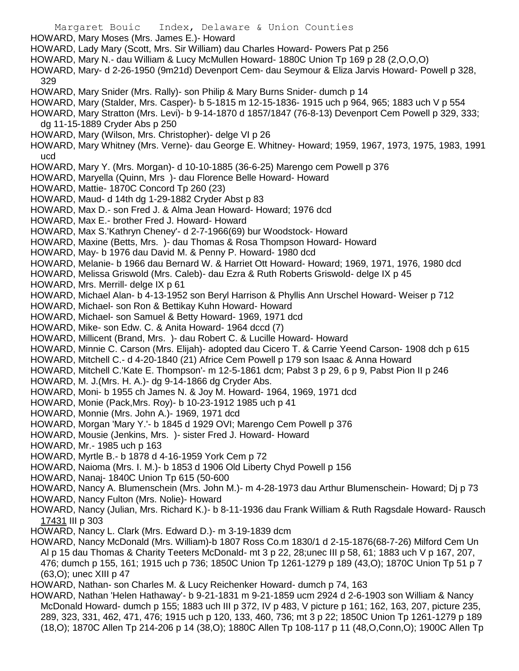Margaret Bouic Index, Delaware & Union Counties HOWARD, Mary Moses (Mrs. James E.)- Howard HOWARD, Lady Mary (Scott, Mrs. Sir William) dau Charles Howard- Powers Pat p 256 HOWARD, Mary N.- dau William & Lucy McMullen Howard- 1880C Union Tp 169 p 28 (2,O,O,O) HOWARD, Mary- d 2-26-1950 (9m21d) Devenport Cem- dau Seymour & Eliza Jarvis Howard- Powell p 328, 329 HOWARD, Mary Snider (Mrs. Rally)- son Philip & Mary Burns Snider- dumch p 14 HOWARD, Mary (Stalder, Mrs. Casper)- b 5-1815 m 12-15-1836- 1915 uch p 964, 965; 1883 uch V p 554 HOWARD, Mary Stratton (Mrs. Levi)- b 9-14-1870 d 1857/1847 (76-8-13) Devenport Cem Powell p 329, 333; dg 11-15-1889 Cryder Abs p 250 HOWARD, Mary (Wilson, Mrs. Christopher)- delge VI p 26 HOWARD, Mary Whitney (Mrs. Verne)- dau George E. Whitney- Howard; 1959, 1967, 1973, 1975, 1983, 1991 ucd HOWARD, Mary Y. (Mrs. Morgan)- d 10-10-1885 (36-6-25) Marengo cem Powell p 376 HOWARD, Maryella (Quinn, Mrs )- dau Florence Belle Howard- Howard HOWARD, Mattie- 1870C Concord Tp 260 (23) HOWARD, Maud- d 14th dg 1-29-1882 Cryder Abst p 83 HOWARD, Max D.- son Fred J. & Alma Jean Howard- Howard; 1976 dcd HOWARD, Max E.- brother Fred J. Howard- Howard HOWARD, Max S.'Kathryn Cheney'- d 2-7-1966(69) bur Woodstock- Howard HOWARD, Maxine (Betts, Mrs. )- dau Thomas & Rosa Thompson Howard- Howard HOWARD, May- b 1976 dau David M. & Penny P. Howard- 1980 dcd HOWARD, Melanie- b 1966 dau Bernard W. & Harriet Ott Howard- Howard; 1969, 1971, 1976, 1980 dcd HOWARD, Melissa Griswold (Mrs. Caleb)- dau Ezra & Ruth Roberts Griswold- delge IX p 45 HOWARD, Mrs. Merrill- delge IX p 61 HOWARD, Michael Alan- b 4-13-1952 son Beryl Harrison & Phyllis Ann Urschel Howard- Weiser p 712 HOWARD, Michael- son Ron & Bettikay Kuhn Howard- Howard HOWARD, Michael- son Samuel & Betty Howard- 1969, 1971 dcd HOWARD, Mike- son Edw. C. & Anita Howard- 1964 dccd (7) HOWARD, Millicent (Brand, Mrs. )- dau Robert C. & Lucille Howard- Howard HOWARD, Minnie C. Carson (Mrs. Elijah)- adopted dau Cicero T. & Carrie Yeend Carson- 1908 dch p 615 HOWARD, Mitchell C.- d 4-20-1840 (21) Africe Cem Powell p 179 son Isaac & Anna Howard HOWARD, Mitchell C.'Kate E. Thompson'- m 12-5-1861 dcm; Pabst 3 p 29, 6 p 9, Pabst Pion II p 246 HOWARD, M. J.(Mrs. H. A.)- dg 9-14-1866 dg Cryder Abs. HOWARD, Moni- b 1955 ch James N. & Joy M. Howard- 1964, 1969, 1971 dcd HOWARD, Monie (Pack,Mrs. Roy)- b 10-23-1912 1985 uch p 41 HOWARD, Monnie (Mrs. John A.)- 1969, 1971 dcd HOWARD, Morgan 'Mary Y.'- b 1845 d 1929 OVI; Marengo Cem Powell p 376 HOWARD, Mousie (Jenkins, Mrs. )- sister Fred J. Howard- Howard HOWARD, Mr.- 1985 uch p 163 HOWARD, Myrtle B.- b 1878 d 4-16-1959 York Cem p 72 HOWARD, Naioma (Mrs. I. M.)- b 1853 d 1906 Old Liberty Chyd Powell p 156 HOWARD, Nanaj- 1840C Union Tp 615 (50-600 HOWARD, Nancy A. Blumenschein (Mrs. John M.)- m 4-28-1973 dau Arthur Blumenschein- Howard; Dj p 73 HOWARD, Nancy Fulton (Mrs. Nolie)- Howard HOWARD, Nancy (Julian, Mrs. Richard K.)- b 8-11-1936 dau Frank William & Ruth Ragsdale Howard- Rausch 17431 III p 303 HOWARD, Nancy L. Clark (Mrs. Edward D.)- m 3-19-1839 dcm HOWARD, Nancy McDonald (Mrs. William)-b 1807 Ross Co.m 1830/1 d 2-15-1876(68-7-26) Milford Cem Un Al p 15 dau Thomas & Charity Teeters McDonald- mt 3 p 22, 28;unec III p 58, 61; 1883 uch V p 167, 207, 476; dumch p 155, 161; 1915 uch p 736; 1850C Union Tp 1261-1279 p 189 (43,O); 1870C Union Tp 51 p 7 (63,O); unec XIII p 47

HOWARD, Nathan- son Charles M. & Lucy Reichenker Howard- dumch p 74, 163

HOWARD, Nathan 'Helen Hathaway'- b 9-21-1831 m 9-21-1859 ucm 2924 d 2-6-1903 son William & Nancy McDonald Howard- dumch p 155; 1883 uch III p 372, IV p 483, V picture p 161; 162, 163, 207, picture 235, 289, 323, 331, 462, 471, 476; 1915 uch p 120, 133, 460, 736; mt 3 p 22; 1850C Union Tp 1261-1279 p 189 (18,O); 1870C Allen Tp 214-206 p 14 (38,O); 1880C Allen Tp 108-117 p 11 (48,O,Conn,O); 1900C Allen Tp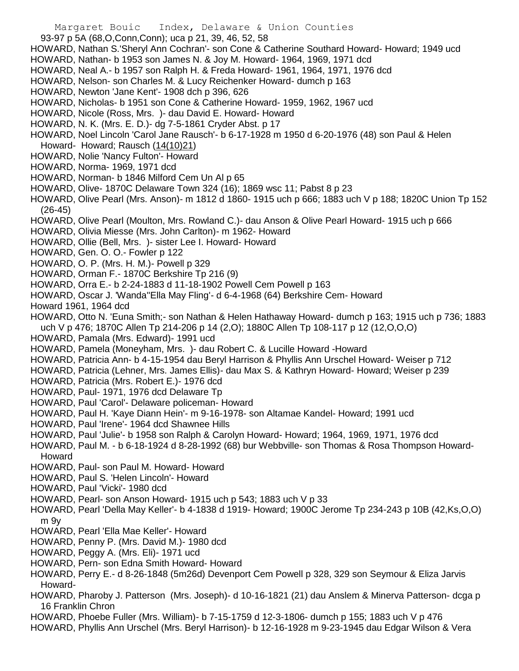- Margaret Bouic Index, Delaware & Union Counties
- 93-97 p 5A (68,O,Conn,Conn); uca p 21, 39, 46, 52, 58
- HOWARD, Nathan S.'Sheryl Ann Cochran'- son Cone & Catherine Southard Howard- Howard; 1949 ucd
- HOWARD, Nathan- b 1953 son James N. & Joy M. Howard- 1964, 1969, 1971 dcd
- HOWARD, Neal A.- b 1957 son Ralph H. & Freda Howard- 1961, 1964, 1971, 1976 dcd
- HOWARD, Nelson- son Charles M. & Lucy Reichenker Howard- dumch p 163
- HOWARD, Newton 'Jane Kent'- 1908 dch p 396, 626
- HOWARD, Nicholas- b 1951 son Cone & Catherine Howard- 1959, 1962, 1967 ucd
- HOWARD, Nicole (Ross, Mrs. )- dau David E. Howard- Howard
- HOWARD, N. K. (Mrs. E. D.)- dg 7-5-1861 Cryder Abst. p 17
- HOWARD, Noel Lincoln 'Carol Jane Rausch'- b 6-17-1928 m 1950 d 6-20-1976 (48) son Paul & Helen Howard- Howard; Rausch (14(10)21)
- HOWARD, Nolie 'Nancy Fulton'- Howard
- HOWARD, Norma- 1969, 1971 dcd
- HOWARD, Norman- b 1846 Milford Cem Un Al p 65
- HOWARD, Olive- 1870C Delaware Town 324 (16); 1869 wsc 11; Pabst 8 p 23
- HOWARD, Olive Pearl (Mrs. Anson)- m 1812 d 1860- 1915 uch p 666; 1883 uch V p 188; 1820C Union Tp 152 (26-45)
- HOWARD, Olive Pearl (Moulton, Mrs. Rowland C.)- dau Anson & Olive Pearl Howard- 1915 uch p 666
- HOWARD, Olivia Miesse (Mrs. John Carlton)- m 1962- Howard
- HOWARD, Ollie (Bell, Mrs. )- sister Lee I. Howard- Howard
- HOWARD, Gen. O. O.- Fowler p 122
- HOWARD, O. P. (Mrs. H. M.)- Powell p 329
- HOWARD, Orman F.- 1870C Berkshire Tp 216 (9)
- HOWARD, Orra E.- b 2-24-1883 d 11-18-1902 Powell Cem Powell p 163
- HOWARD, Oscar J. 'Wanda''Ella May Fling'- d 6-4-1968 (64) Berkshire Cem- Howard
- Howard 1961, 1964 dcd
- HOWARD, Otto N. 'Euna Smith;- son Nathan & Helen Hathaway Howard- dumch p 163; 1915 uch p 736; 1883 uch V p 476; 1870C Allen Tp 214-206 p 14 (2,O); 1880C Allen Tp 108-117 p 12 (12,O,O,O)
- HOWARD, Pamala (Mrs. Edward)- 1991 ucd
- HOWARD, Pamela (Moneyham, Mrs. )- dau Robert C. & Lucille Howard -Howard
- HOWARD, Patricia Ann- b 4-15-1954 dau Beryl Harrison & Phyllis Ann Urschel Howard- Weiser p 712
- HOWARD, Patricia (Lehner, Mrs. James Ellis)- dau Max S. & Kathryn Howard- Howard; Weiser p 239
- HOWARD, Patricia (Mrs. Robert E.)- 1976 dcd
- HOWARD, Paul- 1971, 1976 dcd Delaware Tp
- HOWARD, Paul 'Carol'- Delaware policeman- Howard
- HOWARD, Paul H. 'Kaye Diann Hein'- m 9-16-1978- son Altamae Kandel- Howard; 1991 ucd
- HOWARD, Paul 'Irene'- 1964 dcd Shawnee Hills
- HOWARD, Paul 'Julie'- b 1958 son Ralph & Carolyn Howard- Howard; 1964, 1969, 1971, 1976 dcd
- HOWARD, Paul M. b 6-18-1924 d 8-28-1992 (68) bur Webbville- son Thomas & Rosa Thompson Howard-Howard
- HOWARD, Paul- son Paul M. Howard- Howard
- HOWARD, Paul S. 'Helen Lincoln'- Howard
- HOWARD, Paul 'Vicki'- 1980 dcd
- HOWARD, Pearl- son Anson Howard- 1915 uch p 543; 1883 uch V p 33
- HOWARD, Pearl 'Della May Keller'- b 4-1838 d 1919- Howard; 1900C Jerome Tp 234-243 p 10B (42,Ks,O,O) m 9y
- HOWARD, Pearl 'Ella Mae Keller'- Howard
- HOWARD, Penny P. (Mrs. David M.)- 1980 dcd
- HOWARD, Peggy A. (Mrs. Eli)- 1971 ucd
- HOWARD, Pern- son Edna Smith Howard- Howard
- HOWARD, Perry E.- d 8-26-1848 (5m26d) Devenport Cem Powell p 328, 329 son Seymour & Eliza Jarvis Howard-
- HOWARD, Pharoby J. Patterson (Mrs. Joseph)- d 10-16-1821 (21) dau Anslem & Minerva Patterson- dcga p 16 Franklin Chron
- HOWARD, Phoebe Fuller (Mrs. William)- b 7-15-1759 d 12-3-1806- dumch p 155; 1883 uch V p 476
- HOWARD, Phyllis Ann Urschel (Mrs. Beryl Harrison)- b 12-16-1928 m 9-23-1945 dau Edgar Wilson & Vera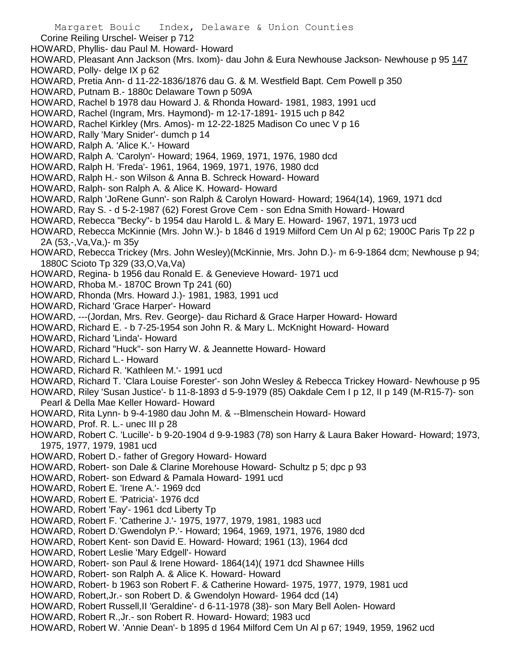- Corine Reiling Urschel- Weiser p 712
- HOWARD, Phyllis- dau Paul M. Howard- Howard
- HOWARD, Pleasant Ann Jackson (Mrs. Ixom)- dau John & Eura Newhouse Jackson- Newhouse p 95 147 HOWARD, Polly- delge IX p 62
- HOWARD, Pretia Ann- d 11-22-1836/1876 dau G. & M. Westfield Bapt. Cem Powell p 350
- HOWARD, Putnam B.- 1880c Delaware Town p 509A
- HOWARD, Rachel b 1978 dau Howard J. & Rhonda Howard- 1981, 1983, 1991 ucd
- HOWARD, Rachel (Ingram, Mrs. Haymond)- m 12-17-1891- 1915 uch p 842
- HOWARD, Rachel Kirkley (Mrs. Amos)- m 12-22-1825 Madison Co unec V p 16
- HOWARD, Rally 'Mary Snider'- dumch p 14
- HOWARD, Ralph A. 'Alice K.'- Howard
- HOWARD, Ralph A. 'Carolyn'- Howard; 1964, 1969, 1971, 1976, 1980 dcd
- HOWARD, Ralph H. 'Freda'- 1961, 1964, 1969, 1971, 1976, 1980 dcd
- HOWARD, Ralph H.- son Wilson & Anna B. Schreck Howard- Howard
- HOWARD, Ralph- son Ralph A. & Alice K. Howard- Howard
- HOWARD, Ralph 'JoRene Gunn'- son Ralph & Carolyn Howard- Howard; 1964(14), 1969, 1971 dcd
- HOWARD, Ray S. d 5-2-1987 (62) Forest Grove Cem son Edna Smith Howard- Howard
- HOWARD, Rebecca "Becky"- b 1954 dau Harold L. & Mary E. Howard- 1967, 1971, 1973 ucd
- HOWARD, Rebecca McKinnie (Mrs. John W.)- b 1846 d 1919 Milford Cem Un Al p 62; 1900C Paris Tp 22 p 2A (53,-,Va,Va,)- m 35y
- HOWARD, Rebecca Trickey (Mrs. John Wesley)(McKinnie, Mrs. John D.)- m 6-9-1864 dcm; Newhouse p 94; 1880C Scioto Tp 329 (33,O,Va,Va)
- HOWARD, Regina- b 1956 dau Ronald E. & Genevieve Howard- 1971 ucd
- HOWARD, Rhoba M.- 1870C Brown Tp 241 (60)
- HOWARD, Rhonda (Mrs. Howard J.)- 1981, 1983, 1991 ucd
- HOWARD, Richard 'Grace Harper'- Howard
- HOWARD, ---(Jordan, Mrs. Rev. George)- dau Richard & Grace Harper Howard- Howard
- HOWARD, Richard E. b 7-25-1954 son John R. & Mary L. McKnight Howard- Howard
- HOWARD, Richard 'Linda'- Howard
- HOWARD, Richard "Huck"- son Harry W. & Jeannette Howard- Howard
- HOWARD, Richard L.- Howard
- HOWARD, Richard R. 'Kathleen M.'- 1991 ucd
- HOWARD, Richard T. 'Clara Louise Forester'- son John Wesley & Rebecca Trickey Howard- Newhouse p 95
- HOWARD, Riley 'Susan Justice'- b 11-8-1893 d 5-9-1979 (85) Oakdale Cem I p 12, II p 149 (M-R15-7)- son
- Pearl & Della Mae Keller Howard- Howard
- HOWARD, Rita Lynn- b 9-4-1980 dau John M. & --Blmenschein Howard- Howard
- HOWARD, Prof. R. L.- unec III p 28
- HOWARD, Robert C. 'Lucille'- b 9-20-1904 d 9-9-1983 (78) son Harry & Laura Baker Howard- Howard; 1973, 1975, 1977, 1979, 1981 ucd
- HOWARD, Robert D.- father of Gregory Howard- Howard
- HOWARD, Robert- son Dale & Clarine Morehouse Howard- Schultz p 5; dpc p 93
- HOWARD, Robert- son Edward & Pamala Howard- 1991 ucd
- HOWARD, Robert E. 'Irene A.'- 1969 dcd
- HOWARD, Robert E. 'Patricia'- 1976 dcd
- HOWARD, Robert 'Fay'- 1961 dcd Liberty Tp
- HOWARD, Robert F. 'Catherine J.'- 1975, 1977, 1979, 1981, 1983 ucd
- HOWARD, Robert D.'Gwendolyn P.'- Howard; 1964, 1969, 1971, 1976, 1980 dcd
- HOWARD, Robert Kent- son David E. Howard- Howard; 1961 (13), 1964 dcd
- HOWARD, Robert Leslie 'Mary Edgell'- Howard
- HOWARD, Robert- son Paul & Irene Howard- 1864(14)( 1971 dcd Shawnee Hills
- HOWARD, Robert- son Ralph A. & Alice K. Howard- Howard
- HOWARD, Robert- b 1963 son Robert F. & Catherine Howard- 1975, 1977, 1979, 1981 ucd
- HOWARD, Robert,Jr.- son Robert D. & Gwendolyn Howard- 1964 dcd (14)
- HOWARD, Robert Russell,II 'Geraldine'- d 6-11-1978 (38)- son Mary Bell Aolen- Howard
- HOWARD, Robert R.,Jr.- son Robert R. Howard- Howard; 1983 ucd
- HOWARD, Robert W. 'Annie Dean'- b 1895 d 1964 Milford Cem Un Al p 67; 1949, 1959, 1962 ucd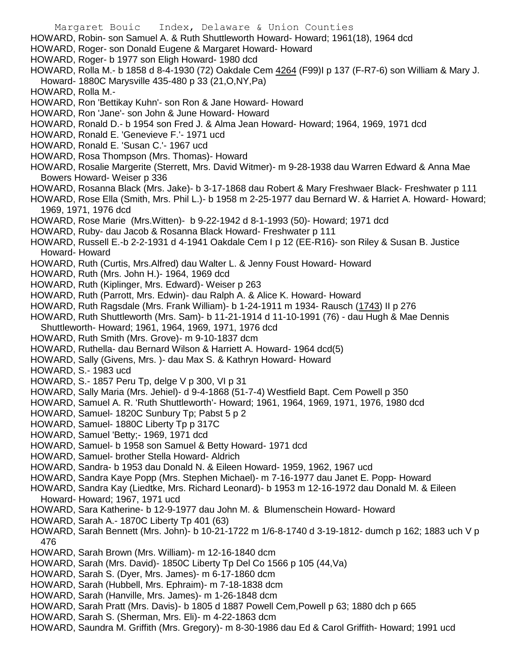Margaret Bouic Index, Delaware & Union Counties HOWARD, Robin- son Samuel A. & Ruth Shuttleworth Howard- Howard; 1961(18), 1964 dcd HOWARD, Roger- son Donald Eugene & Margaret Howard- Howard HOWARD, Roger- b 1977 son Eligh Howard- 1980 dcd HOWARD, Rolla M.- b 1858 d 8-4-1930 (72) Oakdale Cem 4264 (F99)I p 137 (F-R7-6) son William & Mary J. Howard- 1880C Marysville 435-480 p 33 (21,O,NY,Pa) HOWARD, Rolla M.- HOWARD, Ron 'Bettikay Kuhn'- son Ron & Jane Howard- Howard HOWARD, Ron 'Jane'- son John & June Howard- Howard HOWARD, Ronald D.- b 1954 son Fred J. & Alma Jean Howard- Howard; 1964, 1969, 1971 dcd HOWARD, Ronald E. 'Genevieve F.'- 1971 ucd HOWARD, Ronald E. 'Susan C.'- 1967 ucd HOWARD, Rosa Thompson (Mrs. Thomas)- Howard HOWARD, Rosalie Margerite (Sterrett, Mrs. David Witmer)- m 9-28-1938 dau Warren Edward & Anna Mae Bowers Howard- Weiser p 336 HOWARD, Rosanna Black (Mrs. Jake)- b 3-17-1868 dau Robert & Mary Freshwaer Black- Freshwater p 111 HOWARD, Rose Ella (Smith, Mrs. Phil L.)- b 1958 m 2-25-1977 dau Bernard W. & Harriet A. Howard- Howard; 1969, 1971, 1976 dcd HOWARD, Rose Marie (Mrs.Witten)- b 9-22-1942 d 8-1-1993 (50)- Howard; 1971 dcd HOWARD, Ruby- dau Jacob & Rosanna Black Howard- Freshwater p 111 HOWARD, Russell E.-b 2-2-1931 d 4-1941 Oakdale Cem I p 12 (EE-R16)- son Riley & Susan B. Justice Howard- Howard HOWARD, Ruth (Curtis, Mrs.Alfred) dau Walter L. & Jenny Foust Howard- Howard HOWARD, Ruth (Mrs. John H.)- 1964, 1969 dcd HOWARD, Ruth (Kiplinger, Mrs. Edward)- Weiser p 263 HOWARD, Ruth (Parrott, Mrs. Edwin)- dau Ralph A. & Alice K. Howard- Howard HOWARD, Ruth Ragsdale (Mrs. Frank William)- b 1-24-1911 m 1934- Rausch (1743) II p 276 HOWARD, Ruth Shuttleworth (Mrs. Sam)- b 11-21-1914 d 11-10-1991 (76) - dau Hugh & Mae Dennis Shuttleworth- Howard; 1961, 1964, 1969, 1971, 1976 dcd HOWARD, Ruth Smith (Mrs. Grove)- m 9-10-1837 dcm HOWARD, Ruthella- dau Bernard Wilson & Harriett A. Howard- 1964 dcd(5) HOWARD, Sally (Givens, Mrs. )- dau Max S. & Kathryn Howard- Howard HOWARD, S.- 1983 ucd HOWARD, S.- 1857 Peru Tp, delge V p 300, VI p 31 HOWARD, Sally Maria (Mrs. Jehiel)- d 9-4-1868 (51-7-4) Westfield Bapt. Cem Powell p 350 HOWARD, Samuel A. R. 'Ruth Shuttleworth'- Howard; 1961, 1964, 1969, 1971, 1976, 1980 dcd HOWARD, Samuel- 1820C Sunbury Tp; Pabst 5 p 2 HOWARD, Samuel- 1880C Liberty Tp p 317C HOWARD, Samuel 'Betty;- 1969, 1971 dcd HOWARD, Samuel- b 1958 son Samuel & Betty Howard- 1971 dcd HOWARD, Samuel- brother Stella Howard- Aldrich HOWARD, Sandra- b 1953 dau Donald N. & Eileen Howard- 1959, 1962, 1967 ucd HOWARD, Sandra Kaye Popp (Mrs. Stephen Michael)- m 7-16-1977 dau Janet E. Popp- Howard HOWARD, Sandra Kay (Liedtke, Mrs. Richard Leonard)- b 1953 m 12-16-1972 dau Donald M. & Eileen Howard- Howard; 1967, 1971 ucd HOWARD, Sara Katherine- b 12-9-1977 dau John M. & Blumenschein Howard- Howard HOWARD, Sarah A.- 1870C Liberty Tp 401 (63) HOWARD, Sarah Bennett (Mrs. John)- b 10-21-1722 m 1/6-8-1740 d 3-19-1812- dumch p 162; 1883 uch V p 476 HOWARD, Sarah Brown (Mrs. William)- m 12-16-1840 dcm HOWARD, Sarah (Mrs. David)- 1850C Liberty Tp Del Co 1566 p 105 (44,Va) HOWARD, Sarah S. (Dyer, Mrs. James)- m 6-17-1860 dcm HOWARD, Sarah (Hubbell, Mrs. Ephraim)- m 7-18-1838 dcm HOWARD, Sarah (Hanville, Mrs. James)- m 1-26-1848 dcm HOWARD, Sarah Pratt (Mrs. Davis)- b 1805 d 1887 Powell Cem,Powell p 63; 1880 dch p 665

- HOWARD, Sarah S. (Sherman, Mrs. Eli)- m 4-22-1863 dcm
- HOWARD, Saundra M. Griffith (Mrs. Gregory)- m 8-30-1986 dau Ed & Carol Griffith- Howard; 1991 ucd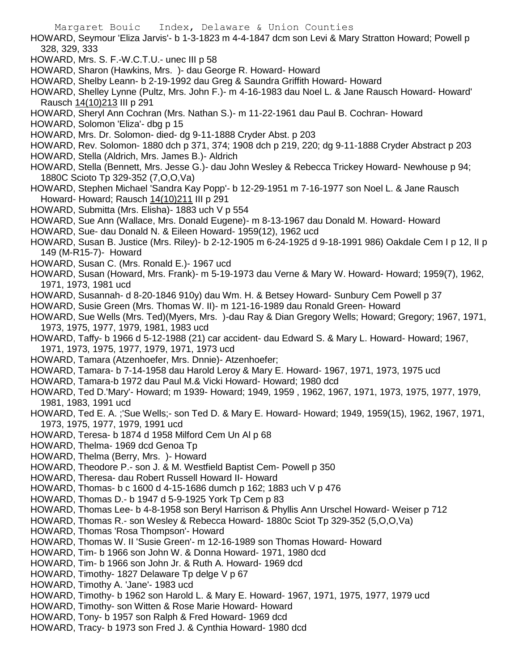HOWARD, Seymour 'Eliza Jarvis'- b 1-3-1823 m 4-4-1847 dcm son Levi & Mary Stratton Howard; Powell p 328, 329, 333

- HOWARD, Mrs. S. F.-W.C.T.U.- unec III p 58
- HOWARD, Sharon (Hawkins, Mrs. )- dau George R. Howard- Howard
- HOWARD, Shelby Leann- b 2-19-1992 dau Greg & Saundra Griffith Howard- Howard
- HOWARD, Shelley Lynne (Pultz, Mrs. John F.)- m 4-16-1983 dau Noel L. & Jane Rausch Howard- Howard' Rausch 14(10)213 III p 291
- HOWARD, Sheryl Ann Cochran (Mrs. Nathan S.)- m 11-22-1961 dau Paul B. Cochran- Howard
- HOWARD, Solomon 'Eliza'- dbg p 15
- HOWARD, Mrs. Dr. Solomon- died- dg 9-11-1888 Cryder Abst. p 203
- HOWARD, Rev. Solomon- 1880 dch p 371, 374; 1908 dch p 219, 220; dg 9-11-1888 Cryder Abstract p 203
- HOWARD, Stella (Aldrich, Mrs. James B.)- Aldrich
- HOWARD, Stella (Bennett, Mrs. Jesse G.)- dau John Wesley & Rebecca Trickey Howard- Newhouse p 94; 1880C Scioto Tp 329-352 (7,O,O,Va)
- HOWARD, Stephen Michael 'Sandra Kay Popp'- b 12-29-1951 m 7-16-1977 son Noel L. & Jane Rausch Howard- Howard; Rausch 14(10)211 III p 291
- HOWARD, Submitta (Mrs. Elisha)- 1883 uch V p 554
- HOWARD, Sue Ann (Wallace, Mrs. Donald Eugene)- m 8-13-1967 dau Donald M. Howard- Howard
- HOWARD, Sue- dau Donald N. & Eileen Howard- 1959(12), 1962 ucd
- HOWARD, Susan B. Justice (Mrs. Riley)- b 2-12-1905 m 6-24-1925 d 9-18-1991 986) Oakdale Cem I p 12, II p 149 (M-R15-7)- Howard
- HOWARD, Susan C. (Mrs. Ronald E.)- 1967 ucd
- HOWARD, Susan (Howard, Mrs. Frank)- m 5-19-1973 dau Verne & Mary W. Howard- Howard; 1959(7), 1962, 1971, 1973, 1981 ucd
- HOWARD, Susannah- d 8-20-1846 910y) dau Wm. H. & Betsey Howard- Sunbury Cem Powell p 37
- HOWARD, Susie Green (Mrs. Thomas W. II)- m 121-16-1989 dau Ronald Green- Howard
- HOWARD, Sue Wells (Mrs. Ted)(Myers, Mrs. )-dau Ray & Dian Gregory Wells; Howard; Gregory; 1967, 1971, 1973, 1975, 1977, 1979, 1981, 1983 ucd
- HOWARD, Taffy- b 1966 d 5-12-1988 (21) car accident- dau Edward S. & Mary L. Howard- Howard; 1967, 1971, 1973, 1975, 1977, 1979, 1971, 1973 ucd
- HOWARD, Tamara (Atzenhoefer, Mrs. Dnnie)- Atzenhoefer;
- HOWARD, Tamara- b 7-14-1958 dau Harold Leroy & Mary E. Howard- 1967, 1971, 1973, 1975 ucd
- HOWARD, Tamara-b 1972 dau Paul M.& Vicki Howard- Howard; 1980 dcd
- HOWARD, Ted D.'Mary'- Howard; m 1939- Howard; 1949, 1959 , 1962, 1967, 1971, 1973, 1975, 1977, 1979, 1981, 1983, 1991 ucd
- HOWARD, Ted E. A. ;'Sue Wells;- son Ted D. & Mary E. Howard- Howard; 1949, 1959(15), 1962, 1967, 1971, 1973, 1975, 1977, 1979, 1991 ucd
- HOWARD, Teresa- b 1874 d 1958 Milford Cem Un Al p 68
- HOWARD, Thelma- 1969 dcd Genoa Tp
- HOWARD, Thelma (Berry, Mrs. )- Howard
- HOWARD, Theodore P.- son J. & M. Westfield Baptist Cem- Powell p 350
- HOWARD, Theresa- dau Robert Russell Howard II- Howard
- HOWARD, Thomas- b c 1600 d 4-15-1686 dumch p 162; 1883 uch V p 476
- HOWARD, Thomas D.- b 1947 d 5-9-1925 York Tp Cem p 83
- HOWARD, Thomas Lee- b 4-8-1958 son Beryl Harrison & Phyllis Ann Urschel Howard- Weiser p 712
- HOWARD, Thomas R.- son Wesley & Rebecca Howard- 1880c Sciot Tp 329-352 (5,O,O,Va)
- HOWARD, Thomas 'Rosa Thompson'- Howard
- HOWARD, Thomas W. II 'Susie Green'- m 12-16-1989 son Thomas Howard- Howard
- HOWARD, Tim- b 1966 son John W. & Donna Howard- 1971, 1980 dcd
- HOWARD, Tim- b 1966 son John Jr. & Ruth A. Howard- 1969 dcd
- HOWARD, Timothy-1827 Delaware Tp delge V p 67
- HOWARD, Timothy A. 'Jane'- 1983 ucd
- HOWARD, Timothy- b 1962 son Harold L. & Mary E. Howard- 1967, 1971, 1975, 1977, 1979 ucd
- HOWARD, Timothy- son Witten & Rose Marie Howard- Howard
- HOWARD, Tony- b 1957 son Ralph & Fred Howard- 1969 dcd
- HOWARD, Tracy- b 1973 son Fred J. & Cynthia Howard- 1980 dcd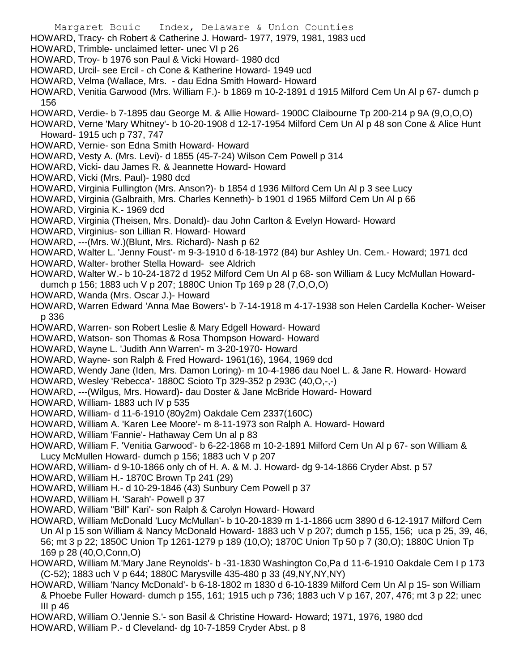- Margaret Bouic Index, Delaware & Union Counties HOWARD, Tracy- ch Robert & Catherine J. Howard- 1977, 1979, 1981, 1983 ucd HOWARD, Trimble- unclaimed letter- unec VI p 26 HOWARD, Troy- b 1976 son Paul & Vicki Howard- 1980 dcd HOWARD, Urcil- see Ercil - ch Cone & Katherine Howard- 1949 ucd HOWARD, Velma (Wallace, Mrs. - dau Edna Smith Howard- Howard HOWARD, Venitia Garwood (Mrs. William F.)- b 1869 m 10-2-1891 d 1915 Milford Cem Un Al p 67- dumch p 156 HOWARD, Verdie- b 7-1895 dau George M. & Allie Howard- 1900C Claibourne Tp 200-214 p 9A (9,O,O,O) HOWARD, Verne 'Mary Whitney'- b 10-20-1908 d 12-17-1954 Milford Cem Un Al p 48 son Cone & Alice Hunt Howard- 1915 uch p 737, 747 HOWARD, Vernie- son Edna Smith Howard- Howard HOWARD, Vesty A. (Mrs. Levi)- d 1855 (45-7-24) Wilson Cem Powell p 314 HOWARD, Vicki- dau James R. & Jeannette Howard- Howard HOWARD, Vicki (Mrs. Paul)- 1980 dcd HOWARD, Virginia Fullington (Mrs. Anson?)- b 1854 d 1936 Milford Cem Un Al p 3 see Lucy HOWARD, Virginia (Galbraith, Mrs. Charles Kenneth)- b 1901 d 1965 Milford Cem Un Al p 66 HOWARD, Virginia K.- 1969 dcd HOWARD, Virginia (Theisen, Mrs. Donald)- dau John Carlton & Evelyn Howard- Howard HOWARD, Virginius- son Lillian R. Howard- Howard HOWARD, ---(Mrs. W.)(Blunt, Mrs. Richard)- Nash p 62 HOWARD, Walter L. 'Jenny Foust'- m 9-3-1910 d 6-18-1972 (84) bur Ashley Un. Cem.- Howard; 1971 dcd HOWARD, Walter- brother Stella Howard- see Aldrich HOWARD, Walter W.- b 10-24-1872 d 1952 Milford Cem Un Al p 68- son William & Lucy McMullan Howarddumch p 156; 1883 uch V p 207; 1880C Union Tp 169 p 28 (7,O,O,O) HOWARD, Wanda (Mrs. Oscar J.)- Howard HOWARD, Warren Edward 'Anna Mae Bowers'- b 7-14-1918 m 4-17-1938 son Helen Cardella Kocher- Weiser p 336 HOWARD, Warren- son Robert Leslie & Mary Edgell Howard- Howard HOWARD, Watson- son Thomas & Rosa Thompson Howard- Howard HOWARD, Wayne L. 'Judith Ann Warren'- m 3-20-1970- Howard HOWARD, Wayne- son Ralph & Fred Howard- 1961(16), 1964, 1969 dcd HOWARD, Wendy Jane (Iden, Mrs. Damon Loring)- m 10-4-1986 dau Noel L. & Jane R. Howard- Howard HOWARD, Wesley 'Rebecca'- 1880C Scioto Tp 329-352 p 293C (40,O,-,-) HOWARD, ---(Wilgus, Mrs. Howard)- dau Doster & Jane McBride Howard- Howard HOWARD, William- 1883 uch IV p 535 HOWARD, William- d 11-6-1910 (80y2m) Oakdale Cem 2337(160C) HOWARD, William A. 'Karen Lee Moore'- m 8-11-1973 son Ralph A. Howard- Howard HOWARD, William 'Fannie'- Hathaway Cem Un al p 83 HOWARD, William F. 'Venitia Garwood'- b 6-22-1868 m 10-2-1891 Milford Cem Un Al p 67- son William & Lucy McMullen Howard- dumch p 156; 1883 uch V p 207 HOWARD, William- d 9-10-1866 only ch of H. A. & M. J. Howard- dg 9-14-1866 Cryder Abst. p 57 HOWARD, William H.- 1870C Brown Tp 241 (29) HOWARD, William H.- d 10-29-1846 (43) Sunbury Cem Powell p 37 HOWARD, William H. 'Sarah'- Powell p 37 HOWARD, William "Bill" Kari'- son Ralph & Carolyn Howard- Howard HOWARD, William McDonald 'Lucy McMullan'- b 10-20-1839 m 1-1-1866 ucm 3890 d 6-12-1917 Milford Cem Un Al p 15 son William & Nancy McDonald Howard- 1883 uch V p 207; dumch p 155, 156; uca p 25, 39, 46, 56; mt 3 p 22; 1850C Union Tp 1261-1279 p 189 (10,O); 1870C Union Tp 50 p 7 (30,O); 1880C Union Tp 169 p 28 (40,O,Conn,O)
- HOWARD, William M.'Mary Jane Reynolds'- b -31-1830 Washington Co,Pa d 11-6-1910 Oakdale Cem I p 173 (C-52); 1883 uch V p 644; 1880C Marysville 435-480 p 33 (49,NY,NY,NY)
- HOWARD, William 'Nancy McDonald'- b 6-18-1802 m 1830 d 6-10-1839 Milford Cem Un Al p 15- son William & Phoebe Fuller Howard- dumch p 155, 161; 1915 uch p 736; 1883 uch V p 167, 207, 476; mt 3 p 22; unec III p 46
- HOWARD, William O.'Jennie S.'- son Basil & Christine Howard- Howard; 1971, 1976, 1980 dcd
- HOWARD, William P.- d Cleveland- dg 10-7-1859 Cryder Abst. p 8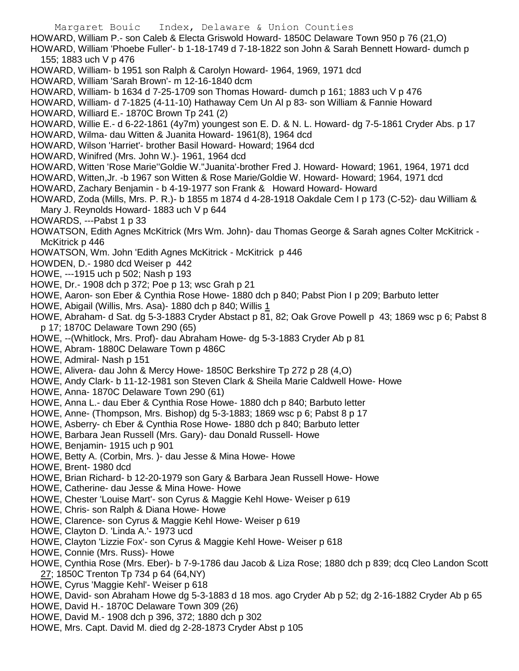Margaret Bouic Index, Delaware & Union Counties HOWARD, William P.- son Caleb & Electa Griswold Howard- 1850C Delaware Town 950 p 76 (21,O) HOWARD, William 'Phoebe Fuller'- b 1-18-1749 d 7-18-1822 son John & Sarah Bennett Howard- dumch p 155; 1883 uch V p 476 HOWARD, William- b 1951 son Ralph & Carolyn Howard- 1964, 1969, 1971 dcd HOWARD, William 'Sarah Brown'- m 12-16-1840 dcm HOWARD, William- b 1634 d 7-25-1709 son Thomas Howard- dumch p 161; 1883 uch V p 476 HOWARD, William- d 7-1825 (4-11-10) Hathaway Cem Un Al p 83- son William & Fannie Howard HOWARD, Williard E.- 1870C Brown Tp 241 (2) HOWARD, Willie E.- d 6-22-1861 (4y7m) youngest son E. D. & N. L. Howard- dg 7-5-1861 Cryder Abs. p 17 HOWARD, Wilma- dau Witten & Juanita Howard- 1961(8), 1964 dcd HOWARD, Wilson 'Harriet'- brother Basil Howard- Howard; 1964 dcd HOWARD, Winifred (Mrs. John W.)- 1961, 1964 dcd HOWARD, Witten 'Rose Marie''Goldie W.''Juanita'-brother Fred J. Howard- Howard; 1961, 1964, 1971 dcd HOWARD, Witten,Jr. -b 1967 son Witten & Rose Marie/Goldie W. Howard- Howard; 1964, 1971 dcd HOWARD, Zachary Benjamin - b 4-19-1977 son Frank & Howard Howard- Howard HOWARD, Zoda (Mills, Mrs. P. R.)- b 1855 m 1874 d 4-28-1918 Oakdale Cem I p 173 (C-52)- dau William & Mary J. Reynolds Howard- 1883 uch V p 644 HOWARDS, ---Pabst 1 p 33 HOWATSON, Edith Agnes McKitrick (Mrs Wm. John)- dau Thomas George & Sarah agnes Colter McKitrick - McKitrick p 446 HOWATSON, Wm. John 'Edith Agnes McKitrick - McKitrick p 446 HOWDEN, D.- 1980 dcd Weiser p 442 HOWE, ---1915 uch p 502; Nash p 193 HOWE, Dr.- 1908 dch p 372; Poe p 13; wsc Grah p 21 HOWE, Aaron- son Eber & Cynthia Rose Howe- 1880 dch p 840; Pabst Pion I p 209; Barbuto letter HOWE, Abigail (Willis, Mrs. Asa)- 1880 dch p 840; Willis 1 HOWE, Abraham- d Sat. dg 5-3-1883 Cryder Abstact p 81, 82; Oak Grove Powell p 43; 1869 wsc p 6; Pabst 8 p 17; 1870C Delaware Town 290 (65) HOWE, --(Whitlock, Mrs. Prof)- dau Abraham Howe- dg 5-3-1883 Cryder Ab p 81 HOWE, Abram- 1880C Delaware Town p 486C HOWE, Admiral- Nash p 151 HOWE, Alivera- dau John & Mercy Howe- 1850C Berkshire Tp 272 p 28 (4,O) HOWE, Andy Clark- b 11-12-1981 son Steven Clark & Sheila Marie Caldwell Howe- Howe HOWE, Anna- 1870C Delaware Town 290 (61) HOWE, Anna L.- dau Eber & Cynthia Rose Howe- 1880 dch p 840; Barbuto letter HOWE, Anne- (Thompson, Mrs. Bishop) dg 5-3-1883; 1869 wsc p 6; Pabst 8 p 17 HOWE, Asberry- ch Eber & Cynthia Rose Howe- 1880 dch p 840; Barbuto letter HOWE, Barbara Jean Russell (Mrs. Gary)- dau Donald Russell- Howe HOWE, Benjamin- 1915 uch p 901 HOWE, Betty A. (Corbin, Mrs. )- dau Jesse & Mina Howe- Howe HOWE, Brent- 1980 dcd HOWE, Brian Richard- b 12-20-1979 son Gary & Barbara Jean Russell Howe- Howe HOWE, Catherine- dau Jesse & Mina Howe- Howe HOWE, Chester 'Louise Mart'- son Cyrus & Maggie Kehl Howe- Weiser p 619 HOWE, Chris- son Ralph & Diana Howe- Howe HOWE, Clarence- son Cyrus & Maggie Kehl Howe- Weiser p 619 HOWE, Clayton D. 'Linda A.'- 1973 ucd HOWE, Clayton 'Lizzie Fox'- son Cyrus & Maggie Kehl Howe- Weiser p 618 HOWE, Connie (Mrs. Russ)- Howe

- HOWE, Cynthia Rose (Mrs. Eber)- b 7-9-1786 dau Jacob & Liza Rose; 1880 dch p 839; dcq Cleo Landon Scott 27; 1850C Trenton Tp 734 p 64 (64,NY)
- HOWE, Cyrus 'Maggie Kehl'- Weiser p 618
- HOWE, David- son Abraham Howe dg 5-3-1883 d 18 mos. ago Cryder Ab p 52; dg 2-16-1882 Cryder Ab p 65
- HOWE, David H.- 1870C Delaware Town 309 (26)
- HOWE, David M.- 1908 dch p 396, 372; 1880 dch p 302
- HOWE, Mrs. Capt. David M. died dg 2-28-1873 Cryder Abst p 105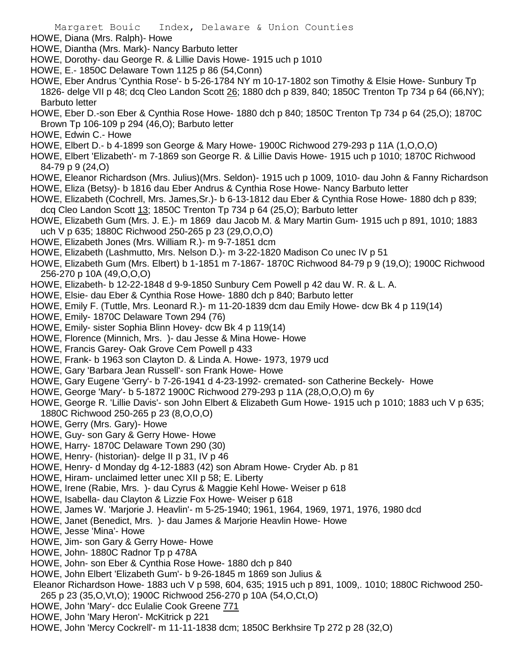- HOWE, Diana (Mrs. Ralph)- Howe
- HOWE, Diantha (Mrs. Mark)- Nancy Barbuto letter
- HOWE, Dorothy- dau George R. & Lillie Davis Howe- 1915 uch p 1010
- HOWE, E.- 1850C Delaware Town 1125 p 86 (54,Conn)
- HOWE, Eber Andrus 'Cynthia Rose'- b 5-26-1784 NY m 10-17-1802 son Timothy & Elsie Howe- Sunbury Tp 1826- delge VII p 48; dcq Cleo Landon Scott 26; 1880 dch p 839, 840; 1850C Trenton Tp 734 p 64 (66,NY); Barbuto letter
- HOWE, Eber D.-son Eber & Cynthia Rose Howe- 1880 dch p 840; 1850C Trenton Tp 734 p 64 (25,O); 1870C Brown Tp 106-109 p 294 (46,O); Barbuto letter
- HOWE, Edwin C.- Howe
- HOWE, Elbert D.- b 4-1899 son George & Mary Howe- 1900C Richwood 279-293 p 11A (1,O,O,O)
- HOWE, Elbert 'Elizabeth'- m 7-1869 son George R. & Lillie Davis Howe- 1915 uch p 1010; 1870C Richwood 84-79 p 9 (24,O)
- HOWE, Eleanor Richardson (Mrs. Julius)(Mrs. Seldon)- 1915 uch p 1009, 1010- dau John & Fanny Richardson
- HOWE, Eliza (Betsy)- b 1816 dau Eber Andrus & Cynthia Rose Howe- Nancy Barbuto letter
- HOWE, Elizabeth (Cochrell, Mrs. James,Sr.)- b 6-13-1812 dau Eber & Cynthia Rose Howe- 1880 dch p 839; dcq Cleo Landon Scott 13; 1850C Trenton Tp 734 p 64 (25,O); Barbuto letter
- HOWE, Elizabeth Gum (Mrs. J. E.)- m 1869 dau Jacob M. & Mary Martin Gum- 1915 uch p 891, 1010; 1883 uch V p 635; 1880C Richwood 250-265 p 23 (29,O,O,O)
- HOWE, Elizabeth Jones (Mrs. William R.)- m 9-7-1851 dcm
- HOWE, Elizabeth (Lashmutto, Mrs. Nelson D.)- m 3-22-1820 Madison Co unec IV p 51
- HOWE, Elizabeth Gum (Mrs. Elbert) b 1-1851 m 7-1867- 1870C Richwood 84-79 p 9 (19,O); 1900C Richwood 256-270 p 10A (49,O,O,O)
- HOWE, Elizabeth- b 12-22-1848 d 9-9-1850 Sunbury Cem Powell p 42 dau W. R. & L. A.
- HOWE, Elsie- dau Eber & Cynthia Rose Howe- 1880 dch p 840; Barbuto letter
- HOWE, Emily F. (Tuttle, Mrs. Leonard R.)- m 11-20-1839 dcm dau Emily Howe- dcw Bk 4 p 119(14)
- HOWE, Emily- 1870C Delaware Town 294 (76)
- HOWE, Emily- sister Sophia Blinn Hovey- dcw Bk 4 p 119(14)
- HOWE, Florence (Minnich, Mrs. )- dau Jesse & Mina Howe- Howe
- HOWE, Francis Garey- Oak Grove Cem Powell p 433
- HOWE, Frank- b 1963 son Clayton D. & Linda A. Howe- 1973, 1979 ucd
- HOWE, Gary 'Barbara Jean Russell'- son Frank Howe- Howe
- HOWE, Gary Eugene 'Gerry'- b 7-26-1941 d 4-23-1992- cremated- son Catherine Beckely- Howe
- HOWE, George 'Mary'- b 5-1872 1900C Richwood 279-293 p 11A (28,O,O,O) m 6y
- HOWE, George R. 'Lillie Davis'- son John Elbert & Elizabeth Gum Howe- 1915 uch p 1010; 1883 uch V p 635; 1880C Richwood 250-265 p 23 (8,O,O,O)
- HOWE, Gerry (Mrs. Gary)- Howe
- HOWE, Guy- son Gary & Gerry Howe- Howe
- HOWE, Harry- 1870C Delaware Town 290 (30)
- HOWE, Henry- (historian)- delge II p 31, IV p 46
- HOWE, Henry- d Monday dg 4-12-1883 (42) son Abram Howe- Cryder Ab. p 81
- HOWE, Hiram- unclaimed letter unec XII p 58; E. Liberty
- HOWE, Irene (Rabie, Mrs. )- dau Cyrus & Maggie Kehl Howe- Weiser p 618
- HOWE, Isabella- dau Clayton & Lizzie Fox Howe- Weiser p 618
- HOWE, James W. 'Marjorie J. Heavlin'- m 5-25-1940; 1961, 1964, 1969, 1971, 1976, 1980 dcd
- HOWE, Janet (Benedict, Mrs. )- dau James & Marjorie Heavlin Howe- Howe
- HOWE, Jesse 'Mina'- Howe
- HOWE, Jim- son Gary & Gerry Howe- Howe
- HOWE, John- 1880C Radnor Tp p 478A
- HOWE, John- son Eber & Cynthia Rose Howe- 1880 dch p 840
- HOWE, John Elbert 'Elizabeth Gum'- b 9-26-1845 m 1869 son Julius &
- Eleanor Richardson Howe- 1883 uch V p 598, 604, 635; 1915 uch p 891, 1009,. 1010; 1880C Richwood 250- 265 p 23 (35,O,Vt,O); 1900C Richwood 256-270 p 10A (54,O,Ct,O)
- HOWE, John 'Mary'- dcc Eulalie Cook Greene 771
- HOWE, John 'Mary Heron'- McKitrick p 221
- HOWE, John 'Mercy Cockrell'- m 11-11-1838 dcm; 1850C Berkhsire Tp 272 p 28 (32,O)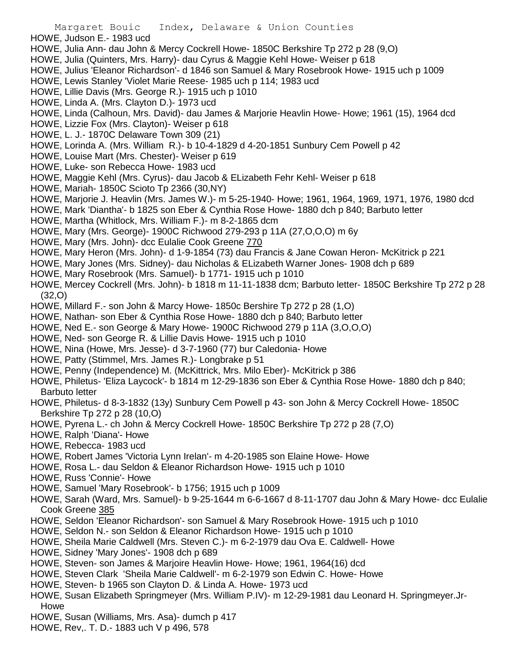- HOWE, Judson E.- 1983 ucd
- HOWE, Julia Ann- dau John & Mercy Cockrell Howe- 1850C Berkshire Tp 272 p 28 (9,O)
- HOWE, Julia (Quinters, Mrs. Harry)- dau Cyrus & Maggie Kehl Howe- Weiser p 618
- HOWE, Julius 'Eleanor Richardson'- d 1846 son Samuel & Mary Rosebrook Howe- 1915 uch p 1009
- HOWE, Lewis Stanley 'Violet Marie Reese- 1985 uch p 114; 1983 ucd
- HOWE, Lillie Davis (Mrs. George R.)- 1915 uch p 1010
- HOWE, Linda A. (Mrs. Clayton D.)- 1973 ucd
- HOWE, Linda (Calhoun, Mrs. David)- dau James & Marjorie Heavlin Howe- Howe; 1961 (15), 1964 dcd
- HOWE, Lizzie Fox (Mrs. Clayton)- Weiser p 618
- HOWE, L. J.- 1870C Delaware Town 309 (21)
- HOWE, Lorinda A. (Mrs. William R.)- b 10-4-1829 d 4-20-1851 Sunbury Cem Powell p 42
- HOWE, Louise Mart (Mrs. Chester)- Weiser p 619
- HOWE, Luke- son Rebecca Howe- 1983 ucd
- HOWE, Maggie Kehl (Mrs. Cyrus)- dau Jacob & ELizabeth Fehr Kehl- Weiser p 618
- HOWE, Mariah- 1850C Scioto Tp 2366 (30,NY)
- HOWE, Marjorie J. Heavlin (Mrs. James W.)- m 5-25-1940- Howe; 1961, 1964, 1969, 1971, 1976, 1980 dcd
- HOWE, Mark 'Diantha'- b 1825 son Eber & Cynthia Rose Howe- 1880 dch p 840; Barbuto letter
- HOWE, Martha (Whitlock, Mrs. William F.)- m 8-2-1865 dcm
- HOWE, Mary (Mrs. George)- 1900C Richwood 279-293 p 11A (27,O,O,O) m 6y
- HOWE, Mary (Mrs. John)- dcc Eulalie Cook Greene 770
- HOWE, Mary Heron (Mrs. John)- d 1-9-1854 (73) dau Francis & Jane Cowan Heron- McKitrick p 221
- HOWE, Mary Jones (Mrs. Sidney)- dau Nicholas & ELizabeth Warner Jones- 1908 dch p 689
- HOWE, Mary Rosebrook (Mrs. Samuel)- b 1771- 1915 uch p 1010
- HOWE, Mercey Cockrell (Mrs. John)- b 1818 m 11-11-1838 dcm; Barbuto letter- 1850C Berkshire Tp 272 p 28 (32,O)
- HOWE, Millard F.- son John & Marcy Howe- 1850c Bershire Tp 272 p 28 (1,O)
- HOWE, Nathan- son Eber & Cynthia Rose Howe- 1880 dch p 840; Barbuto letter
- HOWE, Ned E.- son George & Mary Howe- 1900C Richwood 279 p 11A (3,O,O,O)
- HOWE, Ned- son George R. & Lillie Davis Howe- 1915 uch p 1010
- HOWE, Nina (Howe, Mrs. Jesse)- d 3-7-1960 (77) bur Caledonia- Howe
- HOWE, Patty (Stimmel, Mrs. James R.)- Longbrake p 51
- HOWE, Penny (Independence) M. (McKittrick, Mrs. Milo Eber)- McKitrick p 386
- HOWE, Philetus- 'Eliza Laycock'- b 1814 m 12-29-1836 son Eber & Cynthia Rose Howe- 1880 dch p 840; Barbuto letter
- HOWE, Philetus- d 8-3-1832 (13y) Sunbury Cem Powell p 43- son John & Mercy Cockrell Howe- 1850C Berkshire Tp 272 p 28 (10,O)
- HOWE, Pyrena L.- ch John & Mercy Cockrell Howe- 1850C Berkshire Tp 272 p 28 (7,O)
- HOWE, Ralph 'Diana'- Howe
- HOWE, Rebecca- 1983 ucd
- HOWE, Robert James 'Victoria Lynn Irelan'- m 4-20-1985 son Elaine Howe- Howe
- HOWE, Rosa L.- dau Seldon & Eleanor Richardson Howe- 1915 uch p 1010
- HOWE, Russ 'Connie'- Howe
- HOWE, Samuel 'Mary Rosebrook'- b 1756; 1915 uch p 1009
- HOWE, Sarah (Ward, Mrs. Samuel)- b 9-25-1644 m 6-6-1667 d 8-11-1707 dau John & Mary Howe- dcc Eulalie Cook Greene 385
- HOWE, Seldon 'Eleanor Richardson'- son Samuel & Mary Rosebrook Howe- 1915 uch p 1010
- HOWE, Seldon N.- son Seldon & Eleanor Richardson Howe- 1915 uch p 1010
- HOWE, Sheila Marie Caldwell (Mrs. Steven C.)- m 6-2-1979 dau Ova E. Caldwell- Howe
- HOWE, Sidney 'Mary Jones'- 1908 dch p 689
- HOWE, Steven- son James & Marjoire Heavlin Howe- Howe; 1961, 1964(16) dcd
- HOWE, Steven Clark 'Sheila Marie Caldwell'- m 6-2-1979 son Edwin C. Howe- Howe
- HOWE, Steven- b 1965 son Clayton D. & Linda A. Howe- 1973 ucd
- HOWE, Susan Elizabeth Springmeyer (Mrs. William P.IV)- m 12-29-1981 dau Leonard H. Springmeyer.Jr-Howe
- HOWE, Susan (Williams, Mrs. Asa)- dumch p 417
- HOWE, Rev,. T. D.- 1883 uch V p 496, 578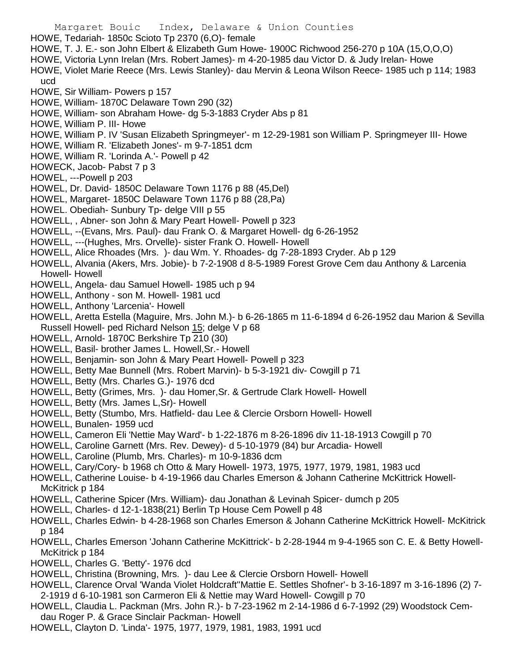- Margaret Bouic Index, Delaware & Union Counties HOWE, Tedariah- 1850c Scioto Tp 2370 (6,O)- female HOWE, T. J. E.- son John Elbert & Elizabeth Gum Howe- 1900C Richwood 256-270 p 10A (15,O,O,O) HOWE, Victoria Lynn Irelan (Mrs. Robert James)- m 4-20-1985 dau Victor D. & Judy Irelan- Howe HOWE, Violet Marie Reece (Mrs. Lewis Stanley)- dau Mervin & Leona Wilson Reece- 1985 uch p 114; 1983 ucd HOWE, Sir William- Powers p 157 HOWE, William- 1870C Delaware Town 290 (32) HOWE, William- son Abraham Howe- dg 5-3-1883 Cryder Abs p 81 HOWE, William P. III- Howe HOWE, William P. IV 'Susan Elizabeth Springmeyer'- m 12-29-1981 son William P. Springmeyer III- Howe HOWE, William R. 'Elizabeth Jones'- m 9-7-1851 dcm HOWE, William R. 'Lorinda A.'- Powell p 42 HOWECK, Jacob- Pabst 7 p 3 HOWEL, ---Powell p 203 HOWEL, Dr. David- 1850C Delaware Town 1176 p 88 (45,Del) HOWEL, Margaret- 1850C Delaware Town 1176 p 88 (28,Pa) HOWEL. Obediah- Sunbury Tp- delge VIII p 55 HOWELL, , Abner- son John & Mary Peart Howell- Powell p 323 HOWELL, --(Evans, Mrs. Paul)- dau Frank O. & Margaret Howell- dg 6-26-1952 HOWELL, ---(Hughes, Mrs. Orvelle)- sister Frank O. Howell- Howell HOWELL, Alice Rhoades (Mrs. )- dau Wm. Y. Rhoades- dg 7-28-1893 Cryder. Ab p 129 HOWELL, Alvania (Akers, Mrs. Jobie)- b 7-2-1908 d 8-5-1989 Forest Grove Cem dau Anthony & Larcenia Howell- Howell HOWELL, Angela- dau Samuel Howell- 1985 uch p 94 HOWELL, Anthony - son M. Howell- 1981 ucd HOWELL, Anthony 'Larcenia'- Howell HOWELL, Aretta Estella (Maguire, Mrs. John M.)- b 6-26-1865 m 11-6-1894 d 6-26-1952 dau Marion & Sevilla Russell Howell- ped Richard Nelson 15; delge V p 68 HOWELL, Arnold- 1870C Berkshire Tp 210 (30) HOWELL, Basil- brother James L. Howell,Sr.- Howell HOWELL, Benjamin- son John & Mary Peart Howell- Powell p 323 HOWELL, Betty Mae Bunnell (Mrs. Robert Marvin)- b 5-3-1921 div- Cowgill p 71 HOWELL, Betty (Mrs. Charles G.)- 1976 dcd HOWELL, Betty (Grimes, Mrs. )- dau Homer,Sr. & Gertrude Clark Howell- Howell HOWELL, Betty (Mrs. James L,Sr)- Howell HOWELL, Betty (Stumbo, Mrs. Hatfield- dau Lee & Clercie Orsborn Howell- Howell HOWELL, Bunalen- 1959 ucd HOWELL, Cameron Eli 'Nettie May Ward'- b 1-22-1876 m 8-26-1896 div 11-18-1913 Cowgill p 70 HOWELL, Caroline Garnett (Mrs. Rev. Dewey)- d 5-10-1979 (84) bur Arcadia- Howell HOWELL, Caroline (Plumb, Mrs. Charles)- m 10-9-1836 dcm HOWELL, Cary/Cory- b 1968 ch Otto & Mary Howell- 1973, 1975, 1977, 1979, 1981, 1983 ucd HOWELL, Catherine Louise- b 4-19-1966 dau Charles Emerson & Johann Catherine McKittrick Howell-McKitrick p 184 HOWELL, Catherine Spicer (Mrs. William)- dau Jonathan & Levinah Spicer- dumch p 205 HOWELL, Charles- d 12-1-1838(21) Berlin Tp House Cem Powell p 48 HOWELL, Charles Edwin- b 4-28-1968 son Charles Emerson & Johann Catherine McKittrick Howell- McKitrick p 184 HOWELL, Charles Emerson 'Johann Catherine McKittrick'- b 2-28-1944 m 9-4-1965 son C. E. & Betty Howell-McKitrick p 184 HOWELL, Charles G. 'Betty'- 1976 dcd HOWELL, Christina (Browning, Mrs. )- dau Lee & Clercie Orsborn Howell- Howell HOWELL, Clarence Orval 'Wanda Violet Holdcraft''Mattie E. Settles Shofner'- b 3-16-1897 m 3-16-1896 (2) 7- 2-1919 d 6-10-1981 son Carmeron Eli & Nettie may Ward Howell- Cowgill p 70
- HOWELL, Claudia L. Packman (Mrs. John R.)- b 7-23-1962 m 2-14-1986 d 6-7-1992 (29) Woodstock Cemdau Roger P. & Grace Sinclair Packman- Howell
- HOWELL, Clayton D. 'Linda'- 1975, 1977, 1979, 1981, 1983, 1991 ucd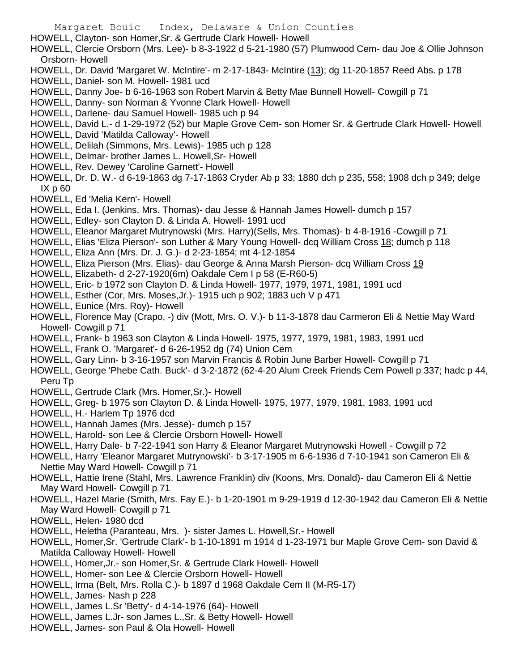HOWELL, Clayton- son Homer,Sr. & Gertrude Clark Howell- Howell

HOWELL, Clercie Orsborn (Mrs. Lee)- b 8-3-1922 d 5-21-1980 (57) Plumwood Cem- dau Joe & Ollie Johnson Orsborn- Howell

- HOWELL, Dr. David 'Margaret W. McIntire'- m 2-17-1843- McIntire (13); dg 11-20-1857 Reed Abs. p 178
- HOWELL, Daniel- son M. Howell- 1981 ucd
- HOWELL, Danny Joe- b 6-16-1963 son Robert Marvin & Betty Mae Bunnell Howell- Cowgill p 71
- HOWELL, Danny- son Norman & Yvonne Clark Howell- Howell
- HOWELL, Darlene- dau Samuel Howell- 1985 uch p 94
- HOWELL, David L.- d 1-29-1972 (52) bur Maple Grove Cem- son Homer Sr. & Gertrude Clark Howell- Howell
- HOWELL, David 'Matilda Calloway'- Howell
- HOWELL, Delilah (Simmons, Mrs. Lewis)- 1985 uch p 128
- HOWELL, Delmar- brother James L. Howell,Sr- Howell
- HOWELL, Rev. Dewey 'Caroline Garnett'- Howell
- HOWELL, Dr. D. W.- d 6-19-1863 dg 7-17-1863 Cryder Ab p 33; 1880 dch p 235, 558; 1908 dch p 349; delge IX p 60
- HOWELL, Ed 'Melia Kern'- Howell
- HOWELL, Eda I. (Jenkins, Mrs. Thomas)- dau Jesse & Hannah James Howell- dumch p 157
- HOWELL, Edley- son Clayton D. & Linda A. Howell- 1991 ucd
- HOWELL, Eleanor Margaret Mutrynowski (Mrs. Harry)(Sells, Mrs. Thomas)- b 4-8-1916 -Cowgill p 71
- HOWELL, Elias 'Eliza Pierson'- son Luther & Mary Young Howell- dcq William Cross 18; dumch p 118
- HOWELL, Eliza Ann (Mrs. Dr. J. G.)- d 2-23-1854; mt 4-12-1854
- HOWELL, Eliza Pierson (Mrs. Elias)- dau George & Anna Marsh Pierson- dcq William Cross 19
- HOWELL, Elizabeth- d 2-27-1920(6m) Oakdale Cem I p 58 (E-R60-5)
- HOWELL, Eric- b 1972 son Clayton D. & Linda Howell- 1977, 1979, 1971, 1981, 1991 ucd
- HOWELL, Esther (Cor, Mrs. Moses,Jr.)- 1915 uch p 902; 1883 uch V p 471
- HOWELL, Eunice (Mrs. Roy)- Howell
- HOWELL, Florence May (Crapo, -) div (Mott, Mrs. O. V.)- b 11-3-1878 dau Carmeron Eli & Nettie May Ward Howell- Cowgill p 71
- HOWELL, Frank- b 1963 son Clayton & Linda Howell- 1975, 1977, 1979, 1981, 1983, 1991 ucd
- HOWELL, Frank O. 'Margaret'- d 6-26-1952 dg (74) Union Cem
- HOWELL, Gary Linn- b 3-16-1957 son Marvin Francis & Robin June Barber Howell- Cowgill p 71
- HOWELL, George 'Phebe Cath. Buck'- d 3-2-1872 (62-4-20 Alum Creek Friends Cem Powell p 337; hadc p 44, Peru Tp
- HOWELL, Gertrude Clark (Mrs. Homer,Sr.)- Howell
- HOWELL, Greg- b 1975 son Clayton D. & Linda Howell- 1975, 1977, 1979, 1981, 1983, 1991 ucd
- HOWELL, H.- Harlem Tp 1976 dcd
- HOWELL, Hannah James (Mrs. Jesse)- dumch p 157
- HOWELL, Harold- son Lee & Clercie Orsborn Howell- Howell
- HOWELL, Harry Dale- b 7-22-1941 son Harry & Eleanor Margaret Mutrynowski Howell Cowgill p 72
- HOWELL, Harry 'Eleanor Margaret Mutrynowski'- b 3-17-1905 m 6-6-1936 d 7-10-1941 son Cameron Eli & Nettie May Ward Howell- Cowgill p 71
- HOWELL, Hattie Irene (Stahl, Mrs. Lawrence Franklin) div (Koons, Mrs. Donald)- dau Cameron Eli & Nettie May Ward Howell- Cowgill p 71
- HOWELL, Hazel Marie (Smith, Mrs. Fay E.)- b 1-20-1901 m 9-29-1919 d 12-30-1942 dau Cameron Eli & Nettie May Ward Howell- Cowgill p 71
- HOWELL, Helen- 1980 dcd
- HOWELL, Heletha (Paranteau, Mrs. )- sister James L. Howell,Sr.- Howell
- HOWELL, Homer,Sr. 'Gertrude Clark'- b 1-10-1891 m 1914 d 1-23-1971 bur Maple Grove Cem- son David & Matilda Calloway Howell- Howell
- HOWELL, Homer,Jr.- son Homer,Sr. & Gertrude Clark Howell- Howell
- HOWELL, Homer- son Lee & Clercie Orsborn Howell- Howell
- HOWELL, Irma (Belt, Mrs. Rolla C.)- b 1897 d 1968 Oakdale Cem II (M-R5-17)
- HOWELL, James- Nash p 228
- HOWELL, James L.Sr 'Betty'- d 4-14-1976 (64)- Howell
- HOWELL, James L.Jr- son James L.,Sr. & Betty Howell- Howell
- HOWELL, James- son Paul & Ola Howell- Howell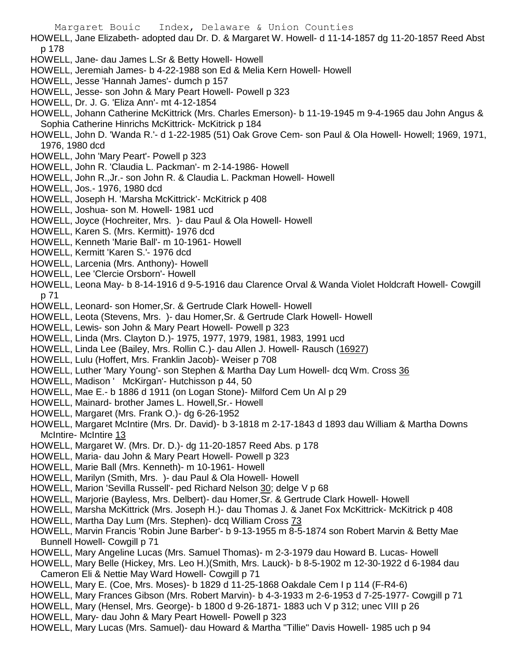- HOWELL, Jane Elizabeth- adopted dau Dr. D. & Margaret W. Howell- d 11-14-1857 dg 11-20-1857 Reed Abst p 178
- HOWELL, Jane- dau James L.Sr & Betty Howell- Howell
- HOWELL, Jeremiah James- b 4-22-1988 son Ed & Melia Kern Howell- Howell
- HOWELL, Jesse 'Hannah James'- dumch p 157
- HOWELL, Jesse- son John & Mary Peart Howell- Powell p 323
- HOWELL, Dr. J. G. 'Eliza Ann'- mt 4-12-1854
- HOWELL, Johann Catherine McKittrick (Mrs. Charles Emerson)- b 11-19-1945 m 9-4-1965 dau John Angus & Sophia Catherine Hinrichs McKittrick- McKitrick p 184
- HOWELL, John D. 'Wanda R.'- d 1-22-1985 (51) Oak Grove Cem- son Paul & Ola Howell- Howell; 1969, 1971, 1976, 1980 dcd
- HOWELL, John 'Mary Peart'- Powell p 323
- HOWELL, John R. 'Claudia L. Packman'- m 2-14-1986- Howell
- HOWELL, John R.,Jr.- son John R. & Claudia L. Packman Howell- Howell
- HOWELL, Jos.- 1976, 1980 dcd
- HOWELL, Joseph H. 'Marsha McKittrick'- McKitrick p 408
- HOWELL, Joshua- son M. Howell- 1981 ucd
- HOWELL, Joyce (Hochreiter, Mrs. )- dau Paul & Ola Howell- Howell
- HOWELL, Karen S. (Mrs. Kermitt)- 1976 dcd
- HOWELL, Kenneth 'Marie Ball'- m 10-1961- Howell
- HOWELL, Kermitt 'Karen S.'- 1976 dcd
- HOWELL, Larcenia (Mrs. Anthony)- Howell
- HOWELL, Lee 'Clercie Orsborn'- Howell
- HOWELL, Leona May- b 8-14-1916 d 9-5-1916 dau Clarence Orval & Wanda Violet Holdcraft Howell- Cowgill p 71
- HOWELL, Leonard- son Homer,Sr. & Gertrude Clark Howell- Howell
- HOWELL, Leota (Stevens, Mrs. )- dau Homer,Sr. & Gertrude Clark Howell- Howell
- HOWELL, Lewis- son John & Mary Peart Howell- Powell p 323
- HOWELL, Linda (Mrs. Clayton D.)- 1975, 1977, 1979, 1981, 1983, 1991 ucd
- HOWELL, Linda Lee (Bailey, Mrs. Rollin C.)- dau Allen J. Howell- Rausch (16927)
- HOWELL, Lulu (Hoffert, Mrs. Franklin Jacob)- Weiser p 708
- HOWELL, Luther 'Mary Young'- son Stephen & Martha Day Lum Howell- dcq Wm. Cross 36
- HOWELL, Madison ' McKirgan'- Hutchisson p 44, 50
- HOWELL, Mae E.- b 1886 d 1911 (on Logan Stone)- Milford Cem Un Al p 29
- HOWELL, Mainard- brother James L. Howell,Sr.- Howell
- HOWELL, Margaret (Mrs. Frank O.)- dg 6-26-1952
- HOWELL, Margaret McIntire (Mrs. Dr. David)- b 3-1818 m 2-17-1843 d 1893 dau William & Martha Downs McIntire- McIntire 13
- HOWELL, Margaret W. (Mrs. Dr. D.)- dg 11-20-1857 Reed Abs. p 178
- HOWELL, Maria- dau John & Mary Peart Howell- Powell p 323
- HOWELL, Marie Ball (Mrs. Kenneth)- m 10-1961- Howell
- HOWELL, Marilyn (Smith, Mrs. )- dau Paul & Ola Howell- Howell
- HOWELL, Marion 'Sevilla Russell'- ped Richard Nelson 30; delge V p 68
- HOWELL, Marjorie (Bayless, Mrs. Delbert)- dau Homer,Sr. & Gertrude Clark Howell- Howell
- HOWELL, Marsha McKittrick (Mrs. Joseph H.)- dau Thomas J. & Janet Fox McKittrick- McKitrick p 408
- HOWELL, Martha Day Lum (Mrs. Stephen)- dcq William Cross 73
- HOWELL, Marvin Francis 'Robin June Barber'- b 9-13-1955 m 8-5-1874 son Robert Marvin & Betty Mae Bunnell Howell- Cowgill p 71
- HOWELL, Mary Angeline Lucas (Mrs. Samuel Thomas)- m 2-3-1979 dau Howard B. Lucas- Howell
- HOWELL, Mary Belle (Hickey, Mrs. Leo H.)(Smith, Mrs. Lauck)- b 8-5-1902 m 12-30-1922 d 6-1984 dau Cameron Eli & Nettie May Ward Howell- Cowgill p 71
- HOWELL, Mary E. (Coe, Mrs. Moses)- b 1829 d 11-25-1868 Oakdale Cem I p 114 (F-R4-6)
- HOWELL, Mary Frances Gibson (Mrs. Robert Marvin)- b 4-3-1933 m 2-6-1953 d 7-25-1977- Cowgill p 71
- HOWELL, Mary (Hensel, Mrs. George)- b 1800 d 9-26-1871- 1883 uch V p 312; unec VIII p 26
- HOWELL, Mary- dau John & Mary Peart Howell- Powell p 323
- HOWELL, Mary Lucas (Mrs. Samuel)- dau Howard & Martha "Tillie" Davis Howell- 1985 uch p 94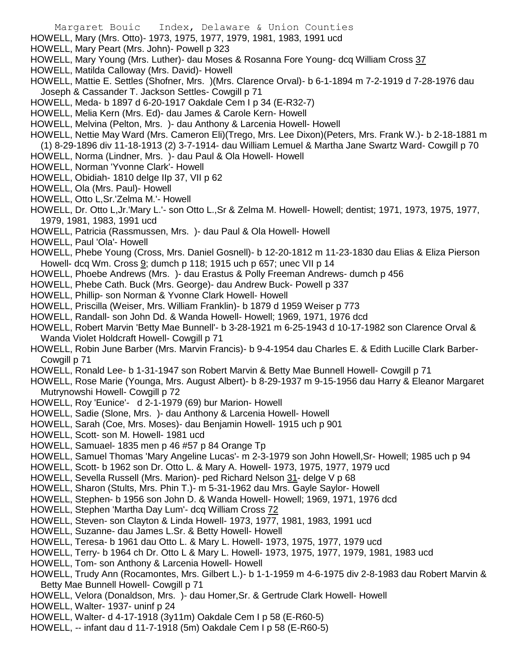- Margaret Bouic Index, Delaware & Union Counties
- HOWELL, Mary (Mrs. Otto)- 1973, 1975, 1977, 1979, 1981, 1983, 1991 ucd
- HOWELL, Mary Peart (Mrs. John)- Powell p 323
- HOWELL, Mary Young (Mrs. Luther)- dau Moses & Rosanna Fore Young- dcq William Cross 37
- HOWELL, Matilda Calloway (Mrs. David)- Howell
- HOWELL, Mattie E. Settles (Shofner, Mrs. )(Mrs. Clarence Orval)- b 6-1-1894 m 7-2-1919 d 7-28-1976 dau Joseph & Cassander T. Jackson Settles- Cowgill p 71
- HOWELL, Meda- b 1897 d 6-20-1917 Oakdale Cem I p 34 (E-R32-7)
- HOWELL, Melia Kern (Mrs. Ed)- dau James & Carole Kern- Howell
- HOWELL, Melvina (Pelton, Mrs. )- dau Anthony & Larcenia Howell- Howell
- HOWELL, Nettie May Ward (Mrs. Cameron Eli)(Trego, Mrs. Lee Dixon)(Peters, Mrs. Frank W.)- b 2-18-1881 m
- (1) 8-29-1896 div 11-18-1913 (2) 3-7-1914- dau William Lemuel & Martha Jane Swartz Ward- Cowgill p 70
- HOWELL, Norma (Lindner, Mrs. )- dau Paul & Ola Howell- Howell
- HOWELL, Norman 'Yvonne Clark'- Howell
- HOWELL, Obidiah- 1810 delge IIp 37, VII p 62
- HOWELL, Ola (Mrs. Paul)- Howell
- HOWELL, Otto L,Sr.'Zelma M.'- Howell
- HOWELL, Dr. Otto L,Jr.'Mary L.'- son Otto L.,Sr & Zelma M. Howell- Howell; dentist; 1971, 1973, 1975, 1977, 1979, 1981, 1983, 1991 ucd
- HOWELL, Patricia (Rassmussen, Mrs. )- dau Paul & Ola Howell- Howell
- HOWELL, Paul 'Ola'- Howell
- HOWELL, Phebe Young (Cross, Mrs. Daniel Gosnell)- b 12-20-1812 m 11-23-1830 dau Elias & Eliza Pierson Howell- dcq Wm. Cross 9; dumch p 118; 1915 uch p 657; unec VII p 14
- HOWELL, Phoebe Andrews (Mrs. )- dau Erastus & Polly Freeman Andrews- dumch p 456
- HOWELL, Phebe Cath. Buck (Mrs. George)- dau Andrew Buck- Powell p 337
- HOWELL, Phillip- son Norman & Yvonne Clark Howell- Howell
- HOWELL, Priscilla (Weiser, Mrs. William Franklin)- b 1879 d 1959 Weiser p 773
- HOWELL, Randall- son John Dd. & Wanda Howell- Howell; 1969, 1971, 1976 dcd
- HOWELL, Robert Marvin 'Betty Mae Bunnell'- b 3-28-1921 m 6-25-1943 d 10-17-1982 son Clarence Orval & Wanda Violet Holdcraft Howell- Cowgill p 71
- HOWELL, Robin June Barber (Mrs. Marvin Francis)- b 9-4-1954 dau Charles E. & Edith Lucille Clark Barber-Cowgill p 71
- HOWELL, Ronald Lee- b 1-31-1947 son Robert Marvin & Betty Mae Bunnell Howell- Cowgill p 71
- HOWELL, Rose Marie (Younga, Mrs. August Albert)- b 8-29-1937 m 9-15-1956 dau Harry & Eleanor Margaret Mutrynowshi Howell- Cowgill p 72
- HOWELL, Roy 'Eunice'- d 2-1-1979 (69) bur Marion- Howell
- HOWELL, Sadie (Slone, Mrs. )- dau Anthony & Larcenia Howell- Howell
- HOWELL, Sarah (Coe, Mrs. Moses)- dau Benjamin Howell- 1915 uch p 901
- HOWELL, Scott- son M. Howell- 1981 ucd
- HOWELL, Samuael- 1835 men p 46 #57 p 84 Orange Tp
- HOWELL, Samuel Thomas 'Mary Angeline Lucas'- m 2-3-1979 son John Howell,Sr- Howell; 1985 uch p 94
- HOWELL, Scott- b 1962 son Dr. Otto L. & Mary A. Howell- 1973, 1975, 1977, 1979 ucd
- HOWELL, Sevella Russell (Mrs. Marion)- ped Richard Nelson 31- delge V p 68
- HOWELL, Sharon (Stults, Mrs. Phin T.)- m 5-31-1962 dau Mrs. Gayle Saylor- Howell
- HOWELL, Stephen- b 1956 son John D. & Wanda Howell- Howell; 1969, 1971, 1976 dcd
- HOWELL, Stephen 'Martha Day Lum'- dcq William Cross 72
- HOWELL, Steven- son Clayton & Linda Howell- 1973, 1977, 1981, 1983, 1991 ucd
- HOWELL, Suzanne- dau James L.Sr. & Betty Howell- Howell
- HOWELL, Teresa- b 1961 dau Otto L. & Mary L. Howell- 1973, 1975, 1977, 1979 ucd
- HOWELL, Terry- b 1964 ch Dr. Otto L & Mary L. Howell- 1973, 1975, 1977, 1979, 1981, 1983 ucd
- HOWELL, Tom- son Anthony & Larcenia Howell- Howell
- HOWELL, Trudy Ann (Rocamontes, Mrs. Gilbert L.)- b 1-1-1959 m 4-6-1975 div 2-8-1983 dau Robert Marvin & Betty Mae Bunnell Howell- Cowgill p 71
- HOWELL, Velora (Donaldson, Mrs. )- dau Homer,Sr. & Gertrude Clark Howell- Howell
- HOWELL, Walter- 1937- uninf p 24
- HOWELL, Walter- d 4-17-1918 (3y11m) Oakdale Cem I p 58 (E-R60-5)
- HOWELL, -- infant dau d 11-7-1918 (5m) Oakdale Cem I p 58 (E-R60-5)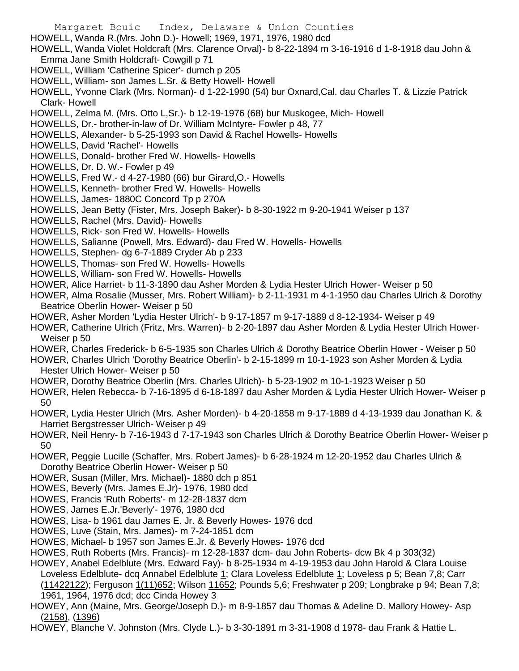- HOWELL, Wanda R.(Mrs. John D.)- Howell; 1969, 1971, 1976, 1980 dcd
- HOWELL, Wanda Violet Holdcraft (Mrs. Clarence Orval)- b 8-22-1894 m 3-16-1916 d 1-8-1918 dau John & Emma Jane Smith Holdcraft- Cowgill p 71
- HOWELL, William 'Catherine Spicer'- dumch p 205
- HOWELL, William- son James L.Sr. & Betty Howell- Howell
- HOWELL, Yvonne Clark (Mrs. Norman)- d 1-22-1990 (54) bur Oxnard,Cal. dau Charles T. & Lizzie Patrick Clark- Howell
- HOWELL, Zelma M. (Mrs. Otto L,Sr.)- b 12-19-1976 (68) bur Muskogee, Mich- Howell
- HOWELLS, Dr.- brother-in-law of Dr. William McIntyre- Fowler p 48, 77
- HOWELLS, Alexander- b 5-25-1993 son David & Rachel Howells- Howells
- HOWELLS, David 'Rachel'- Howells
- HOWELLS, Donald- brother Fred W. Howells- Howells
- HOWELLS, Dr. D. W.- Fowler p 49
- HOWELLS, Fred W.- d 4-27-1980 (66) bur Girard,O.- Howells
- HOWELLS, Kenneth- brother Fred W. Howells- Howells
- HOWELLS, James- 1880C Concord Tp p 270A
- HOWELLS, Jean Betty (Fister, Mrs. Joseph Baker)- b 8-30-1922 m 9-20-1941 Weiser p 137
- HOWELLS, Rachel (Mrs. David)- Howells
- HOWELLS, Rick- son Fred W. Howells- Howells
- HOWELLS, Salianne (Powell, Mrs. Edward)- dau Fred W. Howells- Howells
- HOWELLS, Stephen- dg 6-7-1889 Cryder Ab p 233
- HOWELLS, Thomas- son Fred W. Howells- Howells
- HOWELLS, William- son Fred W. Howells- Howells
- HOWER, Alice Harriet- b 11-3-1890 dau Asher Morden & Lydia Hester Ulrich Hower- Weiser p 50
- HOWER, Alma Rosalie (Musser, Mrs. Robert William)- b 2-11-1931 m 4-1-1950 dau Charles Ulrich & Dorothy Beatrice Oberlin Hower- Weiser p 50
- HOWER, Asher Morden 'Lydia Hester Ulrich'- b 9-17-1857 m 9-17-1889 d 8-12-1934- Weiser p 49
- HOWER, Catherine Ulrich (Fritz, Mrs. Warren)- b 2-20-1897 dau Asher Morden & Lydia Hester Ulrich Hower-Weiser p 50
- HOWER, Charles Frederick- b 6-5-1935 son Charles Ulrich & Dorothy Beatrice Oberlin Hower Weiser p 50
- HOWER, Charles Ulrich 'Dorothy Beatrice Oberlin'- b 2-15-1899 m 10-1-1923 son Asher Morden & Lydia Hester Ulrich Hower- Weiser p 50
- HOWER, Dorothy Beatrice Oberlin (Mrs. Charles Ulrich)- b 5-23-1902 m 10-1-1923 Weiser p 50
- HOWER, Helen Rebecca- b 7-16-1895 d 6-18-1897 dau Asher Morden & Lydia Hester Ulrich Hower- Weiser p 50
- HOWER, Lydia Hester Ulrich (Mrs. Asher Morden)- b 4-20-1858 m 9-17-1889 d 4-13-1939 dau Jonathan K. & Harriet Bergstresser Ulrich- Weiser p 49
- HOWER, Neil Henry- b 7-16-1943 d 7-17-1943 son Charles Ulrich & Dorothy Beatrice Oberlin Hower- Weiser p 50
- HOWER, Peggie Lucille (Schaffer, Mrs. Robert James)- b 6-28-1924 m 12-20-1952 dau Charles Ulrich & Dorothy Beatrice Oberlin Hower- Weiser p 50
- HOWER, Susan (Miller, Mrs. Michael)- 1880 dch p 851
- HOWES, Beverly (Mrs. James E.Jr)- 1976, 1980 dcd
- HOWES, Francis 'Ruth Roberts'- m 12-28-1837 dcm
- HOWES, James E.Jr.'Beverly'- 1976, 1980 dcd
- HOWES, Lisa- b 1961 dau James E. Jr. & Beverly Howes- 1976 dcd
- HOWES, Luve (Stain, Mrs. James)- m 7-24-1851 dcm
- HOWES, Michael- b 1957 son James E.Jr. & Beverly Howes- 1976 dcd
- HOWES, Ruth Roberts (Mrs. Francis)- m 12-28-1837 dcm- dau John Roberts- dcw Bk 4 p 303(32)
- HOWEY, Anabel Edelblute (Mrs. Edward Fay)- b 8-25-1934 m 4-19-1953 dau John Harold & Clara Louise Loveless Edelblute- dcq Annabel Edelblute 1; Clara Loveless Edelblute 1; Loveless p 5; Bean 7,8; Carr (11422122); Ferguson 1(11)652; Wilson 11652; Pounds 5,6; Freshwater p 209; Longbrake p 94; Bean 7,8; 1961, 1964, 1976 dcd; dcc Cinda Howey 3
- HOWEY, Ann (Maine, Mrs. George/Joseph D.)- m 8-9-1857 dau Thomas & Adeline D. Mallory Howey- Asp (2158), (1396)
- HOWEY, Blanche V. Johnston (Mrs. Clyde L.)- b 3-30-1891 m 3-31-1908 d 1978- dau Frank & Hattie L.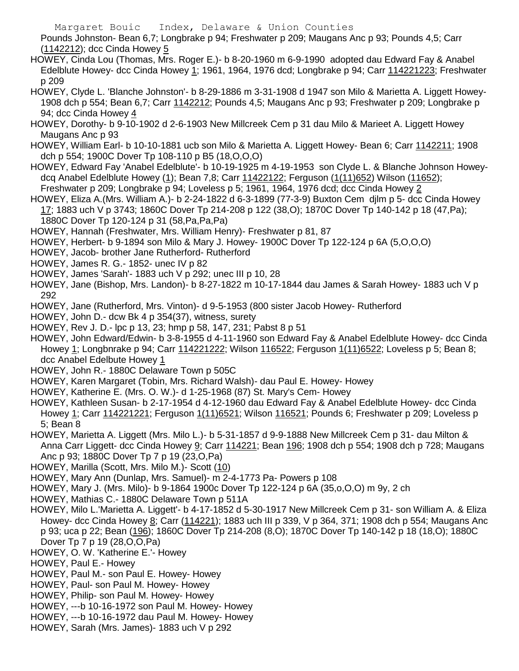Pounds Johnston- Bean 6,7; Longbrake p 94; Freshwater p 209; Maugans Anc p 93; Pounds 4,5; Carr (1142212); dcc Cinda Howey 5

- HOWEY, Cinda Lou (Thomas, Mrs. Roger E.)- b 8-20-1960 m 6-9-1990 adopted dau Edward Fay & Anabel Edelblute Howey- dcc Cinda Howey 1; 1961, 1964, 1976 dcd; Longbrake p 94; Carr 114221223; Freshwater p 209
- HOWEY, Clyde L. 'Blanche Johnston'- b 8-29-1886 m 3-31-1908 d 1947 son Milo & Marietta A. Liggett Howey-1908 dch p 554; Bean 6,7; Carr 1142212; Pounds 4,5; Maugans Anc p 93; Freshwater p 209; Longbrake p 94; dcc Cinda Howey 4
- HOWEY, Dorothy- b 9-10-1902 d 2-6-1903 New Millcreek Cem p 31 dau Milo & Marieet A. Liggett Howey Maugans Anc p 93
- HOWEY, William Earl- b 10-10-1881 ucb son Milo & Marietta A. Liggett Howey- Bean 6; Carr 1142211; 1908 dch p 554; 1900C Dover Tp 108-110 p B5 (18,O,O,O)
- HOWEY, Edward Fay 'Anabel Edelblute'- b 10-19-1925 m 4-19-1953 son Clyde L. & Blanche Johnson Howeydcq Anabel Edelblute Howey (1); Bean 7,8; Carr 11422122; Ferguson (1(11)652) Wilson (11652); Freshwater p 209; Longbrake p 94; Loveless p 5; 1961, 1964, 1976 dcd; dcc Cinda Howey 2
- HOWEY, Eliza A.(Mrs. William A.)- b 2-24-1822 d 6-3-1899 (77-3-9) Buxton Cem djlm p 5- dcc Cinda Howey 17; 1883 uch V p 3743; 1860C Dover Tp 214-208 p 122 (38,O); 1870C Dover Tp 140-142 p 18 (47,Pa); 1880C Dover Tp 120-124 p 31 (58,Pa,Pa,Pa)
- HOWEY, Hannah (Freshwater, Mrs. William Henry)- Freshwater p 81, 87
- HOWEY, Herbert- b 9-1894 son Milo & Mary J. Howey- 1900C Dover Tp 122-124 p 6A (5,O,O,O)
- HOWEY, Jacob- brother Jane Rutherford- Rutherford
- HOWEY, James R. G.- 1852- unec IV p 82
- HOWEY, James 'Sarah'- 1883 uch V p 292; unec III p 10, 28
- HOWEY, Jane (Bishop, Mrs. Landon)- b 8-27-1822 m 10-17-1844 dau James & Sarah Howey- 1883 uch V p 292
- HOWEY, Jane (Rutherford, Mrs. Vinton)- d 9-5-1953 (800 sister Jacob Howey- Rutherford
- HOWEY, John D.- dcw Bk 4 p 354(37), witness, surety
- HOWEY, Rev J. D.- lpc p 13, 23; hmp p 58, 147, 231; Pabst 8 p 51
- HOWEY, John Edward/Edwin- b 3-8-1955 d 4-11-1960 son Edward Fay & Anabel Edelblute Howey- dcc Cinda Howey 1; Longbnrake p 94; Carr 114221222; Wilson 116522; Ferguson 1(11) 6522; Loveless p 5; Bean 8; dcc Anabel Edelbute Howey 1
- HOWEY, John R.- 1880C Delaware Town p 505C
- HOWEY, Karen Margaret (Tobin, Mrs. Richard Walsh)- dau Paul E. Howey- Howey
- HOWEY, Katherine E. (Mrs. O. W.)- d 1-25-1968 (87) St. Mary's Cem- Howey
- HOWEY, Kathleen Susan- b 2-17-1954 d 4-12-1960 dau Edward Fay & Anabel Edelblute Howey- dcc Cinda Howey 1; Carr 114221221; Ferguson 1(11)6521; Wilson 116521; Pounds 6; Freshwater p 209; Loveless p 5; Bean 8
- HOWEY, Marietta A. Liggett (Mrs. Milo L.)- b 5-31-1857 d 9-9-1888 New Millcreek Cem p 31- dau Milton & Anna Carr Liggett- dcc Cinda Howey 9; Carr 114221; Bean 196; 1908 dch p 554; 1908 dch p 728; Maugans Anc p 93; 1880C Dover Tp 7 p 19 (23,O,Pa)
- HOWEY, Marilla (Scott, Mrs. Milo M.)- Scott (10)
- HOWEY, Mary Ann (Dunlap, Mrs. Samuel)- m 2-4-1773 Pa- Powers p 108
- HOWEY, Mary J. (Mrs. Milo)- b 9-1864 1900c Dover Tp 122-124 p 6A (35,o,O,O) m 9y, 2 ch
- HOWEY, Mathias C.- 1880C Delaware Town p 511A
- HOWEY, Milo L.'Marietta A. Liggett'- b 4-17-1852 d 5-30-1917 New Millcreek Cem p 31- son William A. & Eliza Howey- dcc Cinda Howey 8; Carr (114221); 1883 uch III p 339, V p 364, 371; 1908 dch p 554; Maugans Anc p 93; uca p 22; Bean (196); 1860C Dover Tp 214-208 (8,O); 1870C Dover Tp 140-142 p 18 (18,O); 1880C Dover Tp 7 p 19 (28,O,O,Pa)
- HOWEY, O. W. 'Katherine E.'- Howey
- HOWEY, Paul E.- Howey
- HOWEY, Paul M.- son Paul E. Howey- Howey
- HOWEY, Paul- son Paul M. Howey- Howey
- HOWEY, Philip- son Paul M. Howey- Howey
- HOWEY, ---b 10-16-1972 son Paul M. Howey- Howey
- HOWEY, ---b 10-16-1972 dau Paul M. Howey- Howey
- HOWEY, Sarah (Mrs. James)- 1883 uch V p 292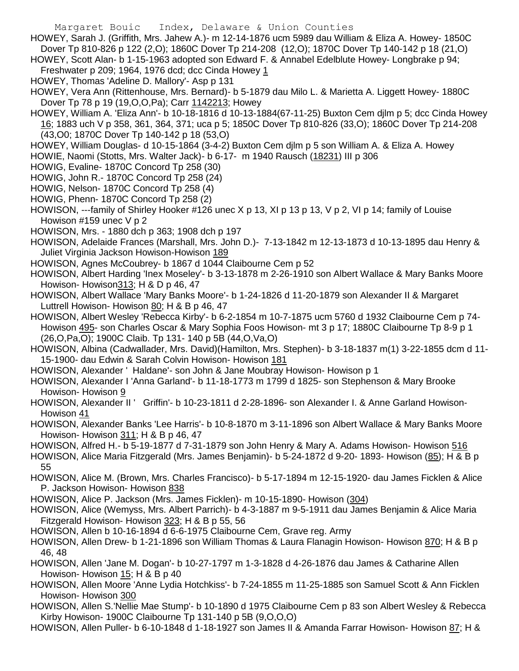- HOWEY, Sarah J. (Griffith, Mrs. Jahew A.)- m 12-14-1876 ucm 5989 dau William & Eliza A. Howey- 1850C Dover Tp 810-826 p 122 (2,O); 1860C Dover Tp 214-208 (12,O); 1870C Dover Tp 140-142 p 18 (21,O)
- HOWEY, Scott Alan- b 1-15-1963 adopted son Edward F. & Annabel Edelblute Howey- Longbrake p 94; Freshwater p 209; 1964, 1976 dcd; dcc Cinda Howey 1
- HOWEY, Thomas 'Adeline D. Mallory'- Asp p 131
- HOWEY, Vera Ann (Rittenhouse, Mrs. Bernard)- b 5-1879 dau Milo L. & Marietta A. Liggett Howey- 1880C Dover Tp 78 p 19 (19, O, O, Pa); Carr 1142213; Howey
- HOWEY, William A. 'Eliza Ann'- b 10-18-1816 d 10-13-1884(67-11-25) Buxton Cem djlm p 5; dcc Cinda Howey 16; 1883 uch V p 358, 361, 364, 371; uca p 5; 1850C Dover Tp 810-826 (33,O); 1860C Dover Tp 214-208 (43,O0; 1870C Dover Tp 140-142 p 18 (53,O)
- HOWEY, William Douglas- d 10-15-1864 (3-4-2) Buxton Cem djlm p 5 son William A. & Eliza A. Howey
- HOWIE, Naomi (Stotts, Mrs. Walter Jack)- b 6-17- m 1940 Rausch (18231) III p 306
- HOWIG, Evaline- 1870C Concord Tp 258 (30)
- HOWIG, John R.- 1870C Concord Tp 258 (24)
- HOWIG, Nelson- 1870C Concord Tp 258 (4)
- HOWIG, Phenn- 1870C Concord Tp 258 (2)
- HOWISON, ---family of Shirley Hooker #126 unec X p 13, XI p 13 p 13, V p 2, VI p 14; family of Louise Howison #159 unec V p 2
- HOWISON, Mrs. 1880 dch p 363; 1908 dch p 197
- HOWISON, Adelaide Frances (Marshall, Mrs. John D.)- 7-13-1842 m 12-13-1873 d 10-13-1895 dau Henry & Juliet Virginia Jackson Howison-Howison 189
- HOWISON, Agnes McCoubrey- b 1867 d 1044 Claibourne Cem p 52
- HOWISON, Albert Harding 'Inex Moseley'- b 3-13-1878 m 2-26-1910 son Albert Wallace & Mary Banks Moore Howison- Howison313; H & D p 46, 47
- HOWISON, Albert Wallace 'Mary Banks Moore'- b 1-24-1826 d 11-20-1879 son Alexander II & Margaret Luttrell Howison- Howison 80; H & B p 46, 47
- HOWISON, Albert Wesley 'Rebecca Kirby'- b 6-2-1854 m 10-7-1875 ucm 5760 d 1932 Claibourne Cem p 74- Howison 495- son Charles Oscar & Mary Sophia Foos Howison- mt 3 p 17; 1880C Claibourne Tp 8-9 p 1 (26,O,Pa,O); 1900C Claib. Tp 131- 140 p 5B (44,O,Va,O)
- HOWISON, Albina (Cadwallader, Mrs. David)(Hamilton, Mrs. Stephen)- b 3-18-1837 m(1) 3-22-1855 dcm d 11- 15-1900- dau Edwin & Sarah Colvin Howison- Howison 181
- HOWISON, Alexander ' Haldane'- son John & Jane Moubray Howison- Howison p 1
- HOWISON, Alexander I 'Anna Garland'- b 11-18-1773 m 1799 d 1825- son Stephenson & Mary Brooke Howison- Howison 9
- HOWISON, Alexander II ' Griffin'- b 10-23-1811 d 2-28-1896- son Alexander I. & Anne Garland Howison-Howison 41
- HOWISON, Alexander Banks 'Lee Harris'- b 10-8-1870 m 3-11-1896 son Albert Wallace & Mary Banks Moore Howison- Howison 311; H & B p 46, 47
- HOWISON, Alfred H.- b 5-19-1877 d 7-31-1879 son John Henry & Mary A. Adams Howison- Howison 516
- HOWISON, Alice Maria Fitzgerald (Mrs. James Benjamin)- b 5-24-1872 d 9-20- 1893- Howison (85); H & B p 55
- HOWISON, Alice M. (Brown, Mrs. Charles Francisco)- b 5-17-1894 m 12-15-1920- dau James Ficklen & Alice P. Jackson Howison- Howison 838
- HOWISON, Alice P. Jackson (Mrs. James Ficklen)- m 10-15-1890- Howison (304)
- HOWISON, Alice (Wemyss, Mrs. Albert Parrich)- b 4-3-1887 m 9-5-1911 dau James Benjamin & Alice Maria Fitzgerald Howison- Howison 323; H & B p 55, 56
- HOWISON, Allen b 10-16-1894 d 6-6-1975 Claibourne Cem, Grave reg. Army
- HOWISON, Allen Drew- b 1-21-1896 son William Thomas & Laura Flanagin Howison- Howison 870; H & B p 46, 48
- HOWISON, Allen 'Jane M. Dogan'- b 10-27-1797 m 1-3-1828 d 4-26-1876 dau James & Catharine Allen Howison- Howison 15; H & B p 40
- HOWISON, Allen Moore 'Anne Lydia Hotchkiss'- b 7-24-1855 m 11-25-1885 son Samuel Scott & Ann Ficklen Howison- Howison 300
- HOWISON, Allen S.'Nellie Mae Stump'- b 10-1890 d 1975 Claibourne Cem p 83 son Albert Wesley & Rebecca Kirby Howison- 1900C Claibourne Tp 131-140 p 5B (9,O,O,O)
- HOWISON, Allen Puller- b 6-10-1848 d 1-18-1927 son James II & Amanda Farrar Howison- Howison 87; H &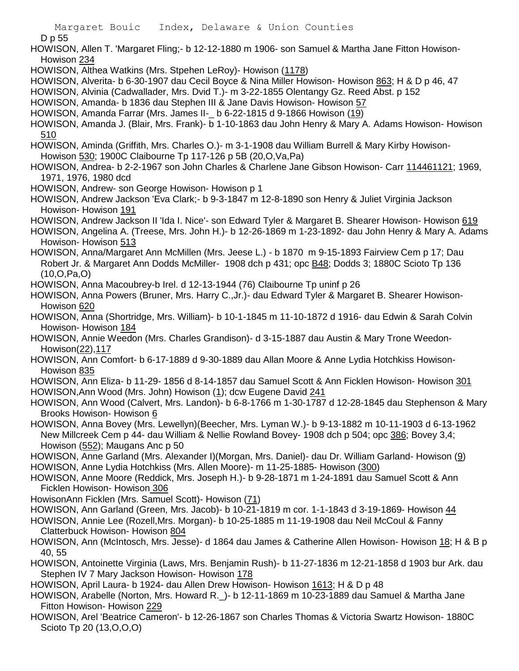D p 55

HOWISON, Allen T. 'Margaret Fling;- b 12-12-1880 m 1906- son Samuel & Martha Jane Fitton Howison-Howison 234

- HOWISON, Althea Watkins (Mrs. Stpehen LeRoy)- Howison (1178)
- HOWISON, Alverita- b 6-30-1907 dau Cecil Boyce & Nina Miller Howison- Howison 863; H & D p 46, 47
- HOWISON, Alvinia (Cadwallader, Mrs. Dvid T.)- m 3-22-1855 Olentangy Gz. Reed Abst. p 152
- HOWISON, Amanda- b 1836 dau Stephen III & Jane Davis Howison- Howison 57
- HOWISON, Amanda Farrar (Mrs. James II-\_ b 6-22-1815 d 9-1866 Howison (19)

HOWISON, Amanda J. (Blair, Mrs. Frank)- b 1-10-1863 dau John Henry & Mary A. Adams Howison- Howison 510

HOWISON, Aminda (Griffith, Mrs. Charles O.)- m 3-1-1908 dau William Burrell & Mary Kirby Howison-Howison 530; 1900C Claibourne Tp 117-126 p 5B (20,O,Va,Pa)

HOWISON, Andrea- b 2-2-1967 son John Charles & Charlene Jane Gibson Howison- Carr 114461121; 1969, 1971, 1976, 1980 dcd

HOWISON, Andrew- son George Howison- Howison p 1

HOWISON, Andrew Jackson 'Eva Clark;- b 9-3-1847 m 12-8-1890 son Henry & Juliet Virginia Jackson Howison- Howison 191

HOWISON, Andrew Jackson II 'Ida I. Nice'- son Edward Tyler & Margaret B. Shearer Howison- Howison 619

HOWISON, Angelina A. (Treese, Mrs. John H.)- b 12-26-1869 m 1-23-1892- dau John Henry & Mary A. Adams Howison- Howison 513

HOWISON, Anna/Margaret Ann McMillen (Mrs. Jeese L.) - b 1870 m 9-15-1893 Fairview Cem p 17; Dau Robert Jr. & Margaret Ann Dodds McMiller- 1908 dch p 431; opc B48; Dodds 3; 1880C Scioto Tp 136 (10,O,Pa,O)

HOWISON, Anna Macoubrey-b Irel. d 12-13-1944 (76) Claibourne Tp uninf p 26

- HOWISON, Anna Powers (Bruner, Mrs. Harry C.,Jr.)- dau Edward Tyler & Margaret B. Shearer Howison-Howison 620
- HOWISON, Anna (Shortridge, Mrs. William)- b 10-1-1845 m 11-10-1872 d 1916- dau Edwin & Sarah Colvin Howison- Howison 184
- HOWISON, Annie Weedon (Mrs. Charles Grandison)- d 3-15-1887 dau Austin & Mary Trone Weedon-Howison(22),117

HOWISON, Ann Comfort- b 6-17-1889 d 9-30-1889 dau Allan Moore & Anne Lydia Hotchkiss Howison-Howison 835

HOWISON, Ann Eliza- b 11-29- 1856 d 8-14-1857 dau Samuel Scott & Ann Ficklen Howison- Howison 301 HOWISON,Ann Wood (Mrs. John) Howison (1); dcw Eugene David 241

- HOWISON, Ann Wood (Calvert, Mrs. Landon)- b 6-8-1766 m 1-30-1787 d 12-28-1845 dau Stephenson & Mary Brooks Howison- Howison 6
- HOWISON, Anna Bovey (Mrs. Lewellyn)(Beecher, Mrs. Lyman W.)- b 9-13-1882 m 10-11-1903 d 6-13-1962 New Millcreek Cem p 44- dau William & Nellie Rowland Bovey- 1908 dch p 504; opc 386; Bovey 3,4; Howison (552); Maugans Anc p 50

HOWISON, Anne Garland (Mrs. Alexander I)(Morgan, Mrs. Daniel)- dau Dr. William Garland- Howison (9) HOWISON, Anne Lydia Hotchkiss (Mrs. Allen Moore)- m 11-25-1885- Howison (300)

- HOWISON, Anne Moore (Reddick, Mrs. Joseph H.)- b 9-28-1871 m 1-24-1891 dau Samuel Scott & Ann Ficklen Howison- Howison 306
- HowisonAnn Ficklen (Mrs. Samuel Scott)- Howison (71)
- HOWISON, Ann Garland (Green, Mrs. Jacob)- b 10-21-1819 m cor. 1-1-1843 d 3-19-1869- Howison 44

HOWISON, Annie Lee (Rozell,Mrs. Morgan)- b 10-25-1885 m 11-19-1908 dau Neil McCoul & Fanny Clatterbuck Howison- Howison 804

- HOWISON, Ann (McIntosch, Mrs. Jesse)- d 1864 dau James & Catherine Allen Howison- Howison 18; H & B p 40, 55
- HOWISON, Antoinette Virginia (Laws, Mrs. Benjamin Rush)- b 11-27-1836 m 12-21-1858 d 1903 bur Ark. dau Stephen IV 7 Mary Jackson Howison- Howison 178
- HOWISON, April Laura- b 1924- dau Allen Drew Howison- Howison 1613; H & D p 48
- HOWISON, Arabelle (Norton, Mrs. Howard R.\_)- b 12-11-1869 m 10-23-1889 dau Samuel & Martha Jane Fitton Howison- Howison 229
- HOWISON, Arel 'Beatrice Cameron'- b 12-26-1867 son Charles Thomas & Victoria Swartz Howison- 1880C Scioto Tp 20 (13,O,O,O)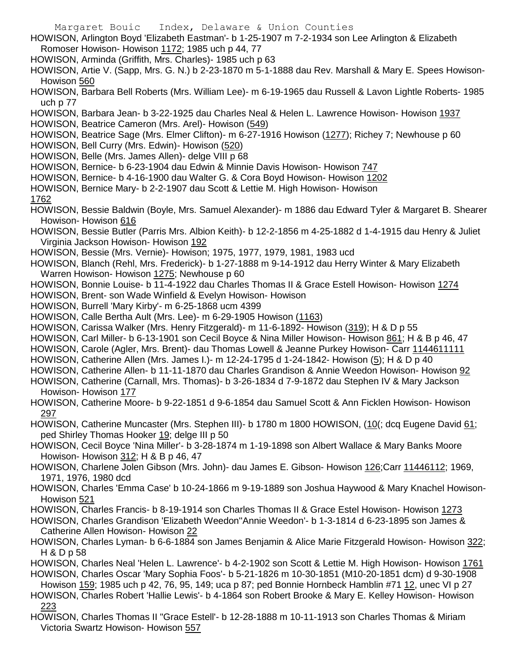- Margaret Bouic Index, Delaware & Union Counties
- HOWISON, Arlington Boyd 'Elizabeth Eastman'- b 1-25-1907 m 7-2-1934 son Lee Arlington & Elizabeth Romoser Howison- Howison 1172; 1985 uch p 44, 77
- HOWISON, Arminda (Griffith, Mrs. Charles)- 1985 uch p 63
- HOWISON, Artie V. (Sapp, Mrs. G. N.) b 2-23-1870 m 5-1-1888 dau Rev. Marshall & Mary E. Spees Howison-Howison 560
- HOWISON, Barbara Bell Roberts (Mrs. William Lee)- m 6-19-1965 dau Russell & Lavon Lightle Roberts- 1985 uch p 77
- HOWISON, Barbara Jean- b 3-22-1925 dau Charles Neal & Helen L. Lawrence Howison- Howison 1937 HOWISON, Beatrice Cameron (Mrs. Arel)- Howison (549)
- HOWISON, Beatrice Sage (Mrs. Elmer Clifton)- m 6-27-1916 Howison (1277); Richey 7; Newhouse p 60 HOWISON, Bell Curry (Mrs. Edwin)- Howison (520)
- HOWISON, Belle (Mrs. James Allen)- delge VIII p 68
- HOWISON, Bernice- b 6-23-1904 dau Edwin & Minnie Davis Howison- Howison 747
- HOWISON, Bernice- b 4-16-1900 dau Walter G. & Cora Boyd Howison- Howison 1202
- HOWISON, Bernice Mary- b 2-2-1907 dau Scott & Lettie M. High Howison- Howison
- 1762
- HOWISON, Bessie Baldwin (Boyle, Mrs. Samuel Alexander)- m 1886 dau Edward Tyler & Margaret B. Shearer Howison- Howison 616
- HOWISON, Bessie Butler (Parris Mrs. Albion Keith)- b 12-2-1856 m 4-25-1882 d 1-4-1915 dau Henry & Juliet Virginia Jackson Howison- Howison 192
- HOWISON, Bessie (Mrs. Vernie)- Howison; 1975, 1977, 1979, 1981, 1983 ucd
- HOWISON, Blanch (Rehl, Mrs. Frederick)- b 1-27-1888 m 9-14-1912 dau Herry Winter & Mary Elizabeth Warren Howison- Howison 1275; Newhouse p 60
- HOWISON, Bonnie Louise- b 11-4-1922 dau Charles Thomas II & Grace Estell Howison- Howison 1274 HOWISON, Brent- son Wade Winfield & Evelyn Howison- Howison
- HOWISON, Burrell 'Mary Kirby'- m 6-25-1868 ucm 4399
- HOWISON, Calle Bertha Ault (Mrs. Lee)- m 6-29-1905 Howison (1163)
- HOWISON, Carissa Walker (Mrs. Henry Fitzgerald)- m 11-6-1892- Howison (319); H & D p 55
- HOWISON, Carl Miller- b 6-13-1901 son Cecil Boyce & Nina Miller Howison- Howison 861; H & B p 46, 47
- HOWISON, Carole (Agler, Mrs. Brent)- dau Thomas Lowell & Jeanne Purkey Howison- Carr 1144611111
- HOWISON, Catherine Allen (Mrs. James I.)- m 12-24-1795 d 1-24-1842- Howison (5); H & D p 40
- HOWISON, Catherine Allen- b 11-11-1870 dau Charles Grandison & Annie Weedon Howison- Howison 92
- HOWISON, Catherine (Carnall, Mrs. Thomas)- b 3-26-1834 d 7-9-1872 dau Stephen IV & Mary Jackson Howison- Howison 177
- HOWISON, Catherine Moore- b 9-22-1851 d 9-6-1854 dau Samuel Scott & Ann Ficklen Howison- Howison 297
- HOWISON, Catherine Muncaster (Mrs. Stephen III)- b 1780 m 1800 HOWISON, (10<sup>)</sup>; dcq Eugene David 61; ped Shirley Thomas Hooker 19; delge III p 50
- HOWISON, Cecil Boyce 'Nina Miller'- b 3-28-1874 m 1-19-1898 son Albert Wallace & Mary Banks Moore Howison- Howison 312; H & B p 46, 47
- HOWISON, Charlene Jolen Gibson (Mrs. John)- dau James E. Gibson- Howison 126;Carr 11446112; 1969, 1971, 1976, 1980 dcd
- HOWISON, Charles 'Emma Case' b 10-24-1866 m 9-19-1889 son Joshua Haywood & Mary Knachel Howison-Howison 521
- HOWISON, Charles Francis- b 8-19-1914 son Charles Thomas II & Grace Estel Howison- Howison 1273
- HOWISON, Charles Grandison 'Elizabeth Weedon''Annie Weedon'- b 1-3-1814 d 6-23-1895 son James & Catherine Allen Howison- Howison 22
- HOWISON, Charles Lyman- b 6-6-1884 son James Benjamin & Alice Marie Fitzgerald Howison- Howison 322; H & D p 58
- HOWISON, Charles Neal 'Helen L. Lawrence'- b 4-2-1902 son Scott & Lettie M. High Howison- Howison 1761 HOWISON, Charles Oscar 'Mary Sophia Foos'- b 5-21-1826 m 10-30-1851 (M10-20-1851 dcm) d 9-30-1908
- Howison 159; 1985 uch p 42, 76, 95, 149; uca p 87; ped Bonnie Hornbeck Hamblin #71 12, unec VI p 27 HOWISON, Charles Robert 'Hallie Lewis'- b 4-1864 son Robert Brooke & Mary E. Kelley Howison- Howison 223
- HOWISON, Charles Thomas II "Grace Estell'- b 12-28-1888 m 10-11-1913 son Charles Thomas & Miriam Victoria Swartz Howison- Howison 557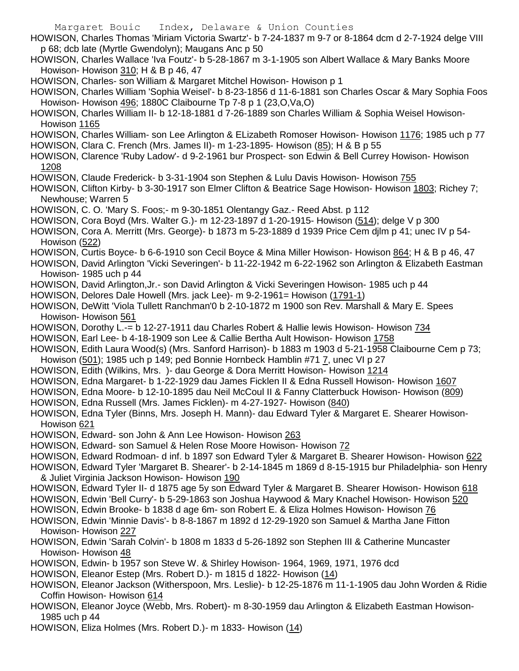- Margaret Bouic Index, Delaware & Union Counties HOWISON, Charles Thomas 'Miriam Victoria Swartz'- b 7-24-1837 m 9-7 or 8-1864 dcm d 2-7-1924 delge VIII p 68; dcb late (Myrtle Gwendolyn); Maugans Anc p 50 HOWISON, Charles Wallace 'Iva Foutz'- b 5-28-1867 m 3-1-1905 son Albert Wallace & Mary Banks Moore Howison- Howison 310; H & B p 46, 47 HOWISON, Charles- son William & Margaret Mitchel Howison- Howison p 1 HOWISON, Charles William 'Sophia Weisel'- b 8-23-1856 d 11-6-1881 son Charles Oscar & Mary Sophia Foos Howison- Howison 496; 1880C Claibourne Tp 7-8 p 1 (23,O,Va,O) HOWISON, Charles William II- b 12-18-1881 d 7-26-1889 son Charles William & Sophia Weisel Howison-Howison 1165 HOWISON, Charles William- son Lee Arlington & ELizabeth Romoser Howison- Howison 1176; 1985 uch p 77 HOWISON, Clara C. French (Mrs. James II)- m 1-23-1895- Howison (85); H & B p 55 HOWISON, Clarence 'Ruby Ladow'- d 9-2-1961 bur Prospect- son Edwin & Bell Currey Howison- Howison 1208 HOWISON, Claude Frederick- b 3-31-1904 son Stephen & Lulu Davis Howison- Howison 755 HOWISON, Clifton Kirby- b 3-30-1917 son Elmer Clifton & Beatrice Sage Howison- Howison 1803; Richey 7; Newhouse; Warren 5 HOWISON, C. O. 'Mary S. Foos;- m 9-30-1851 Olentangy Gaz.- Reed Abst. p 112 HOWISON, Cora Boyd (Mrs. Walter G.)- m 12-23-1897 d 1-20-1915- Howison (514); delge V p 300 HOWISON, Cora A. Merritt (Mrs. George)- b 1873 m 5-23-1889 d 1939 Price Cem djlm p 41; unec IV p 54- Howison (522) HOWISON, Curtis Boyce- b 6-6-1910 son Cecil Boyce & Mina Miller Howison- Howison 864; H & B p 46, 47 HOWISON, David Arlington 'Vicki Severingen'- b 11-22-1942 m 6-22-1962 son Arlington & Elizabeth Eastman Howison- 1985 uch p 44 HOWISON, David Arlington,Jr.- son David Arlington & Vicki Severingen Howison- 1985 uch p 44 HOWISON, Delores Dale Howell (Mrs. jack Lee)- m 9-2-1961= Howison (1791-1) HOWISON, DeWitt 'Viola Tullett Ranchman'0 b 2-10-1872 m 1900 son Rev. Marshall & Mary E. Spees Howison- Howison 561 HOWISON, Dorothy L.-= b 12-27-1911 dau Charles Robert & Hallie lewis Howison- Howison 734 HOWISON, Earl Lee- b 4-18-1909 son Lee & Callie Bertha Ault Howison- Howison 1758 HOWISON, Edith Laura Wood(s) (Mrs. Sanford Harrison)- b 1883 m 1903 d 5-21-1958 Claibourne Cem p 73; Howison (501); 1985 uch p 149; ped Bonnie Hornbeck Hamblin #71 7, unec VI p 27 HOWISON, Edith (Wilkins, Mrs. )- dau George & Dora Merritt Howison- Howison 1214 HOWISON, Edna Margaret- b 1-22-1929 dau James Ficklen II & Edna Russell Howison- Howison 1607 HOWISON, Edna Moore- b 12-10-1895 dau Neil McCoul II & Fanny Clatterbuck Howison- Howison (809) HOWISON, Edna Russell (Mrs. James Ficklen)- m 4-27-1927- Howison (840) HOWISON, Edna Tyler (Binns, Mrs. Joseph H. Mann)- dau Edward Tyler & Margaret E. Shearer Howison-Howison 621 HOWISON, Edward- son John & Ann Lee Howison- Howison 263 HOWISON, Edward- son Samuel & Helen Rose Moore Howison- Howison 72 HOWISON, Edward Rodmoan- d inf. b 1897 son Edward Tyler & Margaret B. Shearer Howison- Howison 622 HOWISON, Edward Tyler 'Margaret B. Shearer'- b 2-14-1845 m 1869 d 8-15-1915 bur Philadelphia- son Henry & Juliet Virginia Jackson Howison- Howison 190 HOWISON, Edward Tyler II- d 1875 age 5y son Edward Tyler & Margaret B. Shearer Howison- Howison 618 HOWISON, Edwin 'Bell Curry'- b 5-29-1863 son Joshua Haywood & Mary Knachel Howison- Howison 520 HOWISON, Edwin Brooke- b 1838 d age 6m- son Robert E. & Eliza Holmes Howison- Howison 76 HOWISON, Edwin 'Minnie Davis'- b 8-8-1867 m 1892 d 12-29-1920 son Samuel & Martha Jane Fitton Howison- Howison 227 HOWISON, Edwin 'Sarah Colvin'- b 1808 m 1833 d 5-26-1892 son Stephen III & Catherine Muncaster Howison- Howison 48 HOWISON, Edwin- b 1957 son Steve W. & Shirley Howison- 1964, 1969, 1971, 1976 dcd HOWISON, Eleanor Estep (Mrs. Robert D.)- m 1815 d 1822- Howison (14) HOWISON, Eleanor Jackson (Witherspoon, Mrs. Leslie)- b 12-25-1876 m 11-1-1905 dau John Worden & Ridie Coffin Howison- Howison 614 HOWISON, Eleanor Joyce (Webb, Mrs. Robert)- m 8-30-1959 dau Arlington & Elizabeth Eastman Howison-1985 uch p 44
- HOWISON, Eliza Holmes (Mrs. Robert D.)- m 1833- Howison (14)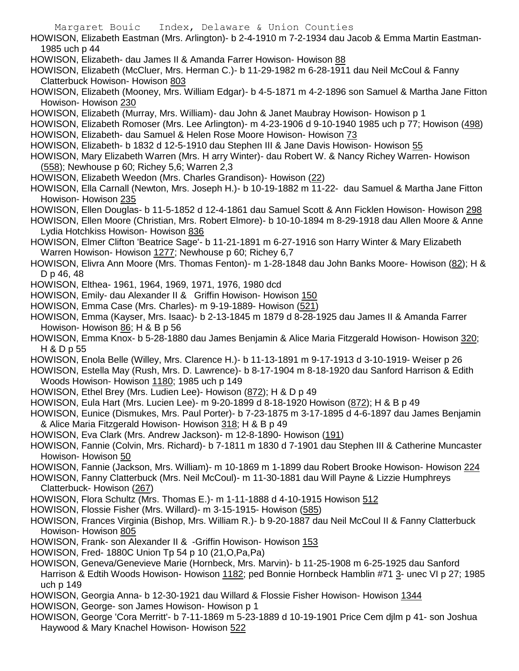- HOWISON, Elizabeth Eastman (Mrs. Arlington)- b 2-4-1910 m 7-2-1934 dau Jacob & Emma Martin Eastman-1985 uch p 44
- HOWISON, Elizabeth- dau James II & Amanda Farrer Howison- Howison 88
- HOWISON, Elizabeth (McCluer, Mrs. Herman C.)- b 11-29-1982 m 6-28-1911 dau Neil McCoul & Fanny Clatterbuck Howison- Howison 803
- HOWISON, Elizabeth (Mooney, Mrs. William Edgar)- b 4-5-1871 m 4-2-1896 son Samuel & Martha Jane Fitton Howison- Howison 230
- HOWISON, Elizabeth (Murray, Mrs. William)- dau John & Janet Maubray Howison- Howison p 1
- HOWISON, Elizabeth Romoser (Mrs. Lee Arlington)- m 4-23-1906 d 9-10-1940 1985 uch p 77; Howison (498)
- HOWISON, Elizabeth- dau Samuel & Helen Rose Moore Howison- Howison 73
- HOWISON, Elizabeth- b 1832 d 12-5-1910 dau Stephen III & Jane Davis Howison- Howison 55
- HOWISON, Mary Elizabeth Warren (Mrs. H arry Winter)- dau Robert W. & Nancy Richey Warren- Howison (558); Newhouse p 60; Richey 5,6; Warren 2,3
- HOWISON, Elizabeth Weedon (Mrs. Charles Grandison)- Howison (22)
- HOWISON, Ella Carnall (Newton, Mrs. Joseph H.)- b 10-19-1882 m 11-22- dau Samuel & Martha Jane Fitton Howison- Howison 235
- HOWISON, Ellen Douglas- b 11-5-1852 d 12-4-1861 dau Samuel Scott & Ann Ficklen Howison- Howison 298
- HOWISON, Ellen Moore (Christian, Mrs. Robert Elmore)- b 10-10-1894 m 8-29-1918 dau Allen Moore & Anne Lydia Hotchkiss Howison- Howison 836
- HOWISON, Elmer Clifton 'Beatrice Sage'- b 11-21-1891 m 6-27-1916 son Harry Winter & Mary Elizabeth Warren Howison- Howison 1277; Newhouse p 60; Richey 6,7
- HOWISON, Elivra Ann Moore (Mrs. Thomas Fenton)- m 1-28-1848 dau John Banks Moore- Howison (82); H & D p 46, 48
- HOWISON, Elthea- 1961, 1964, 1969, 1971, 1976, 1980 dcd
- HOWISON, Emily- dau Alexander II & Griffin Howison- Howison 150
- HOWISON, Emma Case (Mrs. Charles)- m 9-19-1889- Howison (521)
- HOWISON, Emma (Kayser, Mrs. Isaac)- b 2-13-1845 m 1879 d 8-28-1925 dau James II & Amanda Farrer Howison- Howison 86; H & B p 56
- HOWISON, Emma Knox- b 5-28-1880 dau James Benjamin & Alice Maria Fitzgerald Howison- Howison 320; H & D p 55
- HOWISON, Enola Belle (Willey, Mrs. Clarence H.)- b 11-13-1891 m 9-17-1913 d 3-10-1919- Weiser p 26
- HOWISON, Estella May (Rush, Mrs. D. Lawrence)- b 8-17-1904 m 8-18-1920 dau Sanford Harrison & Edith Woods Howison- Howison 1180; 1985 uch p 149
- HOWISON, Ethel Brey (Mrs. Ludien Lee)- Howison (872); H & D p 49
- HOWISON, Eula Hart (Mrs. Lucien Lee)- m 9-20-1899 d 8-18-1920 Howison (872); H & B p 49
- HOWISON, Eunice (Dismukes, Mrs. Paul Porter)- b 7-23-1875 m 3-17-1895 d 4-6-1897 dau James Benjamin & Alice Maria Fitzgerald Howison- Howison 318; H & B p 49
- HOWISON, Eva Clark (Mrs. Andrew Jackson)- m 12-8-1890- Howison (191)
- HOWISON, Fannie (Colvin, Mrs. Richard)- b 7-1811 m 1830 d 7-1901 dau Stephen III & Catherine Muncaster Howison- Howison 50
- HOWISON, Fannie (Jackson, Mrs. William)- m 10-1869 m 1-1899 dau Robert Brooke Howison- Howison 224
- HOWISON, Fanny Clatterbuck (Mrs. Neil McCoul)- m 11-30-1881 dau Will Payne & Lizzie Humphreys Clatterbuck- Howison (267)
- HOWISON, Flora Schultz (Mrs. Thomas E.)- m 1-11-1888 d 4-10-1915 Howison 512
- HOWISON, Flossie Fisher (Mrs. Willard)- m 3-15-1915- Howison (585)
- HOWISON, Frances Virginia (Bishop, Mrs. William R.)- b 9-20-1887 dau Neil McCoul II & Fanny Clatterbuck Howison- Howison 805
- HOWISON, Frank- son Alexander II & -Griffin Howison- Howison 153
- HOWISON, Fred- 1880C Union Tp 54 p 10 (21,O,Pa,Pa)
- HOWISON, Geneva/Genevieve Marie (Hornbeck, Mrs. Marvin)- b 11-25-1908 m 6-25-1925 dau Sanford Harrison & Edtih Woods Howison- Howison 1182; ped Bonnie Hornbeck Hamblin #71 3- unec VI p 27; 1985 uch p 149
- HOWISON, Georgia Anna- b 12-30-1921 dau Willard & Flossie Fisher Howison- Howison 1344
- HOWISON, George- son James Howison- Howison p 1
- HOWISON, George 'Cora Merritt'- b 7-11-1869 m 5-23-1889 d 10-19-1901 Price Cem djlm p 41- son Joshua Haywood & Mary Knachel Howison- Howison 522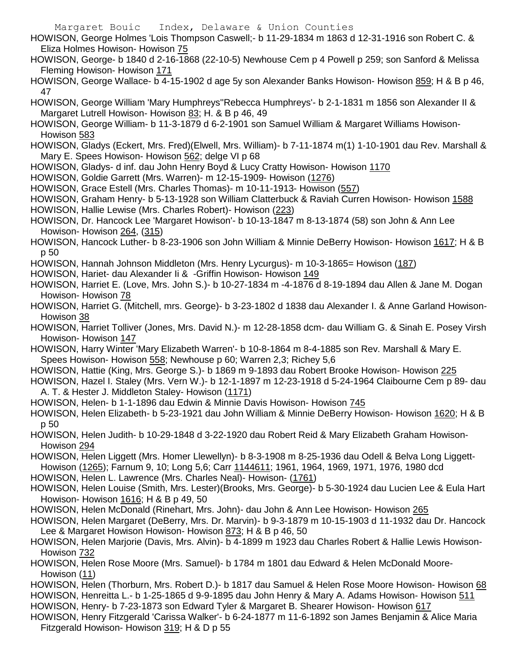HOWISON, George Holmes 'Lois Thompson Caswell;- b 11-29-1834 m 1863 d 12-31-1916 son Robert C. & Eliza Holmes Howison- Howison 75

HOWISON, George- b 1840 d 2-16-1868 (22-10-5) Newhouse Cem p 4 Powell p 259; son Sanford & Melissa Fleming Howison- Howison 171

HOWISON, George Wallace- b 4-15-1902 d age 5y son Alexander Banks Howison- Howison 859; H & B p 46, 47

- HOWISON, George William 'Mary Humphreys''Rebecca Humphreys'- b 2-1-1831 m 1856 son Alexander II & Margaret Lutrell Howison- Howison 83; H. & B p 46, 49
- HOWISON, George William- b 11-3-1879 d 6-2-1901 son Samuel William & Margaret Williams Howison-Howison 583
- HOWISON, Gladys (Eckert, Mrs. Fred)(Elwell, Mrs. William)- b 7-11-1874 m(1) 1-10-1901 dau Rev. Marshall & Mary E. Spees Howison- Howison 562; delge VI p 68
- HOWISON, Gladys- d inf. dau John Henry Boyd & Lucy Cratty Howison- Howison 1170
- HOWISON, Goldie Garrett (Mrs. Warren)- m 12-15-1909- Howison (1276)
- HOWISON, Grace Estell (Mrs. Charles Thomas)- m 10-11-1913- Howison (557)
- HOWISON, Graham Henry- b 5-13-1928 son William Clatterbuck & Raviah Curren Howison- Howison 1588
- HOWISON, Hallie Lewise (Mrs. Charles Robert)- Howison (223)
- HOWISON, Dr. Hancock Lee 'Margaret Howison'- b 10-13-1847 m 8-13-1874 (58) son John & Ann Lee Howison- Howison 264, (315)
- HOWISON, Hancock Luther- b 8-23-1906 son John William & Minnie DeBerry Howison- Howison 1617; H & B p 50
- HOWISON, Hannah Johnson Middleton (Mrs. Henry Lycurgus)- m 10-3-1865= Howison (187)
- HOWISON, Hariet- dau Alexander Ii & -Griffin Howison- Howison 149
- HOWISON, Harriet E. (Love, Mrs. John S.)- b 10-27-1834 m -4-1876 d 8-19-1894 dau Allen & Jane M. Dogan Howison- Howison 78
- HOWISON, Harriet G. (Mitchell, mrs. George)- b 3-23-1802 d 1838 dau Alexander I. & Anne Garland Howison-Howison 38
- HOWISON, Harriet Tolliver (Jones, Mrs. David N.)- m 12-28-1858 dcm- dau William G. & Sinah E. Posey Virsh Howison- Howison 147
- HOWISON, Harry Winter 'Mary Elizabeth Warren'- b 10-8-1864 m 8-4-1885 son Rev. Marshall & Mary E. Spees Howison- Howison 558; Newhouse p 60; Warren 2,3; Richey 5,6
- HOWISON, Hattie (King, Mrs. George S.)- b 1869 m 9-1893 dau Robert Brooke Howison- Howison 225
- HOWISON, Hazel I. Staley (Mrs. Vern W.)- b 12-1-1897 m 12-23-1918 d 5-24-1964 Claibourne Cem p 89- dau A. T. & Hester J. Middleton Staley- Howison (1171)
- HOWISON, Helen- b 1-1-1896 dau Edwin & Minnie Davis Howison- Howison 745
- HOWISON, Helen Elizabeth- b 5-23-1921 dau John William & Minnie DeBerry Howison- Howison 1620; H & B p 50
- HOWISON, Helen Judith- b 10-29-1848 d 3-22-1920 dau Robert Reid & Mary Elizabeth Graham Howison-Howison 294
- HOWISON, Helen Liggett (Mrs. Homer Llewellyn)- b 8-3-1908 m 8-25-1936 dau Odell & Belva Long Liggett-Howison (1265); Farnum 9, 10; Long 5,6; Carr 1144611; 1961, 1964, 1969, 1971, 1976, 1980 dcd
- HOWISON, Helen L. Lawrence (Mrs. Charles Neal)- Howison- (1761)
- HOWISON, Helen Louise (Smith, Mrs. Lester)(Brooks, Mrs. George)- b 5-30-1924 dau Lucien Lee & Eula Hart Howison- Howison 1616; H & B p 49, 50
- HOWISON, Helen McDonald (Rinehart, Mrs. John)- dau John & Ann Lee Howison- Howison 265
- HOWISON, Helen Margaret (DeBerry, Mrs. Dr. Marvin)- b 9-3-1879 m 10-15-1903 d 11-1932 dau Dr. Hancock Lee & Margaret Howison Howison- Howison 873; H & B p 46, 50
- HOWISON, Helen Marjorie (Davis, Mrs. Alvin)- b 4-1899 m 1923 dau Charles Robert & Hallie Lewis Howison-Howison 732
- HOWISON, Helen Rose Moore (Mrs. Samuel)- b 1784 m 1801 dau Edward & Helen McDonald Moore-Howison (11)
- HOWISON, Helen (Thorburn, Mrs. Robert D.)- b 1817 dau Samuel & Helen Rose Moore Howison- Howison 68 HOWISON, Henreitta L.- b 1-25-1865 d 9-9-1895 dau John Henry & Mary A. Adams Howison- Howison 511
- HOWISON, Henry- b 7-23-1873 son Edward Tyler & Margaret B. Shearer Howison- Howison 617
- HOWISON, Henry Fitzgerald 'Carissa Walker'- b 6-24-1877 m 11-6-1892 son James Benjamin & Alice Maria Fitzgerald Howison- Howison 319; H & D p 55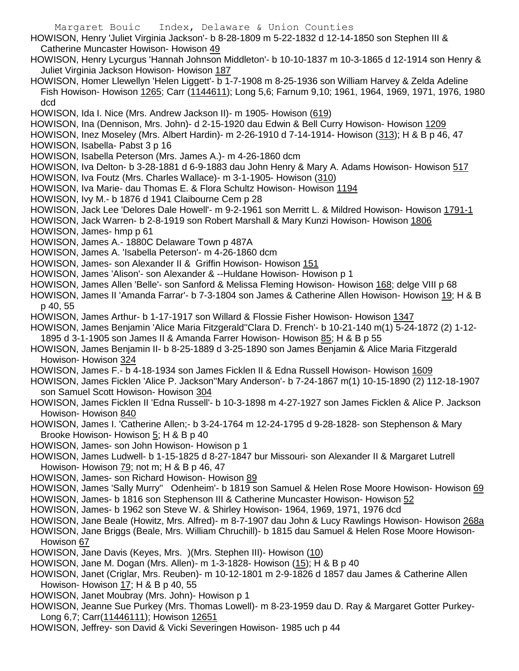- Margaret Bouic Index, Delaware & Union Counties HOWISON, Henry 'Juliet Virginia Jackson'- b 8-28-1809 m 5-22-1832 d 12-14-1850 son Stephen III & Catherine Muncaster Howison- Howison 49 HOWISON, Henry Lycurgus 'Hannah Johnson Middleton'- b 10-10-1837 m 10-3-1865 d 12-1914 son Henry & Juliet Virginia Jackson Howison- Howison 187 HOWISON, Homer Llewellyn 'Helen Liggett'- b 1-7-1908 m 8-25-1936 son William Harvey & Zelda Adeline Fish Howison- Howison 1265; Carr (1144611); Long 5,6; Farnum 9,10; 1961, 1964, 1969, 1971, 1976, 1980 dcd HOWISON, Ida I. Nice (Mrs. Andrew Jackson II)- m 1905- Howison (619) HOWISON, Ina (Dennison, Mrs. John)- d 2-15-1920 dau Edwin & Bell Curry Howison- Howison 1209 HOWISON, Inez Moseley (Mrs. Albert Hardin)- m 2-26-1910 d 7-14-1914- Howison (313); H & B p 46, 47 HOWISON, Isabella- Pabst 3 p 16 HOWISON, Isabella Peterson (Mrs. James A.)- m 4-26-1860 dcm HOWISON, Iva Delton- b 3-28-1881 d 6-9-1883 dau John Henry & Mary A. Adams Howison- Howison 517 HOWISON, Iva Foutz (Mrs. Charles Wallace)- m 3-1-1905- Howison (310)
- HOWISON, Iva Marie- dau Thomas E. & Flora Schultz Howison- Howison 1194
- HOWISON, Ivy M.- b 1876 d 1941 Claibourne Cem p 28
- HOWISON, Jack Lee 'Delores Dale Howell'- m 9-2-1961 son Merritt L. & Mildred Howison- Howison 1791-1
- HOWISON, Jack Warren- b 2-8-1919 son Robert Marshall & Mary Kunzi Howison- Howison 1806
- HOWISON, James- hmp p 61
- HOWISON, James A.- 1880C Delaware Town p 487A
- HOWISON, James A. 'Isabella Peterson'- m 4-26-1860 dcm
- HOWISON, James- son Alexander II & Griffin Howison- Howison 151
- HOWISON, James 'Alison'- son Alexander & --Huldane Howison- Howison p 1
- HOWISON, James Allen 'Belle'- son Sanford & Melissa Fleming Howison- Howison 168; delge VIII p 68
- HOWISON, James II 'Amanda Farrar'- b 7-3-1804 son James & Catherine Allen Howison- Howison 19; H & B p 40, 55
- HOWISON, James Arthur- b 1-17-1917 son Willard & Flossie Fisher Howison- Howison 1347
- HOWISON, James Benjamin 'Alice Maria Fitzgerald''Clara D. French'- b 10-21-140 m(1) 5-24-1872 (2) 1-12- 1895 d 3-1-1905 son James II & Amanda Farrer Howison- Howison 85; H & B p 55
- HOWISON, James Benjamin II- b 8-25-1889 d 3-25-1890 son James Benjamin & Alice Maria Fitzgerald Howison- Howison 324
- HOWISON, James F.- b 4-18-1934 son James Ficklen II & Edna Russell Howison- Howison 1609
- HOWISON, James Ficklen 'Alice P. Jackson''Mary Anderson'- b 7-24-1867 m(1) 10-15-1890 (2) 112-18-1907 son Samuel Scott Howison- Howison 304
- HOWISON, James Ficklen II 'Edna Russell'- b 10-3-1898 m 4-27-1927 son James Ficklen & Alice P. Jackson Howison- Howison 840
- HOWISON, James I. 'Catherine Allen;- b 3-24-1764 m 12-24-1795 d 9-28-1828- son Stephenson & Mary Brooke Howison- Howison 5; H & B p 40
- HOWISON, James- son John Howison- Howison p 1
- HOWISON, James Ludwell- b 1-15-1825 d 8-27-1847 bur Missouri- son Alexander II & Margaret Lutrell Howison- Howison 79; not m; H & B p 46, 47
- HOWISON, James- son Richard Howison- Howison 89
- HOWISON, James 'Sally Murry'' Odenheim'- b 1819 son Samuel & Helen Rose Moore Howison- Howison 69
- HOWISON, James- b 1816 son Stephenson III & Catherine Muncaster Howison- Howison 52
- HOWISON, James- b 1962 son Steve W. & Shirley Howison- 1964, 1969, 1971, 1976 dcd
- HOWISON, Jane Beale (Howitz, Mrs. Alfred)- m 8-7-1907 dau John & Lucy Rawlings Howison- Howison 268a
- HOWISON, Jane Briggs (Beale, Mrs. William Chruchill)- b 1815 dau Samuel & Helen Rose Moore Howison-Howison 67
- HOWISON, Jane Davis (Keyes, Mrs. )(Mrs. Stephen III)- Howison (10)
- HOWISON, Jane M. Dogan (Mrs. Allen)- m 1-3-1828- Howison (15); H & B p 40
- HOWISON, Janet (Criglar, Mrs. Reuben)- m 10-12-1801 m 2-9-1826 d 1857 dau James & Catherine Allen Howison- Howison 17; H & B p 40, 55
- HOWISON, Janet Moubray (Mrs. John)- Howison p 1
- HOWISON, Jeanne Sue Purkey (Mrs. Thomas Lowell)- m 8-23-1959 dau D. Ray & Margaret Gotter Purkey-Long 6,7; Carr(11446111); Howison 12651
- HOWISON, Jeffrey- son David & Vicki Severingen Howison- 1985 uch p 44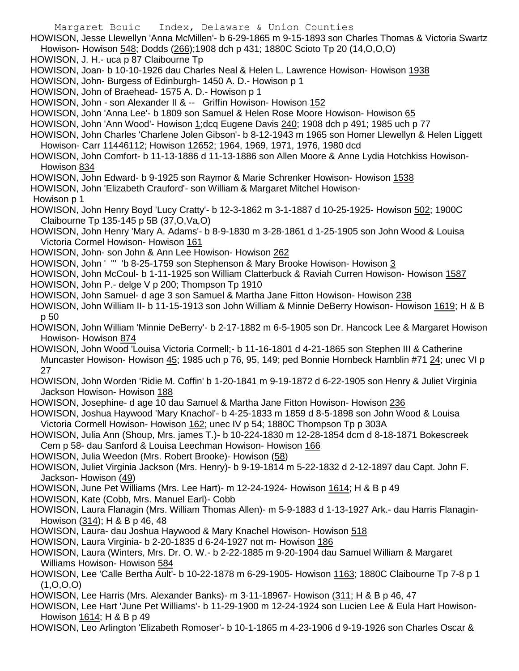HOWISON, Jesse Llewellyn 'Anna McMillen'- b 6-29-1865 m 9-15-1893 son Charles Thomas & Victoria Swartz Howison- Howison 548; Dodds (266);1908 dch p 431; 1880C Scioto Tp 20 (14,O,O,O)

- HOWISON, J. H.- uca p 87 Claibourne Tp
- HOWISON, Joan- b 10-10-1926 dau Charles Neal & Helen L. Lawrence Howison- Howison 1938
- HOWISON, John- Burgess of Edinburgh- 1450 A. D.- Howison p 1
- HOWISON, John of Braehead- 1575 A. D.- Howison p 1
- HOWISON, John son Alexander II & -- Griffin Howison- Howison 152
- HOWISON, John 'Anna Lee'- b 1809 son Samuel & Helen Rose Moore Howison- Howison 65
- HOWISON, John 'Ann Wood'- Howison 1;dcq Eugene Davis 240; 1908 dch p 491; 1985 uch p 77
- HOWISON, John Charles 'Charlene Jolen Gibson'- b 8-12-1943 m 1965 son Homer Llewellyn & Helen Liggett Howison- Carr 11446112; Howison 12652; 1964, 1969, 1971, 1976, 1980 dcd
- HOWISON, John Comfort- b 11-13-1886 d 11-13-1886 son Allen Moore & Anne Lydia Hotchkiss Howison-Howison 834
- HOWISON, John Edward- b 9-1925 son Raymor & Marie Schrenker Howison- Howison 1538
- HOWISON, John 'Elizabeth Crauford'- son William & Margaret Mitchel Howison-
- Howison p 1
- HOWISON, John Henry Boyd 'Lucy Cratty'- b 12-3-1862 m 3-1-1887 d 10-25-1925- Howison 502; 1900C Claibourne Tp 135-145 p 5B (37,O,Va,O)
- HOWISON, John Henry 'Mary A. Adams'- b 8-9-1830 m 3-28-1861 d 1-25-1905 son John Wood & Louisa Victoria Cormel Howison- Howison 161
- HOWISON, John- son John & Ann Lee Howison- Howison 262
- HOWISON, John ' ''' 'b 8-25-1759 son Stephenson & Mary Brooke Howison- Howison 3
- HOWISON, John McCoul- b 1-11-1925 son William Clatterbuck & Raviah Curren Howison- Howison 1587
- HOWISON, John P.- delge V p 200; Thompson Tp 1910
- HOWISON, John Samuel- d age 3 son Samuel & Martha Jane Fitton Howison- Howison 238
- HOWISON, John William II- b 11-15-1913 son John William & Minnie DeBerry Howison- Howison 1619; H & B p 50
- HOWISON, John William 'Minnie DeBerry'- b 2-17-1882 m 6-5-1905 son Dr. Hancock Lee & Margaret Howison Howison- Howison 874
- HOWISON, John Wood 'Louisa Victoria Cormell;- b 11-16-1801 d 4-21-1865 son Stephen III & Catherine Muncaster Howison- Howison 45; 1985 uch p 76, 95, 149; ped Bonnie Hornbeck Hamblin #71 24; unec VI p 27
- HOWISON, John Worden 'Ridie M. Coffin' b 1-20-1841 m 9-19-1872 d 6-22-1905 son Henry & Juliet Virginia Jackson Howison- Howison 188
- HOWISON, Josephine- d age 10 dau Samuel & Martha Jane Fitton Howison- Howison 236
- HOWISON, Joshua Haywood 'Mary Knachol'- b 4-25-1833 m 1859 d 8-5-1898 son John Wood & Louisa Victoria Cormell Howison- Howison 162; unec IV p 54; 1880C Thompson Tp p 303A
- HOWISON, Julia Ann (Shoup, Mrs. james T.)- b 10-224-1830 m 12-28-1854 dcm d 8-18-1871 Bokescreek Cem p 58- dau Sanford & Louisa Leechman Howison- Howison 166
- HOWISON, Julia Weedon (Mrs. Robert Brooke)- Howison (58)
- HOWISON, Juliet Virginia Jackson (Mrs. Henry)- b 9-19-1814 m 5-22-1832 d 2-12-1897 dau Capt. John F. Jackson- Howison (49)
- HOWISON, June Pet Williams (Mrs. Lee Hart)- m 12-24-1924- Howison 1614; H & B p 49
- HOWISON, Kate (Cobb, Mrs. Manuel Earl)- Cobb
- HOWISON, Laura Flanagin (Mrs. William Thomas Allen)- m 5-9-1883 d 1-13-1927 Ark.- dau Harris Flanagin-Howison (314); H & B p 46, 48
- HOWISON, Laura- dau Joshua Haywood & Mary Knachel Howison- Howison 518
- HOWISON, Laura Virginia- b 2-20-1835 d 6-24-1927 not m- Howison 186
- HOWISON, Laura (Winters, Mrs. Dr. O. W.- b 2-22-1885 m 9-20-1904 dau Samuel William & Margaret Williams Howison- Howison 584
- HOWISON, Lee 'Calle Bertha Ault'- b 10-22-1878 m 6-29-1905- Howison 1163; 1880C Claibourne Tp 7-8 p 1 (1,O,O,O)
- HOWISON, Lee Harris (Mrs. Alexander Banks)- m 3-11-18967- Howison (311; H & B p 46, 47
- HOWISON, Lee Hart 'June Pet Williams'- b 11-29-1900 m 12-24-1924 son Lucien Lee & Eula Hart Howison-Howison 1614; H & B p 49
- HOWISON, Leo Arlington 'Elizabeth Romoser'- b 10-1-1865 m 4-23-1906 d 9-19-1926 son Charles Oscar &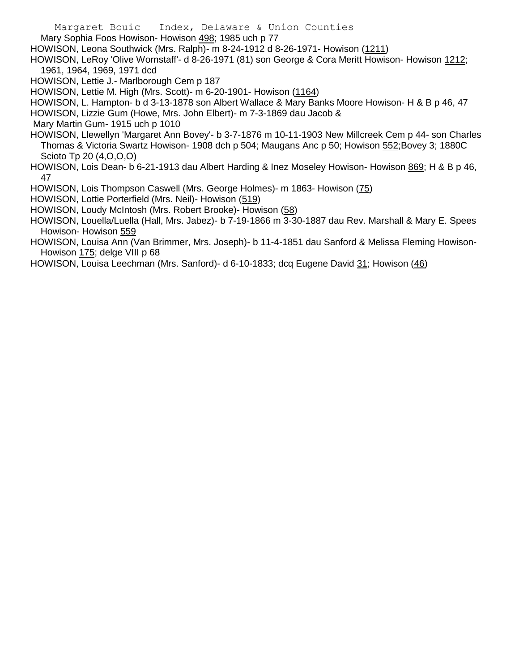Margaret Bouic Index, Delaware & Union Counties Mary Sophia Foos Howison- Howison 498; 1985 uch p 77 HOWISON, Leona Southwick (Mrs. Ralph)- m 8-24-1912 d 8-26-1971- Howison (1211)

HOWISON, LeRoy 'Olive Wornstaff'- d 8-26-1971 (81) son George & Cora Meritt Howison- Howison 1212; 1961, 1964, 1969, 1971 dcd

HOWISON, Lettie J.- Marlborough Cem p 187

HOWISON, Lettie M. High (Mrs. Scott)- m 6-20-1901- Howison (1164)

HOWISON, L. Hampton- b d 3-13-1878 son Albert Wallace & Mary Banks Moore Howison- H & B p 46, 47 HOWISON, Lizzie Gum (Howe, Mrs. John Elbert)- m 7-3-1869 dau Jacob &

Mary Martin Gum- 1915 uch p 1010

HOWISON, Llewellyn 'Margaret Ann Bovey'- b 3-7-1876 m 10-11-1903 New Millcreek Cem p 44- son Charles Thomas & Victoria Swartz Howison- 1908 dch p 504; Maugans Anc p 50; Howison 552;Bovey 3; 1880C Scioto Tp 20 (4,O,O,O)

HOWISON, Lois Dean- b 6-21-1913 dau Albert Harding & Inez Moseley Howison- Howison 869; H & B p 46, 47

HOWISON, Lois Thompson Caswell (Mrs. George Holmes)- m 1863- Howison (75)

HOWISON, Lottie Porterfield (Mrs. Neil)- Howison (519)

HOWISON, Loudy McIntosh (Mrs. Robert Brooke)- Howison (58)

HOWISON, Louella/Luella (Hall, Mrs. Jabez)- b 7-19-1866 m 3-30-1887 dau Rev. Marshall & Mary E. Spees Howison- Howison 559

HOWISON, Louisa Ann (Van Brimmer, Mrs. Joseph)- b 11-4-1851 dau Sanford & Melissa Fleming Howison-Howison 175; delge VIII p 68

HOWISON, Louisa Leechman (Mrs. Sanford)- d 6-10-1833; dcq Eugene David 31; Howison (46)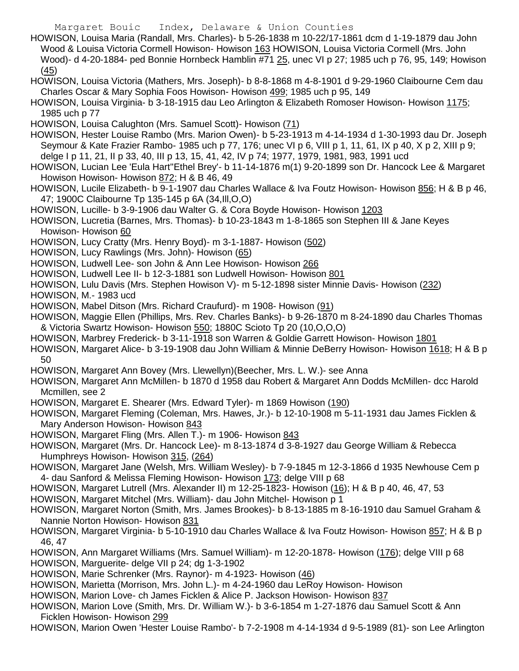Margaret Bouic Index, Delaware & Union Counties

HOWISON, Louisa Maria (Randall, Mrs. Charles)- b 5-26-1838 m 10-22/17-1861 dcm d 1-19-1879 dau John Wood & Louisa Victoria Cormell Howison- Howison 163 HOWISON, Louisa Victoria Cormell (Mrs. John Wood)- d 4-20-1884- ped Bonnie Hornbeck Hamblin #71 25, unec VI p 27; 1985 uch p 76, 95, 149; Howison (45)

HOWISON, Louisa Victoria (Mathers, Mrs. Joseph)- b 8-8-1868 m 4-8-1901 d 9-29-1960 Claibourne Cem dau Charles Oscar & Mary Sophia Foos Howison- Howison 499; 1985 uch p 95, 149

HOWISON, Louisa Virginia- b 3-18-1915 dau Leo Arlington & Elizabeth Romoser Howison- Howison 1175; 1985 uch p 77

HOWISON, Louisa Calughton (Mrs. Samuel Scott)- Howison (71)

HOWISON, Hester Louise Rambo (Mrs. Marion Owen)- b 5-23-1913 m 4-14-1934 d 1-30-1993 dau Dr. Joseph Seymour & Kate Frazier Rambo- 1985 uch p 77, 176; unec VI p 6, VIII p 1, 11, 61, IX p 40, X p 2, XIII p 9; delge I p 11, 21, II p 33, 40, III p 13, 15, 41, 42, IV p 74; 1977, 1979, 1981, 983, 1991 ucd

HOWISON, Lucian Lee 'Eula Hart''Ethel Brey'- b 11-14-1876 m(1) 9-20-1899 son Dr. Hancock Lee & Margaret Howison Howison- Howison 872; H & B 46, 49

HOWISON, Lucile Elizabeth- b 9-1-1907 dau Charles Wallace & Iva Foutz Howison- Howison 856; H & B p 46, 47; 1900C Claibourne Tp 135-145 p 6A (34,Ill,O,O)

HOWISON, Lucille- b 3-9-1906 dau Walter G. & Cora Boyde Howison- Howison 1203

HOWISON, Lucretia (Barnes, Mrs. Thomas)- b 10-23-1843 m 1-8-1865 son Stephen III & Jane Keyes Howison- Howison 60

HOWISON, Lucy Cratty (Mrs. Henry Boyd)- m 3-1-1887- Howison (502)

HOWISON, Lucy Rawlings (Mrs. John)- Howison (65)

HOWISON, Ludwell Lee- son John & Ann Lee Howison- Howison 266

HOWISON, Ludwell Lee II- b 12-3-1881 son Ludwell Howison- Howison 801

HOWISON, Lulu Davis (Mrs. Stephen Howison V)- m 5-12-1898 sister Minnie Davis- Howison (232)

HOWISON, M.- 1983 ucd

HOWISON, Mabel Ditson (Mrs. Richard Craufurd)- m 1908- Howison (91)

HOWISON, Maggie Ellen (Phillips, Mrs. Rev. Charles Banks)- b 9-26-1870 m 8-24-1890 dau Charles Thomas & Victoria Swartz Howison- Howison 550; 1880C Scioto Tp 20 (10,O,O,O)

HOWISON, Marbrey Frederick- b 3-11-1918 son Warren & Goldie Garrett Howison- Howison 1801

HOWISON, Margaret Alice- b 3-19-1908 dau John William & Minnie DeBerry Howison- Howison 1618; H & B p 50

HOWISON, Margaret Ann Bovey (Mrs. Llewellyn)(Beecher, Mrs. L. W.)- see Anna

HOWISON, Margaret Ann McMillen- b 1870 d 1958 dau Robert & Margaret Ann Dodds McMillen- dcc Harold Mcmillen, see 2

HOWISON, Margaret E. Shearer (Mrs. Edward Tyler)- m 1869 Howison (190)

HOWISON, Margaret Fleming (Coleman, Mrs. Hawes, Jr.)- b 12-10-1908 m 5-11-1931 dau James Ficklen & Mary Anderson Howison- Howison 843

HOWISON, Margaret Fling (Mrs. Allen T.)- m 1906- Howison 843

HOWISON, Margaret (Mrs. Dr. Hancock Lee)- m 8-13-1874 d 3-8-1927 dau George William & Rebecca Humphreys Howison- Howison 315, (264)

HOWISON, Margaret Jane (Welsh, Mrs. William Wesley)- b 7-9-1845 m 12-3-1866 d 1935 Newhouse Cem p 4- dau Sanford & Melissa Fleming Howison- Howison 173; delge VIII p 68

HOWISON, Margaret Lutrell (Mrs. Alexander II) m 12-25-1823- Howison (16); H & B p 40, 46, 47, 53

HOWISON, Margaret Mitchel (Mrs. William)- dau John Mitchel- Howison p 1

HOWISON, Margaret Norton (Smith, Mrs. James Brookes)- b 8-13-1885 m 8-16-1910 dau Samuel Graham & Nannie Norton Howison- Howison 831

HOWISON, Margaret Virginia- b 5-10-1910 dau Charles Wallace & Iva Foutz Howison- Howison 857; H & B p 46, 47

HOWISON, Ann Margaret Williams (Mrs. Samuel William)- m 12-20-1878- Howison (176); delge VIII p 68

HOWISON, Marguerite- delge VII p 24; dg 1-3-1902

HOWISON, Marie Schrenker (Mrs. Raynor)- m 4-1923- Howison (46)

HOWISON, Marietta (Morrison, Mrs. John L.)- m 4-24-1960 dau LeRoy Howison- Howison

HOWISON, Marion Love- ch James Ficklen & Alice P. Jackson Howison- Howison 837

HOWISON, Marion Love (Smith, Mrs. Dr. William W.)- b 3-6-1854 m 1-27-1876 dau Samuel Scott & Ann Ficklen Howison- Howison 299

HOWISON, Marion Owen 'Hester Louise Rambo'- b 7-2-1908 m 4-14-1934 d 9-5-1989 (81)- son Lee Arlington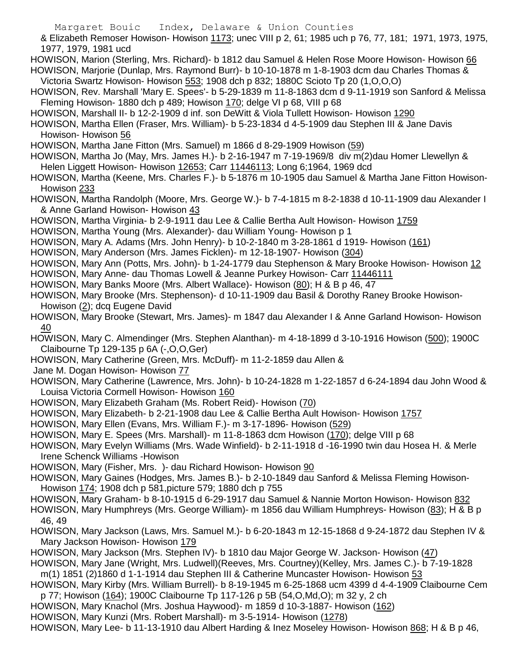Margaret Bouic Index, Delaware & Union Counties

& Elizabeth Remoser Howison- Howison 1173; unec VIII p 2, 61; 1985 uch p 76, 77, 181; 1971, 1973, 1975, 1977, 1979, 1981 ucd

HOWISON, Marion (Sterling, Mrs. Richard)- b 1812 dau Samuel & Helen Rose Moore Howison- Howison 66 HOWISON, Marjorie (Dunlap, Mrs. Raymond Burr)- b 10-10-1878 m 1-8-1903 dcm dau Charles Thomas &

Victoria Swartz Howison- Howison 553; 1908 dch p 832; 1880C Scioto Tp 20 (1,O,O,O)

HOWISON, Rev. Marshall 'Mary E. Spees'- b 5-29-1839 m 11-8-1863 dcm d 9-11-1919 son Sanford & Melissa Fleming Howison- 1880 dch p 489; Howison 170; delge VI p 68, VIII p 68

HOWISON, Marshall II- b 12-2-1909 d inf. son DeWitt & Viola Tullett Howison- Howison 1290

HOWISON, Martha Ellen (Fraser, Mrs. William)- b 5-23-1834 d 4-5-1909 dau Stephen III & Jane Davis Howison- Howison 56

HOWISON, Martha Jane Fitton (Mrs. Samuel) m 1866 d 8-29-1909 Howison (59)

HOWISON, Martha Jo (May, Mrs. James H.)- b 2-16-1947 m 7-19-1969/8 div m(2)dau Homer Llewellyn & Helen Liggett Howison- Howison 12653; Carr 11446113; Long 6;1964, 1969 dcd

HOWISON, Martha (Keene, Mrs. Charles F.)- b 5-1876 m 10-1905 dau Samuel & Martha Jane Fitton Howison-Howison 233

HOWISON, Martha Randolph (Moore, Mrs. George W.)- b 7-4-1815 m 8-2-1838 d 10-11-1909 dau Alexander I & Anne Garland Howison- Howison 43

HOWISON, Martha Virginia- b 2-9-1911 dau Lee & Callie Bertha Ault Howison- Howison 1759

HOWISON, Martha Young (Mrs. Alexander)- dau William Young- Howison p 1

HOWISON, Mary A. Adams (Mrs. John Henry)- b 10-2-1840 m 3-28-1861 d 1919- Howison (161)

HOWISON, Mary Anderson (Mrs. James Ficklen)- m 12-18-1907- Howison (304)

HOWISON, Mary Ann (Potts, Mrs. John)- b 1-24-1779 dau Stephenson & Mary Brooke Howison- Howison 12

HOWISON, Mary Anne- dau Thomas Lowell & Jeanne Purkey Howison- Carr 11446111

HOWISON, Mary Banks Moore (Mrs. Albert Wallace)- Howison (80); H & B p 46, 47

HOWISON, Mary Brooke (Mrs. Stephenson)- d 10-11-1909 dau Basil & Dorothy Raney Brooke Howison-Howison (2); dcq Eugene David

HOWISON, Mary Brooke (Stewart, Mrs. James)- m 1847 dau Alexander I & Anne Garland Howison- Howison 40

HOWISON, Mary C. Almendinger (Mrs. Stephen Alanthan)- m 4-18-1899 d 3-10-1916 Howison (500); 1900C Claibourne Tp 129-135 p 6A (-,O,O,Ger)

HOWISON, Mary Catherine (Green, Mrs. McDuff)- m 11-2-1859 dau Allen &

Jane M. Dogan Howison- Howison 77

HOWISON, Mary Catherine (Lawrence, Mrs. John)- b 10-24-1828 m 1-22-1857 d 6-24-1894 dau John Wood & Louisa Victoria Cormell Howison- Howison 160

HOWISON, Mary Elizabeth Graham (Ms. Robert Reid)- Howison (70)

HOWISON, Mary Elizabeth- b 2-21-1908 dau Lee & Callie Bertha Ault Howison- Howison 1757

HOWISON, Mary Ellen (Evans, Mrs. William F.)- m 3-17-1896- Howison (529)

HOWISON, Mary E. Spees (Mrs. Marshall)- m 11-8-1863 dcm Howison (170); delge VIII p 68

HOWISON, Mary Evelyn Williams (Mrs. Wade Winfield)- b 2-11-1918 d -16-1990 twin dau Hosea H. & Merle Irene Schenck Williams -Howison

HOWISON, Mary (Fisher, Mrs. )- dau Richard Howison- Howison 90

HOWISON, Mary Gaines (Hodges, Mrs. James B.)- b 2-10-1849 dau Sanford & Melissa Fleming Howison-Howison 174; 1908 dch p 581,picture 579; 1880 dch p 755

HOWISON, Mary Graham- b 8-10-1915 d 6-29-1917 dau Samuel & Nannie Morton Howison- Howison 832

HOWISON, Mary Humphreys (Mrs. George William)- m 1856 dau William Humphreys- Howison (83); H & B p 46, 49

HOWISON, Mary Jackson (Laws, Mrs. Samuel M.)- b 6-20-1843 m 12-15-1868 d 9-24-1872 dau Stephen IV & Mary Jackson Howison- Howison 179

HOWISON, Mary Jackson (Mrs. Stephen IV)- b 1810 dau Major George W. Jackson- Howison (47)

HOWISON, Mary Jane (Wright, Mrs. Ludwell)(Reeves, Mrs. Courtney)(Kelley, Mrs. James C.)- b 7-19-1828 m(1) 1851 (2)1860 d 1-1-1914 dau Stephen III & Catherine Muncaster Howison- Howison 53

HOWISON, Mary Kirby (Mrs. William Burrell)- b 8-19-1945 m 6-25-1868 ucm 4399 d 4-4-1909 Claibourne Cem

p 77; Howison (164); 1900C Claibourne Tp 117-126 p 5B (54,O,Md,O); m 32 y, 2 ch

HOWISON, Mary Knachol (Mrs. Joshua Haywood)- m 1859 d 10-3-1887- Howison (162)

HOWISON, Mary Kunzi (Mrs. Robert Marshall)- m 3-5-1914- Howison (1278)

HOWISON, Mary Lee- b 11-13-1910 dau Albert Harding & Inez Moseley Howison- Howison 868; H & B p 46,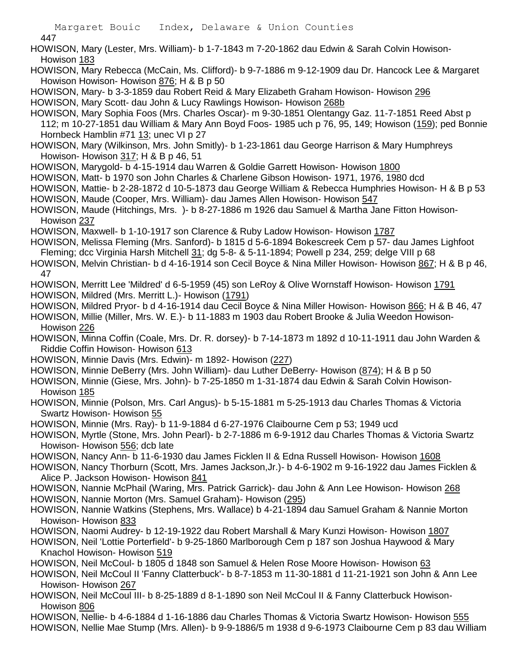447

- HOWISON, Mary (Lester, Mrs. William)- b 1-7-1843 m 7-20-1862 dau Edwin & Sarah Colvin Howison-Howison 183
- HOWISON, Mary Rebecca (McCain, Ms. Clifford)- b 9-7-1886 m 9-12-1909 dau Dr. Hancock Lee & Margaret Howison Howison- Howison 876; H & B p 50
- HOWISON, Mary- b 3-3-1859 dau Robert Reid & Mary Elizabeth Graham Howison- Howison 296 HOWISON, Mary Scott- dau John & Lucy Rawlings Howison- Howison 268b
- HOWISON, Mary Sophia Foos (Mrs. Charles Oscar)- m 9-30-1851 Olentangy Gaz. 11-7-1851 Reed Abst p 112; m 10-27-1851 dau William & Mary Ann Boyd Foos- 1985 uch p 76, 95, 149; Howison (159); ped Bonnie Hornbeck Hamblin #71 13; unec VI p 27
- HOWISON, Mary (Wilkinson, Mrs. John Smitly)- b 1-23-1861 dau George Harrison & Mary Humphreys Howison- Howison 317; H & B p 46, 51
- HOWISON, Marygold- b 4-15-1914 dau Warren & Goldie Garrett Howison- Howison 1800
- HOWISON, Matt- b 1970 son John Charles & Charlene Gibson Howison- 1971, 1976, 1980 dcd
- HOWISON, Mattie- b 2-28-1872 d 10-5-1873 dau George William & Rebecca Humphries Howison- H & B p 53
- HOWISON, Maude (Cooper, Mrs. William)- dau James Allen Howison- Howison 547
- HOWISON, Maude (Hitchings, Mrs. )- b 8-27-1886 m 1926 dau Samuel & Martha Jane Fitton Howison-Howison 237
- HOWISON, Maxwell- b 1-10-1917 son Clarence & Ruby Ladow Howison- Howison 1787
- HOWISON, Melissa Fleming (Mrs. Sanford)- b 1815 d 5-6-1894 Bokescreek Cem p 57- dau James Lighfoot Fleming; dcc Virginia Harsh Mitchell 31; dg 5-8- & 5-11-1894; Powell p 234, 259; delge VIII p 68
- HOWISON, Melvin Christian- b d 4-16-1914 son Cecil Boyce & Nina Miller Howison- Howison 867; H & B p 46, 47
- HOWISON, Merritt Lee 'Mildred' d 6-5-1959 (45) son LeRoy & Olive Wornstaff Howison- Howison 1791
- HOWISON, Mildred (Mrs. Merritt L.)- Howison (1791)
- HOWISON, Mildred Pryor- b d 4-16-1914 dau Cecil Boyce & Nina Miller Howison- Howison 866; H & B 46, 47

HOWISON, Millie (Miller, Mrs. W. E.)- b 11-1883 m 1903 dau Robert Brooke & Julia Weedon Howison-Howison 226

- HOWISON, Minna Coffin (Coale, Mrs. Dr. R. dorsey)- b 7-14-1873 m 1892 d 10-11-1911 dau John Warden & Riddie Coffin Howison- Howison 613
- HOWISON, Minnie Davis (Mrs. Edwin)- m 1892- Howison (227)
- HOWISON, Minnie DeBerry (Mrs. John William)- dau Luther DeBerry- Howison (874); H & B p 50
- HOWISON, Minnie (Giese, Mrs. John)- b 7-25-1850 m 1-31-1874 dau Edwin & Sarah Colvin Howison-Howison 185
- HOWISON, Minnie (Polson, Mrs. Carl Angus)- b 5-15-1881 m 5-25-1913 dau Charles Thomas & Victoria Swartz Howison- Howison 55
- HOWISON, Minnie (Mrs. Ray)- b 11-9-1884 d 6-27-1976 Claibourne Cem p 53; 1949 ucd
- HOWISON, Myrtle (Stone, Mrs. John Pearl)- b 2-7-1886 m 6-9-1912 dau Charles Thomas & Victoria Swartz Howison- Howison 556; dcb late
- HOWISON, Nancy Ann- b 11-6-1930 dau James Ficklen II & Edna Russell Howison- Howison 1608
- HOWISON, Nancy Thorburn (Scott, Mrs. James Jackson,Jr.)- b 4-6-1902 m 9-16-1922 dau James Ficklen & Alice P. Jackson Howison- Howison 841
- HOWISON, Nannie McPhail (Waring, Mrs. Patrick Garrick)- dau John & Ann Lee Howison- Howison 268 HOWISON, Nannie Morton (Mrs. Samuel Graham)- Howison (295)
- HOWISON, Nannie Watkins (Stephens, Mrs. Wallace) b 4-21-1894 dau Samuel Graham & Nannie Morton Howison- Howison 833
- HOWISON, Naomi Audrey- b 12-19-1922 dau Robert Marshall & Mary Kunzi Howison- Howison 1807
- HOWISON, Neil 'Lottie Porterfield'- b 9-25-1860 Marlborough Cem p 187 son Joshua Haywood & Mary Knachol Howison- Howison 519
- HOWISON, Neil McCoul- b 1805 d 1848 son Samuel & Helen Rose Moore Howison- Howison 63
- HOWISON, Neil McCoul II 'Fanny Clatterbuck'- b 8-7-1853 m 11-30-1881 d 11-21-1921 son John & Ann Lee Howison- Howison 267
- HOWISON, Neil McCoul III- b 8-25-1889 d 8-1-1890 son Neil McCoul II & Fanny Clatterbuck Howison-Howison 806
- HOWISON, Nellie- b 4-6-1884 d 1-16-1886 dau Charles Thomas & Victoria Swartz Howison- Howison 555 HOWISON, Nellie Mae Stump (Mrs. Allen)- b 9-9-1886/5 m 1938 d 9-6-1973 Claibourne Cem p 83 dau William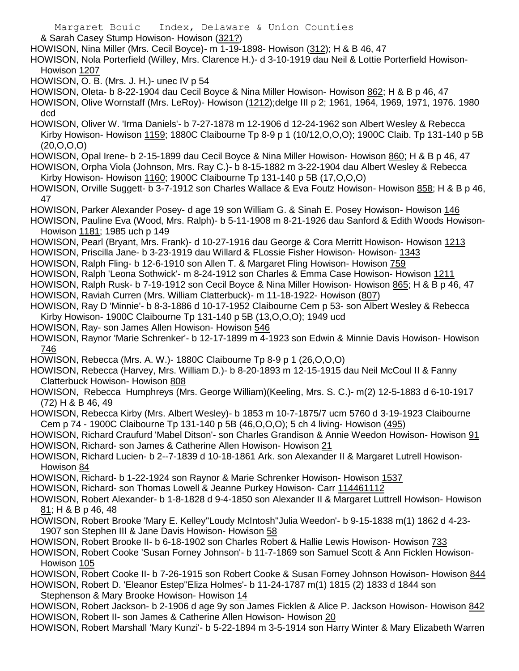Margaret Bouic Index, Delaware & Union Counties & Sarah Casey Stump Howison- Howison (321?) HOWISON, Nina Miller (Mrs. Cecil Boyce)- m 1-19-1898- Howison (312); H & B 46, 47 HOWISON, Nola Porterfield (Willey, Mrs. Clarence H.)- d 3-10-1919 dau Neil & Lottie Porterfield Howison-Howison 1207 HOWISON, O. B. (Mrs. J. H.)- unec IV p 54 HOWISON, Oleta- b 8-22-1904 dau Cecil Boyce & Nina Miller Howison- Howison 862; H & B p 46, 47 HOWISON, Olive Wornstaff (Mrs. LeRoy)- Howison (1212);delge III p 2; 1961, 1964, 1969, 1971, 1976. 1980 dcd HOWISON, Oliver W. 'Irma Daniels'- b 7-27-1878 m 12-1906 d 12-24-1962 son Albert Wesley & Rebecca Kirby Howison- Howison 1159; 1880C Claibourne Tp 8-9 p 1 (10/12, O, O, O); 1900C Claib. Tp 131-140 p 5B  $(20, 0, 0, 0)$ HOWISON, Opal Irene- b 2-15-1899 dau Cecil Boyce & Nina Miller Howison- Howison 860; H & B p 46, 47 HOWISON, Orpha Viola (Johnson, Mrs. Ray C.)- b 8-15-1882 m 3-22-1904 dau Albert Wesley & Rebecca Kirby Howison- Howison 1160; 1900C Claibourne Tp 131-140 p 5B (17,O,O,O) HOWISON, Orville Suggett- b 3-7-1912 son Charles Wallace & Eva Foutz Howison- Howison 858; H & B p 46, 47 HOWISON, Parker Alexander Posey- d age 19 son William G. & Sinah E. Posey Howison- Howison 146 HOWISON, Pauline Eva (Wood, Mrs. Ralph)- b 5-11-1908 m 8-21-1926 dau Sanford & Edith Woods Howison-Howison 1181; 1985 uch p 149 HOWISON, Pearl (Bryant, Mrs. Frank)- d 10-27-1916 dau George & Cora Merritt Howison- Howison 1213 HOWISON, Priscilla Jane- b 3-23-1919 dau Willard & FLossie Fisher Howison- Howison- 1343 HOWISON, Ralph Fling- b 12-6-1910 son Allen T. & Margaret Fling Howison- Howison 759 HOWISON, Ralph 'Leona Sothwick'- m 8-24-1912 son Charles & Emma Case Howison- Howison 1211 HOWISON, Ralph Rusk- b 7-19-1912 son Cecil Boyce & Nina Miller Howison- Howison 865; H & B p 46, 47 HOWISON, Raviah Curren (Mrs. William Clatterbuck)- m 11-18-1922- Howison (807) HOWISON, Ray D 'Minnie'- b 8-3-1886 d 10-17-1952 Claibourne Cem p 53- son Albert Wesley & Rebecca Kirby Howison- 1900C Claibourne Tp 131-140 p 5B (13,O,O,O); 1949 ucd HOWISON, Ray- son James Allen Howison- Howison 546 HOWISON, Raynor 'Marie Schrenker'- b 12-17-1899 m 4-1923 son Edwin & Minnie Davis Howison- Howison 746 HOWISON, Rebecca (Mrs. A. W.)- 1880C Claibourne Tp 8-9 p 1 (26,O,O,O) HOWISON, Rebecca (Harvey, Mrs. William D.)- b 8-20-1893 m 12-15-1915 dau Neil McCoul II & Fanny Clatterbuck Howison- Howison 808 HOWISON, Rebecca Humphreys (Mrs. George William)(Keeling, Mrs. S. C.)- m(2) 12-5-1883 d 6-10-1917 (72) H & B 46, 49 HOWISON, Rebecca Kirby (Mrs. Albert Wesley)- b 1853 m 10-7-1875/7 ucm 5760 d 3-19-1923 Claibourne Cem p 74 - 1900C Claibourne Tp 131-140 p 5B (46,O,O,O); 5 ch 4 living- Howison (495) HOWISON, Richard Craufurd 'Mabel Ditson'- son Charles Grandison & Annie Weedon Howison- Howison 91 HOWISON, Richard- son James & Catherine Allen Howison- Howison 21 HOWISON, Richard Lucien- b 2--7-1839 d 10-18-1861 Ark. son Alexander II & Margaret Lutrell Howison-Howison 84 HOWISON, Richard- b 1-22-1924 son Raynor & Marie Schrenker Howison- Howison 1537 HOWISON, Richard- son Thomas Lowell & Jeanne Purkey Howison- Carr 114461112 HOWISON, Robert Alexander- b 1-8-1828 d 9-4-1850 son Alexander II & Margaret Luttrell Howison- Howison 81; H & B p 46, 48 HOWISON, Robert Brooke 'Mary E. Kelley''Loudy McIntosh''Julia Weedon'- b 9-15-1838 m(1) 1862 d 4-23- 1907 son Stephen III & Jane Davis Howison- Howison 58 HOWISON, Robert Brooke II- b 6-18-1902 son Charles Robert & Hallie Lewis Howison- Howison 733 HOWISON, Robert Cooke 'Susan Forney Johnson'- b 11-7-1869 son Samuel Scott & Ann Ficklen Howison-Howison 105 HOWISON, Robert Cooke II- b 7-26-1915 son Robert Cooke & Susan Forney Johnson Howison- Howison 844 HOWISON, Robert D. 'Eleanor Estep''Eliza Holmes'- b 11-24-1787 m(1) 1815 (2) 1833 d 1844 son Stephenson & Mary Brooke Howison- Howison 14 HOWISON, Robert Jackson- b 2-1906 d age 9y son James Ficklen & Alice P. Jackson Howison- Howison 842 HOWISON, Robert II- son James & Catherine Allen Howison- Howison 20 HOWISON, Robert Marshall 'Mary Kunzi'- b 5-22-1894 m 3-5-1914 son Harry Winter & Mary Elizabeth Warren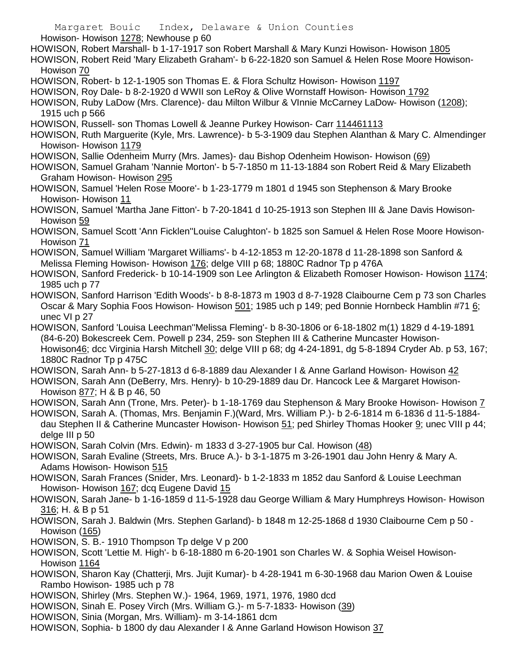Margaret Bouic Index, Delaware & Union Counties Howison- Howison 1278; Newhouse p 60 HOWISON, Robert Marshall- b 1-17-1917 son Robert Marshall & Mary Kunzi Howison- Howison 1805 HOWISON, Robert Reid 'Mary Elizabeth Graham'- b 6-22-1820 son Samuel & Helen Rose Moore Howison-Howison 70 HOWISON, Robert- b 12-1-1905 son Thomas E. & Flora Schultz Howison- Howison 1197 HOWISON, Roy Dale- b 8-2-1920 d WWII son LeRoy & Olive Wornstaff Howison- Howison 1792 HOWISON, Ruby LaDow (Mrs. Clarence)- dau Milton Wilbur & VInnie McCarney LaDow- Howison (1208); 1915 uch p 566 HOWISON, Russell- son Thomas Lowell & Jeanne Purkey Howison- Carr 114461113 HOWISON, Ruth Marguerite (Kyle, Mrs. Lawrence)- b 5-3-1909 dau Stephen Alanthan & Mary C. Almendinger Howison- Howison 1179 HOWISON, Sallie Odenheim Murry (Mrs. James)- dau Bishop Odenheim Howison- Howison (69) HOWISON, Samuel Graham 'Nannie Morton'- b 5-7-1850 m 11-13-1884 son Robert Reid & Mary Elizabeth Graham Howison- Howison 295 HOWISON, Samuel 'Helen Rose Moore'- b 1-23-1779 m 1801 d 1945 son Stephenson & Mary Brooke Howison- Howison 11 HOWISON, Samuel 'Martha Jane Fitton'- b 7-20-1841 d 10-25-1913 son Stephen III & Jane Davis Howison-Howison 59 HOWISON, Samuel Scott 'Ann Ficklen''Louise Calughton'- b 1825 son Samuel & Helen Rose Moore Howison-Howison 71 HOWISON, Samuel William 'Margaret Williams'- b 4-12-1853 m 12-20-1878 d 11-28-1898 son Sanford & Melissa Fleming Howison- Howison 176; delge VIII p 68; 1880C Radnor Tp p 476A HOWISON, Sanford Frederick- b 10-14-1909 son Lee Arlington & Elizabeth Romoser Howison- Howison 1174; 1985 uch p 77 HOWISON, Sanford Harrison 'Edith Woods'- b 8-8-1873 m 1903 d 8-7-1928 Claibourne Cem p 73 son Charles Oscar & Mary Sophia Foos Howison- Howison 501; 1985 uch p 149; ped Bonnie Hornbeck Hamblin #71 6; unec VI p 27 HOWISON, Sanford 'Louisa Leechman''Melissa Fleming'- b 8-30-1806 or 6-18-1802 m(1) 1829 d 4-19-1891 (84-6-20) Bokescreek Cem. Powell p 234, 259- son Stephen III & Catherine Muncaster Howison-Howison46; dcc Virginia Harsh Mitchell 30; delge VIII p 68; dg 4-24-1891, dg 5-8-1894 Cryder Ab. p 53, 167; 1880C Radnor Tp p 475C HOWISON, Sarah Ann- b 5-27-1813 d 6-8-1889 dau Alexander I & Anne Garland Howison- Howison 42 HOWISON, Sarah Ann (DeBerry, Mrs. Henry)- b 10-29-1889 dau Dr. Hancock Lee & Margaret Howison-Howison 877; H & B p 46, 50 HOWISON, Sarah Ann (Trone, Mrs. Peter)- b 1-18-1769 dau Stephenson & Mary Brooke Howison- Howison 7 HOWISON, Sarah A. (Thomas, Mrs. Benjamin F.)(Ward, Mrs. William P.)- b 2-6-1814 m 6-1836 d 11-5-1884 dau Stephen II & Catherine Muncaster Howison- Howison 51; ped Shirley Thomas Hooker 9; unec VIII p 44; delge III p 50 HOWISON, Sarah Colvin (Mrs. Edwin)- m 1833 d 3-27-1905 bur Cal. Howison (48) HOWISON, Sarah Evaline (Streets, Mrs. Bruce A.)- b 3-1-1875 m 3-26-1901 dau John Henry & Mary A. Adams Howison- Howison 515 HOWISON, Sarah Frances (Snider, Mrs. Leonard)- b 1-2-1833 m 1852 dau Sanford & Louise Leechman Howison- Howison 167; dcq Eugene David 15 HOWISON, Sarah Jane- b 1-16-1859 d 11-5-1928 dau George William & Mary Humphreys Howison- Howison 316; H. & B p 51 HOWISON, Sarah J. Baldwin (Mrs. Stephen Garland)- b 1848 m 12-25-1868 d 1930 Claibourne Cem p 50 - Howison (165) HOWISON, S. B.- 1910 Thompson Tp delge V p 200 HOWISON, Scott 'Lettie M. High'- b 6-18-1880 m 6-20-1901 son Charles W. & Sophia Weisel Howison-Howison 1164 HOWISON, Sharon Kay (Chatterji, Mrs. Jujit Kumar)- b 4-28-1941 m 6-30-1968 dau Marion Owen & Louise Rambo Howison- 1985 uch p 78 HOWISON, Shirley (Mrs. Stephen W.)- 1964, 1969, 1971, 1976, 1980 dcd HOWISON, Sinah E. Posey Virch (Mrs. William G.)- m 5-7-1833- Howison (39) HOWISON, Sinia (Morgan, Mrs. William)- m 3-14-1861 dcm HOWISON, Sophia- b 1800 dy dau Alexander I & Anne Garland Howison Howison 37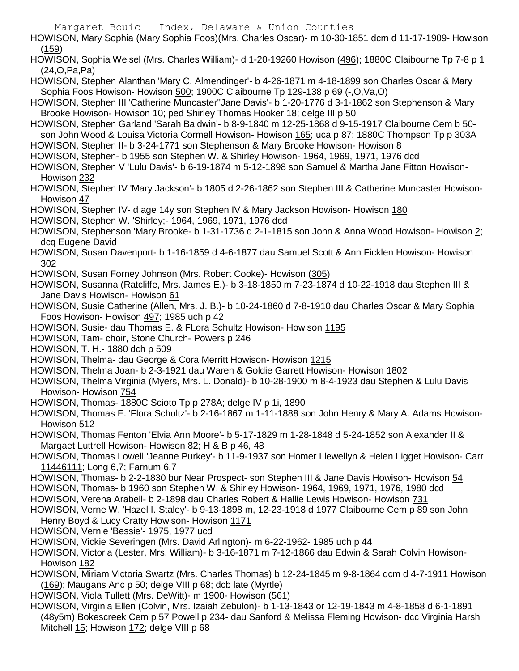HOWISON, Mary Sophia (Mary Sophia Foos)(Mrs. Charles Oscar)- m 10-30-1851 dcm d 11-17-1909- Howison (159) HOWISON, Sophia Weisel (Mrs. Charles William)- d 1-20-19260 Howison (496); 1880C Claibourne Tp 7-8 p 1 (24,O,Pa,Pa) HOWISON, Stephen Alanthan 'Mary C. Almendinger'- b 4-26-1871 m 4-18-1899 son Charles Oscar & Mary Sophia Foos Howison- Howison 500; 1900C Claibourne Tp 129-138 p 69 (-,O,Va,O) HOWISON, Stephen III 'Catherine Muncaster''Jane Davis'- b 1-20-1776 d 3-1-1862 son Stephenson & Mary Brooke Howison- Howison 10; ped Shirley Thomas Hooker 18; delge III p 50 HOWISON, Stephen Garland 'Sarah Baldwin'- b 8-9-1840 m 12-25-1868 d 9-15-1917 Claibourne Cem b 50 son John Wood & Louisa Victoria Cormell Howison- Howison 165; uca p 87; 1880C Thompson Tp p 303A HOWISON, Stephen II- b 3-24-1771 son Stephenson & Mary Brooke Howison- Howison 8 HOWISON, Stephen- b 1955 son Stephen W. & Shirley Howison- 1964, 1969, 1971, 1976 dcd HOWISON, Stephen V 'Lulu Davis'- b 6-19-1874 m 5-12-1898 son Samuel & Martha Jane Fitton Howison-Howison 232 HOWISON, Stephen IV 'Mary Jackson'- b 1805 d 2-26-1862 son Stephen III & Catherine Muncaster Howison-Howison 47 HOWISON, Stephen IV- d age 14y son Stephen IV & Mary Jackson Howison- Howison 180 HOWISON, Stephen W. 'Shirley;- 1964, 1969, 1971, 1976 dcd HOWISON, Stephenson 'Mary Brooke- b 1-31-1736 d 2-1-1815 son John & Anna Wood Howison- Howison 2; dcq Eugene David HOWISON, Susan Davenport- b 1-16-1859 d 4-6-1877 dau Samuel Scott & Ann Ficklen Howison- Howison 302 HOWISON, Susan Forney Johnson (Mrs. Robert Cooke)- Howison (305) HOWISON, Susanna (Ratcliffe, Mrs. James E.)- b 3-18-1850 m 7-23-1874 d 10-22-1918 dau Stephen III & Jane Davis Howison- Howison 61 HOWISON, Susie Catherine (Allen, Mrs. J. B.)- b 10-24-1860 d 7-8-1910 dau Charles Oscar & Mary Sophia Foos Howison- Howison 497; 1985 uch p 42 HOWISON, Susie- dau Thomas E. & FLora Schultz Howison- Howison 1195 HOWISON, Tam- choir, Stone Church- Powers p 246 HOWISON, T. H.- 1880 dch p 509 HOWISON, Thelma- dau George & Cora Merritt Howison- Howison 1215 HOWISON, Thelma Joan- b 2-3-1921 dau Waren & Goldie Garrett Howison- Howison 1802 HOWISON, Thelma Virginia (Myers, Mrs. L. Donald)- b 10-28-1900 m 8-4-1923 dau Stephen & Lulu Davis Howison- Howison 754 HOWISON, Thomas- 1880C Scioto Tp p 278A; delge IV p 1i, 1890 HOWISON, Thomas E. 'Flora Schultz'- b 2-16-1867 m 1-11-1888 son John Henry & Mary A. Adams Howison-Howison 512 HOWISON, Thomas Fenton 'Elvia Ann Moore'- b 5-17-1829 m 1-28-1848 d 5-24-1852 son Alexander II & Margaet Luttrell Howison- Howison 82; H & B p 46, 48 HOWISON, Thomas Lowell 'Jeanne Purkey'- b 11-9-1937 son Homer Llewellyn & Helen Ligget Howison- Carr 11446111; Long 6,7; Farnum 6,7 HOWISON, Thomas- b 2-2-1830 bur Near Prospect- son Stephen III & Jane Davis Howison- Howison 54 HOWISON, Thomas- b 1960 son Stephen W. & Shirley Howison- 1964, 1969, 1971, 1976, 1980 dcd HOWISON, Verena Arabell- b 2-1898 dau Charles Robert & Hallie Lewis Howison- Howison 731 HOWISON, Verne W. 'Hazel I. Staley'- b 9-13-1898 m, 12-23-1918 d 1977 Claibourne Cem p 89 son John Henry Boyd & Lucy Cratty Howison- Howison 1171 HOWISON, Vernie 'Bessie'- 1975, 1977 ucd HOWISON, Vickie Severingen (Mrs. David Arlington)- m 6-22-1962- 1985 uch p 44 HOWISON, Victoria (Lester, Mrs. William)- b 3-16-1871 m 7-12-1866 dau Edwin & Sarah Colvin Howison-Howison 182 HOWISON, Miriam Victoria Swartz (Mrs. Charles Thomas) b 12-24-1845 m 9-8-1864 dcm d 4-7-1911 Howison (169); Maugans Anc p 50; delge VIII p 68; dcb late (Myrtle) HOWISON, Viola Tullett (Mrs. DeWitt)- m 1900- Howison (561) HOWISON, Virginia Ellen (Colvin, Mrs. Izaiah Zebulon)- b 1-13-1843 or 12-19-1843 m 4-8-1858 d 6-1-1891 (48y5m) Bokescreek Cem p 57 Powell p 234- dau Sanford & Melissa Fleming Howison- dcc Virginia Harsh

Margaret Bouic Index, Delaware & Union Counties

Mitchell 15; Howison 172; delge VIII p 68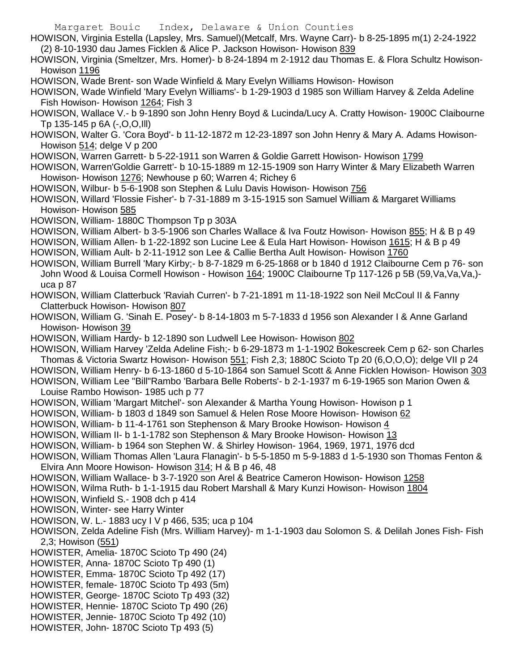Margaret Bouic Index, Delaware & Union Counties HOWISON, Virginia Estella (Lapsley, Mrs. Samuel)(Metcalf, Mrs. Wayne Carr)- b 8-25-1895 m(1) 2-24-1922 (2) 8-10-1930 dau James Ficklen & Alice P. Jackson Howison- Howison 839 HOWISON, Virginia (Smeltzer, Mrs. Homer)- b 8-24-1894 m 2-1912 dau Thomas E. & Flora Schultz Howison-Howison 1196 HOWISON, Wade Brent- son Wade Winfield & Mary Evelyn Williams Howison- Howison HOWISON, Wade Winfield 'Mary Evelyn Williams'- b 1-29-1903 d 1985 son William Harvey & Zelda Adeline Fish Howison- Howison 1264; Fish 3 HOWISON, Wallace V.- b 9-1890 son John Henry Boyd & Lucinda/Lucy A. Cratty Howison- 1900C Claibourne Tp 135-145 p 6A (-,O,O,Ill) HOWISON, Walter G. 'Cora Boyd'- b 11-12-1872 m 12-23-1897 son John Henry & Mary A. Adams Howison-Howison 514; delge V p 200 HOWISON, Warren Garrett- b 5-22-1911 son Warren & Goldie Garrett Howison- Howison 1799 HOWISON, Warren'Goldie Garrett'- b 10-15-1889 m 12-15-1909 son Harry Winter & Mary Elizabeth Warren Howison- Howison 1276; Newhouse p 60; Warren 4; Richey 6 HOWISON, Wilbur- b 5-6-1908 son Stephen & Lulu Davis Howison- Howison 756 HOWISON, Willard 'Flossie Fisher'- b 7-31-1889 m 3-15-1915 son Samuel William & Margaret Williams Howison- Howison 585 HOWISON, William- 1880C Thompson Tp p 303A HOWISON, William Albert- b 3-5-1906 son Charles Wallace & Iva Foutz Howison- Howison 855; H & B p 49 HOWISON, William Allen- b 1-22-1892 son Lucine Lee & Eula Hart Howison- Howison 1615; H & B p 49 HOWISON, William Ault- b 2-11-1912 son Lee & Callie Bertha Ault Howison- Howison 1760 HOWISON, William Burrell 'Mary Kirby;- b 8-7-1829 m 6-25-1868 or b 1840 d 1912 Claibourne Cem p 76- son John Wood & Louisa Cormell Howison - Howison 164; 1900C Claibourne Tp 117-126 p 5B (59,Va,Va,Va,) uca p 87 HOWISON, William Clatterbuck 'Raviah Curren'- b 7-21-1891 m 11-18-1922 son Neil McCoul II & Fanny Clatterbuck Howison- Howison 807 HOWISON, William G. 'Sinah E. Posey'- b 8-14-1803 m 5-7-1833 d 1956 son Alexander I & Anne Garland Howison- Howison 39 HOWISON, William Hardy- b 12-1890 son Ludwell Lee Howison- Howison 802 HOWISON, William Harvey 'Zelda Adeline Fish;- b 6-29-1873 m 1-1-1902 Bokescreek Cem p 62- son Charles Thomas & Victoria Swartz Howison- Howison 551; Fish 2,3; 1880C Scioto Tp 20 (6,O,O,O); delge VII p 24 HOWISON, William Henry- b 6-13-1860 d 5-10-1864 son Samuel Scott & Anne Ficklen Howison- Howison 303 HOWISON, William Lee "Bill"Rambo 'Barbara Belle Roberts'- b 2-1-1937 m 6-19-1965 son Marion Owen & Louise Rambo Howison- 1985 uch p 77 HOWISON, William 'Margart Mitchel'- son Alexander & Martha Young Howison- Howison p 1 HOWISON, William- b 1803 d 1849 son Samuel & Helen Rose Moore Howison- Howison 62 HOWISON, William- b 11-4-1761 son Stephenson & Mary Brooke Howison- Howison 4 HOWISON, William II- b 1-1-1782 son Stephenson & Mary Brooke Howison- Howison 13 HOWISON, William- b 1964 son Stephen W. & Shirley Howison- 1964, 1969, 1971, 1976 dcd HOWISON, William Thomas Allen 'Laura Flanagin'- b 5-5-1850 m 5-9-1883 d 1-5-1930 son Thomas Fenton & Elvira Ann Moore Howison- Howison 314; H & B p 46, 48 HOWISON, William Wallace- b 3-7-1920 son Arel & Beatrice Cameron Howison- Howison 1258 HOWISON, Wilma Ruth- b 1-1-1915 dau Robert Marshall & Mary Kunzi Howison- Howison 1804 HOWISON, Winfield S.- 1908 dch p 414 HOWISON, Winter- see Harry Winter HOWISON, W. L.- 1883 ucy I V p 466, 535; uca p 104 HOWISON, Zelda Adeline Fish (Mrs. William Harvey)- m 1-1-1903 dau Solomon S. & Delilah Jones Fish- Fish 2,3; Howison (551) HOWISTER, Amelia- 1870C Scioto Tp 490 (24) HOWISTER, Anna- 1870C Scioto Tp 490 (1) HOWISTER, Emma- 1870C Scioto Tp 492 (17) HOWISTER, female- 1870C Scioto Tp 493 (5m)

- HOWISTER, George- 1870C Scioto Tp 493 (32)
- HOWISTER, Hennie- 1870C Scioto Tp 490 (26)
- HOWISTER, Jennie- 1870C Scioto Tp 492 (10)
- HOWISTER, John- 1870C Scioto Tp 493 (5)